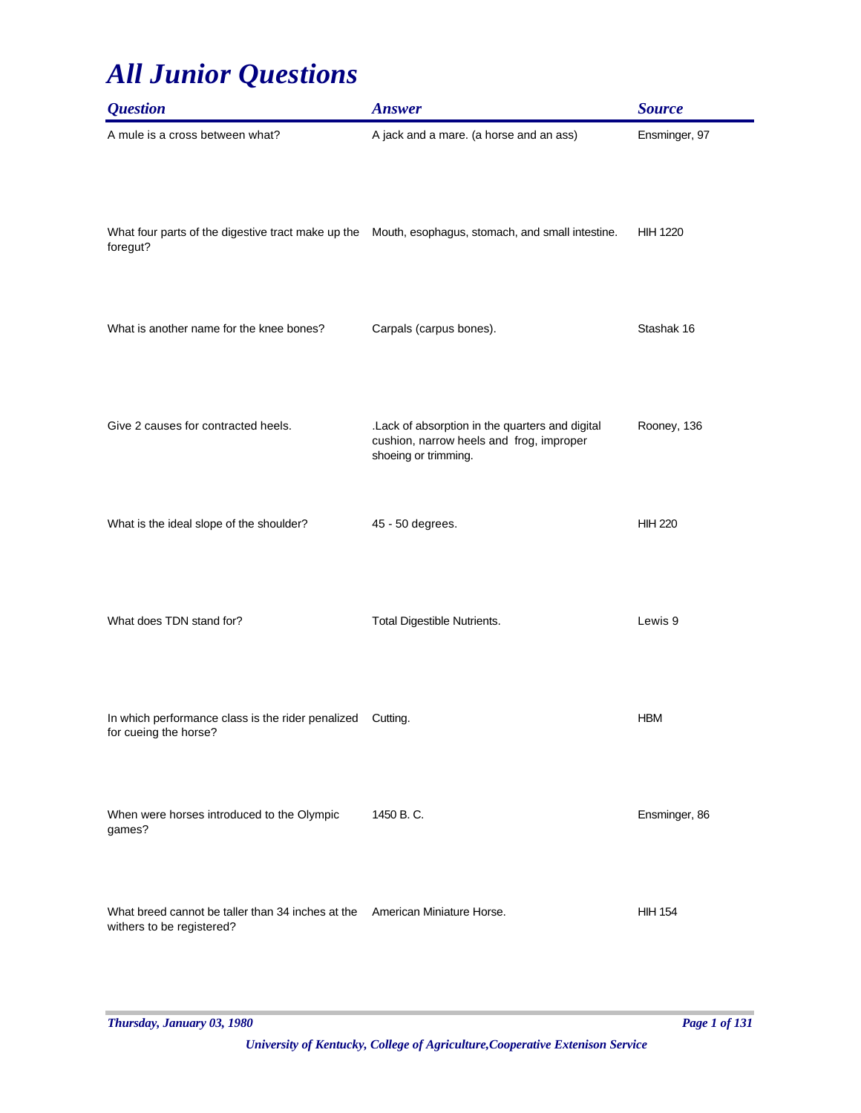| <b>Question</b>                                                                                                | <b>Answer</b>                                                                                                       | <b>Source</b>   |
|----------------------------------------------------------------------------------------------------------------|---------------------------------------------------------------------------------------------------------------------|-----------------|
| A mule is a cross between what?                                                                                | A jack and a mare. (a horse and an ass)                                                                             | Ensminger, 97   |
| What four parts of the digestive tract make up the Mouth, esophagus, stomach, and small intestine.<br>foregut? |                                                                                                                     | <b>HIH 1220</b> |
| What is another name for the knee bones?                                                                       | Carpals (carpus bones).                                                                                             | Stashak 16      |
| Give 2 causes for contracted heels.                                                                            | .Lack of absorption in the quarters and digital<br>cushion, narrow heels and frog, improper<br>shoeing or trimming. | Rooney, 136     |
| What is the ideal slope of the shoulder?                                                                       | 45 - 50 degrees.                                                                                                    | <b>HIH 220</b>  |
| What does TDN stand for?                                                                                       | Total Digestible Nutrients.                                                                                         | Lewis 9         |
| In which performance class is the rider penalized<br>for cueing the horse?                                     | Cutting.                                                                                                            | <b>HBM</b>      |
| When were horses introduced to the Olympic<br>games?                                                           | 1450 B.C.                                                                                                           | Ensminger, 86   |
| What breed cannot be taller than 34 inches at the<br>withers to be registered?                                 | American Miniature Horse.                                                                                           | <b>HIH 154</b>  |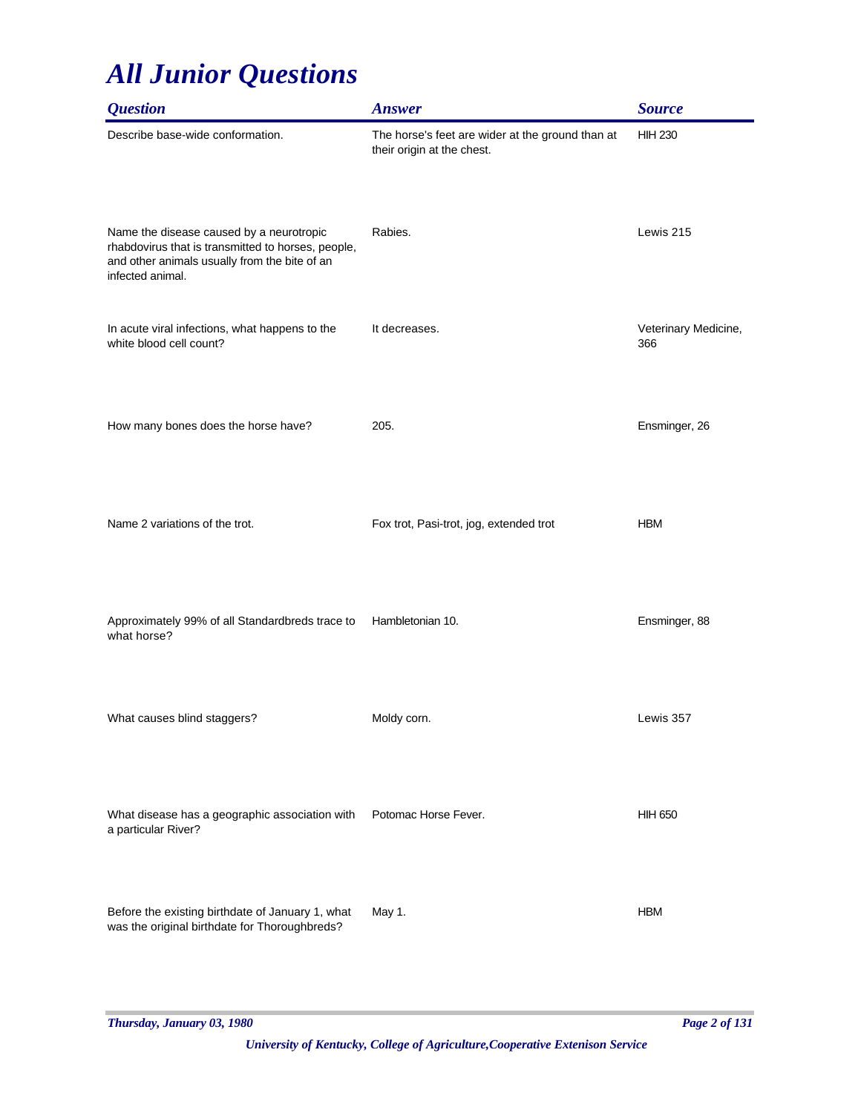| <b>Question</b>                                                                                                                                                     | <b>Answer</b>                                                                  | <b>Source</b>               |
|---------------------------------------------------------------------------------------------------------------------------------------------------------------------|--------------------------------------------------------------------------------|-----------------------------|
| Describe base-wide conformation.                                                                                                                                    | The horse's feet are wider at the ground than at<br>their origin at the chest. | <b>HIH 230</b>              |
| Name the disease caused by a neurotropic<br>rhabdovirus that is transmitted to horses, people,<br>and other animals usually from the bite of an<br>infected animal. | Rabies.                                                                        | Lewis 215                   |
| In acute viral infections, what happens to the<br>white blood cell count?                                                                                           | It decreases.                                                                  | Veterinary Medicine,<br>366 |
| How many bones does the horse have?                                                                                                                                 | 205.                                                                           | Ensminger, 26               |
| Name 2 variations of the trot.                                                                                                                                      | Fox trot, Pasi-trot, jog, extended trot                                        | <b>HBM</b>                  |
| Approximately 99% of all Standardbreds trace to<br>what horse?                                                                                                      | Hambletonian 10.                                                               | Ensminger, 88               |
| What causes blind staggers?                                                                                                                                         | Moldy corn.                                                                    | Lewis 357                   |
| What disease has a geographic association with<br>a particular River?                                                                                               | Potomac Horse Fever.                                                           | <b>HIH 650</b>              |
| Before the existing birthdate of January 1, what<br>was the original birthdate for Thoroughbreds?                                                                   | May 1.                                                                         | <b>HBM</b>                  |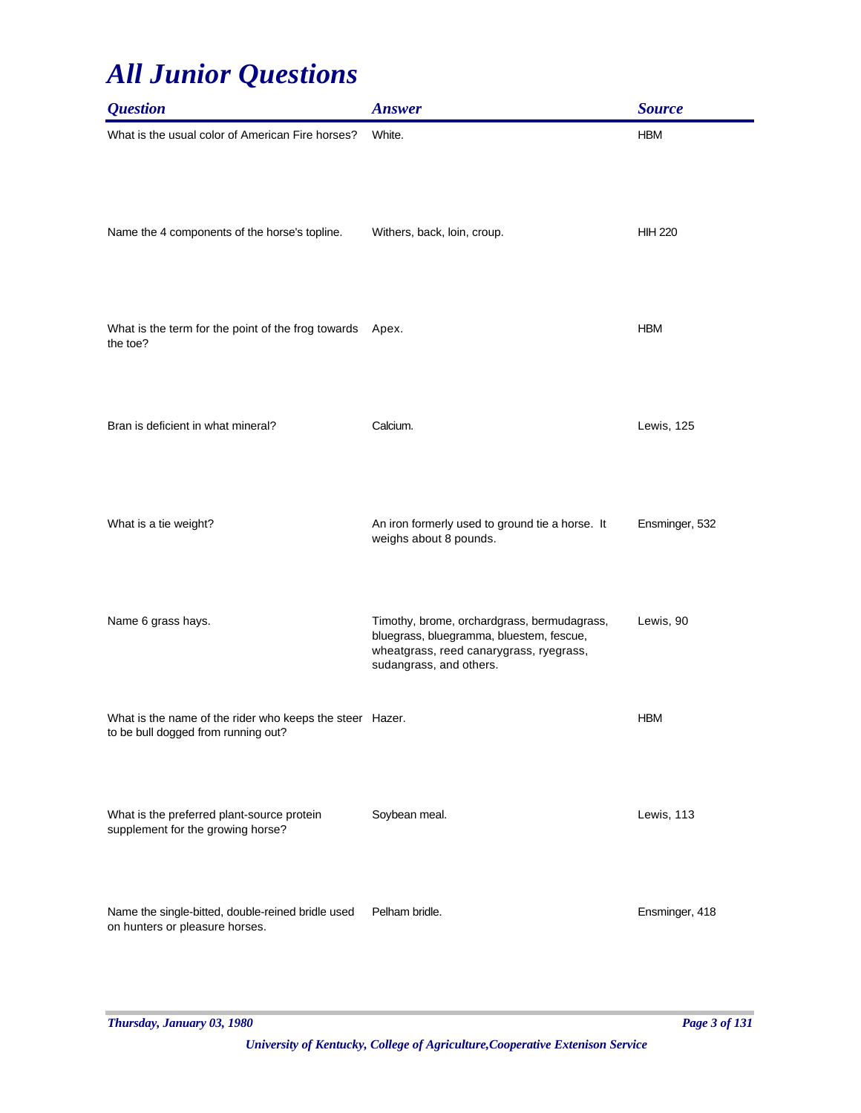| <b>Question</b>                                                                                 | <b>Answer</b>                                                                                                                                                 | <b>Source</b>  |
|-------------------------------------------------------------------------------------------------|---------------------------------------------------------------------------------------------------------------------------------------------------------------|----------------|
| What is the usual color of American Fire horses?                                                | White.                                                                                                                                                        | <b>HBM</b>     |
| Name the 4 components of the horse's topline.                                                   | Withers, back, loin, croup.                                                                                                                                   | <b>HIH 220</b> |
| What is the term for the point of the frog towards<br>the toe?                                  | Apex.                                                                                                                                                         | <b>HBM</b>     |
| Bran is deficient in what mineral?                                                              | Calcium.                                                                                                                                                      | Lewis, 125     |
| What is a tie weight?                                                                           | An iron formerly used to ground tie a horse. It<br>weighs about 8 pounds.                                                                                     | Ensminger, 532 |
| Name 6 grass hays.                                                                              | Timothy, brome, orchardgrass, bermudagrass,<br>bluegrass, bluegramma, bluestem, fescue,<br>wheatgrass, reed canarygrass, ryegrass,<br>sudangrass, and others. | Lewis, 90      |
| What is the name of the rider who keeps the steer Hazer.<br>to be bull dogged from running out? |                                                                                                                                                               | <b>HBM</b>     |
| What is the preferred plant-source protein<br>supplement for the growing horse?                 | Soybean meal.                                                                                                                                                 | Lewis, 113     |
| Name the single-bitted, double-reined bridle used<br>on hunters or pleasure horses.             | Pelham bridle.                                                                                                                                                | Ensminger, 418 |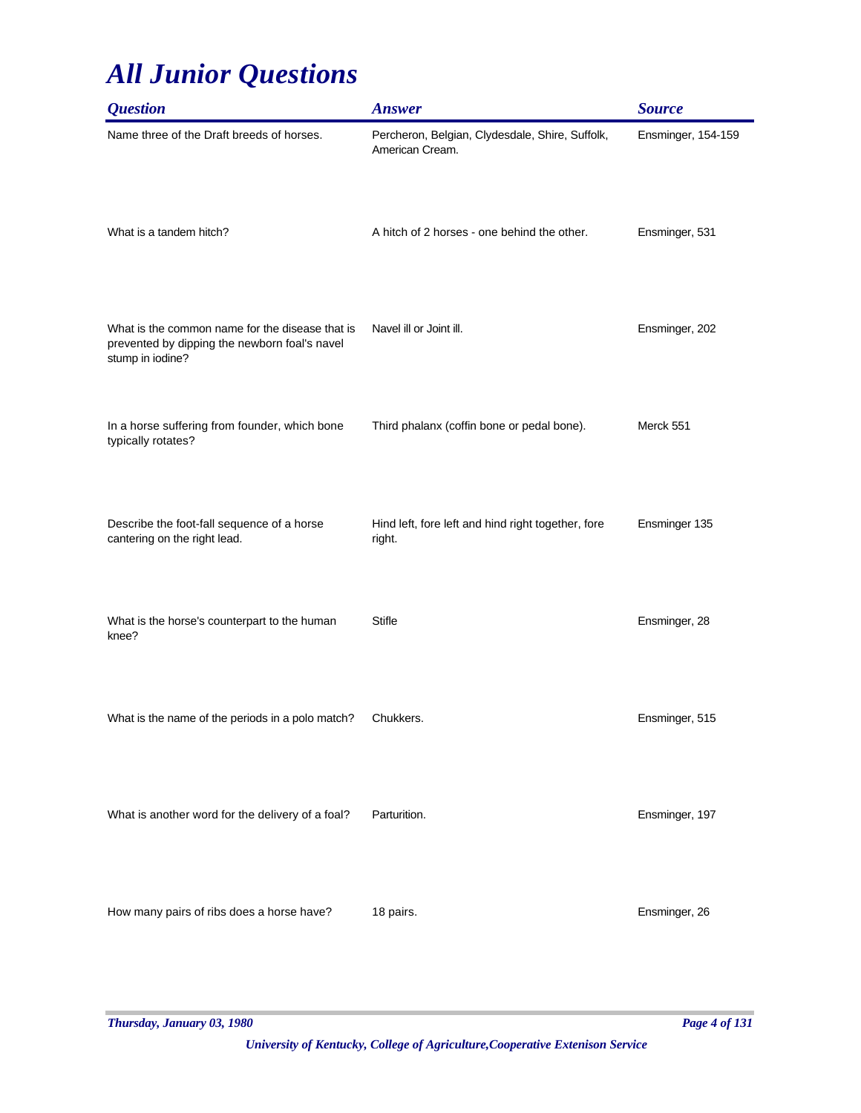| <i><b>Question</b></i>                                                                                               | <b>Answer</b>                                                      | <b>Source</b>      |
|----------------------------------------------------------------------------------------------------------------------|--------------------------------------------------------------------|--------------------|
| Name three of the Draft breeds of horses.                                                                            | Percheron, Belgian, Clydesdale, Shire, Suffolk,<br>American Cream. | Ensminger, 154-159 |
| What is a tandem hitch?                                                                                              | A hitch of 2 horses - one behind the other.                        | Ensminger, 531     |
| What is the common name for the disease that is<br>prevented by dipping the newborn foal's navel<br>stump in iodine? | Navel ill or Joint ill.                                            | Ensminger, 202     |
| In a horse suffering from founder, which bone<br>typically rotates?                                                  | Third phalanx (coffin bone or pedal bone).                         | Merck 551          |
| Describe the foot-fall sequence of a horse<br>cantering on the right lead.                                           | Hind left, fore left and hind right together, fore<br>right.       | Ensminger 135      |
| What is the horse's counterpart to the human<br>knee?                                                                | <b>Stifle</b>                                                      | Ensminger, 28      |
| What is the name of the periods in a polo match?                                                                     | Chukkers.                                                          | Ensminger, 515     |
| What is another word for the delivery of a foal?                                                                     | Parturition.                                                       | Ensminger, 197     |
| How many pairs of ribs does a horse have?                                                                            | 18 pairs.                                                          | Ensminger, 26      |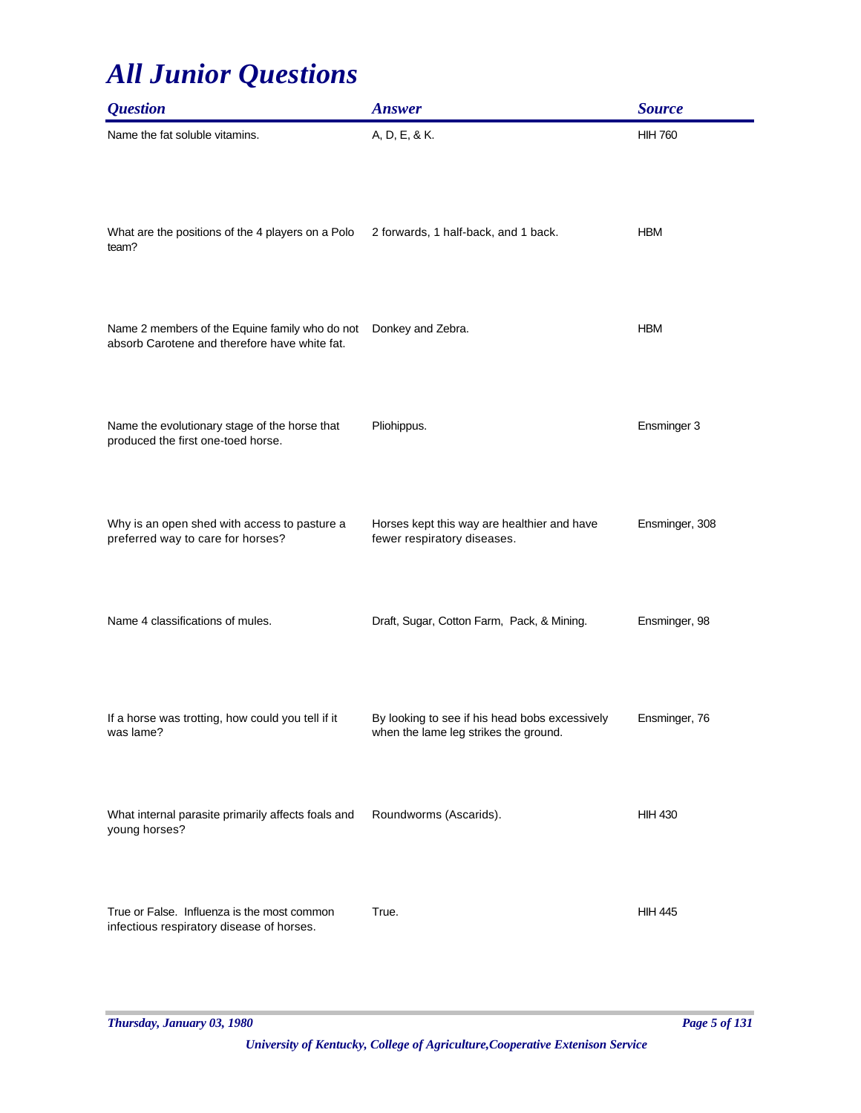| <i><b>Question</b></i>                                                                          | <b>Answer</b>                                                                           | <b>Source</b>  |
|-------------------------------------------------------------------------------------------------|-----------------------------------------------------------------------------------------|----------------|
| Name the fat soluble vitamins.                                                                  | A, D, E, & K.                                                                           | <b>HIH 760</b> |
| What are the positions of the 4 players on a Polo<br>team?                                      | 2 forwards, 1 half-back, and 1 back.                                                    | <b>HBM</b>     |
| Name 2 members of the Equine family who do not<br>absorb Carotene and therefore have white fat. | Donkey and Zebra.                                                                       | <b>HBM</b>     |
| Name the evolutionary stage of the horse that<br>produced the first one-toed horse.             | Pliohippus.                                                                             | Ensminger 3    |
| Why is an open shed with access to pasture a<br>preferred way to care for horses?               | Horses kept this way are healthier and have<br>fewer respiratory diseases.              | Ensminger, 308 |
| Name 4 classifications of mules.                                                                | Draft, Sugar, Cotton Farm, Pack, & Mining.                                              | Ensminger, 98  |
| If a horse was trotting, how could you tell if it<br>was lame?                                  | By looking to see if his head bobs excessively<br>when the lame leg strikes the ground. | Ensminger, 76  |
| What internal parasite primarily affects foals and<br>young horses?                             | Roundworms (Ascarids).                                                                  | <b>HIH 430</b> |
| True or False. Influenza is the most common<br>infectious respiratory disease of horses.        | True.                                                                                   | <b>HIH 445</b> |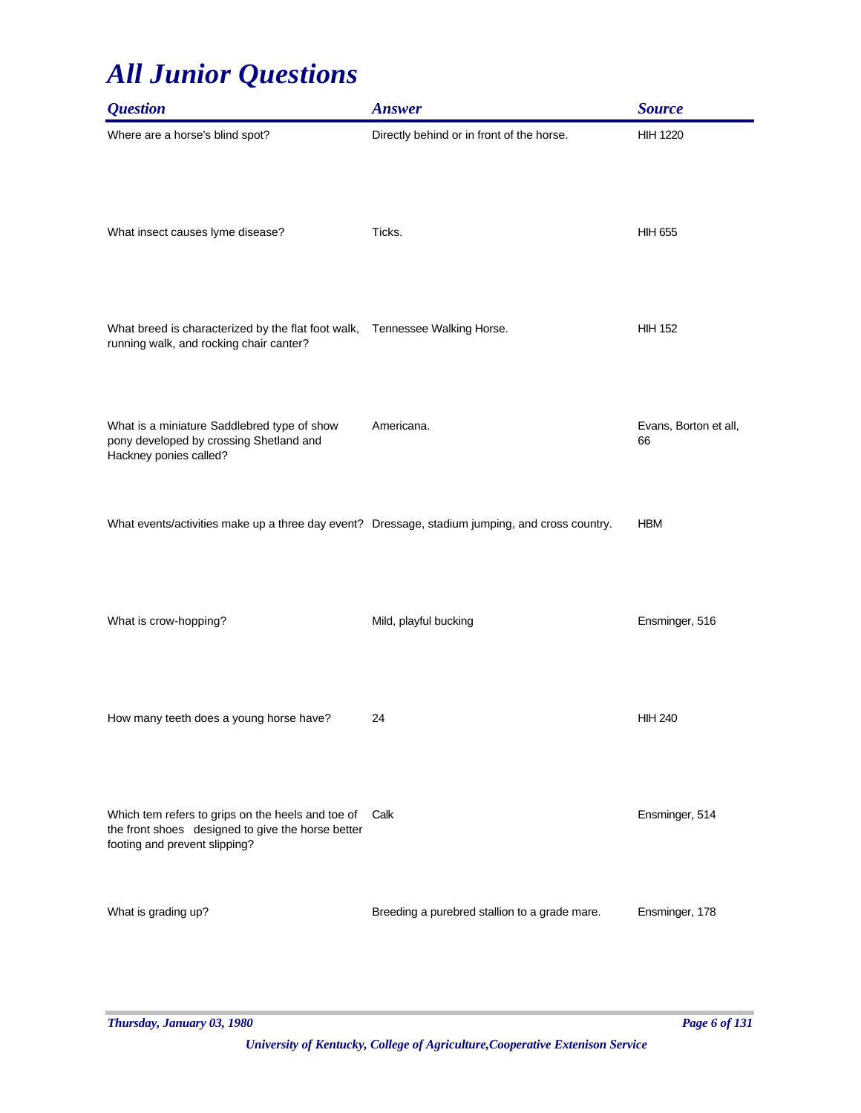| <b>Question</b>                                                                                                                         | <b>Answer</b>                                 | <b>Source</b>               |
|-----------------------------------------------------------------------------------------------------------------------------------------|-----------------------------------------------|-----------------------------|
| Where are a horse's blind spot?                                                                                                         | Directly behind or in front of the horse.     | <b>HIH 1220</b>             |
| What insect causes lyme disease?                                                                                                        | Ticks.                                        | <b>HIH 655</b>              |
| What breed is characterized by the flat foot walk,<br>running walk, and rocking chair canter?                                           | Tennessee Walking Horse.                      | <b>HIH 152</b>              |
| What is a miniature Saddlebred type of show<br>pony developed by crossing Shetland and<br>Hackney ponies called?                        | Americana.                                    | Evans, Borton et all,<br>66 |
| What events/activities make up a three day event? Dressage, stadium jumping, and cross country.                                         |                                               | <b>HBM</b>                  |
| What is crow-hopping?                                                                                                                   | Mild, playful bucking                         | Ensminger, 516              |
| How many teeth does a young horse have?                                                                                                 | 24                                            | <b>HIH 240</b>              |
| Which tem refers to grips on the heels and toe of<br>the front shoes designed to give the horse better<br>footing and prevent slipping? | Calk                                          | Ensminger, 514              |
| What is grading up?                                                                                                                     | Breeding a purebred stallion to a grade mare. | Ensminger, 178              |

*Thursday, January 03, 1980 Page 6 of 131*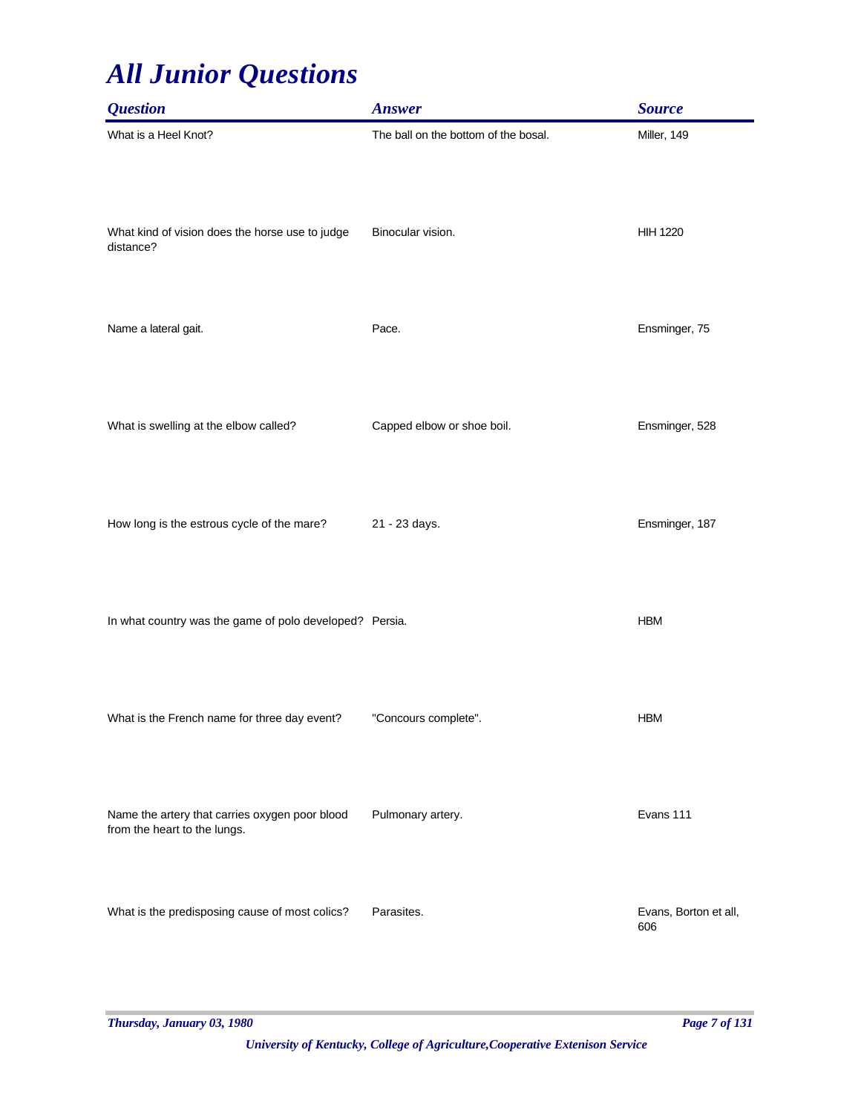| <b>Question</b>                                                                | <b>Answer</b>                        | <b>Source</b>                |
|--------------------------------------------------------------------------------|--------------------------------------|------------------------------|
| What is a Heel Knot?                                                           | The ball on the bottom of the bosal. | Miller, 149                  |
| What kind of vision does the horse use to judge<br>distance?                   | Binocular vision.                    | <b>HIH 1220</b>              |
| Name a lateral gait.                                                           | Pace.                                | Ensminger, 75                |
| What is swelling at the elbow called?                                          | Capped elbow or shoe boil.           | Ensminger, 528               |
| How long is the estrous cycle of the mare?                                     | 21 - 23 days.                        | Ensminger, 187               |
| In what country was the game of polo developed? Persia.                        |                                      | <b>HBM</b>                   |
| What is the French name for three day event?                                   | "Concours complete".                 | <b>HBM</b>                   |
| Name the artery that carries oxygen poor blood<br>from the heart to the lungs. | Pulmonary artery.                    | Evans 111                    |
| What is the predisposing cause of most colics?                                 | Parasites.                           | Evans, Borton et all,<br>606 |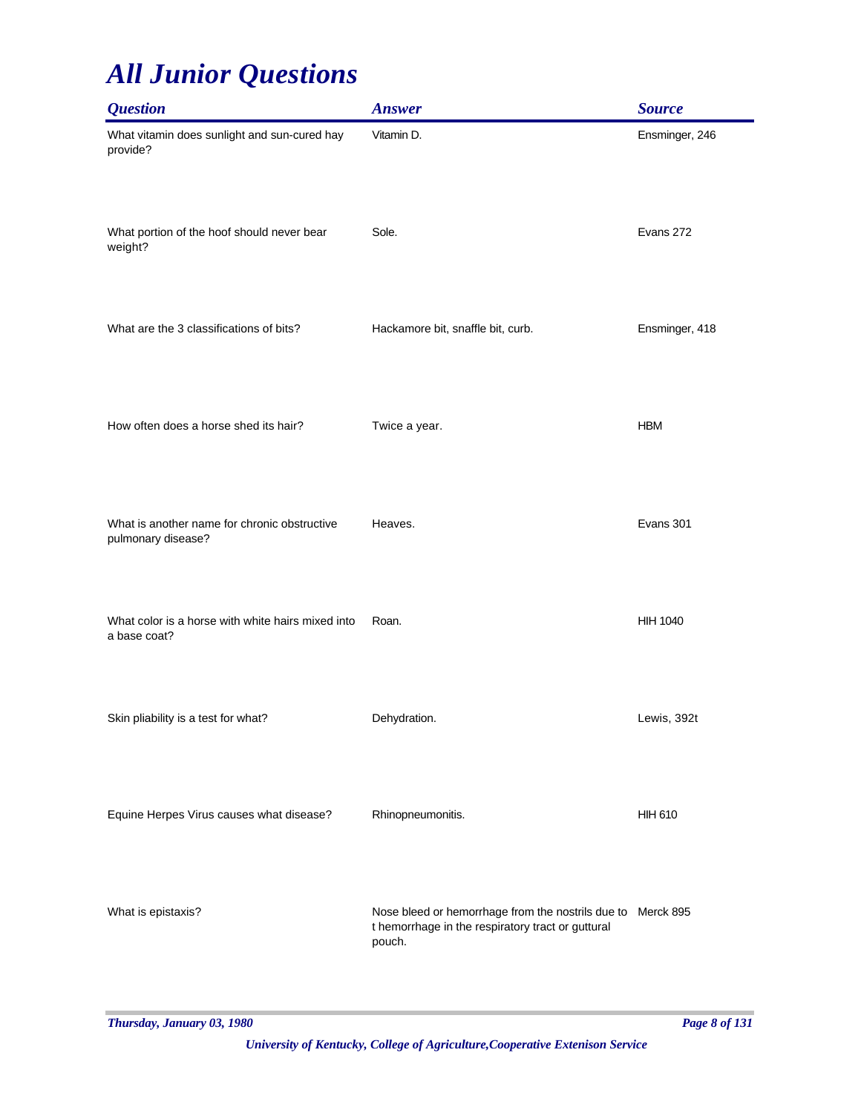| <b>Question</b>                                                    | <b>Answer</b>                                                                                                              | <b>Source</b>   |
|--------------------------------------------------------------------|----------------------------------------------------------------------------------------------------------------------------|-----------------|
| What vitamin does sunlight and sun-cured hay<br>provide?           | Vitamin D.                                                                                                                 | Ensminger, 246  |
| What portion of the hoof should never bear<br>weight?              | Sole.                                                                                                                      | Evans 272       |
| What are the 3 classifications of bits?                            | Hackamore bit, snaffle bit, curb.                                                                                          | Ensminger, 418  |
| How often does a horse shed its hair?                              | Twice a year.                                                                                                              | <b>HBM</b>      |
| What is another name for chronic obstructive<br>pulmonary disease? | Heaves.                                                                                                                    | Evans 301       |
| What color is a horse with white hairs mixed into<br>a base coat?  | Roan.                                                                                                                      | <b>HIH 1040</b> |
| Skin pliability is a test for what?                                | Dehydration.                                                                                                               | Lewis, 392t     |
| Equine Herpes Virus causes what disease?                           | Rhinopneumonitis.                                                                                                          | <b>HIH 610</b>  |
| What is epistaxis?                                                 | Nose bleed or hemorrhage from the nostrils due to Merck 895<br>t hemorrhage in the respiratory tract or guttural<br>pouch. |                 |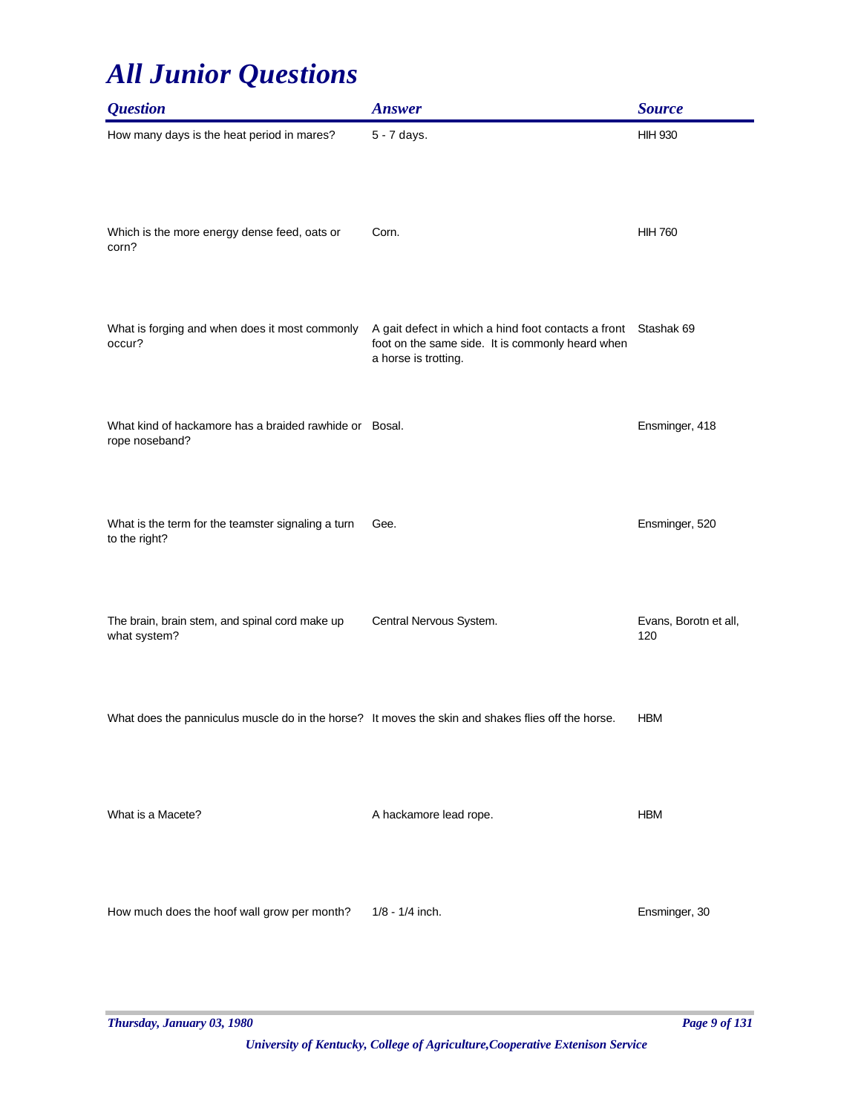| <b>Question</b>                                                                                    | <b>Answer</b>                                                                                                                   | <b>Source</b>                |
|----------------------------------------------------------------------------------------------------|---------------------------------------------------------------------------------------------------------------------------------|------------------------------|
| How many days is the heat period in mares?                                                         | 5 - 7 days.                                                                                                                     | <b>HIH 930</b>               |
| Which is the more energy dense feed, oats or<br>corn?                                              | Corn.                                                                                                                           | <b>HIH 760</b>               |
| What is forging and when does it most commonly<br>occur?                                           | A gait defect in which a hind foot contacts a front<br>foot on the same side. It is commonly heard when<br>a horse is trotting. | Stashak 69                   |
| What kind of hackamore has a braided rawhide or Bosal.<br>rope noseband?                           |                                                                                                                                 | Ensminger, 418               |
| What is the term for the teamster signaling a turn<br>to the right?                                | Gee.                                                                                                                            | Ensminger, 520               |
| The brain, brain stem, and spinal cord make up<br>what system?                                     | Central Nervous System.                                                                                                         | Evans, Borotn et all,<br>120 |
| What does the panniculus muscle do in the horse? It moves the skin and shakes flies off the horse. |                                                                                                                                 | <b>HBM</b>                   |
| What is a Macete?                                                                                  | A hackamore lead rope.                                                                                                          | <b>HBM</b>                   |
| How much does the hoof wall grow per month?                                                        | 1/8 - 1/4 inch.                                                                                                                 | Ensminger, 30                |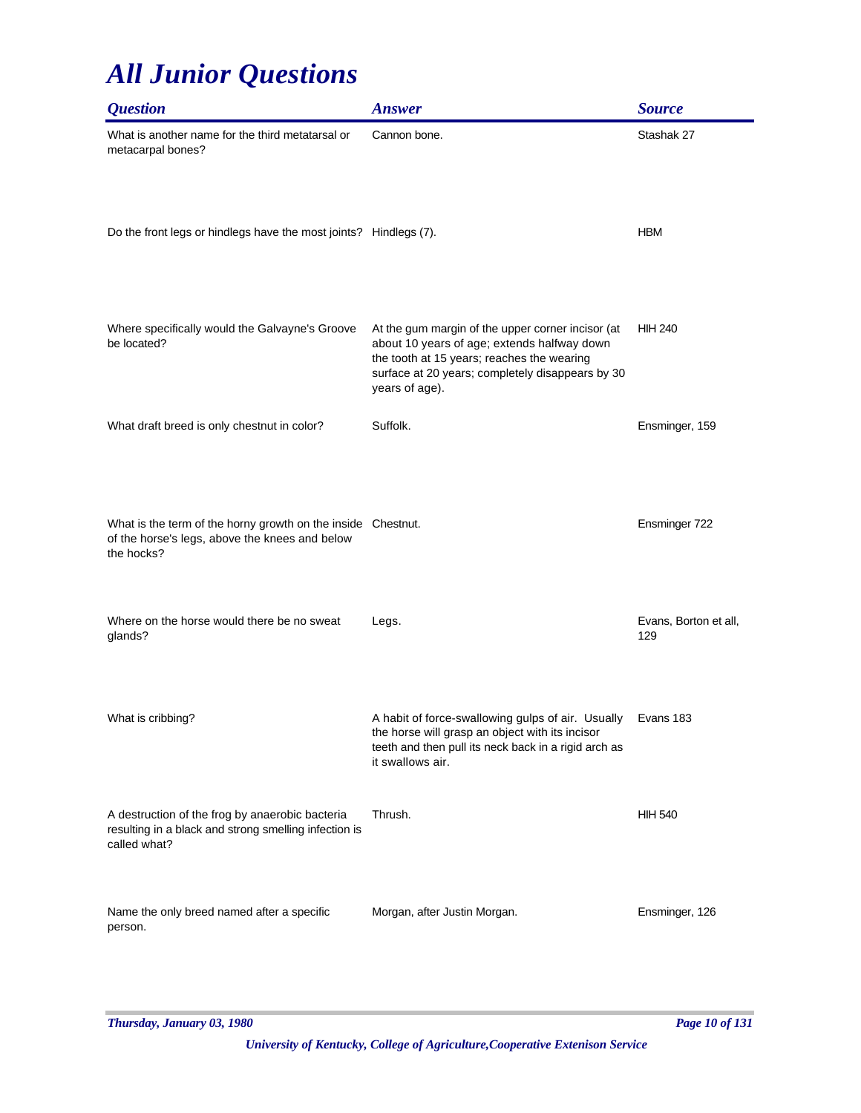| <i><b>Question</b></i>                                                                                                       | <b>Answer</b>                                                                                                                                                                                                        | <b>Source</b>                |
|------------------------------------------------------------------------------------------------------------------------------|----------------------------------------------------------------------------------------------------------------------------------------------------------------------------------------------------------------------|------------------------------|
| What is another name for the third metatarsal or<br>metacarpal bones?                                                        | Cannon bone.                                                                                                                                                                                                         | Stashak 27                   |
| Do the front legs or hindlegs have the most joints? Hindlegs (7).                                                            |                                                                                                                                                                                                                      | <b>HBM</b>                   |
| Where specifically would the Galvayne's Groove<br>be located?                                                                | At the gum margin of the upper corner incisor (at<br>about 10 years of age; extends halfway down<br>the tooth at 15 years; reaches the wearing<br>surface at 20 years; completely disappears by 30<br>years of age). | <b>HIH 240</b>               |
| What draft breed is only chestnut in color?                                                                                  | Suffolk.                                                                                                                                                                                                             | Ensminger, 159               |
| What is the term of the horny growth on the inside Chestnut.<br>of the horse's legs, above the knees and below<br>the hocks? |                                                                                                                                                                                                                      | Ensminger 722                |
| Where on the horse would there be no sweat<br>glands?                                                                        | Legs.                                                                                                                                                                                                                | Evans, Borton et all,<br>129 |
| What is cribbing?                                                                                                            | A habit of force-swallowing gulps of air. Usually<br>the horse will grasp an object with its incisor<br>teeth and then pull its neck back in a rigid arch as<br>it swallows air.                                     | Evans 183                    |
| A destruction of the frog by anaerobic bacteria<br>resulting in a black and strong smelling infection is<br>called what?     | Thrush.                                                                                                                                                                                                              | <b>HIH 540</b>               |
| Name the only breed named after a specific<br>person.                                                                        | Morgan, after Justin Morgan.                                                                                                                                                                                         | Ensminger, 126               |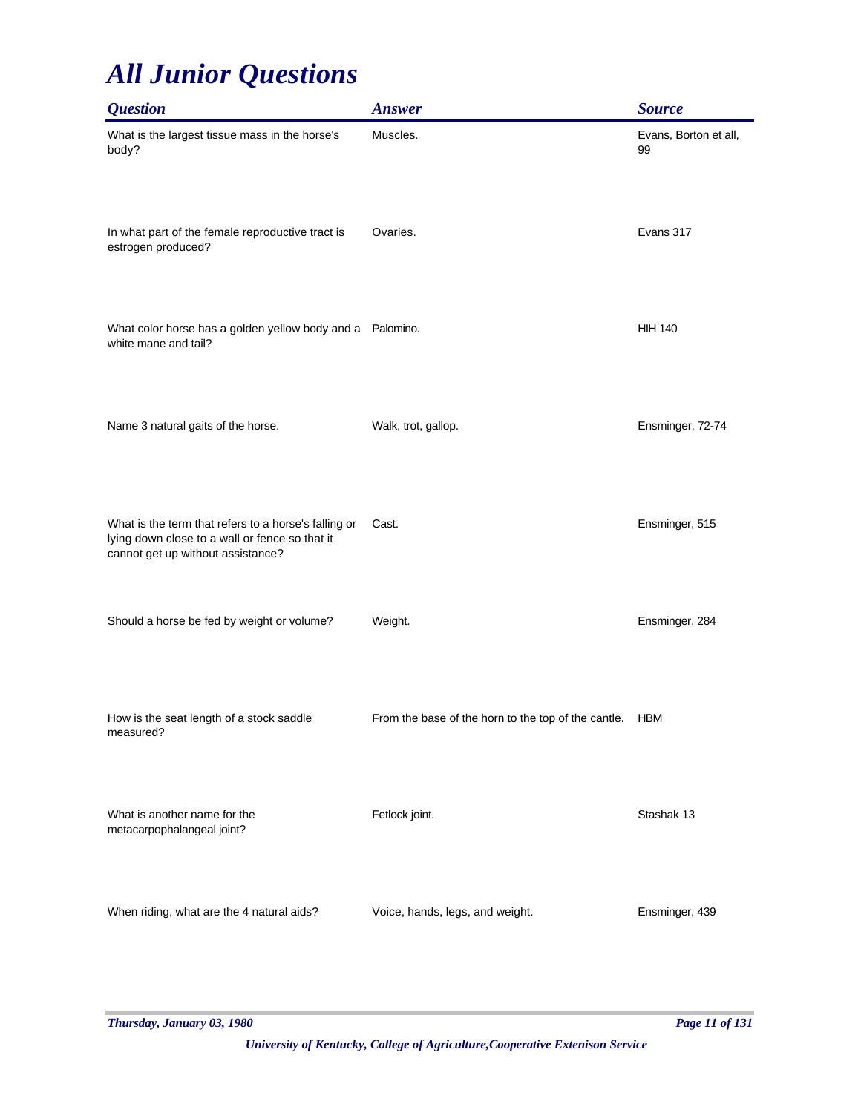| <i><b>Question</b></i>                                                                                                                      | <b>Answer</b>                                       | <b>Source</b>               |
|---------------------------------------------------------------------------------------------------------------------------------------------|-----------------------------------------------------|-----------------------------|
| What is the largest tissue mass in the horse's<br>body?                                                                                     | Muscles.                                            | Evans, Borton et all,<br>99 |
| In what part of the female reproductive tract is<br>estrogen produced?                                                                      | Ovaries.                                            | Evans 317                   |
| What color horse has a golden yellow body and a Palomino.<br>white mane and tail?                                                           |                                                     | <b>HIH 140</b>              |
| Name 3 natural gaits of the horse.                                                                                                          | Walk, trot, gallop.                                 | Ensminger, 72-74            |
| What is the term that refers to a horse's falling or<br>lying down close to a wall or fence so that it<br>cannot get up without assistance? | Cast.                                               | Ensminger, 515              |
| Should a horse be fed by weight or volume?                                                                                                  | Weight.                                             | Ensminger, 284              |
| How is the seat length of a stock saddle<br>measured?                                                                                       | From the base of the horn to the top of the cantle. | <b>HBM</b>                  |
| What is another name for the<br>metacarpophalangeal joint?                                                                                  | Fetlock joint.                                      | Stashak 13                  |
| When riding, what are the 4 natural aids?                                                                                                   | Voice, hands, legs, and weight.                     | Ensminger, 439              |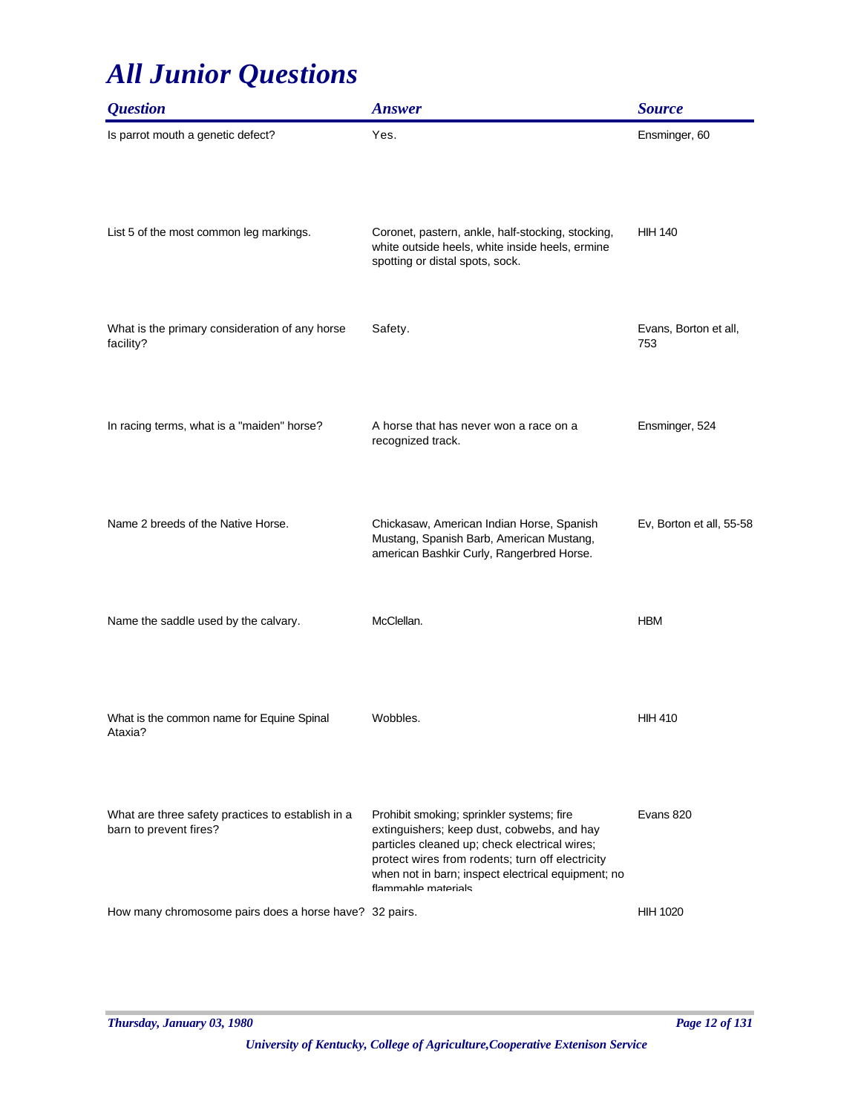| <i><b>Question</b></i>                                                      | <b>Answer</b>                                                                                                                                                                                                                                                             | <b>Source</b>                |
|-----------------------------------------------------------------------------|---------------------------------------------------------------------------------------------------------------------------------------------------------------------------------------------------------------------------------------------------------------------------|------------------------------|
| Is parrot mouth a genetic defect?                                           | Yes.                                                                                                                                                                                                                                                                      | Ensminger, 60                |
| List 5 of the most common leg markings.                                     | Coronet, pastern, ankle, half-stocking, stocking,<br>white outside heels, white inside heels, ermine<br>spotting or distal spots, sock.                                                                                                                                   | <b>HIH 140</b>               |
| What is the primary consideration of any horse<br>facility?                 | Safety.                                                                                                                                                                                                                                                                   | Evans, Borton et all,<br>753 |
| In racing terms, what is a "maiden" horse?                                  | A horse that has never won a race on a<br>recognized track.                                                                                                                                                                                                               | Ensminger, 524               |
| Name 2 breeds of the Native Horse.                                          | Chickasaw, American Indian Horse, Spanish<br>Mustang, Spanish Barb, American Mustang,<br>american Bashkir Curly, Rangerbred Horse.                                                                                                                                        | Ev, Borton et all, 55-58     |
| Name the saddle used by the calvary.                                        | McClellan.                                                                                                                                                                                                                                                                | <b>HBM</b>                   |
| What is the common name for Equine Spinal<br>Ataxia?                        | Wobbles.                                                                                                                                                                                                                                                                  | <b>HIH 410</b>               |
| What are three safety practices to establish in a<br>barn to prevent fires? | Prohibit smoking; sprinkler systems; fire<br>extinguishers; keep dust, cobwebs, and hay<br>particles cleaned up; check electrical wires;<br>protect wires from rodents; turn off electricity<br>when not in barn; inspect electrical equipment; no<br>flammahle materials | Evans 820                    |
| How many chromosome pairs does a horse have? 32 pairs.                      |                                                                                                                                                                                                                                                                           | <b>HIH 1020</b>              |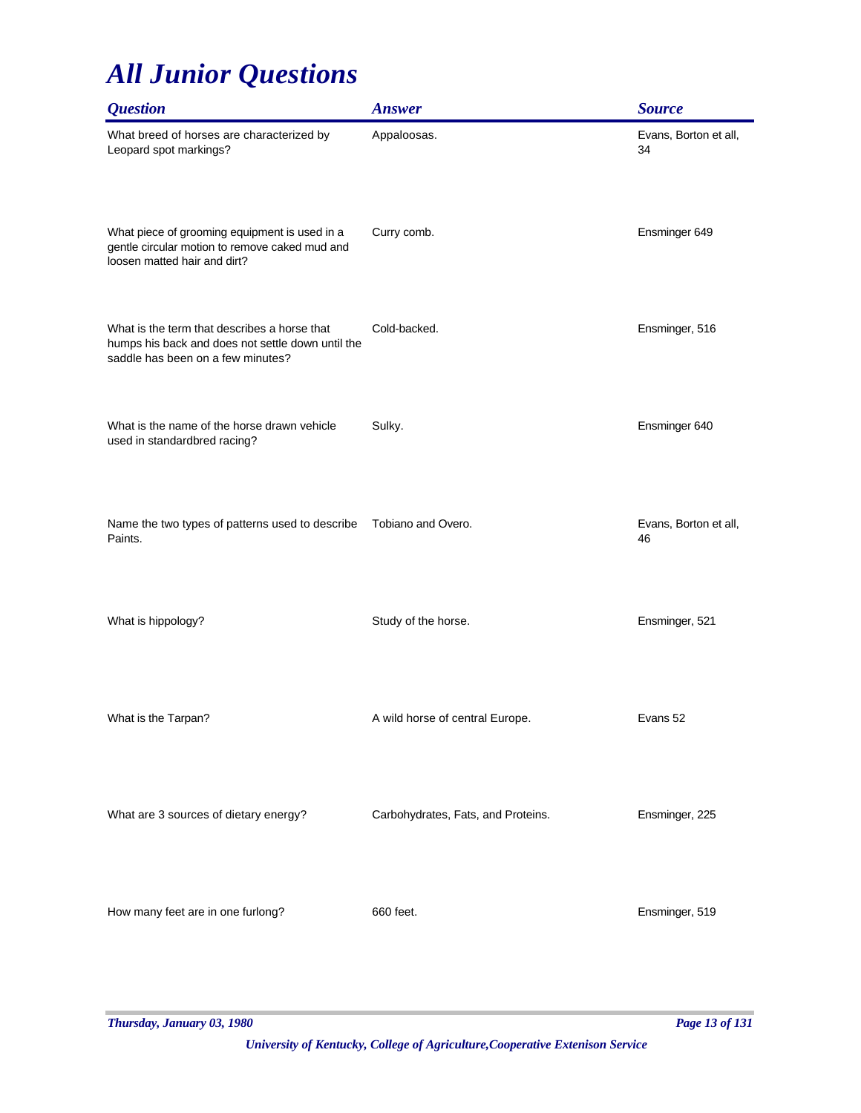| <i><b>Question</b></i>                                                                                                                 | <b>Answer</b>                      | <b>Source</b>               |
|----------------------------------------------------------------------------------------------------------------------------------------|------------------------------------|-----------------------------|
| What breed of horses are characterized by<br>Leopard spot markings?                                                                    | Appaloosas.                        | Evans, Borton et all,<br>34 |
| What piece of grooming equipment is used in a<br>gentle circular motion to remove caked mud and<br>loosen matted hair and dirt?        | Curry comb.                        | Ensminger 649               |
| What is the term that describes a horse that<br>humps his back and does not settle down until the<br>saddle has been on a few minutes? | Cold-backed.                       | Ensminger, 516              |
| What is the name of the horse drawn vehicle<br>used in standardbred racing?                                                            | Sulky.                             | Ensminger 640               |
| Name the two types of patterns used to describe<br>Paints.                                                                             | Tobiano and Overo.                 | Evans, Borton et all,<br>46 |
| What is hippology?                                                                                                                     | Study of the horse.                | Ensminger, 521              |
| What is the Tarpan?                                                                                                                    | A wild horse of central Europe.    | Evans 52                    |
| What are 3 sources of dietary energy?                                                                                                  | Carbohydrates, Fats, and Proteins. | Ensminger, 225              |
| How many feet are in one furlong?                                                                                                      | 660 feet.                          | Ensminger, 519              |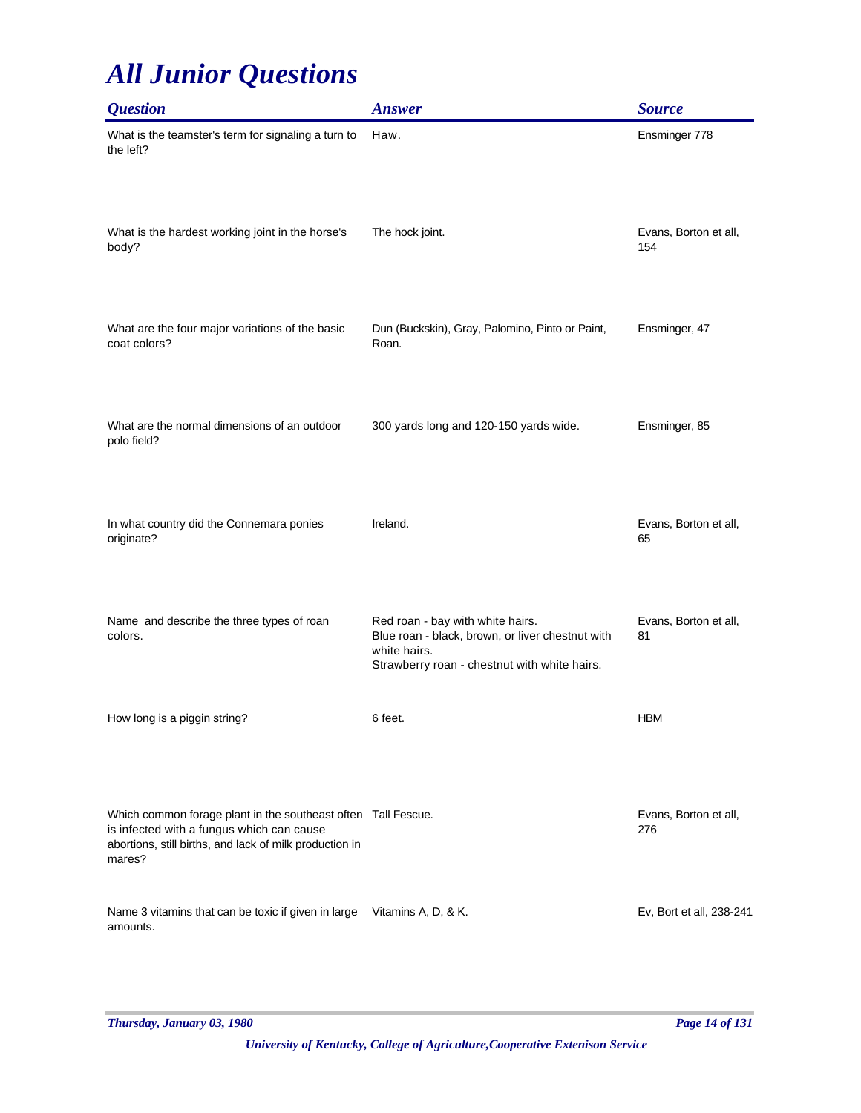| <i><b>Question</b></i>                                                                                                                                                          | <b>Answer</b>                                                                                                                                        | <b>Source</b>                |
|---------------------------------------------------------------------------------------------------------------------------------------------------------------------------------|------------------------------------------------------------------------------------------------------------------------------------------------------|------------------------------|
| What is the teamster's term for signaling a turn to<br>the left?                                                                                                                | Haw.                                                                                                                                                 | Ensminger 778                |
| What is the hardest working joint in the horse's<br>body?                                                                                                                       | The hock joint.                                                                                                                                      | Evans, Borton et all,<br>154 |
| What are the four major variations of the basic<br>coat colors?                                                                                                                 | Dun (Buckskin), Gray, Palomino, Pinto or Paint,<br>Roan.                                                                                             | Ensminger, 47                |
| What are the normal dimensions of an outdoor<br>polo field?                                                                                                                     | 300 yards long and 120-150 yards wide.                                                                                                               | Ensminger, 85                |
| In what country did the Connemara ponies<br>originate?                                                                                                                          | Ireland.                                                                                                                                             | Evans, Borton et all,<br>65  |
| Name and describe the three types of roan<br>colors.                                                                                                                            | Red roan - bay with white hairs.<br>Blue roan - black, brown, or liver chestnut with<br>white hairs.<br>Strawberry roan - chestnut with white hairs. | Evans, Borton et all,<br>81  |
| How long is a piggin string?                                                                                                                                                    | 6 feet.                                                                                                                                              | <b>HBM</b>                   |
| Which common forage plant in the southeast often Tall Fescue.<br>is infected with a fungus which can cause<br>abortions, still births, and lack of milk production in<br>mares? |                                                                                                                                                      | Evans, Borton et all,<br>276 |
| Name 3 vitamins that can be toxic if given in large<br>amounts.                                                                                                                 | Vitamins A, D, & K.                                                                                                                                  | Ev, Bort et all, 238-241     |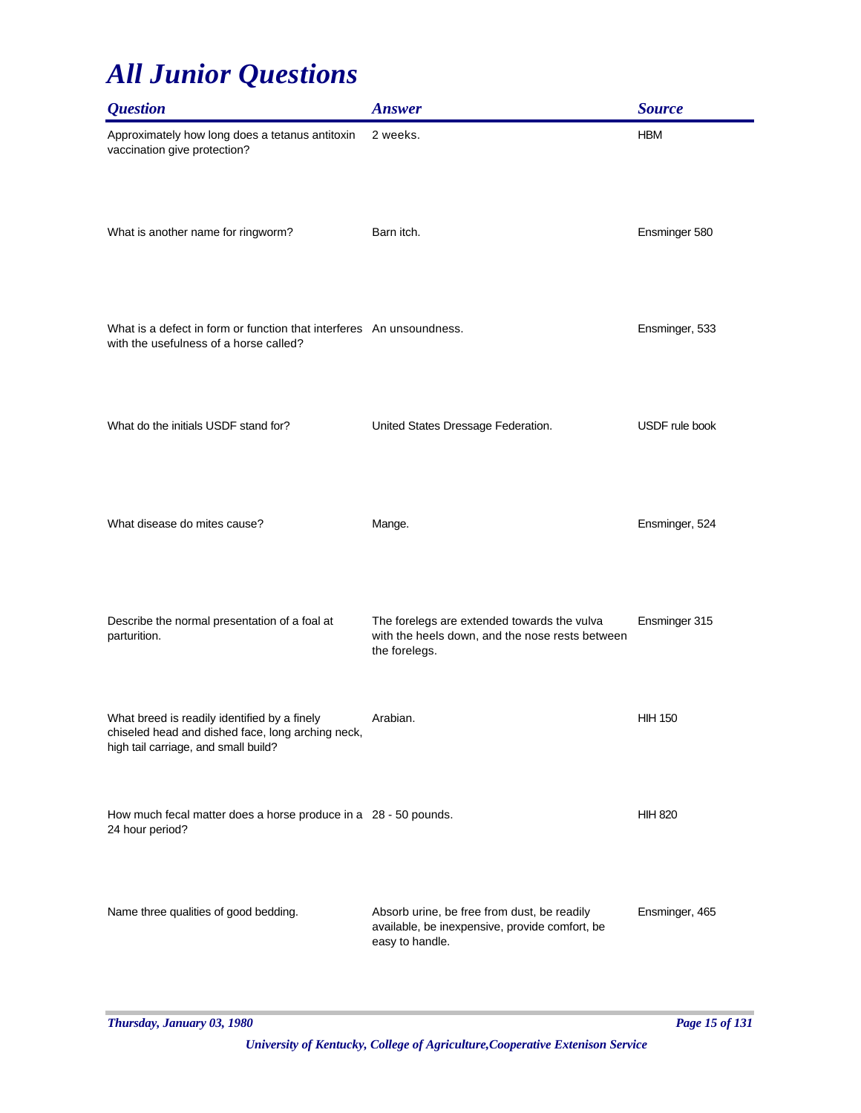| <b>Ouestion</b>                                                                                                                           | <b>Answer</b>                                                                                                    | <b>Source</b>  |
|-------------------------------------------------------------------------------------------------------------------------------------------|------------------------------------------------------------------------------------------------------------------|----------------|
| Approximately how long does a tetanus antitoxin<br>vaccination give protection?                                                           | 2 weeks.                                                                                                         | <b>HBM</b>     |
| What is another name for ringworm?                                                                                                        | Barn itch.                                                                                                       | Ensminger 580  |
| What is a defect in form or function that interferes An unsoundness.<br>with the usefulness of a horse called?                            |                                                                                                                  | Ensminger, 533 |
| What do the initials USDF stand for?                                                                                                      | United States Dressage Federation.                                                                               | USDF rule book |
| What disease do mites cause?                                                                                                              | Mange.                                                                                                           | Ensminger, 524 |
| Describe the normal presentation of a foal at<br>parturition.                                                                             | The forelegs are extended towards the vulva<br>with the heels down, and the nose rests between<br>the forelegs.  | Ensminger 315  |
| What breed is readily identified by a finely<br>chiseled head and dished face, long arching neck,<br>high tail carriage, and small build? | Arabian.                                                                                                         | <b>HIH 150</b> |
| How much fecal matter does a horse produce in a 28 - 50 pounds.<br>24 hour period?                                                        |                                                                                                                  | <b>HIH 820</b> |
| Name three qualities of good bedding.                                                                                                     | Absorb urine, be free from dust, be readily<br>available, be inexpensive, provide comfort, be<br>easy to handle. | Ensminger, 465 |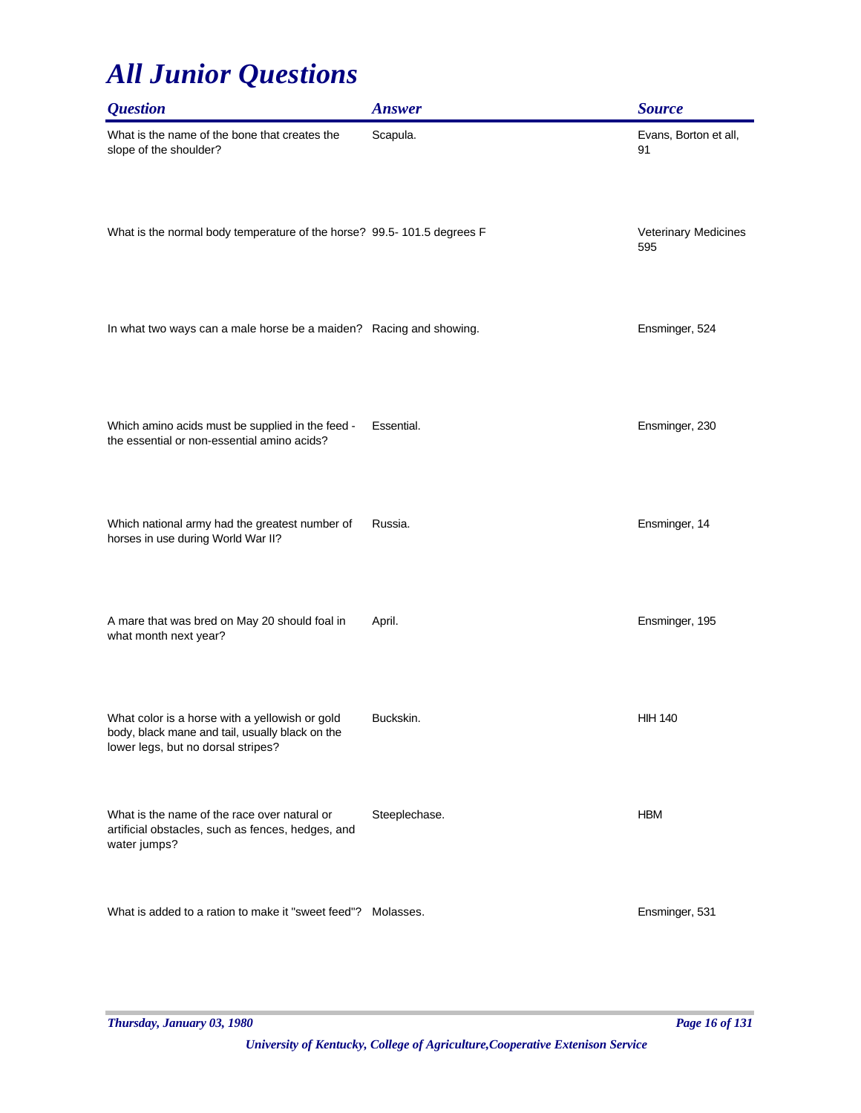| <b>Question</b>                                                                                                                         | <b>Answer</b> | <b>Source</b>               |
|-----------------------------------------------------------------------------------------------------------------------------------------|---------------|-----------------------------|
| What is the name of the bone that creates the<br>slope of the shoulder?                                                                 | Scapula.      | Evans, Borton et all,<br>91 |
| What is the normal body temperature of the horse? 99.5-101.5 degrees F                                                                  |               | Veterinary Medicines<br>595 |
| In what two ways can a male horse be a maiden? Racing and showing.                                                                      |               | Ensminger, 524              |
| Which amino acids must be supplied in the feed -<br>the essential or non-essential amino acids?                                         | Essential.    | Ensminger, 230              |
| Which national army had the greatest number of<br>horses in use during World War II?                                                    | Russia.       | Ensminger, 14               |
| A mare that was bred on May 20 should foal in<br>what month next year?                                                                  | April.        | Ensminger, 195              |
| What color is a horse with a yellowish or gold<br>body, black mane and tail, usually black on the<br>lower legs, but no dorsal stripes? | Buckskin.     | <b>HIH 140</b>              |
| What is the name of the race over natural or<br>artificial obstacles, such as fences, hedges, and<br>water jumps?                       | Steeplechase. | <b>HBM</b>                  |
| What is added to a ration to make it "sweet feed"? Molasses.                                                                            |               | Ensminger, 531              |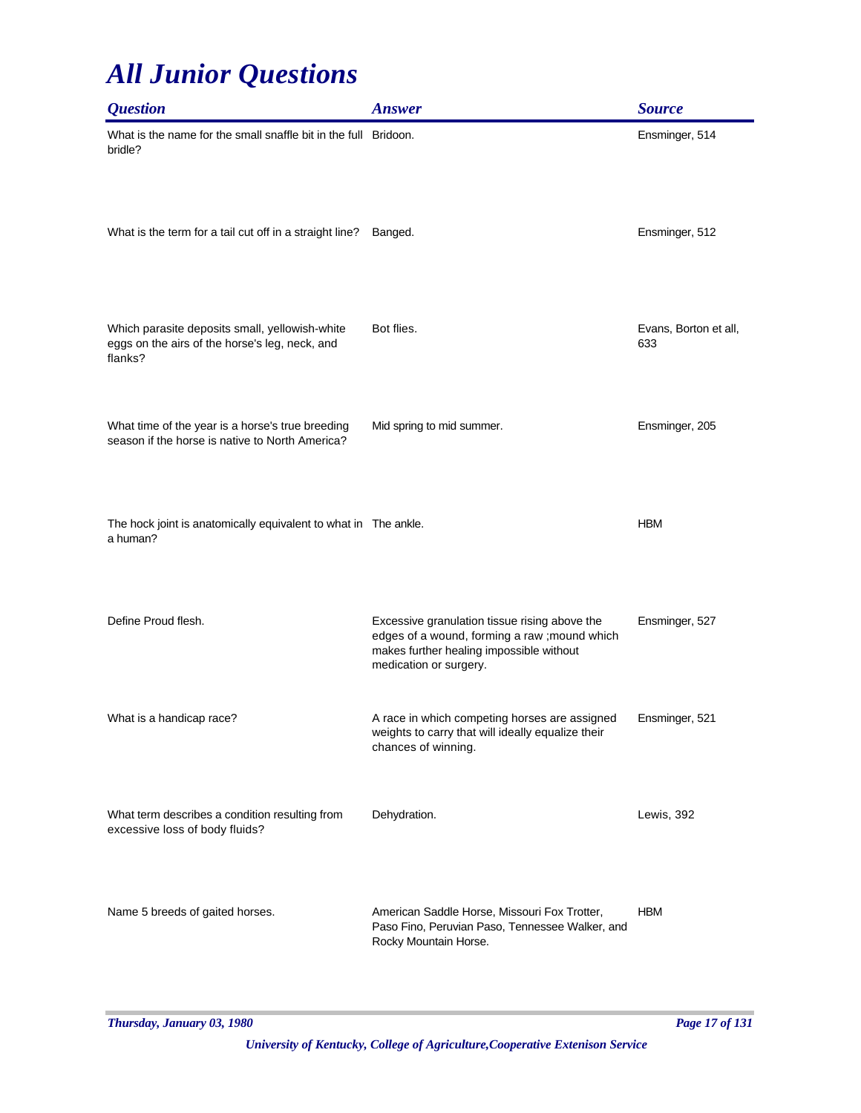| <i><b>Question</b></i>                                                                                      | <b>Answer</b>                                                                                                                                                        | <b>Source</b>                |
|-------------------------------------------------------------------------------------------------------------|----------------------------------------------------------------------------------------------------------------------------------------------------------------------|------------------------------|
| What is the name for the small snaffle bit in the full Bridoon.<br>bridle?                                  |                                                                                                                                                                      | Ensminger, 514               |
| What is the term for a tail cut off in a straight line?                                                     | Banged.                                                                                                                                                              | Ensminger, 512               |
| Which parasite deposits small, yellowish-white<br>eggs on the airs of the horse's leg, neck, and<br>flanks? | Bot flies.                                                                                                                                                           | Evans, Borton et all,<br>633 |
| What time of the year is a horse's true breeding<br>season if the horse is native to North America?         | Mid spring to mid summer.                                                                                                                                            | Ensminger, 205               |
| The hock joint is anatomically equivalent to what in The ankle.<br>a human?                                 |                                                                                                                                                                      | <b>HBM</b>                   |
| Define Proud flesh.                                                                                         | Excessive granulation tissue rising above the<br>edges of a wound, forming a raw ; mound which<br>makes further healing impossible without<br>medication or surgery. | Ensminger, 527               |
| What is a handicap race?                                                                                    | A race in which competing horses are assigned<br>weights to carry that will ideally equalize their<br>chances of winning.                                            | Ensminger, 521               |
| What term describes a condition resulting from<br>excessive loss of body fluids?                            | Dehydration.                                                                                                                                                         | Lewis, 392                   |
| Name 5 breeds of gaited horses.                                                                             | American Saddle Horse, Missouri Fox Trotter,<br>Paso Fino, Peruvian Paso, Tennessee Walker, and<br>Rocky Mountain Horse.                                             | <b>HBM</b>                   |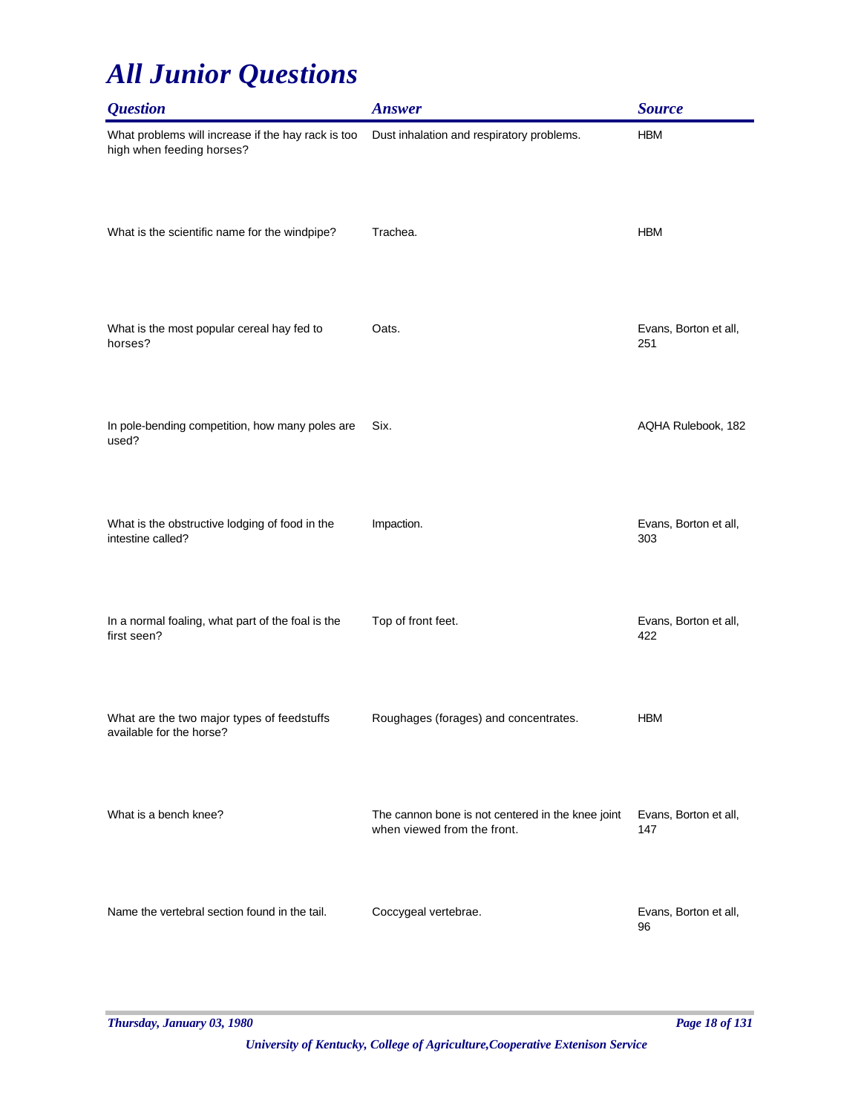| <b>Question</b>                                                                 | <b>Answer</b>                                                                    | <b>Source</b>                |
|---------------------------------------------------------------------------------|----------------------------------------------------------------------------------|------------------------------|
| What problems will increase if the hay rack is too<br>high when feeding horses? | Dust inhalation and respiratory problems.                                        | <b>HBM</b>                   |
| What is the scientific name for the windpipe?                                   | Trachea.                                                                         | <b>HBM</b>                   |
| What is the most popular cereal hay fed to<br>horses?                           | Oats.                                                                            | Evans, Borton et all,<br>251 |
| In pole-bending competition, how many poles are<br>used?                        | Six.                                                                             | AQHA Rulebook, 182           |
| What is the obstructive lodging of food in the<br>intestine called?             | Impaction.                                                                       | Evans, Borton et all,<br>303 |
| In a normal foaling, what part of the foal is the<br>first seen?                | Top of front feet.                                                               | Evans, Borton et all,<br>422 |
| What are the two major types of feedstuffs<br>available for the horse?          | Roughages (forages) and concentrates.                                            | <b>HBM</b>                   |
| What is a bench knee?                                                           | The cannon bone is not centered in the knee joint<br>when viewed from the front. | Evans, Borton et all,<br>147 |
| Name the vertebral section found in the tail.                                   | Coccygeal vertebrae.                                                             | Evans, Borton et all,<br>96  |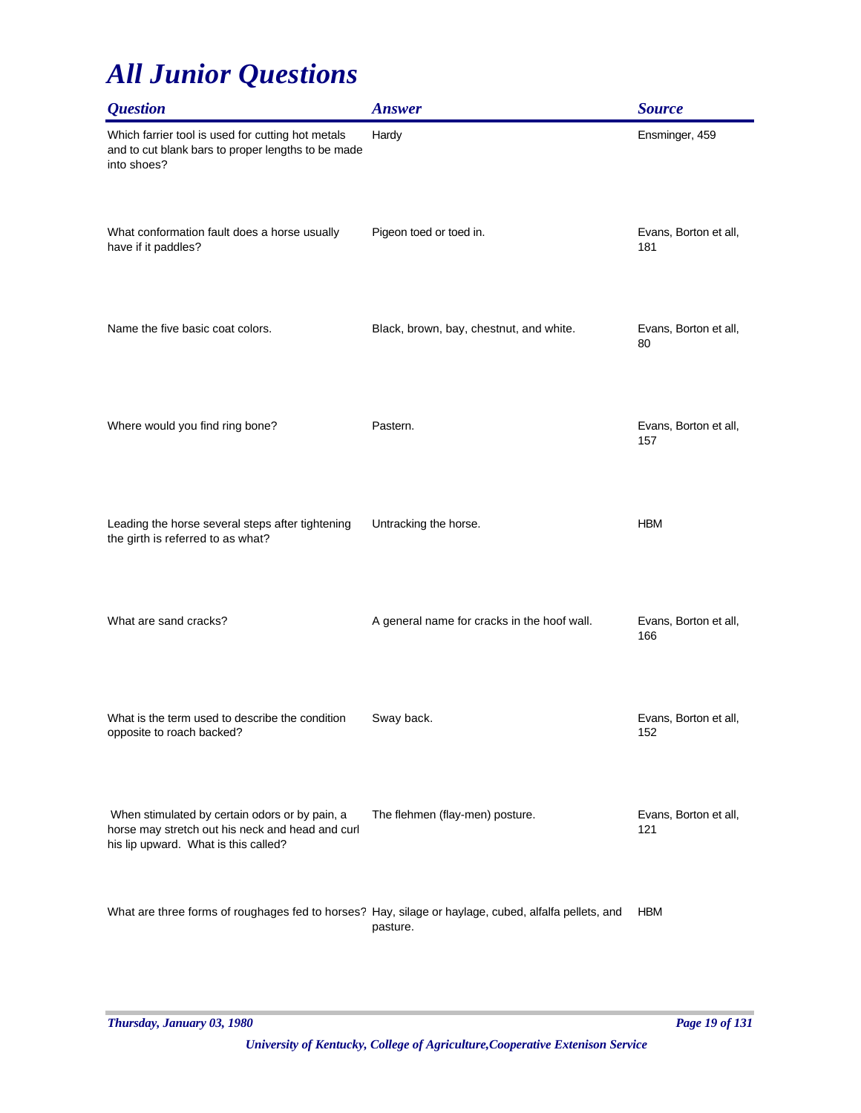| <b>Question</b>                                                                                                                            | <b>Answer</b>                               | <b>Source</b>                |
|--------------------------------------------------------------------------------------------------------------------------------------------|---------------------------------------------|------------------------------|
| Which farrier tool is used for cutting hot metals<br>and to cut blank bars to proper lengths to be made<br>into shoes?                     | Hardy                                       | Ensminger, 459               |
| What conformation fault does a horse usually<br>have if it paddles?                                                                        | Pigeon toed or toed in.                     | Evans, Borton et all,<br>181 |
| Name the five basic coat colors.                                                                                                           | Black, brown, bay, chestnut, and white.     | Evans, Borton et all,<br>80  |
| Where would you find ring bone?                                                                                                            | Pastern.                                    | Evans, Borton et all,<br>157 |
| Leading the horse several steps after tightening<br>the girth is referred to as what?                                                      | Untracking the horse.                       | <b>HBM</b>                   |
| What are sand cracks?                                                                                                                      | A general name for cracks in the hoof wall. | Evans, Borton et all,<br>166 |
| What is the term used to describe the condition<br>opposite to roach backed?                                                               | Sway back.                                  | Evans, Borton et all,<br>152 |
| When stimulated by certain odors or by pain, a<br>horse may stretch out his neck and head and curl<br>his lip upward. What is this called? | The flehmen (flay-men) posture.             | Evans, Borton et all,<br>121 |
| What are three forms of roughages fed to horses? Hay, silage or haylage, cubed, alfalfa pellets, and                                       | pasture.                                    | <b>HBM</b>                   |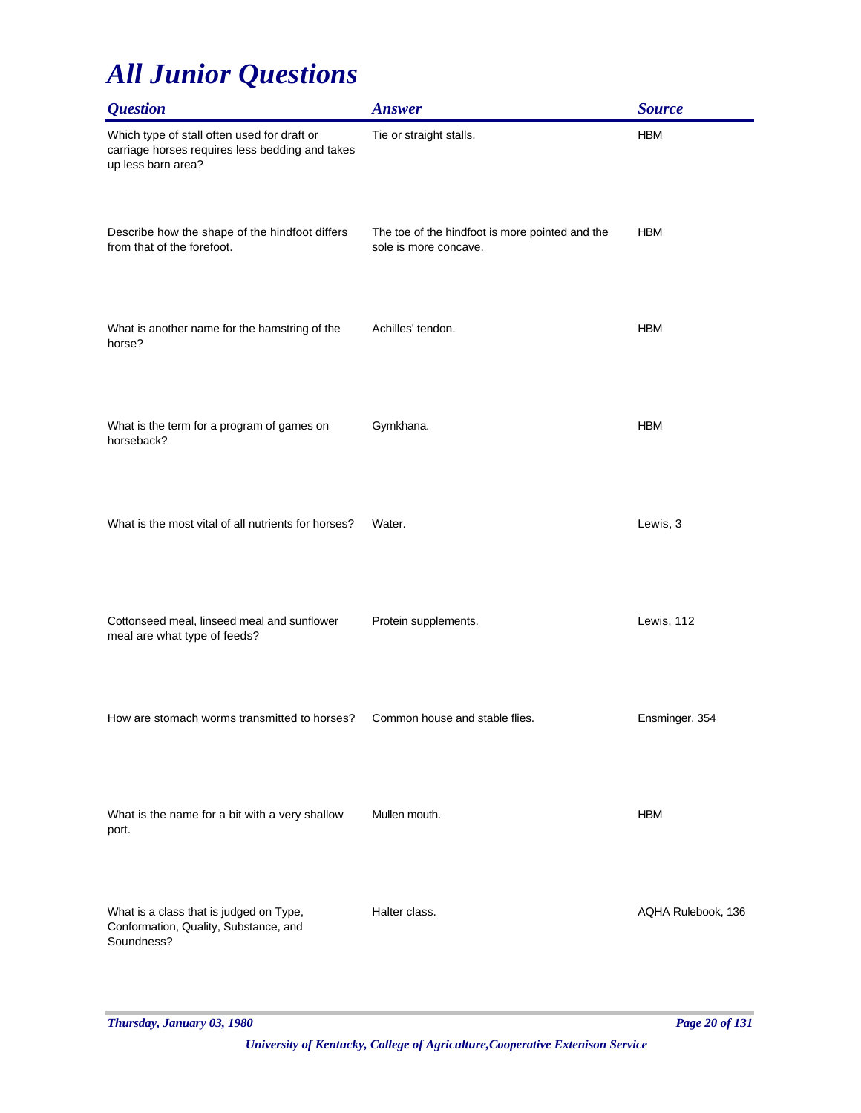| <b>Question</b>                                                                                                      | <b>Answer</b>                                                            | <b>Source</b>      |
|----------------------------------------------------------------------------------------------------------------------|--------------------------------------------------------------------------|--------------------|
| Which type of stall often used for draft or<br>carriage horses requires less bedding and takes<br>up less barn area? | Tie or straight stalls.                                                  | <b>HBM</b>         |
| Describe how the shape of the hindfoot differs<br>from that of the forefoot.                                         | The toe of the hindfoot is more pointed and the<br>sole is more concave. | <b>HBM</b>         |
| What is another name for the hamstring of the<br>horse?                                                              | Achilles' tendon.                                                        | <b>HBM</b>         |
| What is the term for a program of games on<br>horseback?                                                             | Gymkhana.                                                                | <b>HBM</b>         |
| What is the most vital of all nutrients for horses?                                                                  | Water.                                                                   | Lewis, 3           |
| Cottonseed meal, linseed meal and sunflower<br>meal are what type of feeds?                                          | Protein supplements.                                                     | Lewis, 112         |
| How are stomach worms transmitted to horses?                                                                         | Common house and stable flies.                                           | Ensminger, 354     |
| What is the name for a bit with a very shallow<br>port.                                                              | Mullen mouth.                                                            | <b>HBM</b>         |
| What is a class that is judged on Type,<br>Conformation, Quality, Substance, and<br>Soundness?                       | Halter class.                                                            | AQHA Rulebook, 136 |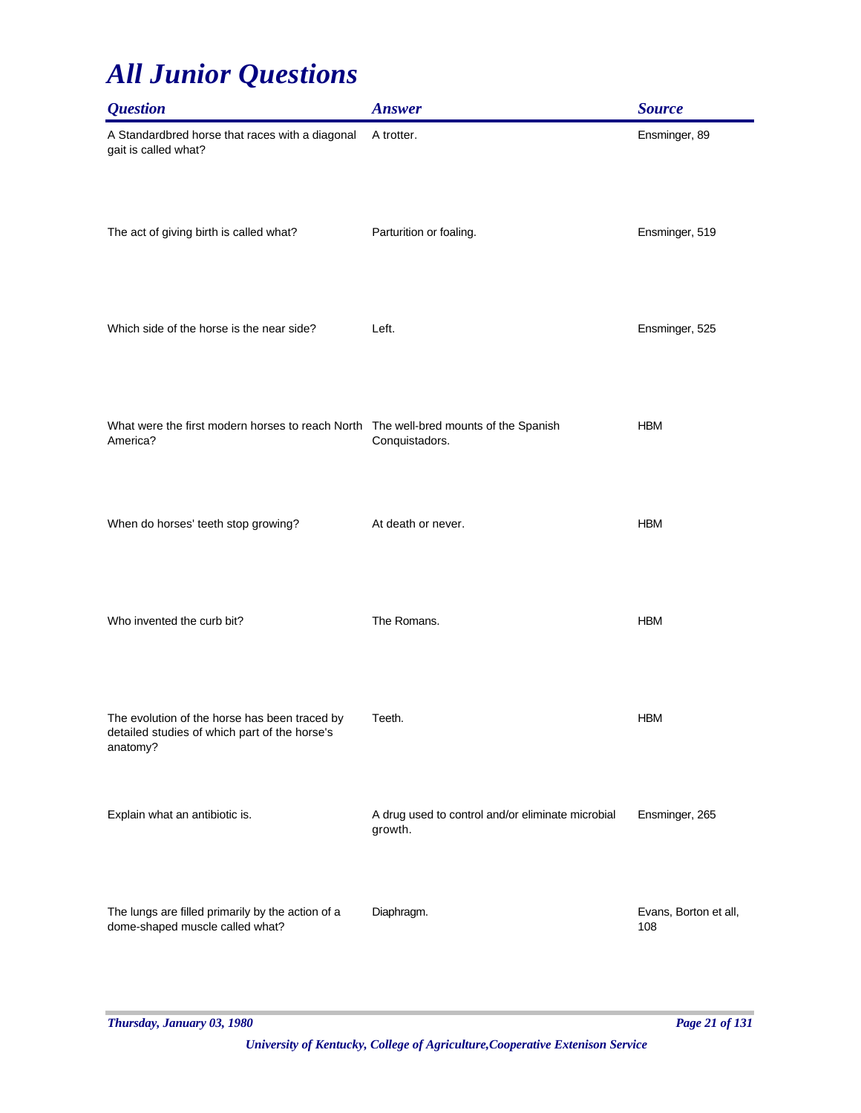| <b>Question</b>                                                                                            | <b>Answer</b>                                                | <b>Source</b>                |
|------------------------------------------------------------------------------------------------------------|--------------------------------------------------------------|------------------------------|
| A Standardbred horse that races with a diagonal<br>gait is called what?                                    | A trotter.                                                   | Ensminger, 89                |
| The act of giving birth is called what?                                                                    | Parturition or foaling.                                      | Ensminger, 519               |
| Which side of the horse is the near side?                                                                  | Left.                                                        | Ensminger, 525               |
| What were the first modern horses to reach North The well-bred mounts of the Spanish<br>America?           | Conquistadors.                                               | <b>HBM</b>                   |
| When do horses' teeth stop growing?                                                                        | At death or never.                                           | <b>HBM</b>                   |
| Who invented the curb bit?                                                                                 | The Romans.                                                  | <b>HBM</b>                   |
| The evolution of the horse has been traced by<br>detailed studies of which part of the horse's<br>anatomy? | Teeth.                                                       | <b>HBM</b>                   |
| Explain what an antibiotic is.                                                                             | A drug used to control and/or eliminate microbial<br>growth. | Ensminger, 265               |
| The lungs are filled primarily by the action of a<br>dome-shaped muscle called what?                       | Diaphragm.                                                   | Evans, Borton et all,<br>108 |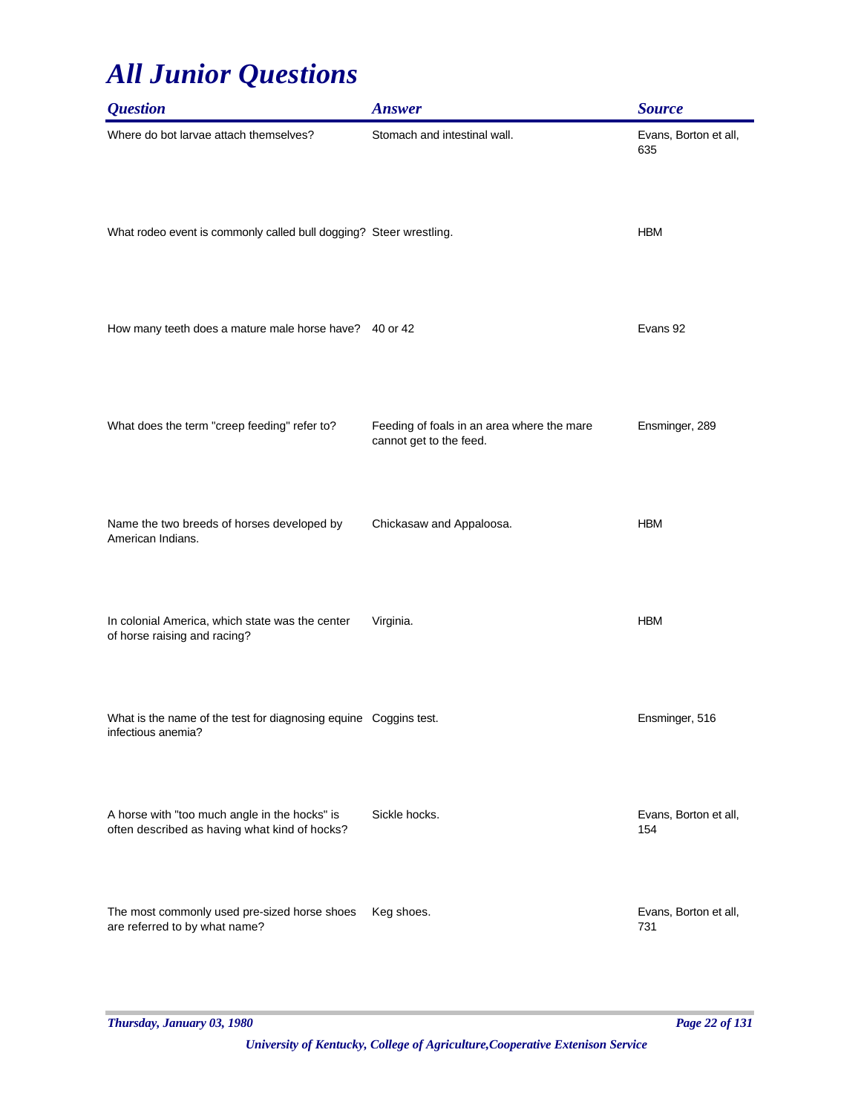| <i><b>Question</b></i>                                                                         | <b>Answer</b>                                                         | <b>Source</b>                |
|------------------------------------------------------------------------------------------------|-----------------------------------------------------------------------|------------------------------|
| Where do bot larvae attach themselves?                                                         | Stomach and intestinal wall.                                          | Evans, Borton et all,<br>635 |
| What rodeo event is commonly called bull dogging? Steer wrestling.                             |                                                                       | <b>HBM</b>                   |
| How many teeth does a mature male horse have? 40 or 42                                         |                                                                       | Evans 92                     |
| What does the term "creep feeding" refer to?                                                   | Feeding of foals in an area where the mare<br>cannot get to the feed. | Ensminger, 289               |
| Name the two breeds of horses developed by<br>American Indians.                                | Chickasaw and Appaloosa.                                              | <b>HBM</b>                   |
| In colonial America, which state was the center<br>of horse raising and racing?                | Virginia.                                                             | <b>HBM</b>                   |
| What is the name of the test for diagnosing equine Coggins test.<br>infectious anemia?         |                                                                       | Ensminger, 516               |
| A horse with "too much angle in the hocks" is<br>often described as having what kind of hocks? | Sickle hocks.                                                         | Evans, Borton et all,<br>154 |
| The most commonly used pre-sized horse shoes<br>are referred to by what name?                  | Keg shoes.                                                            | Evans, Borton et all,<br>731 |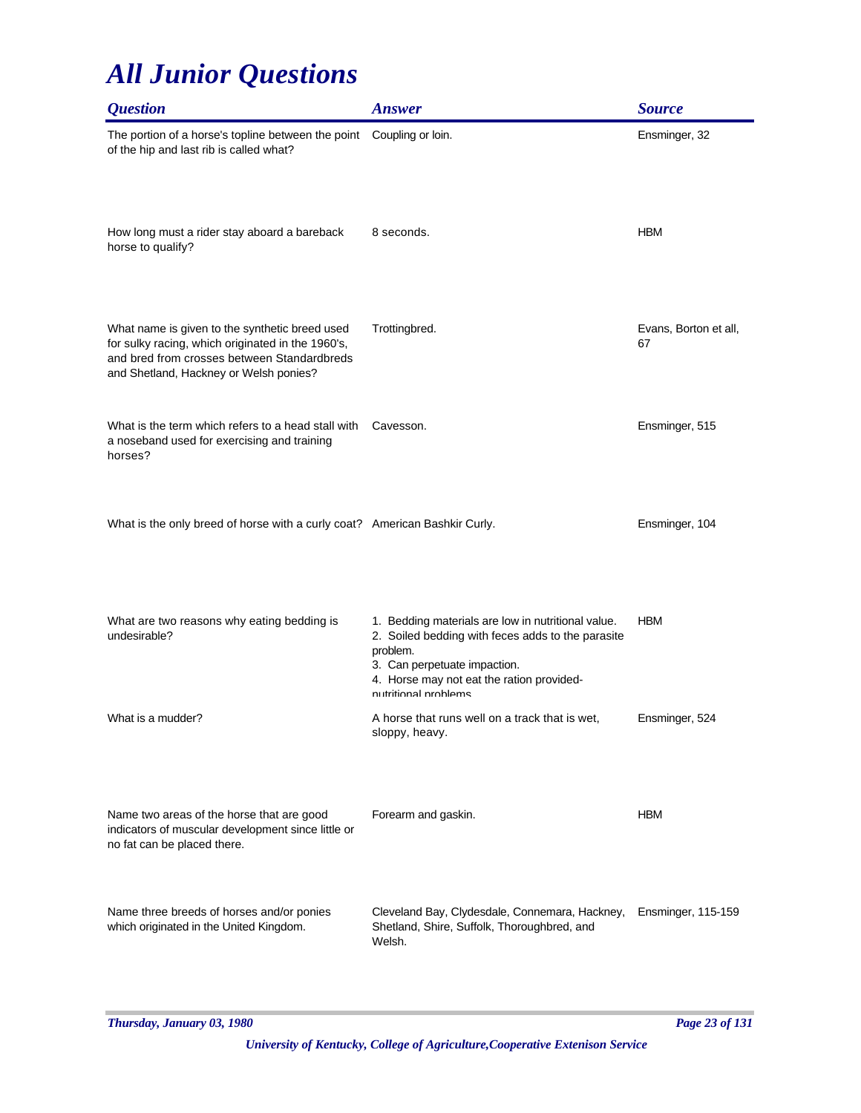| <i><b>Question</b></i>                                                                                                                                                                       | <b>Answer</b>                                                                                                                                                                                                            | <b>Source</b>               |
|----------------------------------------------------------------------------------------------------------------------------------------------------------------------------------------------|--------------------------------------------------------------------------------------------------------------------------------------------------------------------------------------------------------------------------|-----------------------------|
| The portion of a horse's topline between the point<br>of the hip and last rib is called what?                                                                                                | Coupling or loin.                                                                                                                                                                                                        | Ensminger, 32               |
| How long must a rider stay aboard a bareback<br>horse to qualify?                                                                                                                            | 8 seconds.                                                                                                                                                                                                               | <b>HBM</b>                  |
| What name is given to the synthetic breed used<br>for sulky racing, which originated in the 1960's,<br>and bred from crosses between Standardbreds<br>and Shetland, Hackney or Welsh ponies? | Trottingbred.                                                                                                                                                                                                            | Evans, Borton et all,<br>67 |
| What is the term which refers to a head stall with<br>a noseband used for exercising and training<br>horses?                                                                                 | Cavesson.                                                                                                                                                                                                                | Ensminger, 515              |
| What is the only breed of horse with a curly coat? American Bashkir Curly.                                                                                                                   |                                                                                                                                                                                                                          | Ensminger, 104              |
| What are two reasons why eating bedding is<br>undesirable?                                                                                                                                   | 1. Bedding materials are low in nutritional value.<br>2. Soiled bedding with feces adds to the parasite<br>problem.<br>3. Can perpetuate impaction.<br>4. Horse may not eat the ration provided-<br>nutritional problems | <b>HBM</b>                  |
| What is a mudder?                                                                                                                                                                            | A horse that runs well on a track that is wet,<br>sloppy, heavy.                                                                                                                                                         | Ensminger, 524              |
| Name two areas of the horse that are good<br>indicators of muscular development since little or<br>no fat can be placed there.                                                               | Forearm and gaskin.                                                                                                                                                                                                      | <b>HBM</b>                  |
| Name three breeds of horses and/or ponies<br>which originated in the United Kingdom.                                                                                                         | Cleveland Bay, Clydesdale, Connemara, Hackney,<br>Shetland, Shire, Suffolk, Thoroughbred, and<br>Welsh.                                                                                                                  | Ensminger, 115-159          |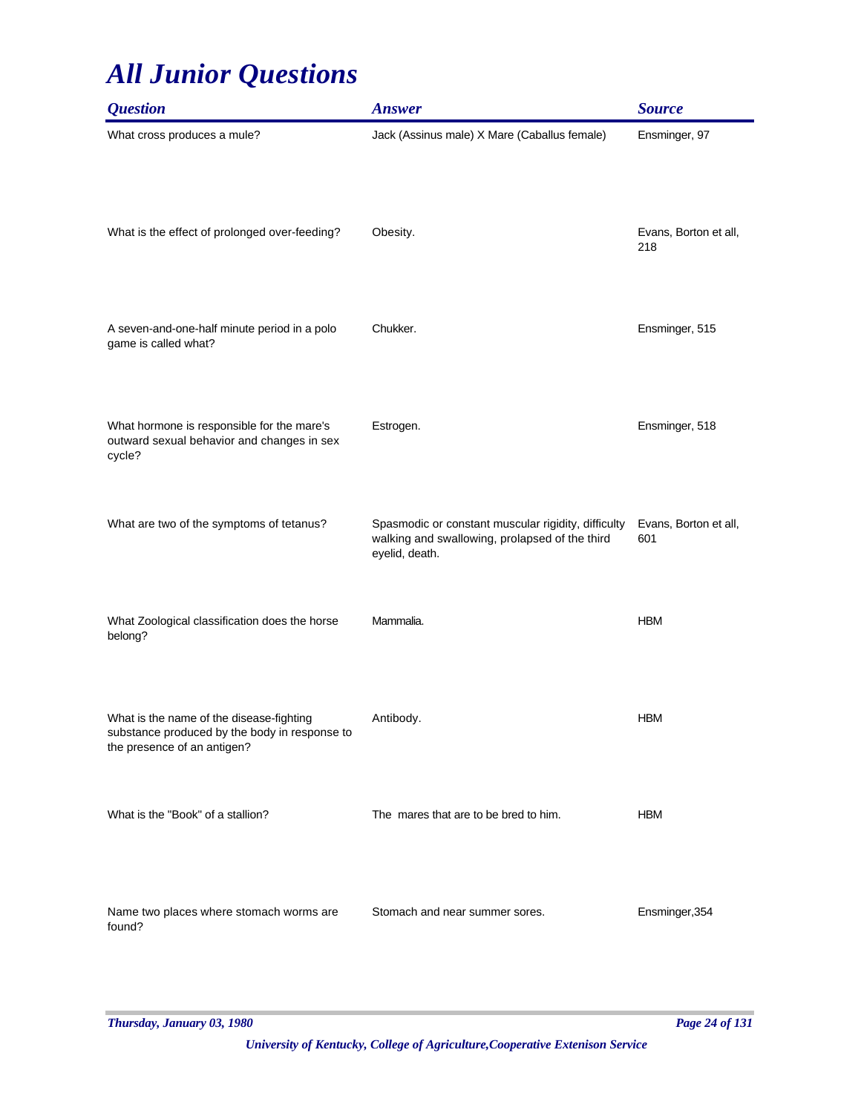| <i><b>Question</b></i>                                                                                                   | <b>Answer</b>                                                                                                           | <b>Source</b>                |
|--------------------------------------------------------------------------------------------------------------------------|-------------------------------------------------------------------------------------------------------------------------|------------------------------|
| What cross produces a mule?                                                                                              | Jack (Assinus male) X Mare (Caballus female)                                                                            | Ensminger, 97                |
| What is the effect of prolonged over-feeding?                                                                            | Obesity.                                                                                                                | Evans, Borton et all,<br>218 |
| A seven-and-one-half minute period in a polo<br>game is called what?                                                     | Chukker.                                                                                                                | Ensminger, 515               |
| What hormone is responsible for the mare's<br>outward sexual behavior and changes in sex<br>cycle?                       | Estrogen.                                                                                                               | Ensminger, 518               |
| What are two of the symptoms of tetanus?                                                                                 | Spasmodic or constant muscular rigidity, difficulty<br>walking and swallowing, prolapsed of the third<br>eyelid, death. | Evans, Borton et all,<br>601 |
| What Zoological classification does the horse<br>belong?                                                                 | Mammalia.                                                                                                               | <b>HBM</b>                   |
| What is the name of the disease-fighting<br>substance produced by the body in response to<br>the presence of an antigen? | Antibody.                                                                                                               | <b>HBM</b>                   |
| What is the "Book" of a stallion?                                                                                        | The mares that are to be bred to him.                                                                                   | <b>HBM</b>                   |
| Name two places where stomach worms are<br>found?                                                                        | Stomach and near summer sores.                                                                                          | Ensminger, 354               |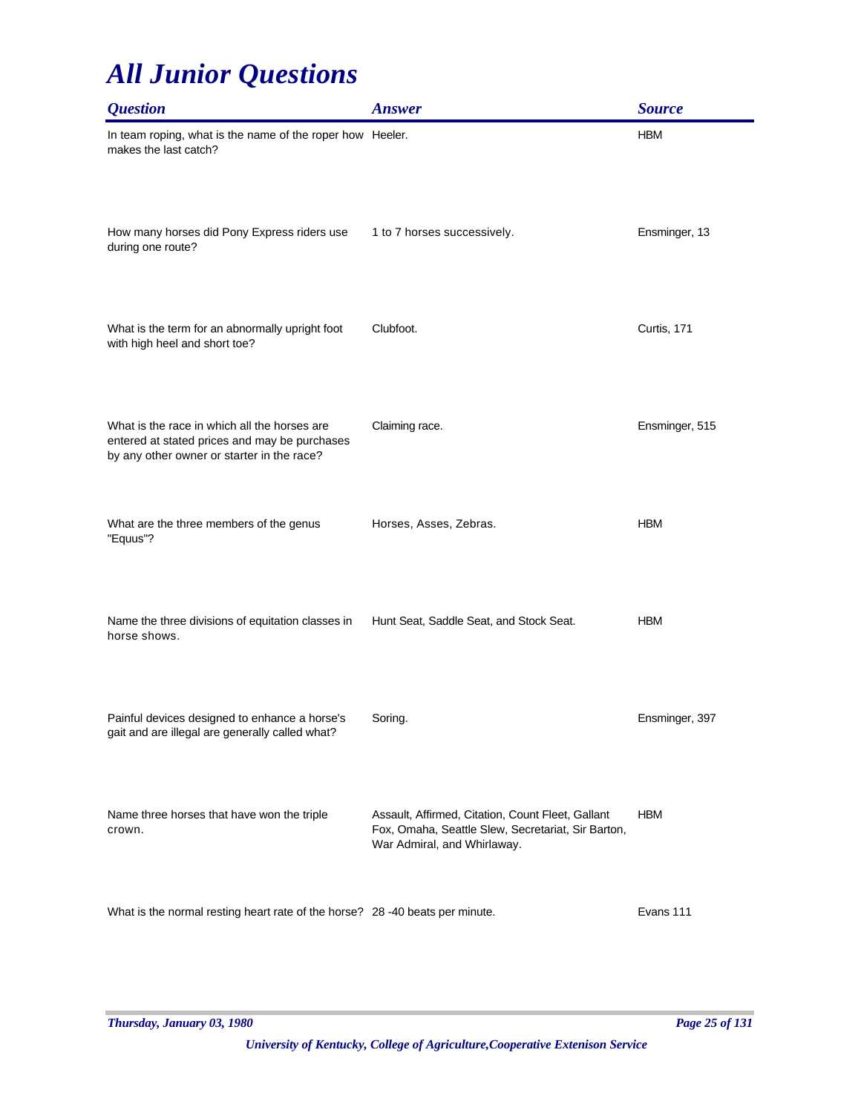| <i><b>Question</b></i>                                                                                                                      | <b>Answer</b>                                                                                                                          | <b>Source</b>  |
|---------------------------------------------------------------------------------------------------------------------------------------------|----------------------------------------------------------------------------------------------------------------------------------------|----------------|
| In team roping, what is the name of the roper how Heeler.<br>makes the last catch?                                                          |                                                                                                                                        | <b>HBM</b>     |
| How many horses did Pony Express riders use<br>during one route?                                                                            | 1 to 7 horses successively.                                                                                                            | Ensminger, 13  |
| What is the term for an abnormally upright foot<br>with high heel and short toe?                                                            | Clubfoot.                                                                                                                              | Curtis, 171    |
| What is the race in which all the horses are<br>entered at stated prices and may be purchases<br>by any other owner or starter in the race? | Claiming race.                                                                                                                         | Ensminger, 515 |
| What are the three members of the genus<br>"Equus"?                                                                                         | Horses, Asses, Zebras.                                                                                                                 | <b>HBM</b>     |
| Name the three divisions of equitation classes in<br>horse shows.                                                                           | Hunt Seat, Saddle Seat, and Stock Seat.                                                                                                | <b>HBM</b>     |
| Painful devices designed to enhance a horse's<br>gait and are illegal are generally called what?                                            | Soring.                                                                                                                                | Ensminger, 397 |
| Name three horses that have won the triple<br>crown.                                                                                        | Assault, Affirmed, Citation, Count Fleet, Gallant<br>Fox, Omaha, Seattle Slew, Secretariat, Sir Barton,<br>War Admiral, and Whirlaway. | <b>HBM</b>     |
| What is the normal resting heart rate of the horse? 28 -40 beats per minute.                                                                |                                                                                                                                        | Evans 111      |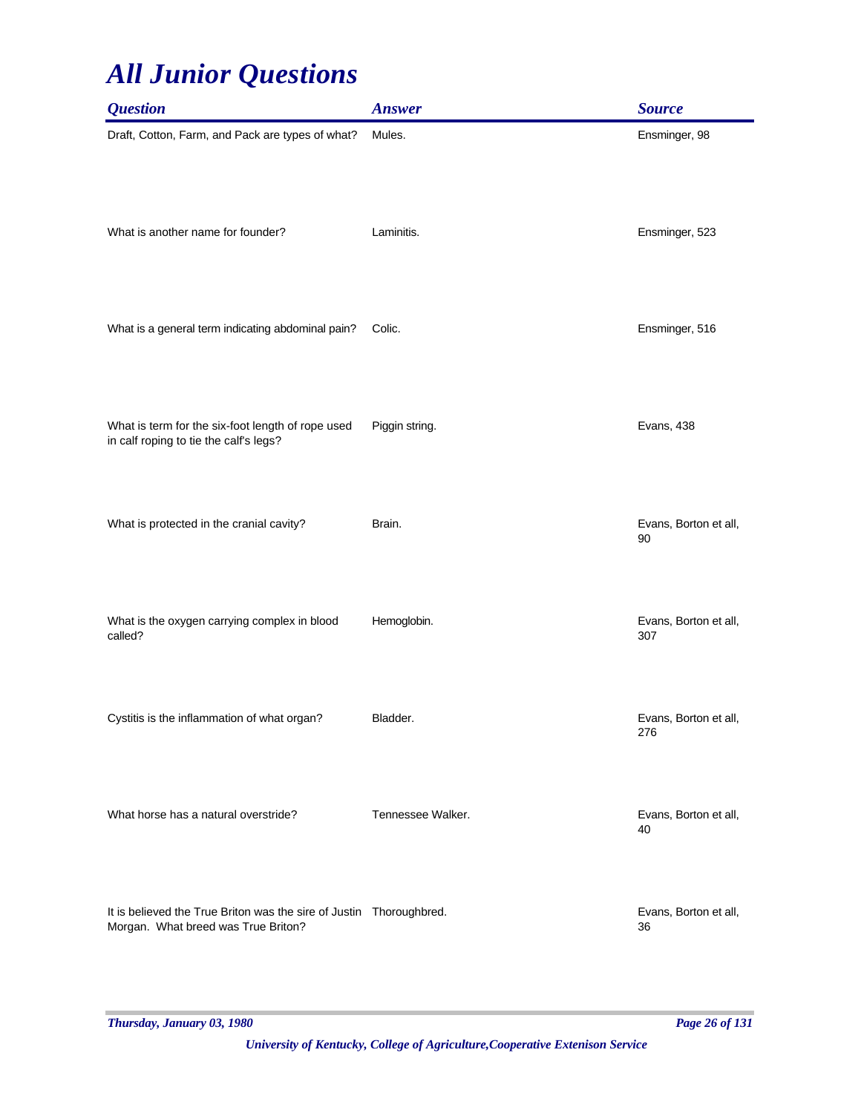| <b>Question</b>                                                                                            | <b>Answer</b>     | <b>Source</b>                |
|------------------------------------------------------------------------------------------------------------|-------------------|------------------------------|
| Draft, Cotton, Farm, and Pack are types of what?                                                           | Mules.            | Ensminger, 98                |
| What is another name for founder?                                                                          | Laminitis.        | Ensminger, 523               |
| What is a general term indicating abdominal pain?                                                          | Colic.            | Ensminger, 516               |
| What is term for the six-foot length of rope used<br>in calf roping to tie the calf's legs?                | Piggin string.    | Evans, 438                   |
| What is protected in the cranial cavity?                                                                   | Brain.            | Evans, Borton et all,<br>90  |
| What is the oxygen carrying complex in blood<br>called?                                                    | Hemoglobin.       | Evans, Borton et all,<br>307 |
| Cystitis is the inflammation of what organ?                                                                | Bladder.          | Evans, Borton et all,<br>276 |
| What horse has a natural overstride?                                                                       | Tennessee Walker. | Evans, Borton et all,<br>40  |
| It is believed the True Briton was the sire of Justin Thoroughbred.<br>Morgan. What breed was True Briton? |                   | Evans, Borton et all,<br>36  |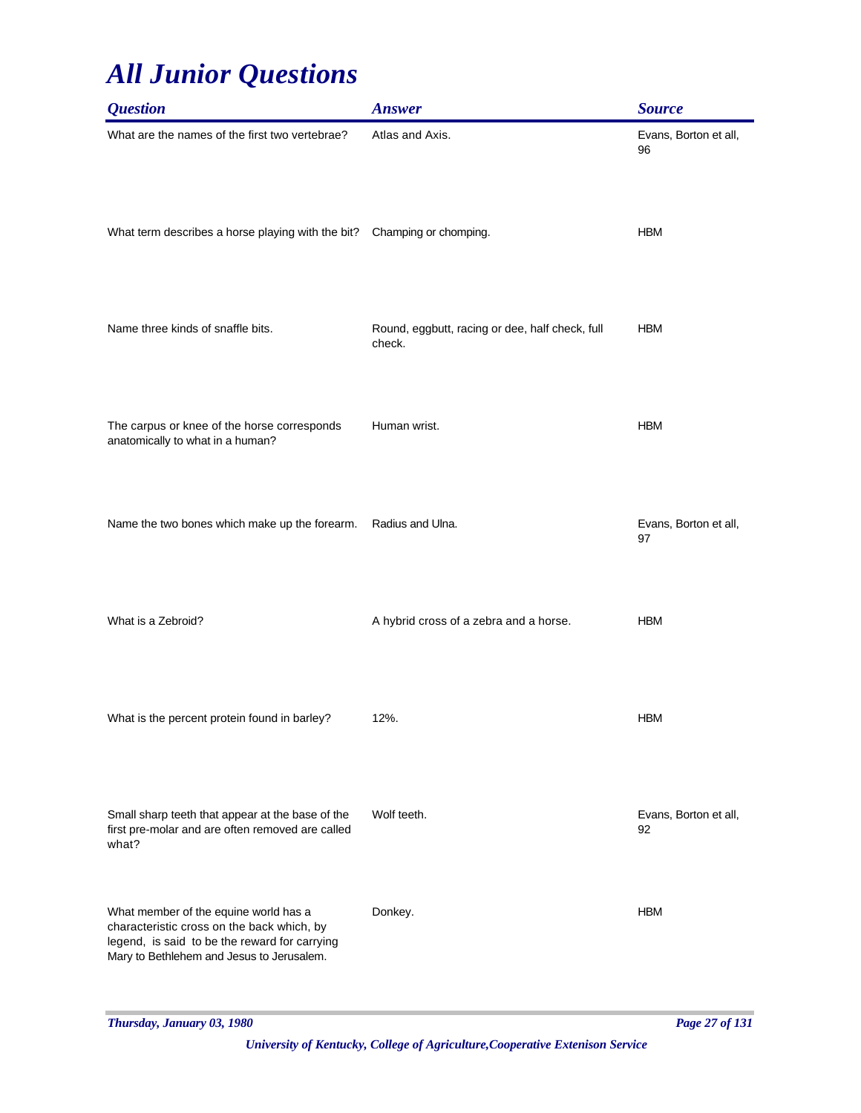| <i><b>Question</b></i>                                                                                                                                                            | <b>Answer</b>                                             | <b>Source</b>               |
|-----------------------------------------------------------------------------------------------------------------------------------------------------------------------------------|-----------------------------------------------------------|-----------------------------|
| What are the names of the first two vertebrae?                                                                                                                                    | Atlas and Axis.                                           | Evans, Borton et all,<br>96 |
| What term describes a horse playing with the bit?                                                                                                                                 | Champing or chomping.                                     | <b>HBM</b>                  |
| Name three kinds of snaffle bits.                                                                                                                                                 | Round, eggbutt, racing or dee, half check, full<br>check. | <b>HBM</b>                  |
| The carpus or knee of the horse corresponds<br>anatomically to what in a human?                                                                                                   | Human wrist.                                              | <b>HBM</b>                  |
| Name the two bones which make up the forearm.                                                                                                                                     | Radius and Ulna.                                          | Evans, Borton et all,<br>97 |
| What is a Zebroid?                                                                                                                                                                | A hybrid cross of a zebra and a horse.                    | <b>HBM</b>                  |
| What is the percent protein found in barley?                                                                                                                                      | 12%.                                                      | <b>HBM</b>                  |
| Small sharp teeth that appear at the base of the<br>first pre-molar and are often removed are called<br>what?                                                                     | Wolf teeth.                                               | Evans, Borton et all,<br>92 |
| What member of the equine world has a<br>characteristic cross on the back which, by<br>legend, is said to be the reward for carrying<br>Mary to Bethlehem and Jesus to Jerusalem. | Donkey.                                                   | <b>HBM</b>                  |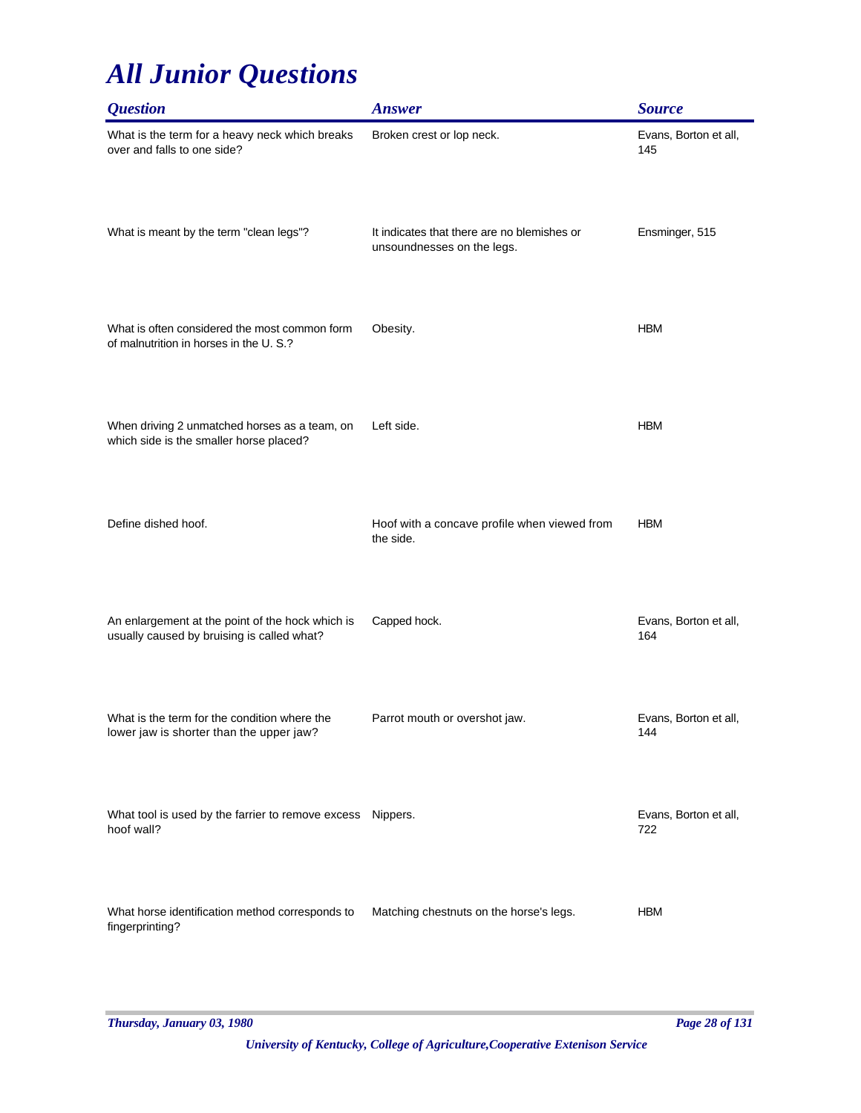| <i><b>Question</b></i>                                                                         | <b>Answer</b>                                                             | <b>Source</b>                |
|------------------------------------------------------------------------------------------------|---------------------------------------------------------------------------|------------------------------|
| What is the term for a heavy neck which breaks<br>over and falls to one side?                  | Broken crest or lop neck.                                                 | Evans, Borton et all,<br>145 |
| What is meant by the term "clean legs"?                                                        | It indicates that there are no blemishes or<br>unsoundnesses on the legs. | Ensminger, 515               |
| What is often considered the most common form<br>of malnutrition in horses in the U.S.?        | Obesity.                                                                  | <b>HBM</b>                   |
| When driving 2 unmatched horses as a team, on<br>which side is the smaller horse placed?       | Left side.                                                                | <b>HBM</b>                   |
| Define dished hoof.                                                                            | Hoof with a concave profile when viewed from<br>the side.                 | <b>HBM</b>                   |
| An enlargement at the point of the hock which is<br>usually caused by bruising is called what? | Capped hock.                                                              | Evans, Borton et all,<br>164 |
| What is the term for the condition where the<br>lower jaw is shorter than the upper jaw?       | Parrot mouth or overshot jaw.                                             | Evans, Borton et all,<br>144 |
| What tool is used by the farrier to remove excess Nippers.<br>hoof wall?                       |                                                                           | Evans, Borton et all,<br>722 |
| What horse identification method corresponds to<br>fingerprinting?                             | Matching chestnuts on the horse's legs.                                   | <b>HBM</b>                   |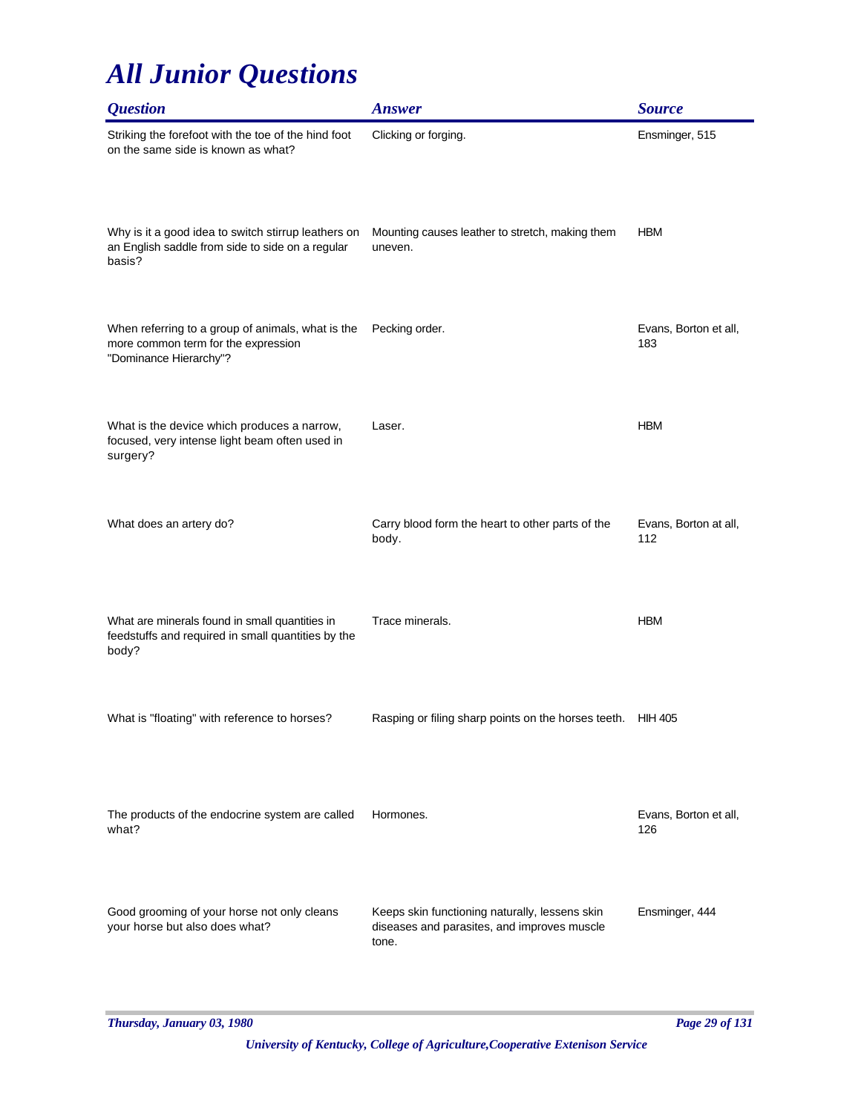| <b>Question</b>                                                                                                    | <b>Answer</b>                                                                                          | <b>Source</b>                |
|--------------------------------------------------------------------------------------------------------------------|--------------------------------------------------------------------------------------------------------|------------------------------|
| Striking the forefoot with the toe of the hind foot<br>on the same side is known as what?                          | Clicking or forging.                                                                                   | Ensminger, 515               |
| Why is it a good idea to switch stirrup leathers on<br>an English saddle from side to side on a regular<br>basis?  | Mounting causes leather to stretch, making them<br>uneven.                                             | <b>HBM</b>                   |
| When referring to a group of animals, what is the<br>more common term for the expression<br>"Dominance Hierarchy"? | Pecking order.                                                                                         | Evans, Borton et all,<br>183 |
| What is the device which produces a narrow,<br>focused, very intense light beam often used in<br>surgery?          | Laser.                                                                                                 | <b>HBM</b>                   |
| What does an artery do?                                                                                            | Carry blood form the heart to other parts of the<br>body.                                              | Evans, Borton at all,<br>112 |
| What are minerals found in small quantities in<br>feedstuffs and required in small quantities by the<br>body?      | Trace minerals.                                                                                        | <b>HBM</b>                   |
| What is "floating" with reference to horses?                                                                       | Rasping or filing sharp points on the horses teeth.                                                    | HIH 405                      |
| The products of the endocrine system are called<br>what?                                                           | Hormones.                                                                                              | Evans, Borton et all,<br>126 |
| Good grooming of your horse not only cleans<br>your horse but also does what?                                      | Keeps skin functioning naturally, lessens skin<br>diseases and parasites, and improves muscle<br>tone. | Ensminger, 444               |

*Thursday, January 03, 1980 Page 29 of 131*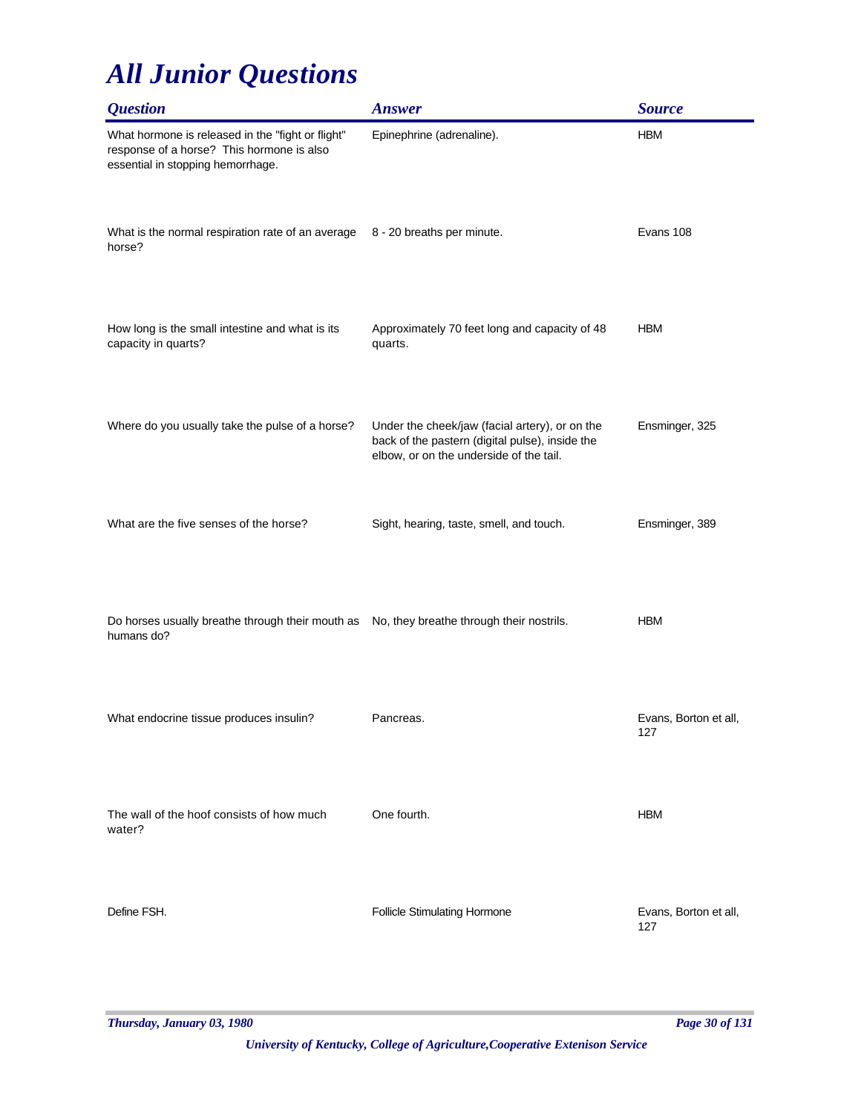| <i><b>Question</b></i>                                                                                                              | <b>Answer</b>                                                                                                                                | <b>Source</b>                |
|-------------------------------------------------------------------------------------------------------------------------------------|----------------------------------------------------------------------------------------------------------------------------------------------|------------------------------|
| What hormone is released in the "fight or flight"<br>response of a horse? This hormone is also<br>essential in stopping hemorrhage. | Epinephrine (adrenaline).                                                                                                                    | <b>HBM</b>                   |
| What is the normal respiration rate of an average<br>horse?                                                                         | 8 - 20 breaths per minute.                                                                                                                   | Evans 108                    |
| How long is the small intestine and what is its<br>capacity in quarts?                                                              | Approximately 70 feet long and capacity of 48<br>quarts.                                                                                     | <b>HBM</b>                   |
| Where do you usually take the pulse of a horse?                                                                                     | Under the cheek/jaw (facial artery), or on the<br>back of the pastern (digital pulse), inside the<br>elbow, or on the underside of the tail. | Ensminger, 325               |
| What are the five senses of the horse?                                                                                              | Sight, hearing, taste, smell, and touch.                                                                                                     | Ensminger, 389               |
| Do horses usually breathe through their mouth as No, they breathe through their nostrils.<br>humans do?                             |                                                                                                                                              | <b>HBM</b>                   |
| What endocrine tissue produces insulin?                                                                                             | Pancreas.                                                                                                                                    | Evans, Borton et all,<br>127 |
| The wall of the hoof consists of how much<br>water?                                                                                 | One fourth.                                                                                                                                  | <b>HBM</b>                   |
| Define FSH.                                                                                                                         | <b>Follicle Stimulating Hormone</b>                                                                                                          | Evans, Borton et all,<br>127 |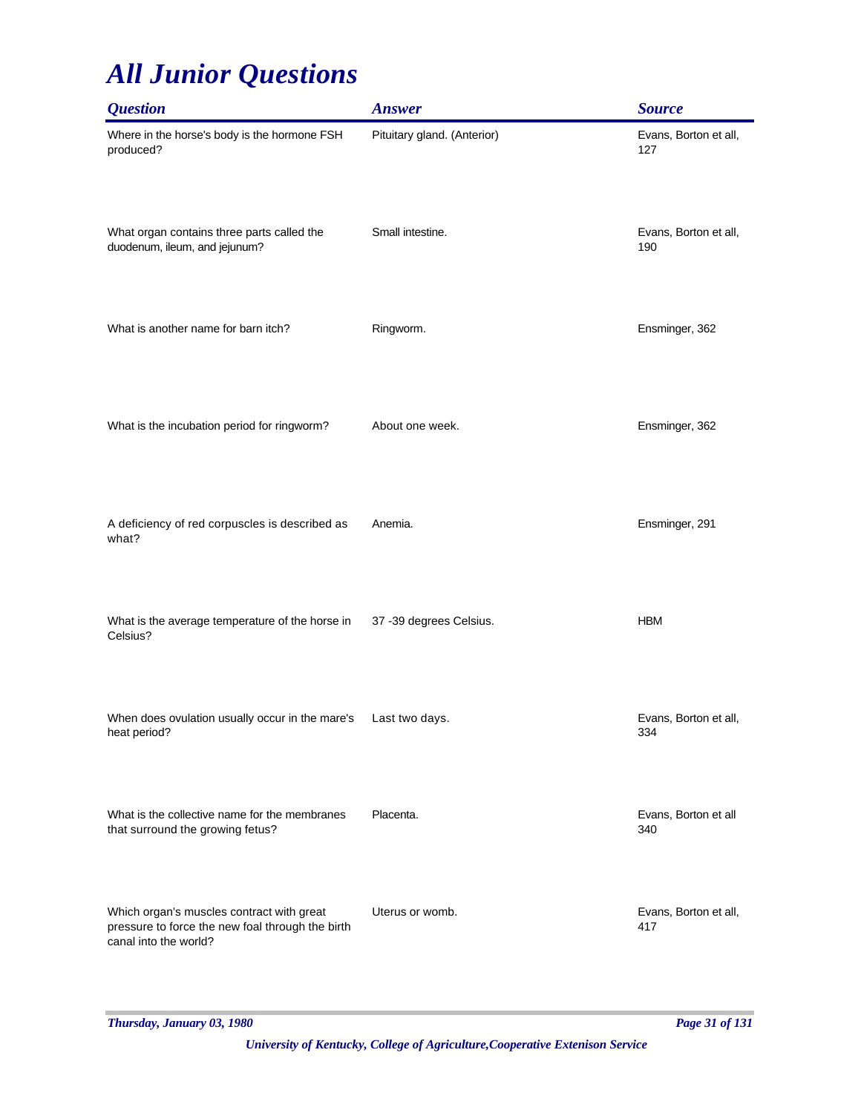| <b>Question</b>                                                                                                        | <b>Answer</b>               | <b>Source</b>                |
|------------------------------------------------------------------------------------------------------------------------|-----------------------------|------------------------------|
| Where in the horse's body is the hormone FSH<br>produced?                                                              | Pituitary gland. (Anterior) | Evans, Borton et all,<br>127 |
| What organ contains three parts called the<br>duodenum, ileum, and jejunum?                                            | Small intestine.            | Evans, Borton et all,<br>190 |
| What is another name for barn itch?                                                                                    | Ringworm.                   | Ensminger, 362               |
| What is the incubation period for ringworm?                                                                            | About one week.             | Ensminger, 362               |
| A deficiency of red corpuscles is described as<br>what?                                                                | Anemia.                     | Ensminger, 291               |
| What is the average temperature of the horse in<br>Celsius?                                                            | 37 -39 degrees Celsius.     | <b>HBM</b>                   |
| When does ovulation usually occur in the mare's<br>heat period?                                                        | Last two days.              | Evans, Borton et all,<br>334 |
| What is the collective name for the membranes<br>that surround the growing fetus?                                      | Placenta.                   | Evans, Borton et all<br>340  |
| Which organ's muscles contract with great<br>pressure to force the new foal through the birth<br>canal into the world? | Uterus or womb.             | Evans, Borton et all,<br>417 |

*Thursday, January 03, 1980 Page 31 of 131*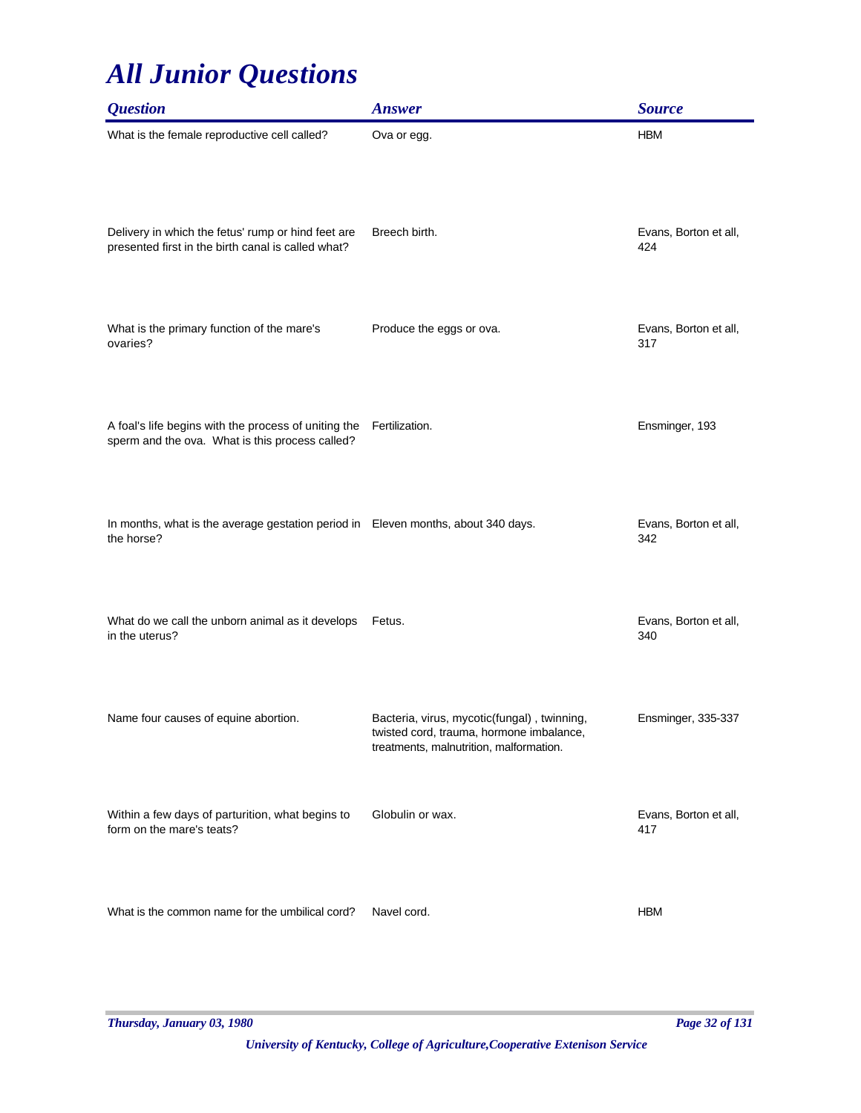| <b>Question</b>                                                                                          | <b>Answer</b>                                                                                                                      | <b>Source</b>                |
|----------------------------------------------------------------------------------------------------------|------------------------------------------------------------------------------------------------------------------------------------|------------------------------|
| What is the female reproductive cell called?                                                             | Ova or egg.                                                                                                                        | <b>HBM</b>                   |
| Delivery in which the fetus' rump or hind feet are<br>presented first in the birth canal is called what? | Breech birth.                                                                                                                      | Evans, Borton et all,<br>424 |
| What is the primary function of the mare's<br>ovaries?                                                   | Produce the eggs or ova.                                                                                                           | Evans, Borton et all,<br>317 |
| A foal's life begins with the process of uniting the<br>sperm and the ova. What is this process called?  | Fertilization.                                                                                                                     | Ensminger, 193               |
| In months, what is the average gestation period in Eleven months, about 340 days.<br>the horse?          |                                                                                                                                    | Evans, Borton et all,<br>342 |
| What do we call the unborn animal as it develops<br>in the uterus?                                       | Fetus.                                                                                                                             | Evans, Borton et all,<br>340 |
| Name four causes of equine abortion.                                                                     | Bacteria, virus, mycotic(fungal), twinning,<br>twisted cord, trauma, hormone imbalance,<br>treatments, malnutrition, malformation. | Ensminger, 335-337           |
| Within a few days of parturition, what begins to<br>form on the mare's teats?                            | Globulin or wax.                                                                                                                   | Evans, Borton et all,<br>417 |
| What is the common name for the umbilical cord?                                                          | Navel cord.                                                                                                                        | <b>HBM</b>                   |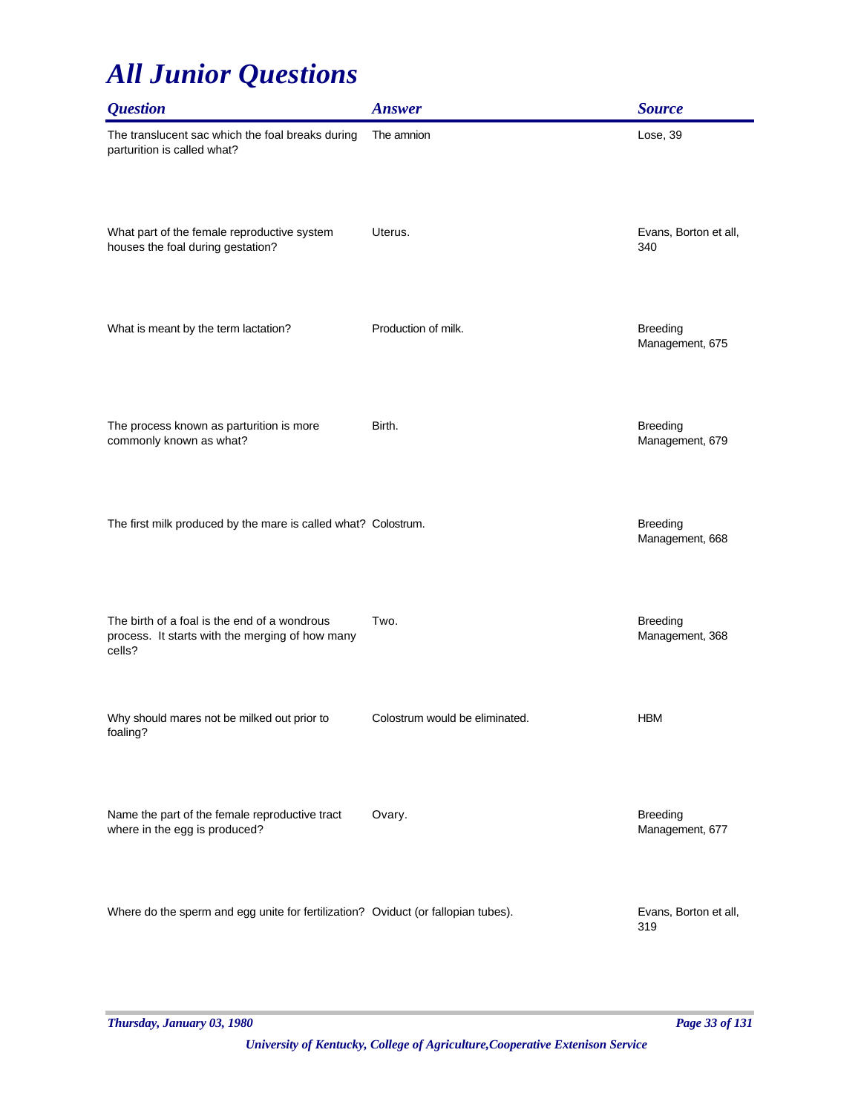| <b>Question</b>                                                                                           | <b>Answer</b>                  | <b>Source</b>                      |
|-----------------------------------------------------------------------------------------------------------|--------------------------------|------------------------------------|
| The translucent sac which the foal breaks during<br>parturition is called what?                           | The amnion                     | Lose, 39                           |
| What part of the female reproductive system<br>houses the foal during gestation?                          | Uterus.                        | Evans, Borton et all,<br>340       |
| What is meant by the term lactation?                                                                      | Production of milk.            | <b>Breeding</b><br>Management, 675 |
| The process known as parturition is more<br>commonly known as what?                                       | Birth.                         | <b>Breeding</b><br>Management, 679 |
| The first milk produced by the mare is called what? Colostrum.                                            |                                | <b>Breeding</b><br>Management, 668 |
| The birth of a foal is the end of a wondrous<br>process. It starts with the merging of how many<br>cells? | Two.                           | <b>Breeding</b><br>Management, 368 |
| Why should mares not be milked out prior to<br>foaling?                                                   | Colostrum would be eliminated. | <b>HBM</b>                         |
| Name the part of the female reproductive tract<br>where in the egg is produced?                           | Ovary.                         | <b>Breeding</b><br>Management, 677 |
| Where do the sperm and egg unite for fertilization? Oviduct (or fallopian tubes).                         |                                | Evans, Borton et all,<br>319       |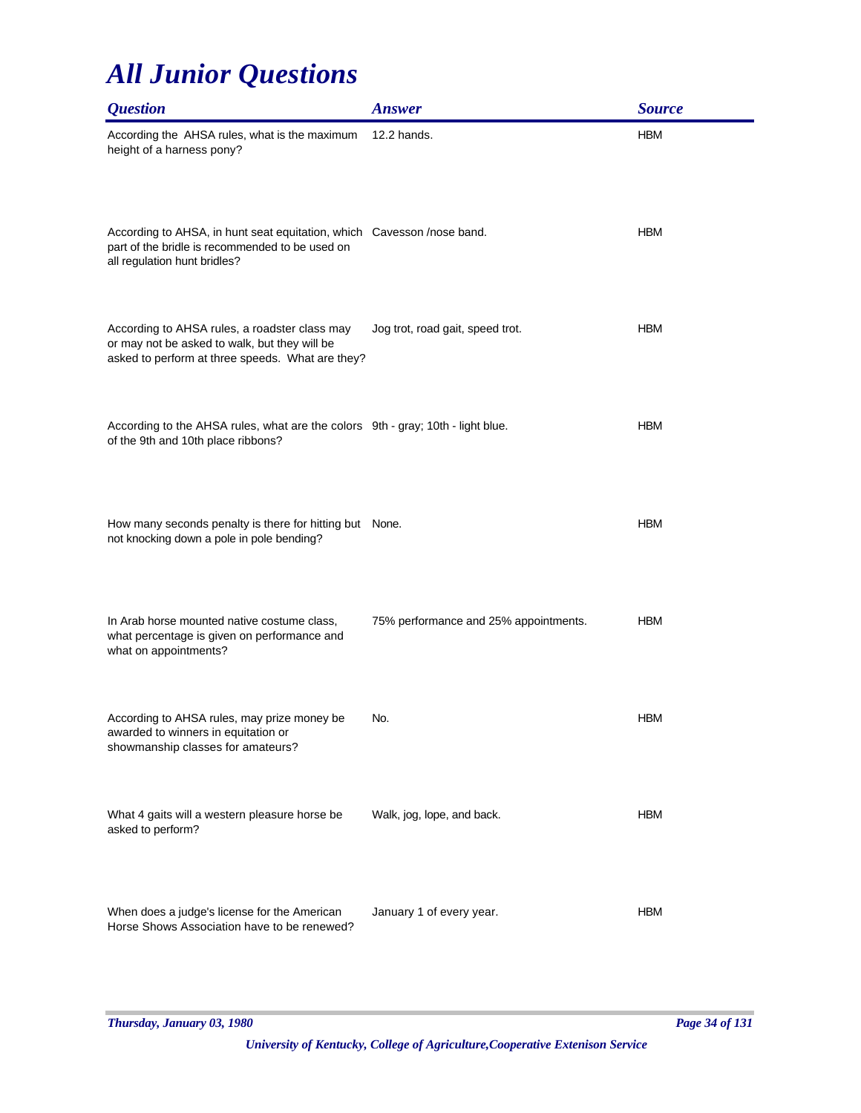| <i><b>Question</b></i>                                                                                                                                    | <b>Answer</b>                         | <b>Source</b> |
|-----------------------------------------------------------------------------------------------------------------------------------------------------------|---------------------------------------|---------------|
| According the AHSA rules, what is the maximum<br>height of a harness pony?                                                                                | 12.2 hands.                           | <b>HBM</b>    |
| According to AHSA, in hunt seat equitation, which Cavesson /nose band.<br>part of the bridle is recommended to be used on<br>all regulation hunt bridles? |                                       | <b>HBM</b>    |
| According to AHSA rules, a roadster class may<br>or may not be asked to walk, but they will be<br>asked to perform at three speeds. What are they?        | Jog trot, road gait, speed trot.      | <b>HBM</b>    |
| According to the AHSA rules, what are the colors 9th - gray; 10th - light blue.<br>of the 9th and 10th place ribbons?                                     |                                       | <b>HBM</b>    |
| How many seconds penalty is there for hitting but None.<br>not knocking down a pole in pole bending?                                                      |                                       | <b>HBM</b>    |
| In Arab horse mounted native costume class,<br>what percentage is given on performance and<br>what on appointments?                                       | 75% performance and 25% appointments. | <b>HBM</b>    |
| According to AHSA rules, may prize money be<br>awarded to winners in equitation or<br>showmanship classes for amateurs?                                   | No.                                   | <b>HBM</b>    |
| What 4 gaits will a western pleasure horse be<br>asked to perform?                                                                                        | Walk, jog, lope, and back.            | <b>HBM</b>    |
| When does a judge's license for the American<br>Horse Shows Association have to be renewed?                                                               | January 1 of every year.              | <b>HBM</b>    |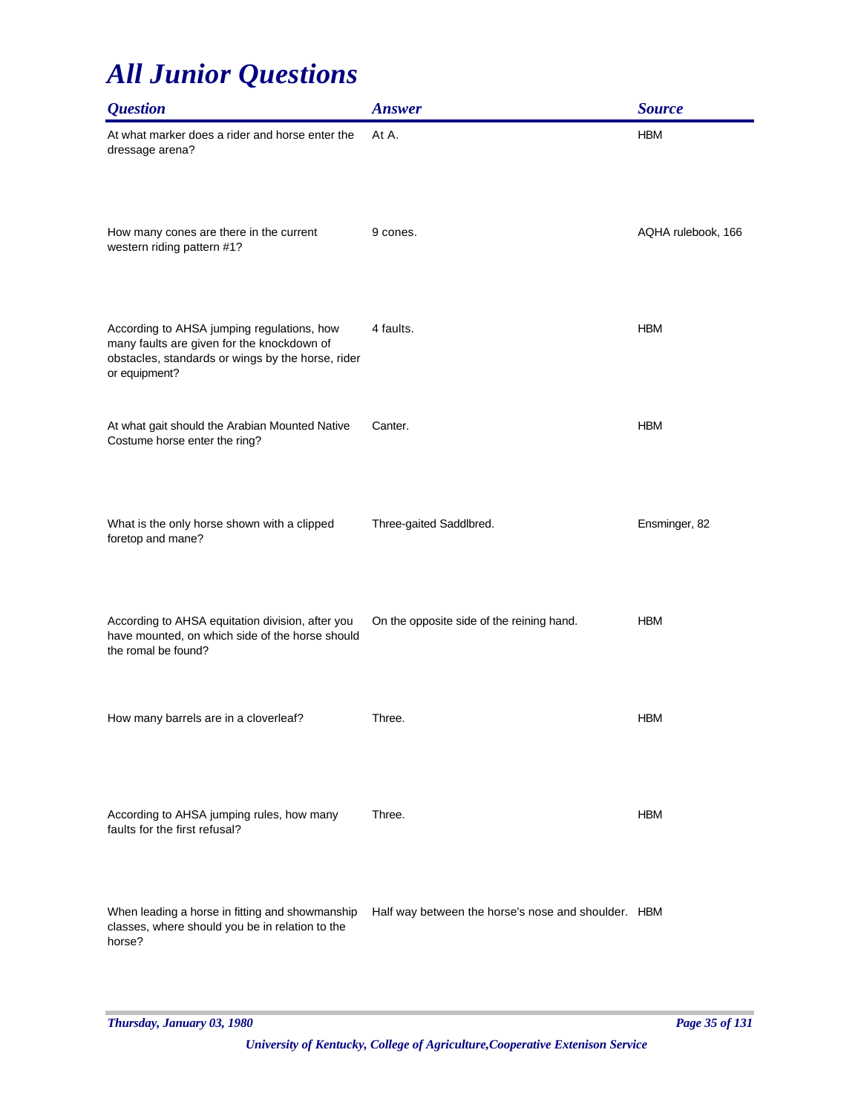| <i><b>Question</b></i>                                                                                                                                         | <b>Answer</b>                                       | <b>Source</b>      |
|----------------------------------------------------------------------------------------------------------------------------------------------------------------|-----------------------------------------------------|--------------------|
| At what marker does a rider and horse enter the<br>dressage arena?                                                                                             | At A.                                               | <b>HBM</b>         |
| How many cones are there in the current<br>western riding pattern #1?                                                                                          | 9 cones.                                            | AQHA rulebook, 166 |
| According to AHSA jumping regulations, how<br>many faults are given for the knockdown of<br>obstacles, standards or wings by the horse, rider<br>or equipment? | 4 faults.                                           | <b>HBM</b>         |
| At what gait should the Arabian Mounted Native<br>Costume horse enter the ring?                                                                                | Canter.                                             | <b>HBM</b>         |
| What is the only horse shown with a clipped<br>foretop and mane?                                                                                               | Three-gaited Saddlbred.                             | Ensminger, 82      |
| According to AHSA equitation division, after you<br>have mounted, on which side of the horse should<br>the romal be found?                                     | On the opposite side of the reining hand.           | <b>HBM</b>         |
| How many barrels are in a cloverleaf?                                                                                                                          | Three.                                              | <b>HBM</b>         |
| According to AHSA jumping rules, how many<br>faults for the first refusal?                                                                                     | Three.                                              | <b>HBM</b>         |
| When leading a horse in fitting and showmanship<br>classes, where should you be in relation to the<br>horse?                                                   | Half way between the horse's nose and shoulder. HBM |                    |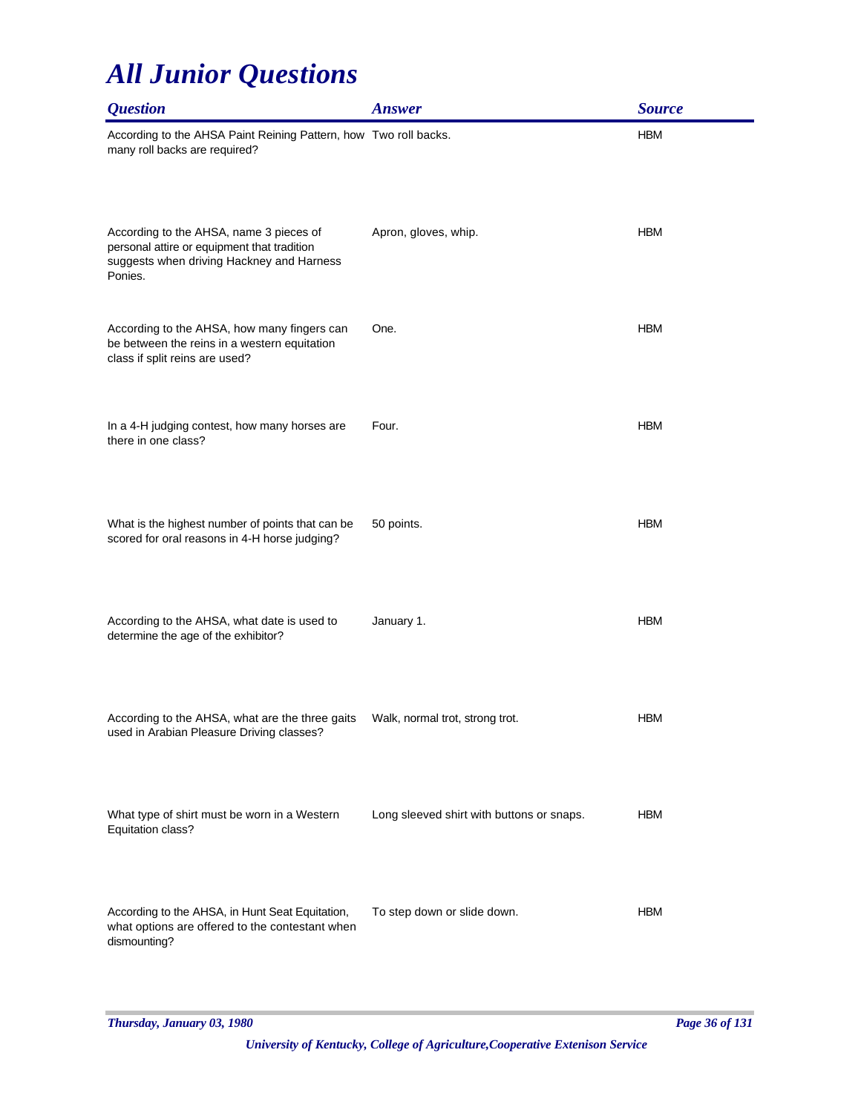| <i><b>Question</b></i>                                                                                                                         | <b>Answer</b>                             | <b>Source</b> |
|------------------------------------------------------------------------------------------------------------------------------------------------|-------------------------------------------|---------------|
| According to the AHSA Paint Reining Pattern, how Two roll backs.<br>many roll backs are required?                                              |                                           | <b>HBM</b>    |
| According to the AHSA, name 3 pieces of<br>personal attire or equipment that tradition<br>suggests when driving Hackney and Harness<br>Ponies. | Apron, gloves, whip.                      | <b>HBM</b>    |
| According to the AHSA, how many fingers can<br>be between the reins in a western equitation<br>class if split reins are used?                  | One.                                      | <b>HBM</b>    |
| In a 4-H judging contest, how many horses are<br>there in one class?                                                                           | Four.                                     | <b>HBM</b>    |
| What is the highest number of points that can be<br>scored for oral reasons in 4-H horse judging?                                              | 50 points.                                | <b>HBM</b>    |
| According to the AHSA, what date is used to<br>determine the age of the exhibitor?                                                             | January 1.                                | <b>HBM</b>    |
| According to the AHSA, what are the three gaits<br>used in Arabian Pleasure Driving classes?                                                   | Walk, normal trot, strong trot.           | <b>HBM</b>    |
| What type of shirt must be worn in a Western<br>Equitation class?                                                                              | Long sleeved shirt with buttons or snaps. | HBM           |
| According to the AHSA, in Hunt Seat Equitation,<br>what options are offered to the contestant when<br>dismounting?                             | To step down or slide down.               | <b>HBM</b>    |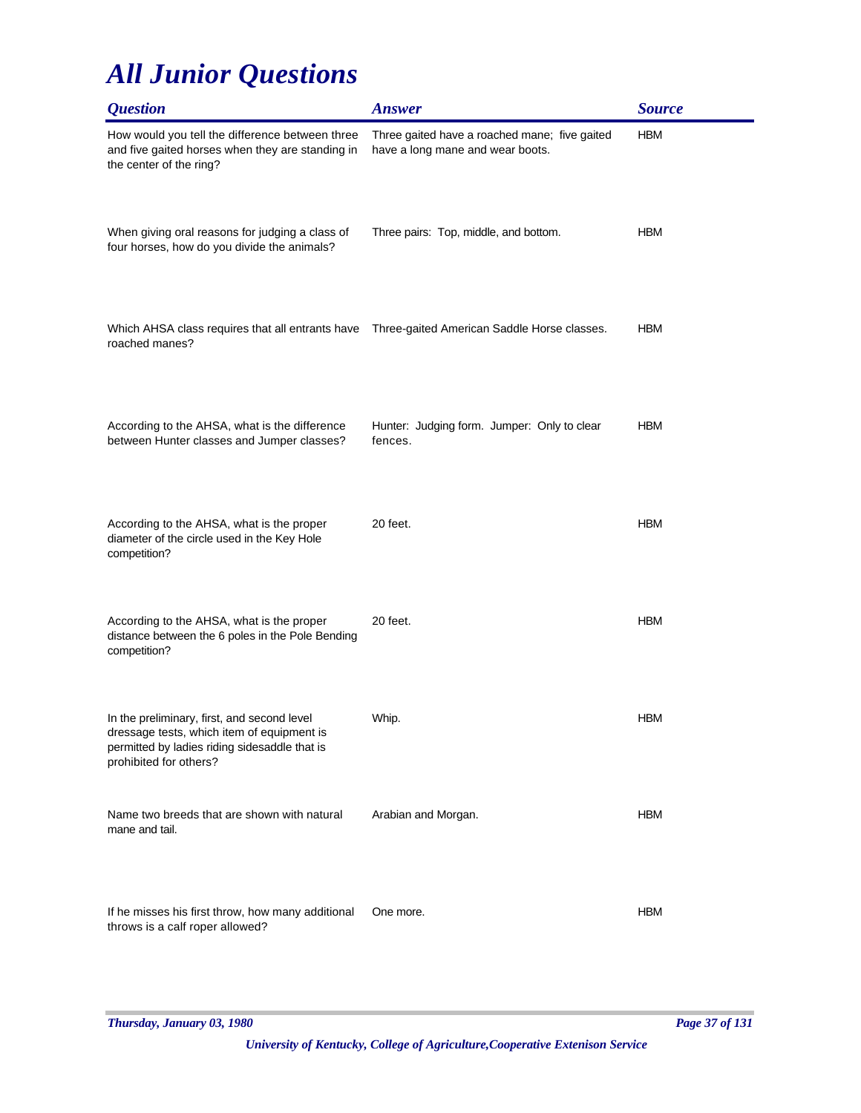| <i><b>Question</b></i>                                                                                                                                               | <b>Answer</b>                                                                     | <b>Source</b> |
|----------------------------------------------------------------------------------------------------------------------------------------------------------------------|-----------------------------------------------------------------------------------|---------------|
| How would you tell the difference between three<br>and five gaited horses when they are standing in<br>the center of the ring?                                       | Three gaited have a roached mane; five gaited<br>have a long mane and wear boots. | <b>HBM</b>    |
| When giving oral reasons for judging a class of<br>four horses, how do you divide the animals?                                                                       | Three pairs: Top, middle, and bottom.                                             | <b>HBM</b>    |
| Which AHSA class requires that all entrants have<br>roached manes?                                                                                                   | Three-gaited American Saddle Horse classes.                                       | <b>HBM</b>    |
| According to the AHSA, what is the difference<br>between Hunter classes and Jumper classes?                                                                          | Hunter: Judging form. Jumper: Only to clear<br>fences.                            | <b>HBM</b>    |
| According to the AHSA, what is the proper<br>diameter of the circle used in the Key Hole<br>competition?                                                             | 20 feet.                                                                          | <b>HBM</b>    |
| According to the AHSA, what is the proper<br>distance between the 6 poles in the Pole Bending<br>competition?                                                        | 20 feet.                                                                          | <b>HBM</b>    |
| In the preliminary, first, and second level<br>dressage tests, which item of equipment is<br>permitted by ladies riding sidesaddle that is<br>prohibited for others? | Whip.                                                                             | <b>HBM</b>    |
| Name two breeds that are shown with natural<br>mane and tail.                                                                                                        | Arabian and Morgan.                                                               | <b>HBM</b>    |
| If he misses his first throw, how many additional<br>throws is a calf roper allowed?                                                                                 | One more.                                                                         | <b>HBM</b>    |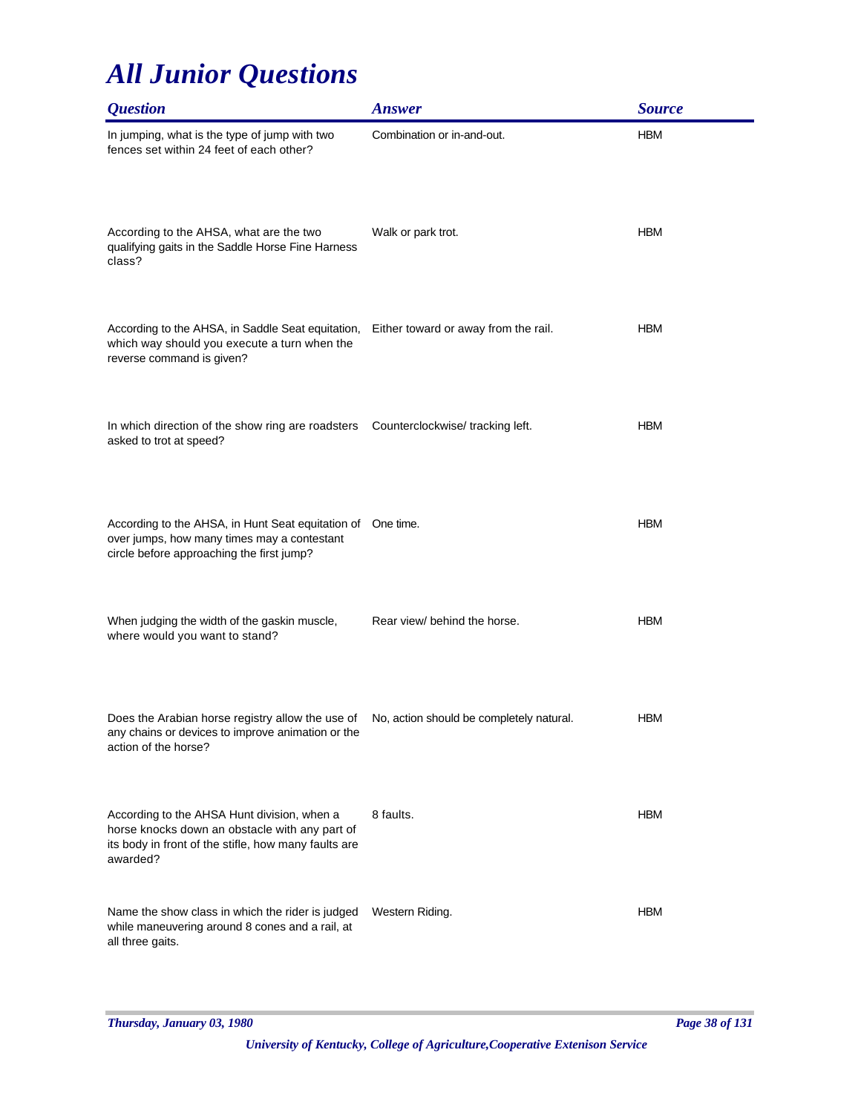| <i><b>Question</b></i>                                                                                                                                              | <b>Answer</b>                            | <b>Source</b> |
|---------------------------------------------------------------------------------------------------------------------------------------------------------------------|------------------------------------------|---------------|
| In jumping, what is the type of jump with two<br>fences set within 24 feet of each other?                                                                           | Combination or in-and-out.               | <b>HBM</b>    |
| According to the AHSA, what are the two<br>qualifying gaits in the Saddle Horse Fine Harness<br>class?                                                              | Walk or park trot.                       | <b>HBM</b>    |
| According to the AHSA, in Saddle Seat equitation, Either toward or away from the rail.<br>which way should you execute a turn when the<br>reverse command is given? |                                          | <b>HBM</b>    |
| In which direction of the show ring are roadsters<br>asked to trot at speed?                                                                                        | Counterclockwise/tracking left.          | <b>HBM</b>    |
| According to the AHSA, in Hunt Seat equitation of One time.<br>over jumps, how many times may a contestant<br>circle before approaching the first jump?             |                                          | <b>HBM</b>    |
| When judging the width of the gaskin muscle,<br>where would you want to stand?                                                                                      | Rear view/ behind the horse.             | <b>HBM</b>    |
| Does the Arabian horse registry allow the use of<br>any chains or devices to improve animation or the<br>action of the horse?                                       | No, action should be completely natural. | <b>HBM</b>    |
| According to the AHSA Hunt division, when a<br>horse knocks down an obstacle with any part of<br>its body in front of the stifle, how many faults are<br>awarded?   | 8 faults.                                | <b>HBM</b>    |
| Name the show class in which the rider is judged<br>while maneuvering around 8 cones and a rail, at<br>all three gaits.                                             | Western Riding.                          | <b>HBM</b>    |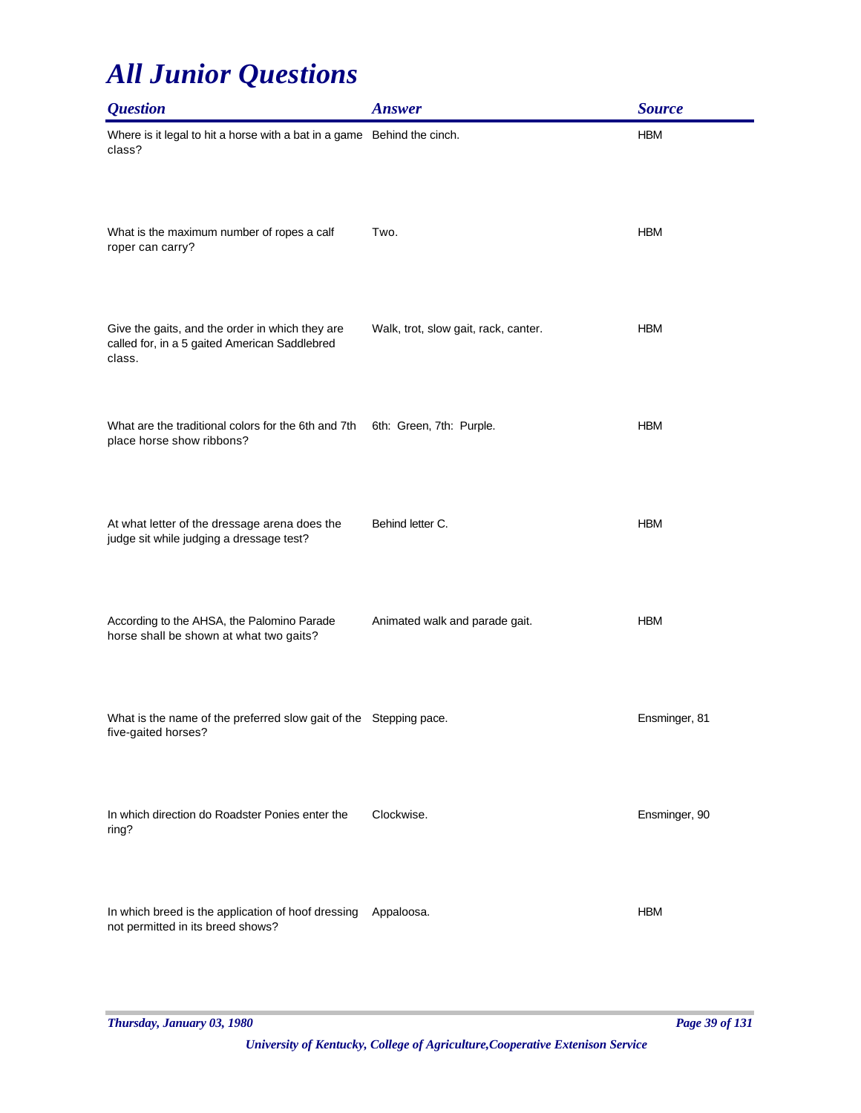| <i><b>Question</b></i>                                                                                     | <b>Answer</b>                        | <b>Source</b> |
|------------------------------------------------------------------------------------------------------------|--------------------------------------|---------------|
| Where is it legal to hit a horse with a bat in a game Behind the cinch.<br>class?                          |                                      | <b>HBM</b>    |
| What is the maximum number of ropes a calf<br>roper can carry?                                             | Two.                                 | <b>HBM</b>    |
| Give the gaits, and the order in which they are<br>called for, in a 5 gaited American Saddlebred<br>class. | Walk, trot, slow gait, rack, canter. | <b>HBM</b>    |
| What are the traditional colors for the 6th and 7th<br>place horse show ribbons?                           | 6th: Green, 7th: Purple.             | <b>HBM</b>    |
| At what letter of the dressage arena does the<br>judge sit while judging a dressage test?                  | Behind letter C.                     | <b>HBM</b>    |
| According to the AHSA, the Palomino Parade<br>horse shall be shown at what two gaits?                      | Animated walk and parade gait.       | <b>HBM</b>    |
| What is the name of the preferred slow gait of the Stepping pace.<br>five-gaited horses?                   |                                      | Ensminger, 81 |
| In which direction do Roadster Ponies enter the<br>ring?                                                   | Clockwise.                           | Ensminger, 90 |
| In which breed is the application of hoof dressing<br>not permitted in its breed shows?                    | Appaloosa.                           | <b>HBM</b>    |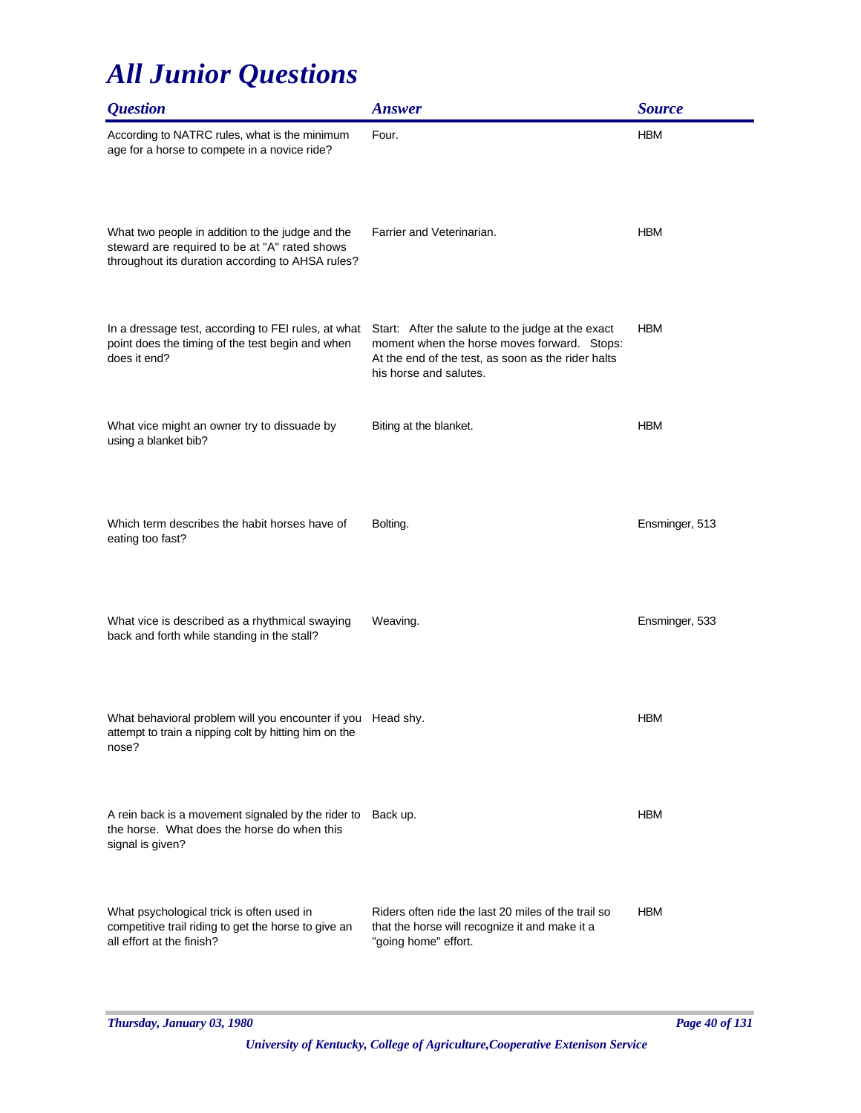| <i><b>Question</b></i>                                                                                                                                | <b>Answer</b>                                                                                                                                                                    | <b>Source</b>  |
|-------------------------------------------------------------------------------------------------------------------------------------------------------|----------------------------------------------------------------------------------------------------------------------------------------------------------------------------------|----------------|
| According to NATRC rules, what is the minimum<br>age for a horse to compete in a novice ride?                                                         | Four.                                                                                                                                                                            | <b>HBM</b>     |
| What two people in addition to the judge and the<br>steward are required to be at "A" rated shows<br>throughout its duration according to AHSA rules? | Farrier and Veterinarian.                                                                                                                                                        | <b>HBM</b>     |
| In a dressage test, according to FEI rules, at what<br>point does the timing of the test begin and when<br>does it end?                               | Start: After the salute to the judge at the exact<br>moment when the horse moves forward. Stops:<br>At the end of the test, as soon as the rider halts<br>his horse and salutes. | <b>HBM</b>     |
| What vice might an owner try to dissuade by<br>using a blanket bib?                                                                                   | Biting at the blanket.                                                                                                                                                           | <b>HBM</b>     |
| Which term describes the habit horses have of<br>eating too fast?                                                                                     | Bolting.                                                                                                                                                                         | Ensminger, 513 |
| What vice is described as a rhythmical swaying<br>back and forth while standing in the stall?                                                         | Weaving.                                                                                                                                                                         | Ensminger, 533 |
| What behavioral problem will you encounter if you Head shy.<br>attempt to train a nipping colt by hitting him on the<br>nose?                         |                                                                                                                                                                                  | <b>HBM</b>     |
| A rein back is a movement signaled by the rider to<br>the horse. What does the horse do when this<br>signal is given?                                 | Back up.                                                                                                                                                                         | <b>HBM</b>     |
| What psychological trick is often used in<br>competitive trail riding to get the horse to give an<br>all effort at the finish?                        | Riders often ride the last 20 miles of the trail so<br>that the horse will recognize it and make it a<br>"going home" effort.                                                    | <b>HBM</b>     |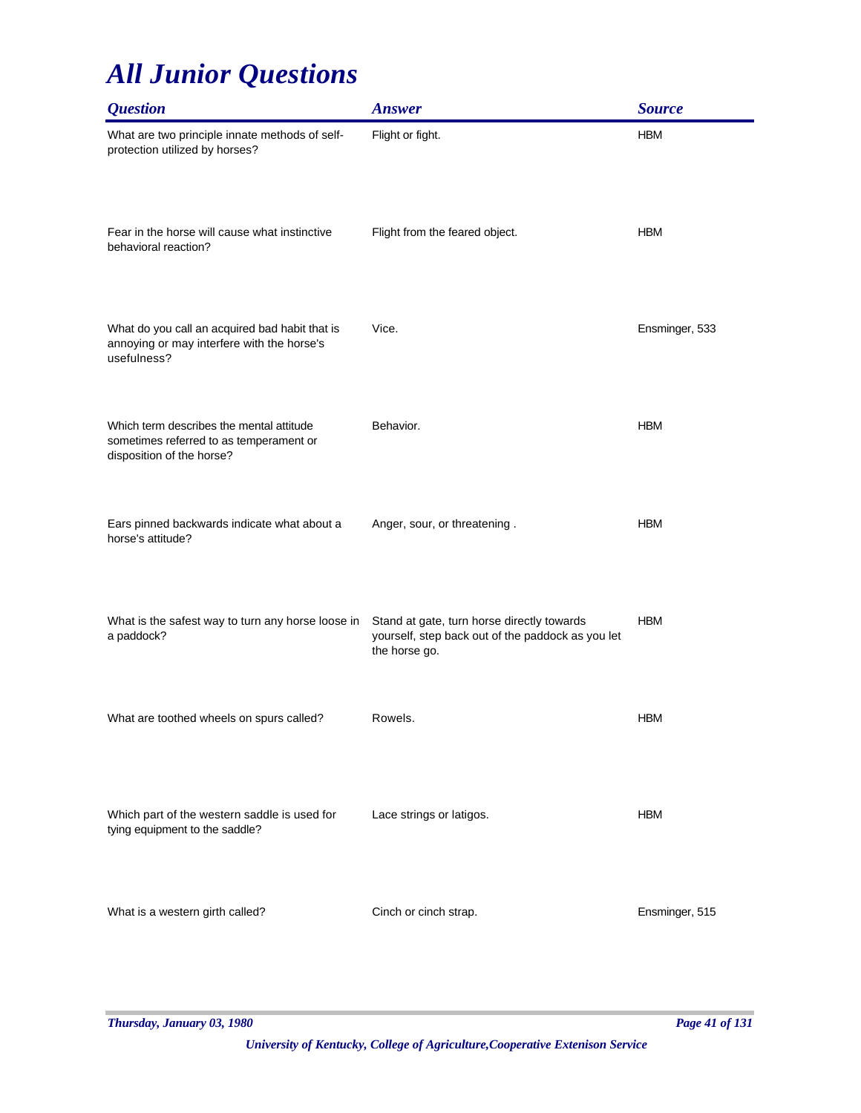| <b>Question</b>                                                                                                  | <b>Answer</b>                                                                                                    | <b>Source</b>  |
|------------------------------------------------------------------------------------------------------------------|------------------------------------------------------------------------------------------------------------------|----------------|
| What are two principle innate methods of self-<br>protection utilized by horses?                                 | Flight or fight.                                                                                                 | <b>HBM</b>     |
| Fear in the horse will cause what instinctive<br>behavioral reaction?                                            | Flight from the feared object.                                                                                   | <b>HBM</b>     |
| What do you call an acquired bad habit that is<br>annoying or may interfere with the horse's<br>usefulness?      | Vice.                                                                                                            | Ensminger, 533 |
| Which term describes the mental attitude<br>sometimes referred to as temperament or<br>disposition of the horse? | Behavior.                                                                                                        | <b>HBM</b>     |
| Ears pinned backwards indicate what about a<br>horse's attitude?                                                 | Anger, sour, or threatening.                                                                                     | <b>HBM</b>     |
| What is the safest way to turn any horse loose in<br>a paddock?                                                  | Stand at gate, turn horse directly towards<br>yourself, step back out of the paddock as you let<br>the horse go. | <b>HBM</b>     |
| What are toothed wheels on spurs called?                                                                         | Rowels.                                                                                                          | <b>HBM</b>     |
| Which part of the western saddle is used for<br>tying equipment to the saddle?                                   | Lace strings or latigos.                                                                                         | <b>HBM</b>     |
| What is a western girth called?                                                                                  | Cinch or cinch strap.                                                                                            | Ensminger, 515 |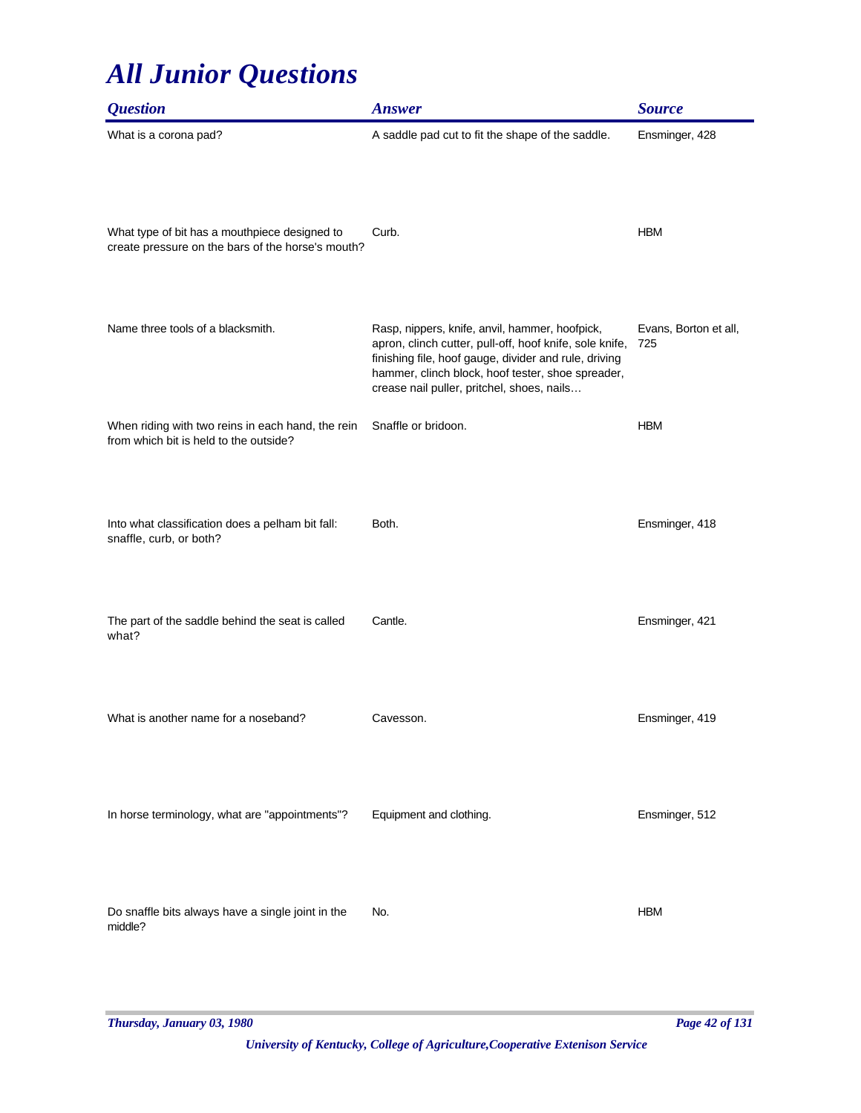| <i><b>Question</b></i>                                                                             | <b>Answer</b>                                                                                                                                                                                                                                                         | <b>Source</b>                |
|----------------------------------------------------------------------------------------------------|-----------------------------------------------------------------------------------------------------------------------------------------------------------------------------------------------------------------------------------------------------------------------|------------------------------|
| What is a corona pad?                                                                              | A saddle pad cut to fit the shape of the saddle.                                                                                                                                                                                                                      | Ensminger, 428               |
| What type of bit has a mouthpiece designed to<br>create pressure on the bars of the horse's mouth? | Curb.                                                                                                                                                                                                                                                                 | <b>HBM</b>                   |
| Name three tools of a blacksmith.                                                                  | Rasp, nippers, knife, anvil, hammer, hoofpick,<br>apron, clinch cutter, pull-off, hoof knife, sole knife,<br>finishing file, hoof gauge, divider and rule, driving<br>hammer, clinch block, hoof tester, shoe spreader,<br>crease nail puller, pritchel, shoes, nails | Evans, Borton et all,<br>725 |
| When riding with two reins in each hand, the rein<br>from which bit is held to the outside?        | Snaffle or bridoon.                                                                                                                                                                                                                                                   | <b>HBM</b>                   |
| Into what classification does a pelham bit fall:<br>snaffle, curb, or both?                        | Both.                                                                                                                                                                                                                                                                 | Ensminger, 418               |
| The part of the saddle behind the seat is called<br>what?                                          | Cantle.                                                                                                                                                                                                                                                               | Ensminger, 421               |
| What is another name for a noseband?                                                               | Cavesson.                                                                                                                                                                                                                                                             | Ensminger, 419               |
| In horse terminology, what are "appointments"?                                                     | Equipment and clothing.                                                                                                                                                                                                                                               | Ensminger, 512               |
| Do snaffle bits always have a single joint in the<br>middle?                                       | No.                                                                                                                                                                                                                                                                   | <b>HBM</b>                   |

*Thursday, January 03, 1980 Page 42 of 131*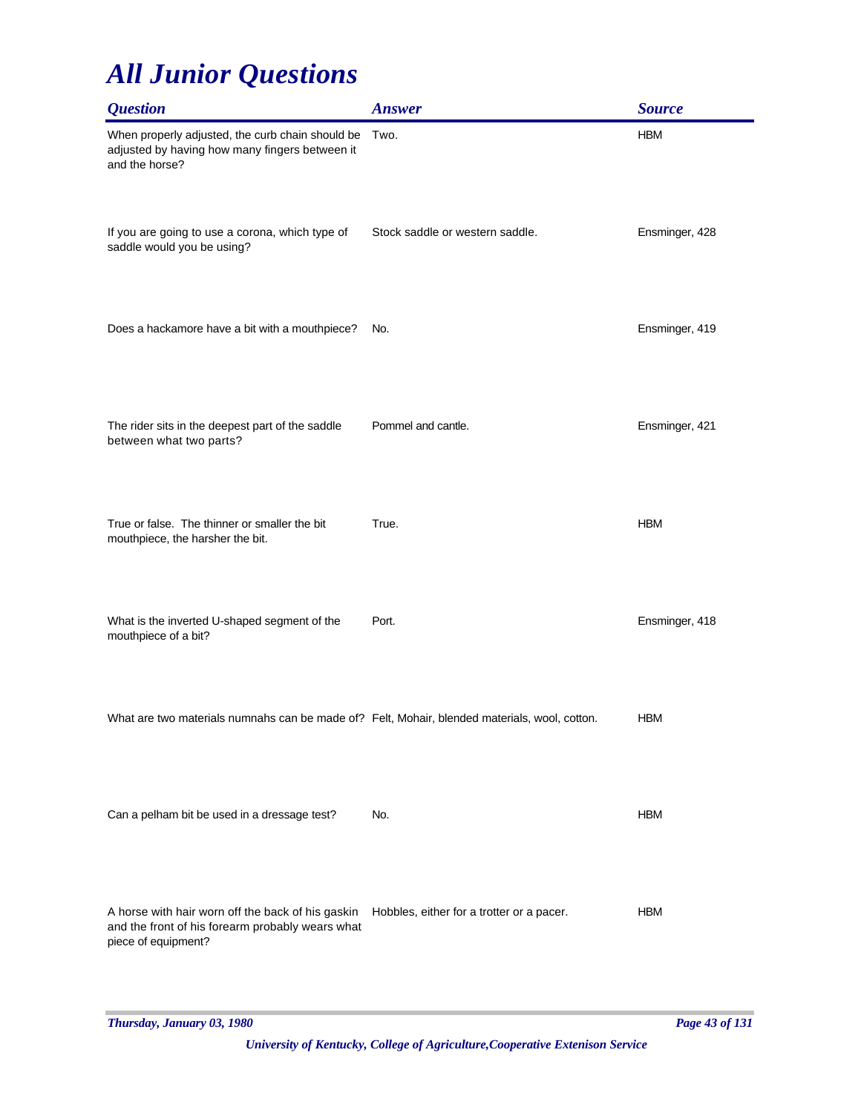| <b>Question</b>                                                                                                              | <b>Answer</b>                             | <b>Source</b>  |
|------------------------------------------------------------------------------------------------------------------------------|-------------------------------------------|----------------|
| When properly adjusted, the curb chain should be<br>adjusted by having how many fingers between it<br>and the horse?         | Two.                                      | <b>HBM</b>     |
| If you are going to use a corona, which type of<br>saddle would you be using?                                                | Stock saddle or western saddle.           | Ensminger, 428 |
| Does a hackamore have a bit with a mouthpiece?                                                                               | No.                                       | Ensminger, 419 |
| The rider sits in the deepest part of the saddle<br>between what two parts?                                                  | Pommel and cantle.                        | Ensminger, 421 |
| True or false. The thinner or smaller the bit<br>mouthpiece, the harsher the bit.                                            | True.                                     | <b>HBM</b>     |
| What is the inverted U-shaped segment of the<br>mouthpiece of a bit?                                                         | Port.                                     | Ensminger, 418 |
| What are two materials numnahs can be made of? Felt, Mohair, blended materials, wool, cotton.                                |                                           | <b>HBM</b>     |
| Can a pelham bit be used in a dressage test?                                                                                 | No.                                       | <b>HBM</b>     |
| A horse with hair worn off the back of his gaskin<br>and the front of his forearm probably wears what<br>piece of equipment? | Hobbles, either for a trotter or a pacer. | <b>HBM</b>     |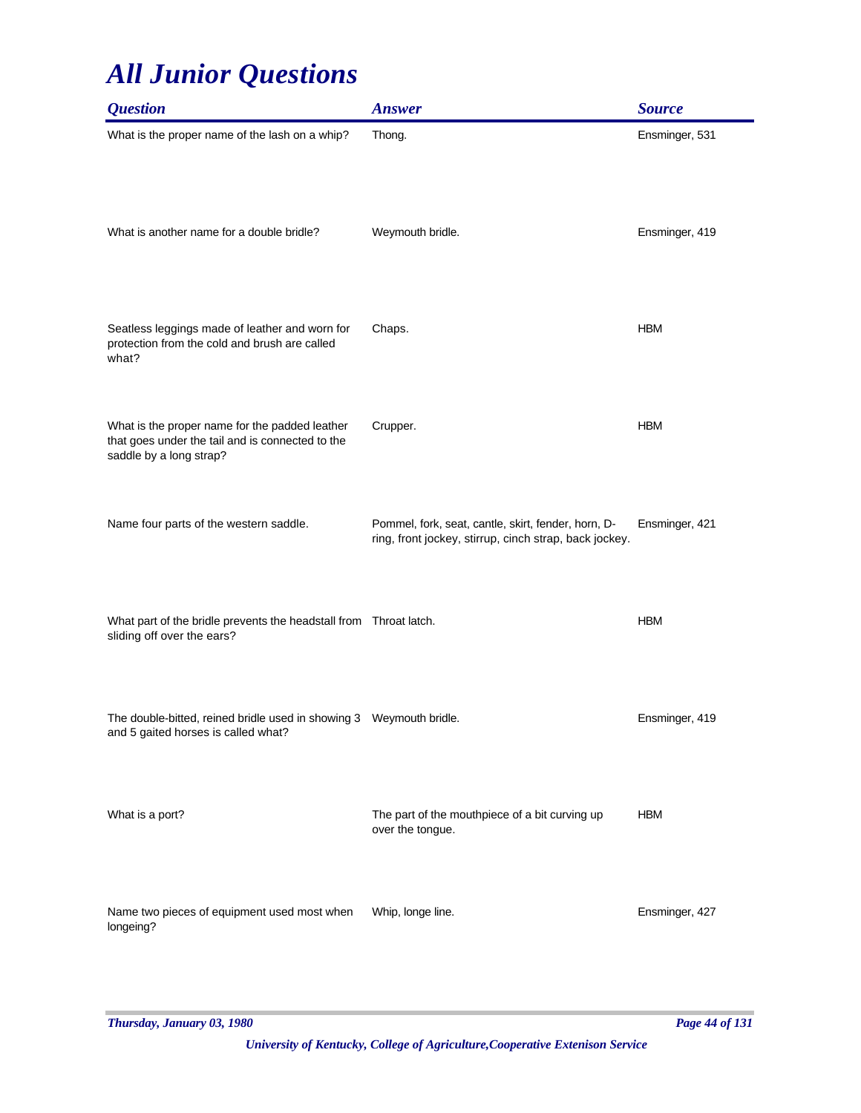| <b>Question</b>                                                                                                               | <b>Answer</b>                                                                                                 | <b>Source</b>  |
|-------------------------------------------------------------------------------------------------------------------------------|---------------------------------------------------------------------------------------------------------------|----------------|
| What is the proper name of the lash on a whip?                                                                                | Thong.                                                                                                        | Ensminger, 531 |
| What is another name for a double bridle?                                                                                     | Weymouth bridle.                                                                                              | Ensminger, 419 |
| Seatless leggings made of leather and worn for<br>protection from the cold and brush are called<br>what?                      | Chaps.                                                                                                        | <b>HBM</b>     |
| What is the proper name for the padded leather<br>that goes under the tail and is connected to the<br>saddle by a long strap? | Crupper.                                                                                                      | <b>HBM</b>     |
| Name four parts of the western saddle.                                                                                        | Pommel, fork, seat, cantle, skirt, fender, horn, D-<br>ring, front jockey, stirrup, cinch strap, back jockey. | Ensminger, 421 |
| What part of the bridle prevents the headstall from Throat latch.<br>sliding off over the ears?                               |                                                                                                               | <b>HBM</b>     |
| The double-bitted, reined bridle used in showing 3  Weymouth bridle.<br>and 5 gaited horses is called what?                   |                                                                                                               | Ensminger, 419 |
| What is a port?                                                                                                               | The part of the mouthpiece of a bit curving up<br>over the tongue.                                            | <b>HBM</b>     |
| Name two pieces of equipment used most when<br>longeing?                                                                      | Whip, longe line.                                                                                             | Ensminger, 427 |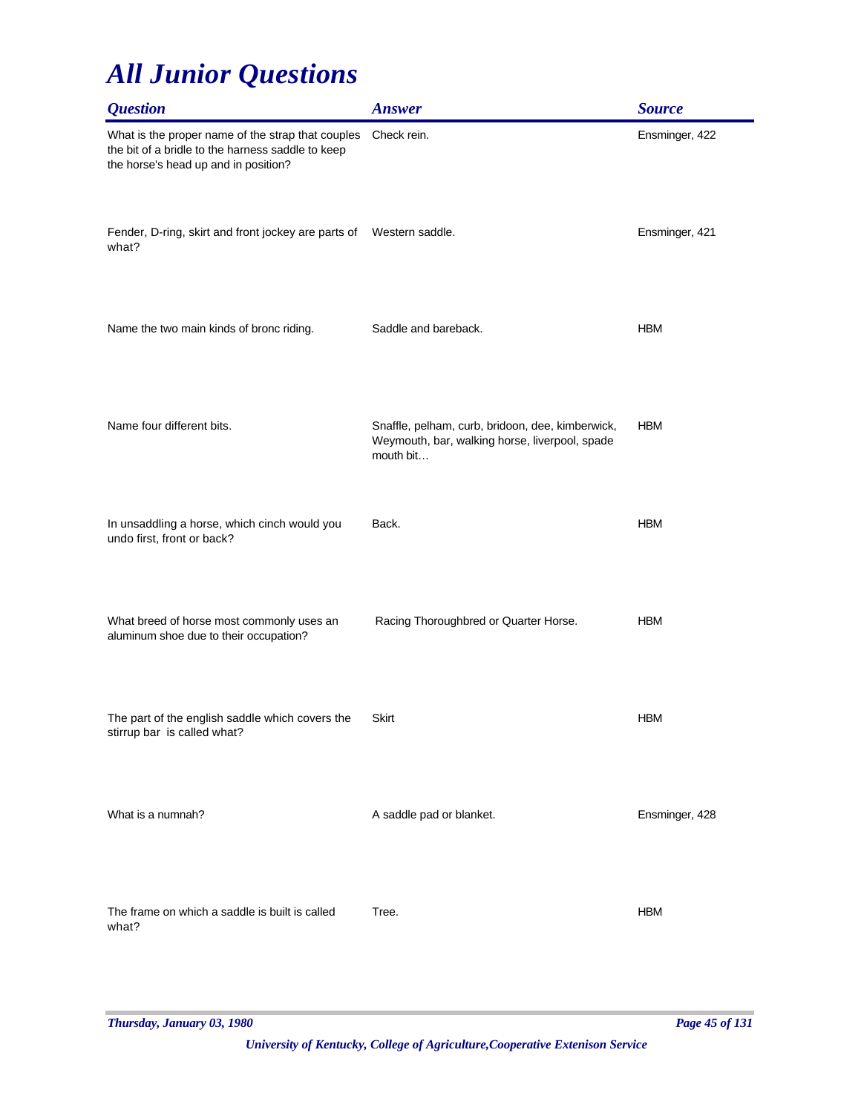| <b>Question</b>                                                                                                                                | <b>Answer</b>                                                                                                   | <b>Source</b>  |
|------------------------------------------------------------------------------------------------------------------------------------------------|-----------------------------------------------------------------------------------------------------------------|----------------|
| What is the proper name of the strap that couples<br>the bit of a bridle to the harness saddle to keep<br>the horse's head up and in position? | Check rein.                                                                                                     | Ensminger, 422 |
| Fender, D-ring, skirt and front jockey are parts of Western saddle.<br>what?                                                                   |                                                                                                                 | Ensminger, 421 |
| Name the two main kinds of bronc riding.                                                                                                       | Saddle and bareback.                                                                                            | <b>HBM</b>     |
| Name four different bits.                                                                                                                      | Snaffle, pelham, curb, bridoon, dee, kimberwick,<br>Weymouth, bar, walking horse, liverpool, spade<br>mouth bit | <b>HBM</b>     |
| In unsaddling a horse, which cinch would you<br>undo first, front or back?                                                                     | Back.                                                                                                           | <b>HBM</b>     |
| What breed of horse most commonly uses an<br>aluminum shoe due to their occupation?                                                            | Racing Thoroughbred or Quarter Horse.                                                                           | <b>HBM</b>     |
| The part of the english saddle which covers the<br>stirrup bar is called what?                                                                 | Skirt                                                                                                           | <b>HBM</b>     |
| What is a numnah?                                                                                                                              | A saddle pad or blanket.                                                                                        | Ensminger, 428 |
| The frame on which a saddle is built is called<br>what?                                                                                        | Tree.                                                                                                           | <b>HBM</b>     |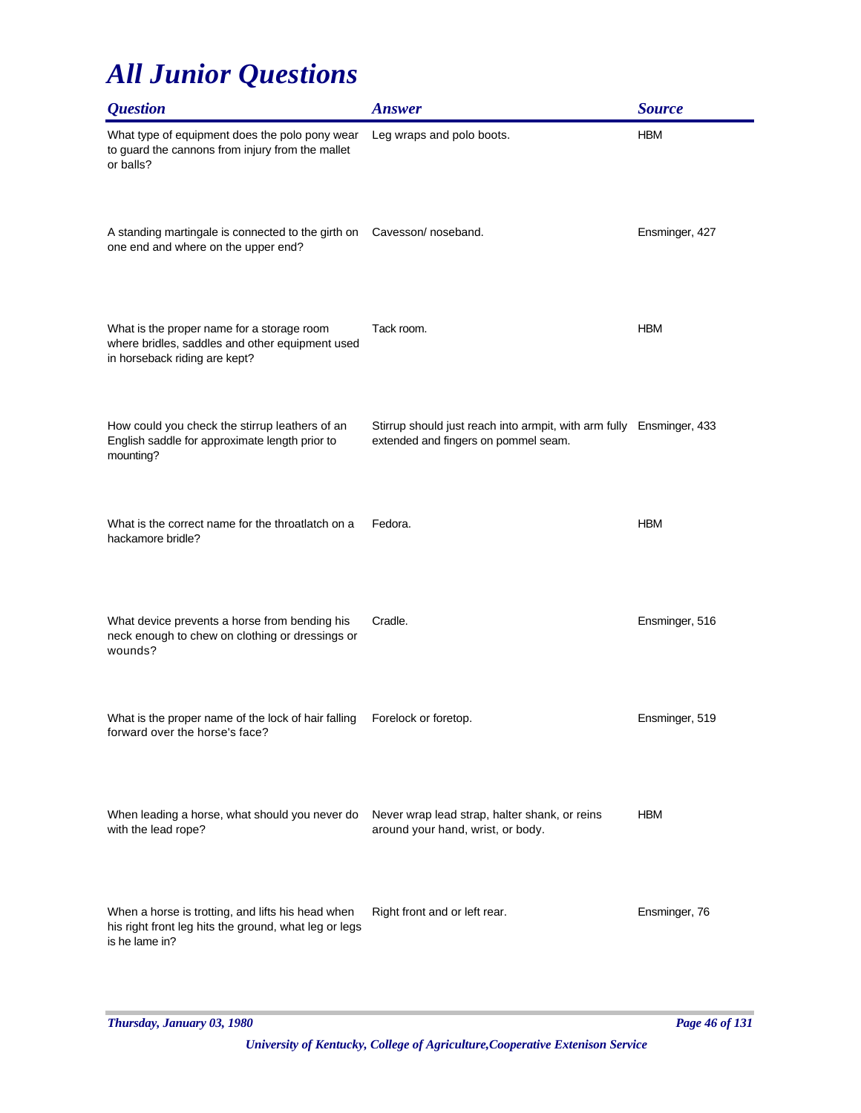| <i><b>Question</b></i>                                                                                                         | <b>Answer</b>                                                                                                | <b>Source</b>  |
|--------------------------------------------------------------------------------------------------------------------------------|--------------------------------------------------------------------------------------------------------------|----------------|
| What type of equipment does the polo pony wear<br>to guard the cannons from injury from the mallet<br>or balls?                | Leg wraps and polo boots.                                                                                    | <b>HBM</b>     |
| A standing martingale is connected to the girth on Cavesson/noseband.<br>one end and where on the upper end?                   |                                                                                                              | Ensminger, 427 |
| What is the proper name for a storage room<br>where bridles, saddles and other equipment used<br>in horseback riding are kept? | Tack room.                                                                                                   | <b>HBM</b>     |
| How could you check the stirrup leathers of an<br>English saddle for approximate length prior to<br>mounting?                  | Stirrup should just reach into armpit, with arm fully Ensminger, 433<br>extended and fingers on pommel seam. |                |
| What is the correct name for the throatlatch on a<br>hackamore bridle?                                                         | Fedora.                                                                                                      | <b>HBM</b>     |
| What device prevents a horse from bending his<br>neck enough to chew on clothing or dressings or<br>wounds?                    | Cradle.                                                                                                      | Ensminger, 516 |
| What is the proper name of the lock of hair falling<br>forward over the horse's face?                                          | Forelock or foretop.                                                                                         | Ensminger, 519 |
| When leading a horse, what should you never do<br>with the lead rope?                                                          | Never wrap lead strap, halter shank, or reins<br>around your hand, wrist, or body.                           | <b>HBM</b>     |
| When a horse is trotting, and lifts his head when<br>his right front leg hits the ground, what leg or legs<br>is he lame in?   | Right front and or left rear.                                                                                | Ensminger, 76  |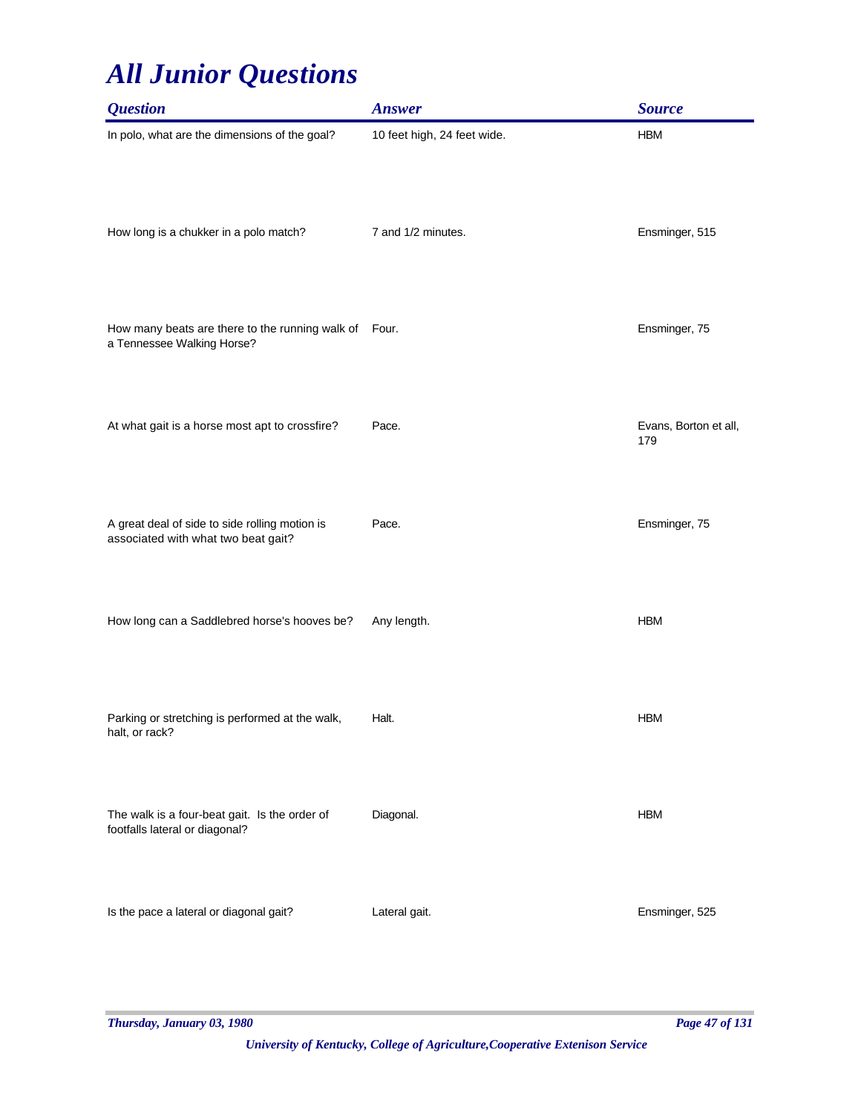| <b>Question</b>                                                                       | <b>Answer</b>               | <b>Source</b>                |
|---------------------------------------------------------------------------------------|-----------------------------|------------------------------|
| In polo, what are the dimensions of the goal?                                         | 10 feet high, 24 feet wide. | <b>HBM</b>                   |
| How long is a chukker in a polo match?                                                | 7 and 1/2 minutes.          | Ensminger, 515               |
| How many beats are there to the running walk of Four.<br>a Tennessee Walking Horse?   |                             | Ensminger, 75                |
| At what gait is a horse most apt to crossfire?                                        | Pace.                       | Evans, Borton et all,<br>179 |
| A great deal of side to side rolling motion is<br>associated with what two beat gait? | Pace.                       | Ensminger, 75                |
| How long can a Saddlebred horse's hooves be?                                          | Any length.                 | <b>HBM</b>                   |
| Parking or stretching is performed at the walk,<br>halt, or rack?                     | Halt.                       | <b>HBM</b>                   |
| The walk is a four-beat gait. Is the order of<br>footfalls lateral or diagonal?       | Diagonal.                   | <b>HBM</b>                   |
| Is the pace a lateral or diagonal gait?                                               | Lateral gait.               | Ensminger, 525               |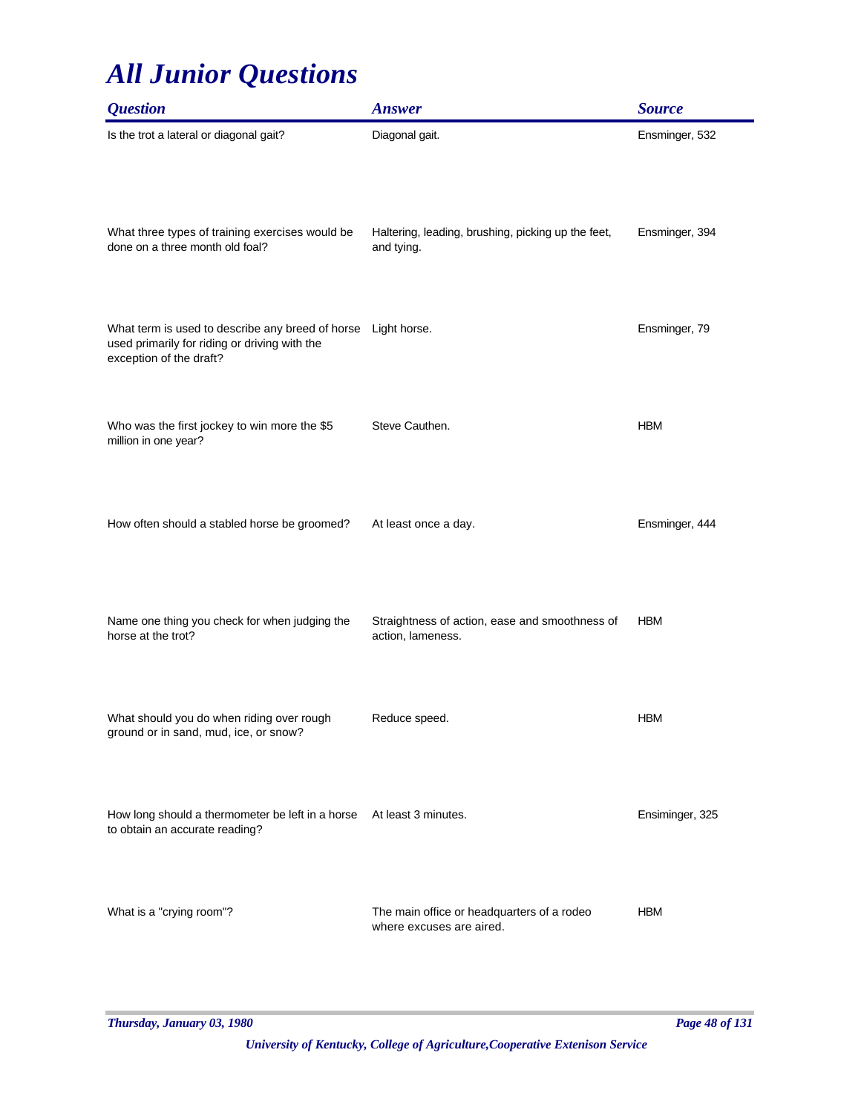| <i><b>Question</b></i>                                                                                                                    | <b>Answer</b>                                                          | <b>Source</b>   |
|-------------------------------------------------------------------------------------------------------------------------------------------|------------------------------------------------------------------------|-----------------|
| Is the trot a lateral or diagonal gait?                                                                                                   | Diagonal gait.                                                         | Ensminger, 532  |
| What three types of training exercises would be<br>done on a three month old foal?                                                        | Haltering, leading, brushing, picking up the feet,<br>and tying.       | Ensminger, 394  |
| What term is used to describe any breed of horse Light horse.<br>used primarily for riding or driving with the<br>exception of the draft? |                                                                        | Ensminger, 79   |
| Who was the first jockey to win more the \$5<br>million in one year?                                                                      | Steve Cauthen.                                                         | <b>HBM</b>      |
| How often should a stabled horse be groomed?                                                                                              | At least once a day.                                                   | Ensminger, 444  |
| Name one thing you check for when judging the<br>horse at the trot?                                                                       | Straightness of action, ease and smoothness of<br>action, lameness.    | <b>HBM</b>      |
| What should you do when riding over rough<br>ground or in sand, mud, ice, or snow?                                                        | Reduce speed.                                                          | <b>HBM</b>      |
| How long should a thermometer be left in a horse At least 3 minutes.<br>to obtain an accurate reading?                                    |                                                                        | Ensiminger, 325 |
| What is a "crying room"?                                                                                                                  | The main office or headquarters of a rodeo<br>where excuses are aired. | <b>HBM</b>      |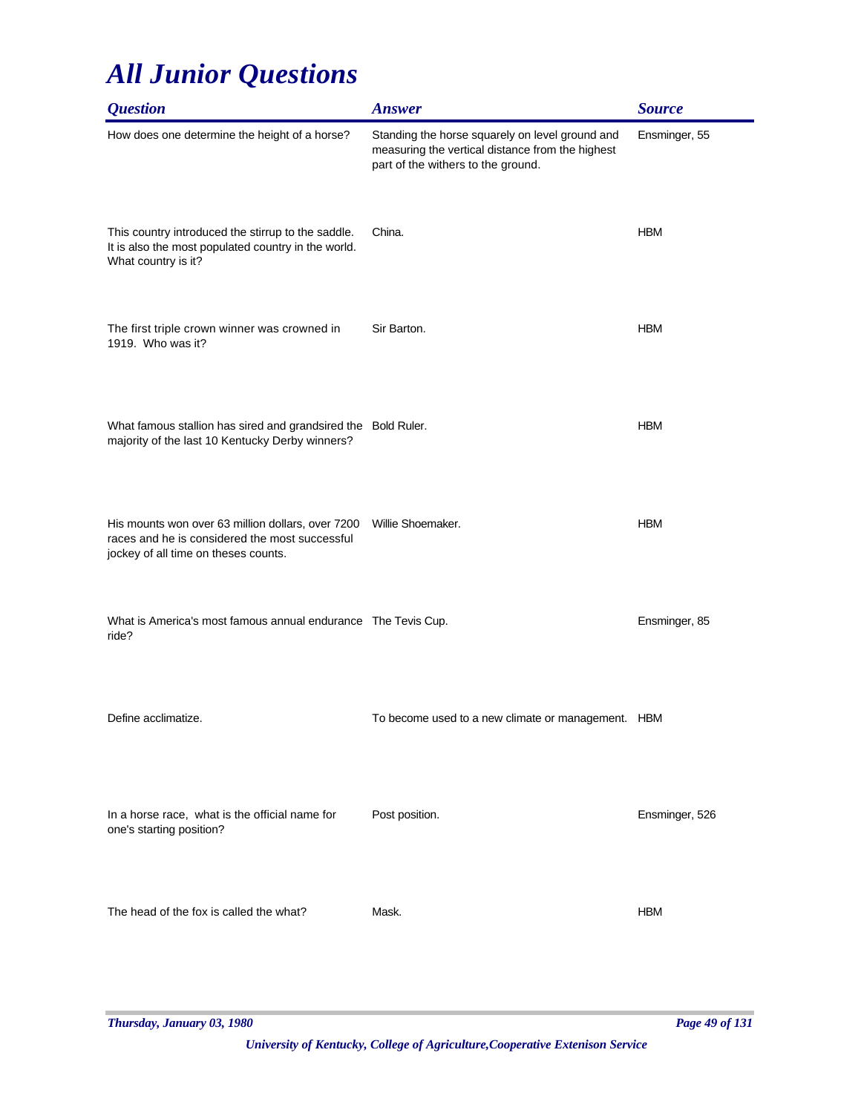| <i><b>Question</b></i>                                                                                                                      | <b>Answer</b>                                                                                                                             | <b>Source</b>  |
|---------------------------------------------------------------------------------------------------------------------------------------------|-------------------------------------------------------------------------------------------------------------------------------------------|----------------|
| How does one determine the height of a horse?                                                                                               | Standing the horse squarely on level ground and<br>measuring the vertical distance from the highest<br>part of the withers to the ground. | Ensminger, 55  |
| This country introduced the stirrup to the saddle.<br>It is also the most populated country in the world.<br>What country is it?            | China.                                                                                                                                    | <b>HBM</b>     |
| The first triple crown winner was crowned in<br>1919. Who was it?                                                                           | Sir Barton.                                                                                                                               | <b>HBM</b>     |
| What famous stallion has sired and grandsired the Bold Ruler.<br>majority of the last 10 Kentucky Derby winners?                            |                                                                                                                                           | <b>HBM</b>     |
| His mounts won over 63 million dollars, over 7200<br>races and he is considered the most successful<br>jockey of all time on theses counts. | Willie Shoemaker.                                                                                                                         | <b>HBM</b>     |
| What is America's most famous annual endurance The Tevis Cup.<br>ride?                                                                      |                                                                                                                                           | Ensminger, 85  |
| Define acclimatize.                                                                                                                         | To become used to a new climate or management. HBM                                                                                        |                |
| In a horse race, what is the official name for<br>one's starting position?                                                                  | Post position.                                                                                                                            | Ensminger, 526 |
| The head of the fox is called the what?                                                                                                     | Mask.                                                                                                                                     | <b>HBM</b>     |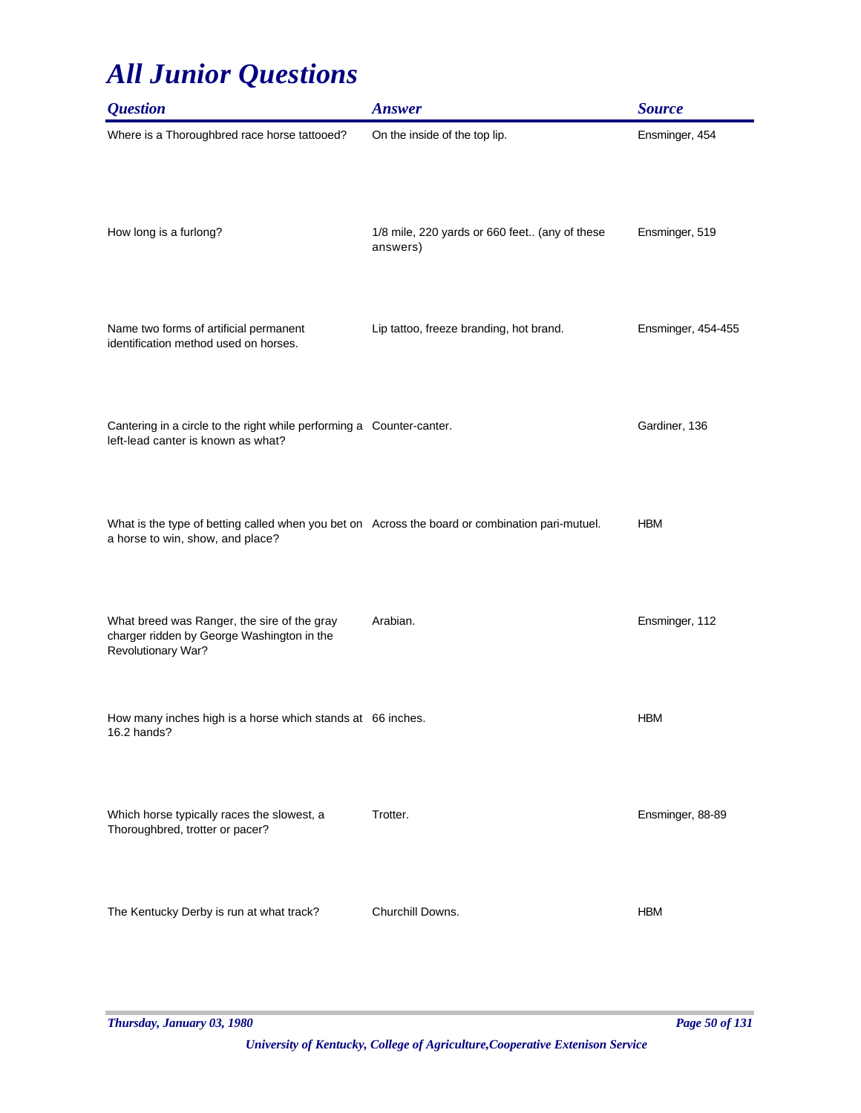| <i><b>Question</b></i>                                                                                                              | <b>Answer</b>                                             | <b>Source</b>      |
|-------------------------------------------------------------------------------------------------------------------------------------|-----------------------------------------------------------|--------------------|
| Where is a Thoroughbred race horse tattooed?                                                                                        | On the inside of the top lip.                             | Ensminger, 454     |
| How long is a furlong?                                                                                                              | 1/8 mile, 220 yards or 660 feet (any of these<br>answers) | Ensminger, 519     |
| Name two forms of artificial permanent<br>identification method used on horses.                                                     | Lip tattoo, freeze branding, hot brand.                   | Ensminger, 454-455 |
| Cantering in a circle to the right while performing a Counter-canter.<br>left-lead canter is known as what?                         |                                                           | Gardiner, 136      |
| What is the type of betting called when you bet on Across the board or combination pari-mutuel.<br>a horse to win, show, and place? |                                                           | <b>HBM</b>         |
| What breed was Ranger, the sire of the gray<br>charger ridden by George Washington in the<br>Revolutionary War?                     | Arabian.                                                  | Ensminger, 112     |
| How many inches high is a horse which stands at 66 inches.<br>16.2 hands?                                                           |                                                           | <b>HBM</b>         |
| Which horse typically races the slowest, a<br>Thoroughbred, trotter or pacer?                                                       | Trotter.                                                  | Ensminger, 88-89   |
| The Kentucky Derby is run at what track?                                                                                            | Churchill Downs.                                          | <b>HBM</b>         |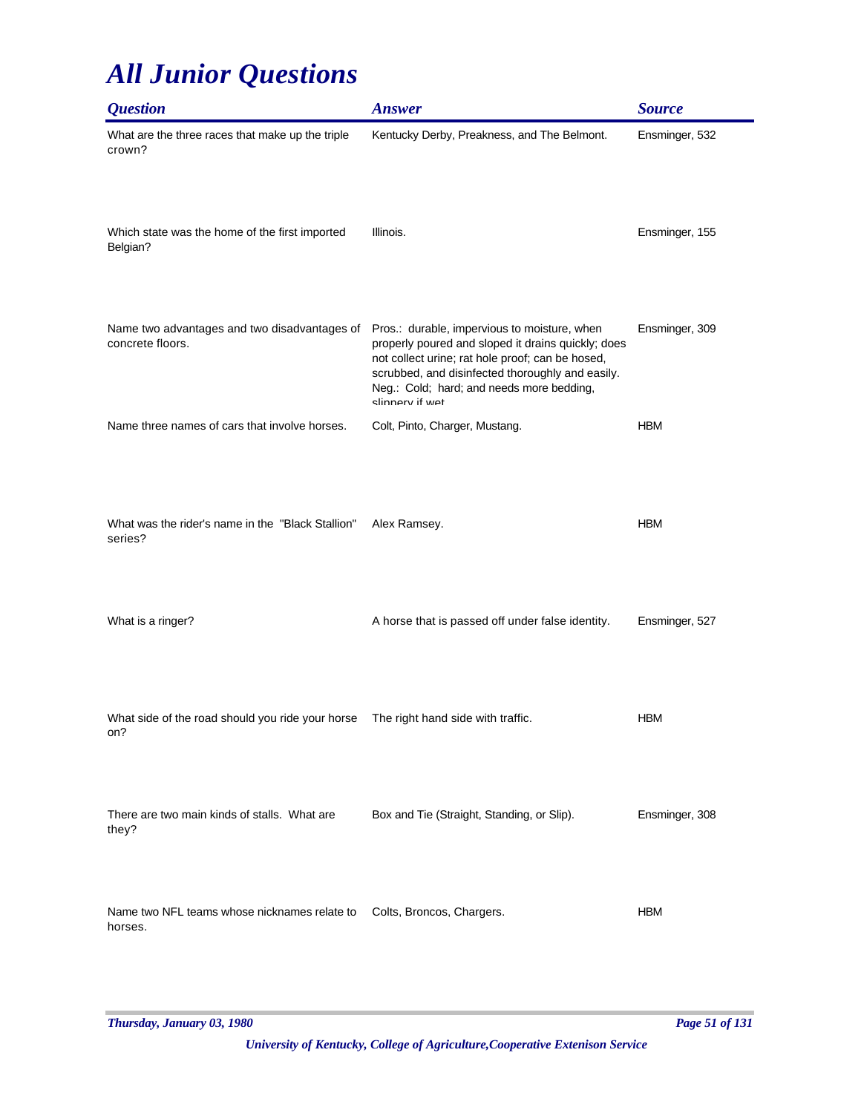| <i><b>Question</b></i>                                           | <b>Answer</b>                                                                                                                                                                                                                                                              | <b>Source</b>  |
|------------------------------------------------------------------|----------------------------------------------------------------------------------------------------------------------------------------------------------------------------------------------------------------------------------------------------------------------------|----------------|
| What are the three races that make up the triple<br>crown?       | Kentucky Derby, Preakness, and The Belmont.                                                                                                                                                                                                                                | Ensminger, 532 |
| Which state was the home of the first imported<br>Belgian?       | Illinois.                                                                                                                                                                                                                                                                  | Ensminger, 155 |
| Name two advantages and two disadvantages of<br>concrete floors. | Pros.: durable, impervious to moisture, when<br>properly poured and sloped it drains quickly; does<br>not collect urine; rat hole proof; can be hosed,<br>scrubbed, and disinfected thoroughly and easily.<br>Neg.: Cold; hard; and needs more bedding,<br>slinnerv if wet | Ensminger, 309 |
| Name three names of cars that involve horses.                    | Colt, Pinto, Charger, Mustang.                                                                                                                                                                                                                                             | <b>HBM</b>     |
| What was the rider's name in the "Black Stallion"<br>series?     | Alex Ramsey.                                                                                                                                                                                                                                                               | <b>HBM</b>     |
| What is a ringer?                                                | A horse that is passed off under false identity.                                                                                                                                                                                                                           | Ensminger, 527 |
| What side of the road should you ride your horse<br>on?          | The right hand side with traffic.                                                                                                                                                                                                                                          | <b>HBM</b>     |
| There are two main kinds of stalls. What are<br>they?            | Box and Tie (Straight, Standing, or Slip).                                                                                                                                                                                                                                 | Ensminger, 308 |
| Name two NFL teams whose nicknames relate to<br>horses.          | Colts, Broncos, Chargers.                                                                                                                                                                                                                                                  | <b>HBM</b>     |

 $\overline{\phantom{0}}$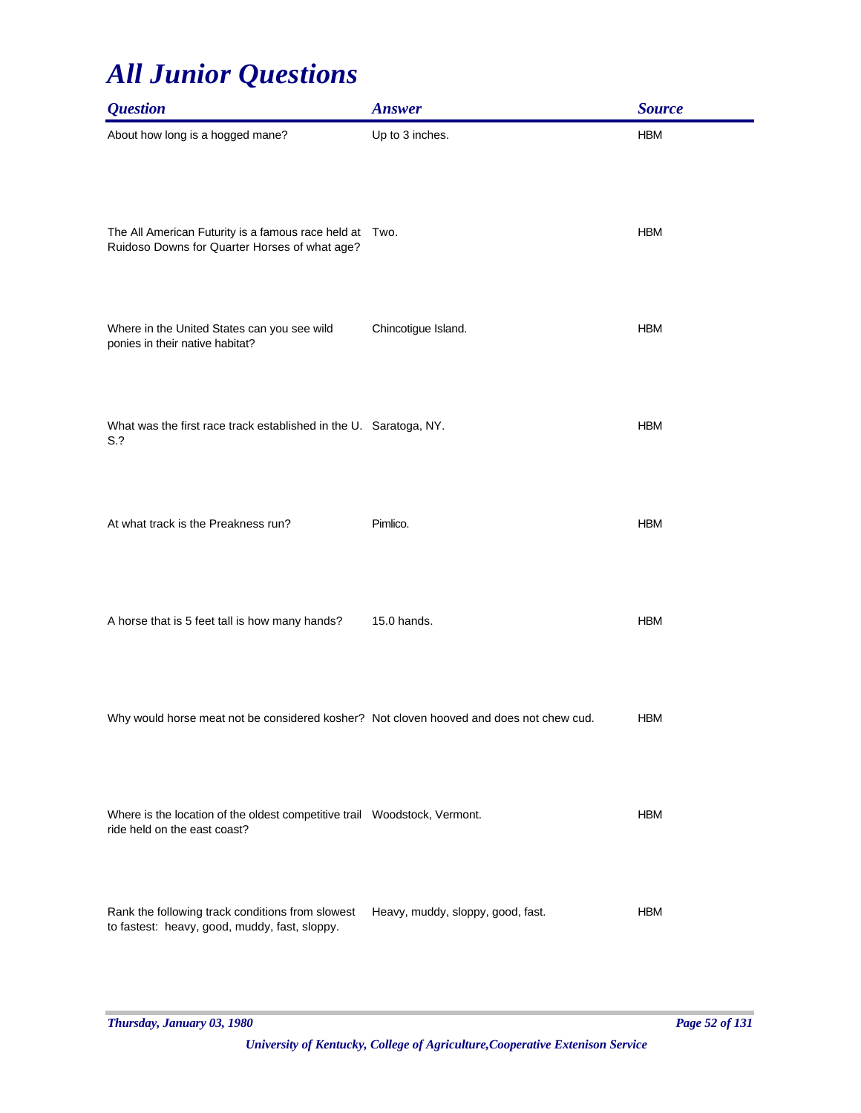| <b>Question</b>                                                                                            | <b>Answer</b>                     | <b>Source</b> |
|------------------------------------------------------------------------------------------------------------|-----------------------------------|---------------|
| About how long is a hogged mane?                                                                           | Up to 3 inches.                   | <b>HBM</b>    |
| The All American Futurity is a famous race held at Two.<br>Ruidoso Downs for Quarter Horses of what age?   |                                   | <b>HBM</b>    |
| Where in the United States can you see wild<br>ponies in their native habitat?                             | Chincotigue Island.               | <b>HBM</b>    |
| What was the first race track established in the U. Saratoga, NY.<br>S.?                                   |                                   | <b>HBM</b>    |
| At what track is the Preakness run?                                                                        | Pimlico.                          | <b>HBM</b>    |
| A horse that is 5 feet tall is how many hands?                                                             | 15.0 hands.                       | <b>HBM</b>    |
| Why would horse meat not be considered kosher? Not cloven hooved and does not chew cud.                    |                                   | <b>HBM</b>    |
| Where is the location of the oldest competitive trail  Woodstock, Vermont.<br>ride held on the east coast? |                                   | <b>HBM</b>    |
| Rank the following track conditions from slowest<br>to fastest: heavy, good, muddy, fast, sloppy.          | Heavy, muddy, sloppy, good, fast. | <b>HBM</b>    |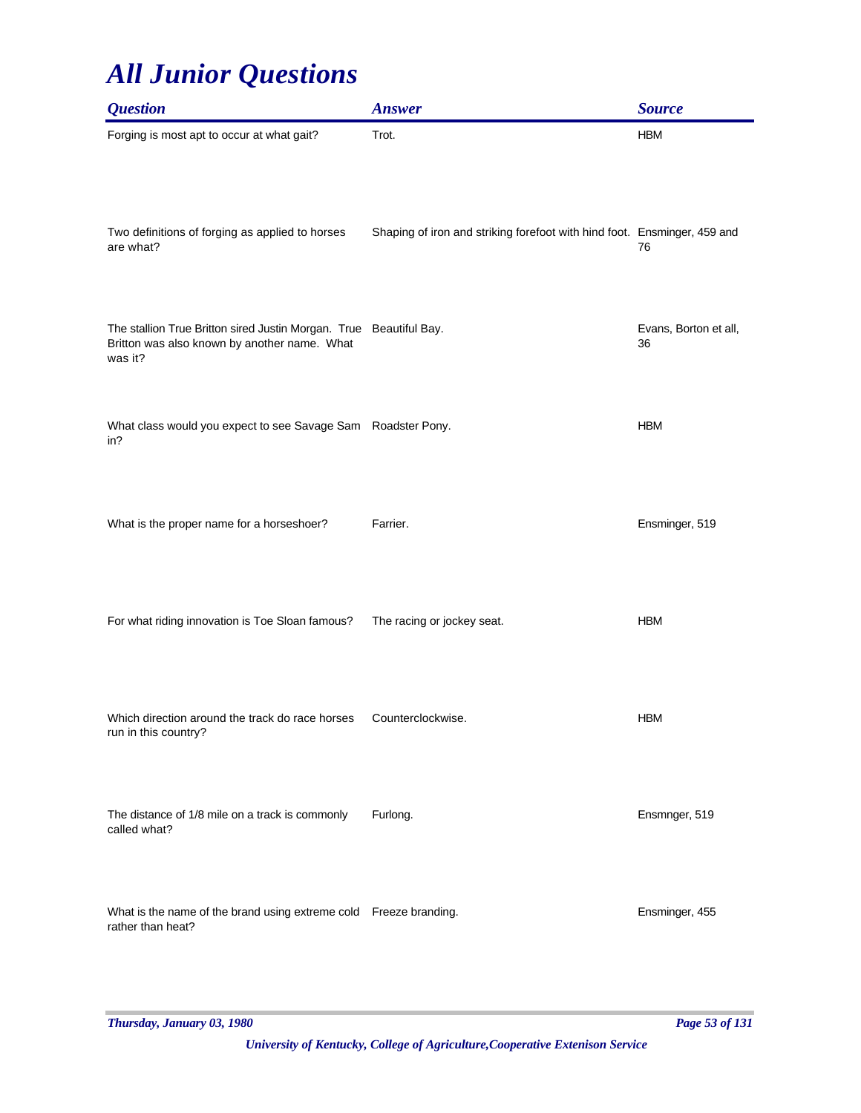| <b>Question</b>                                                                                                               | <b>Answer</b>                                                            | <b>Source</b>               |
|-------------------------------------------------------------------------------------------------------------------------------|--------------------------------------------------------------------------|-----------------------------|
| Forging is most apt to occur at what gait?                                                                                    | Trot.                                                                    | <b>HBM</b>                  |
| Two definitions of forging as applied to horses<br>are what?                                                                  | Shaping of iron and striking forefoot with hind foot. Ensminger, 459 and | 76                          |
| The stallion True Britton sired Justin Morgan. True Beautiful Bay.<br>Britton was also known by another name. What<br>was it? |                                                                          | Evans, Borton et all,<br>36 |
| What class would you expect to see Savage Sam Roadster Pony.<br>in?                                                           |                                                                          | <b>HBM</b>                  |
| What is the proper name for a horseshoer?                                                                                     | Farrier.                                                                 | Ensminger, 519              |
| For what riding innovation is Toe Sloan famous?                                                                               | The racing or jockey seat.                                               | <b>HBM</b>                  |
| Which direction around the track do race horses<br>run in this country?                                                       | Counterclockwise.                                                        | <b>HBM</b>                  |
| The distance of 1/8 mile on a track is commonly<br>called what?                                                               | Furlong.                                                                 | Ensmnger, 519               |
| What is the name of the brand using extreme cold Freeze branding.<br>rather than heat?                                        |                                                                          | Ensminger, 455              |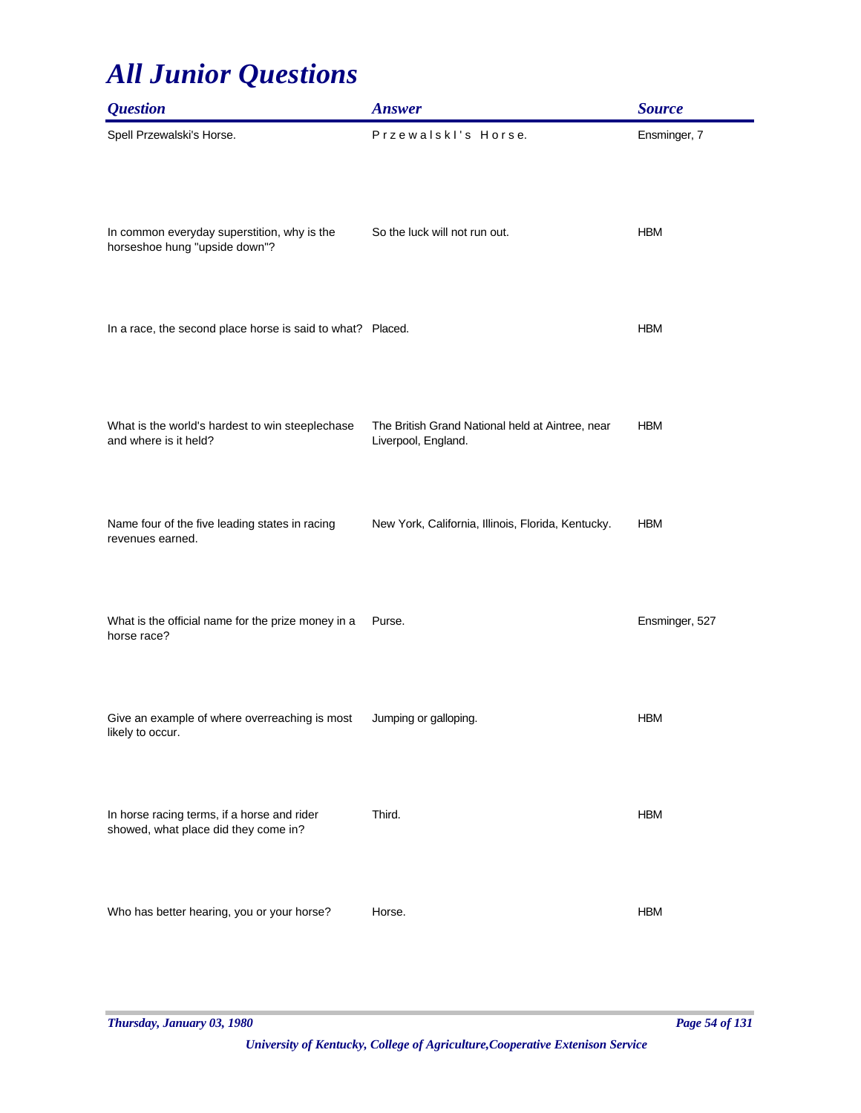| <i><b>Question</b></i>                                                              | <b>Answer</b>                                                           | <b>Source</b>  |
|-------------------------------------------------------------------------------------|-------------------------------------------------------------------------|----------------|
| Spell Przewalski's Horse.                                                           | Przewalskl's Horse.                                                     | Ensminger, 7   |
| In common everyday superstition, why is the<br>horseshoe hung "upside down"?        | So the luck will not run out.                                           | <b>HBM</b>     |
| In a race, the second place horse is said to what? Placed.                          |                                                                         | <b>HBM</b>     |
| What is the world's hardest to win steeplechase<br>and where is it held?            | The British Grand National held at Aintree, near<br>Liverpool, England. | <b>HBM</b>     |
| Name four of the five leading states in racing<br>revenues earned.                  | New York, California, Illinois, Florida, Kentucky.                      | <b>HBM</b>     |
| What is the official name for the prize money in a<br>horse race?                   | Purse.                                                                  | Ensminger, 527 |
| Give an example of where overreaching is most<br>likely to occur.                   | Jumping or galloping.                                                   | <b>HBM</b>     |
| In horse racing terms, if a horse and rider<br>showed, what place did they come in? | Third.                                                                  | <b>HBM</b>     |
| Who has better hearing, you or your horse?                                          | Horse.                                                                  | <b>HBM</b>     |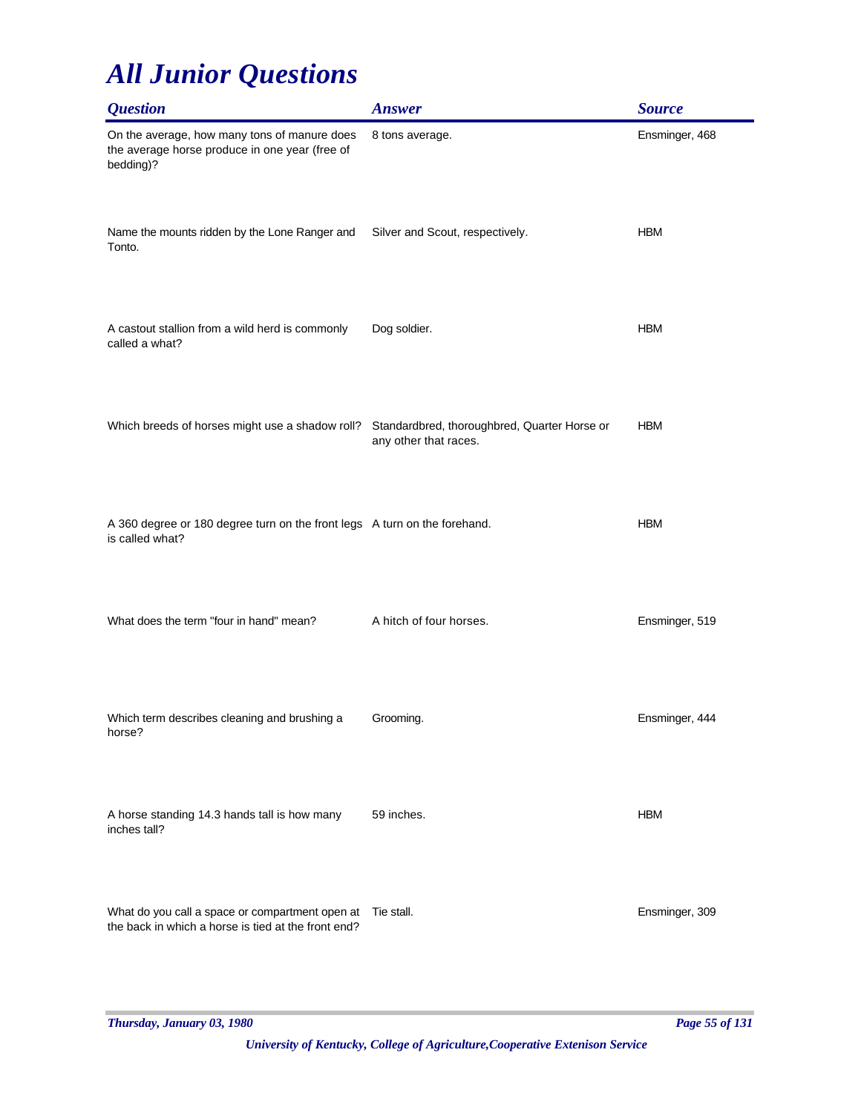| <b>Question</b>                                                                                                   | <b>Answer</b>                   | <b>Source</b>  |
|-------------------------------------------------------------------------------------------------------------------|---------------------------------|----------------|
| On the average, how many tons of manure does<br>the average horse produce in one year (free of<br>bedding)?       | 8 tons average.                 | Ensminger, 468 |
| Name the mounts ridden by the Lone Ranger and<br>Tonto.                                                           | Silver and Scout, respectively. | <b>HBM</b>     |
| A castout stallion from a wild herd is commonly<br>called a what?                                                 | Dog soldier.                    | <b>HBM</b>     |
| Which breeds of horses might use a shadow roll? Standardbred, thoroughbred, Quarter Horse or                      | any other that races.           | <b>HBM</b>     |
| A 360 degree or 180 degree turn on the front legs A turn on the forehand.<br>is called what?                      |                                 | <b>HBM</b>     |
| What does the term "four in hand" mean?                                                                           | A hitch of four horses.         | Ensminger, 519 |
| Which term describes cleaning and brushing a<br>horse?                                                            | Grooming.                       | Ensminger, 444 |
| A horse standing 14.3 hands tall is how many<br>inches tall?                                                      | 59 inches.                      | <b>HBM</b>     |
| What do you call a space or compartment open at Tie stall.<br>the back in which a horse is tied at the front end? |                                 | Ensminger, 309 |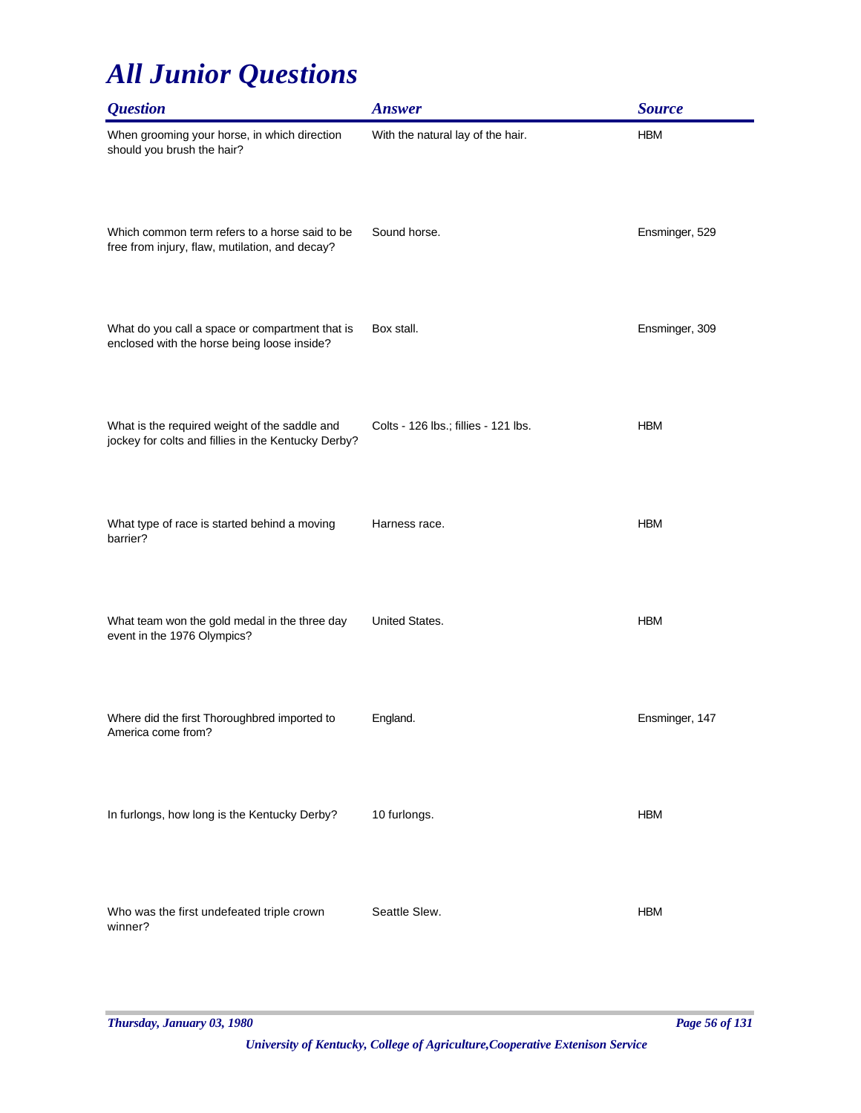| <b>Question</b>                                                                                      | <b>Answer</b>                        | <b>Source</b>  |
|------------------------------------------------------------------------------------------------------|--------------------------------------|----------------|
| When grooming your horse, in which direction<br>should you brush the hair?                           | With the natural lay of the hair.    | <b>HBM</b>     |
| Which common term refers to a horse said to be<br>free from injury, flaw, mutilation, and decay?     | Sound horse.                         | Ensminger, 529 |
| What do you call a space or compartment that is<br>enclosed with the horse being loose inside?       | Box stall.                           | Ensminger, 309 |
| What is the required weight of the saddle and<br>jockey for colts and fillies in the Kentucky Derby? | Colts - 126 lbs.; fillies - 121 lbs. | <b>HBM</b>     |
| What type of race is started behind a moving<br>barrier?                                             | Harness race.                        | <b>HBM</b>     |
| What team won the gold medal in the three day<br>event in the 1976 Olympics?                         | United States.                       | <b>HBM</b>     |
| Where did the first Thoroughbred imported to<br>America come from?                                   | England.                             | Ensminger, 147 |
| In furlongs, how long is the Kentucky Derby?                                                         | 10 furlongs.                         | <b>HBM</b>     |
| Who was the first undefeated triple crown<br>winner?                                                 | Seattle Slew.                        | <b>HBM</b>     |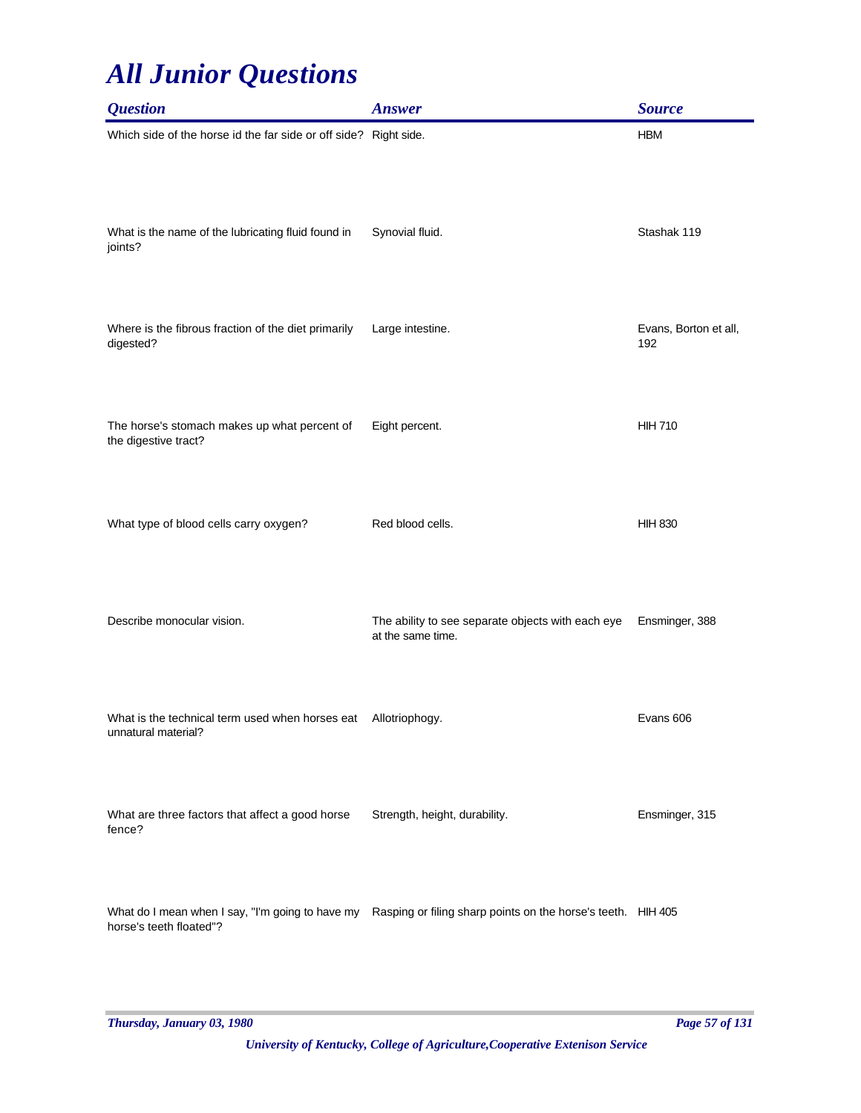| <b>Question</b>                                                        | <b>Answer</b>                                                                                                 | <b>Source</b>                |
|------------------------------------------------------------------------|---------------------------------------------------------------------------------------------------------------|------------------------------|
| Which side of the horse id the far side or off side? Right side.       |                                                                                                               | <b>HBM</b>                   |
| What is the name of the lubricating fluid found in<br>joints?          | Synovial fluid.                                                                                               | Stashak 119                  |
| Where is the fibrous fraction of the diet primarily<br>digested?       | Large intestine.                                                                                              | Evans, Borton et all,<br>192 |
| The horse's stomach makes up what percent of<br>the digestive tract?   | Eight percent.                                                                                                | <b>HIH 710</b>               |
| What type of blood cells carry oxygen?                                 | Red blood cells.                                                                                              | <b>HIH 830</b>               |
| Describe monocular vision.                                             | The ability to see separate objects with each eye<br>at the same time.                                        | Ensminger, 388               |
| What is the technical term used when horses eat<br>unnatural material? | Allotriophogy.                                                                                                | Evans 606                    |
| What are three factors that affect a good horse<br>fence?              | Strength, height, durability.                                                                                 | Ensminger, 315               |
| horse's teeth floated"?                                                | What do I mean when I say, "I'm going to have my Rasping or filing sharp points on the horse's teeth. HIH 405 |                              |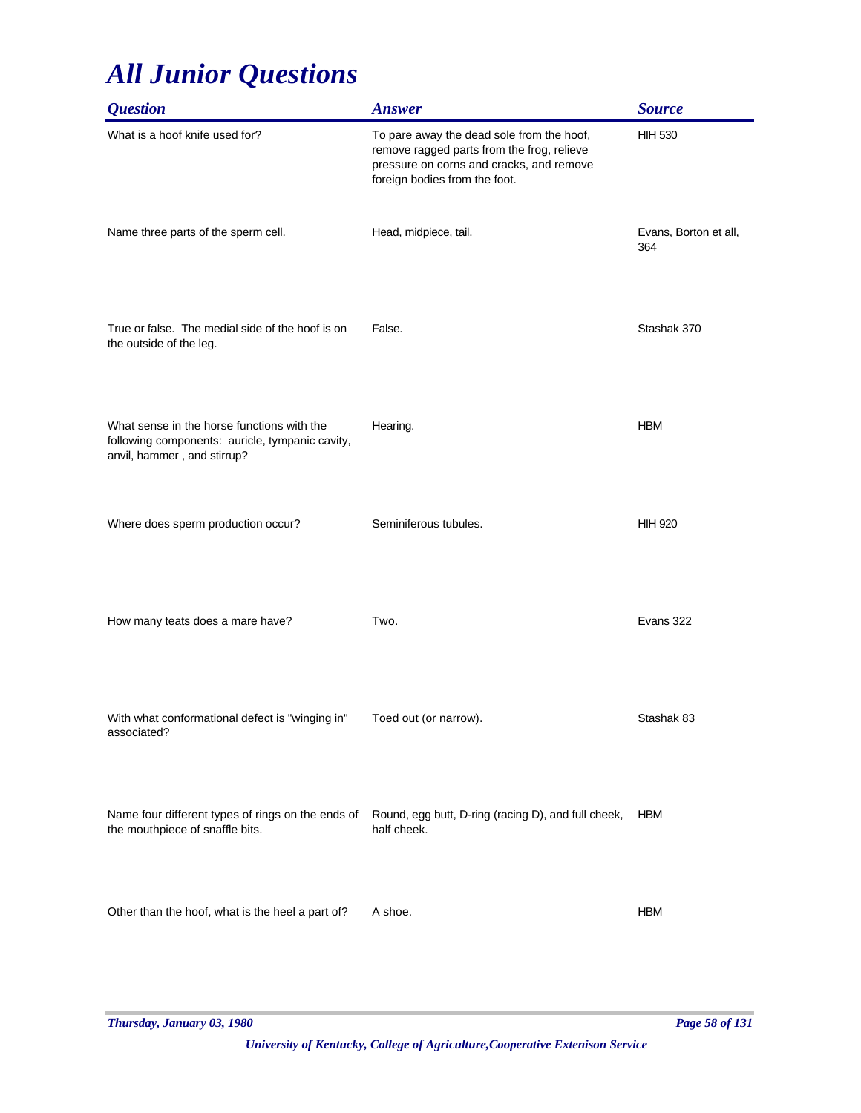| <b>Question</b>                                                                                                              | <b>Answer</b>                                                                                                                                                        | <b>Source</b>                |
|------------------------------------------------------------------------------------------------------------------------------|----------------------------------------------------------------------------------------------------------------------------------------------------------------------|------------------------------|
| What is a hoof knife used for?                                                                                               | To pare away the dead sole from the hoof,<br>remove ragged parts from the frog, relieve<br>pressure on corns and cracks, and remove<br>foreign bodies from the foot. | <b>HIH 530</b>               |
| Name three parts of the sperm cell.                                                                                          | Head, midpiece, tail.                                                                                                                                                | Evans, Borton et all,<br>364 |
| True or false. The medial side of the hoof is on<br>the outside of the leg.                                                  | False.                                                                                                                                                               | Stashak 370                  |
| What sense in the horse functions with the<br>following components: auricle, tympanic cavity,<br>anvil, hammer, and stirrup? | Hearing.                                                                                                                                                             | <b>HBM</b>                   |
| Where does sperm production occur?                                                                                           | Seminiferous tubules.                                                                                                                                                | <b>HIH 920</b>               |
| How many teats does a mare have?                                                                                             | Two.                                                                                                                                                                 | Evans 322                    |
| With what conformational defect is "winging in"<br>associated?                                                               | Toed out (or narrow).                                                                                                                                                | Stashak 83                   |
| Name four different types of rings on the ends of<br>the mouthpiece of snaffle bits.                                         | Round, egg butt, D-ring (racing D), and full cheek,<br>half cheek.                                                                                                   | <b>HBM</b>                   |
| Other than the hoof, what is the heel a part of?                                                                             | A shoe.                                                                                                                                                              | <b>HBM</b>                   |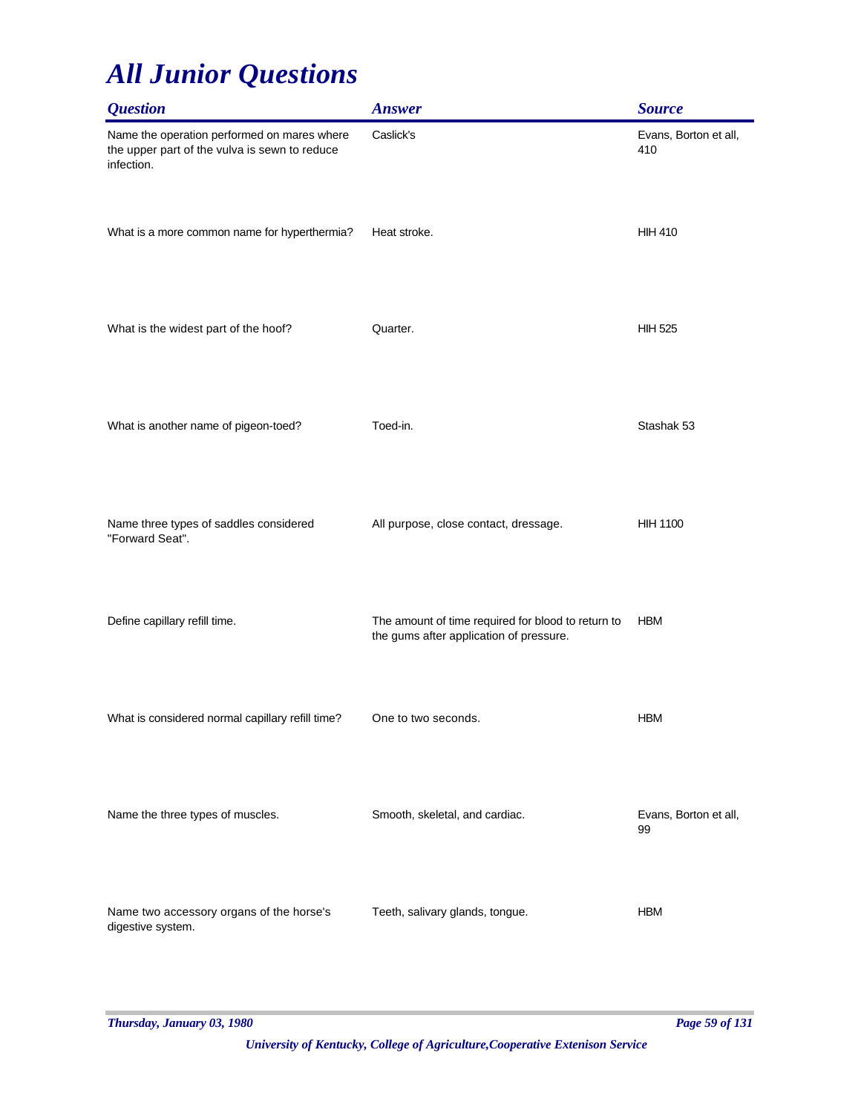| <b>Question</b>                                                                                            | <b>Answer</b>                                                                                 | <b>Source</b>                |
|------------------------------------------------------------------------------------------------------------|-----------------------------------------------------------------------------------------------|------------------------------|
| Name the operation performed on mares where<br>the upper part of the vulva is sewn to reduce<br>infection. | Caslick's                                                                                     | Evans, Borton et all,<br>410 |
| What is a more common name for hyperthermia?                                                               | Heat stroke.                                                                                  | <b>HIH 410</b>               |
| What is the widest part of the hoof?                                                                       | Quarter.                                                                                      | <b>HIH 525</b>               |
| What is another name of pigeon-toed?                                                                       | Toed-in.                                                                                      | Stashak 53                   |
| Name three types of saddles considered<br>"Forward Seat".                                                  | All purpose, close contact, dressage.                                                         | <b>HIH 1100</b>              |
| Define capillary refill time.                                                                              | The amount of time required for blood to return to<br>the gums after application of pressure. | <b>HBM</b>                   |
| What is considered normal capillary refill time?                                                           | One to two seconds.                                                                           | <b>HBM</b>                   |
| Name the three types of muscles.                                                                           | Smooth, skeletal, and cardiac.                                                                | Evans, Borton et all,<br>99  |
| Name two accessory organs of the horse's<br>digestive system.                                              | Teeth, salivary glands, tongue.                                                               | <b>HBM</b>                   |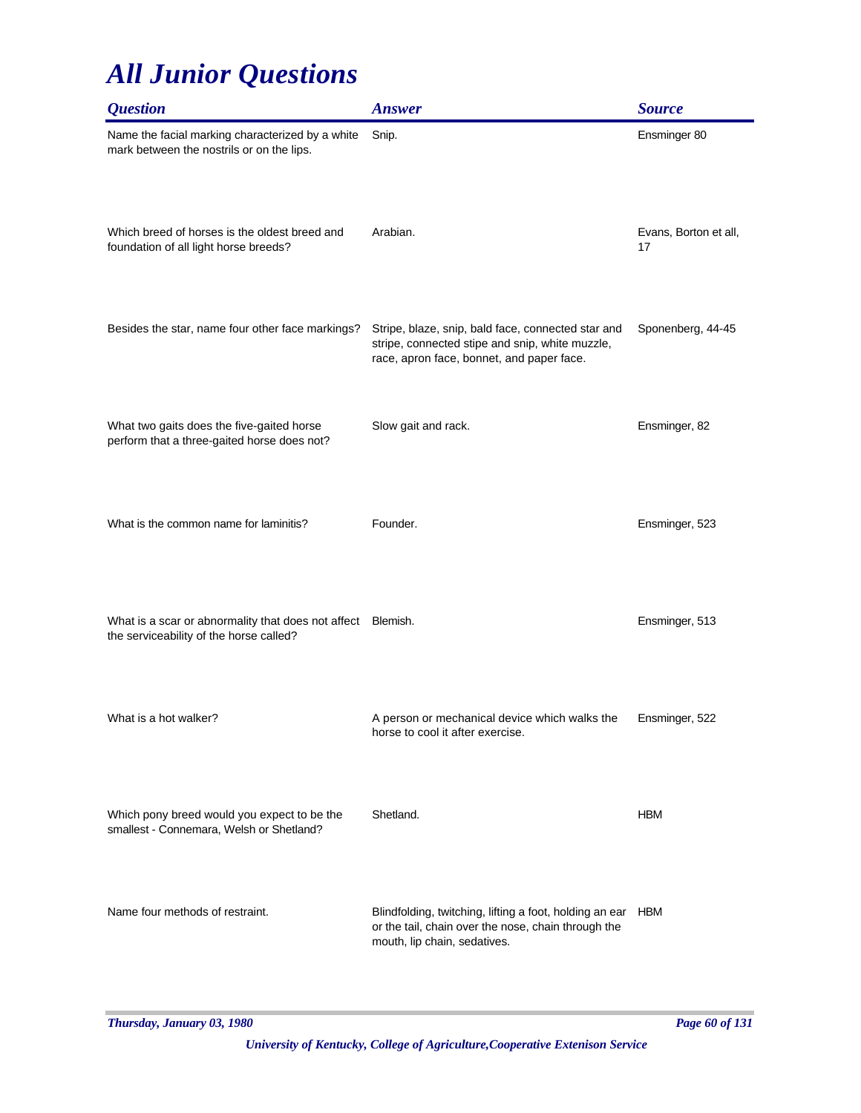| <i><b>Question</b></i>                                                                                 | <b>Answer</b>                                                                                                                                      | <b>Source</b>               |
|--------------------------------------------------------------------------------------------------------|----------------------------------------------------------------------------------------------------------------------------------------------------|-----------------------------|
| Name the facial marking characterized by a white<br>mark between the nostrils or on the lips.          | Snip.                                                                                                                                              | Ensminger 80                |
| Which breed of horses is the oldest breed and<br>foundation of all light horse breeds?                 | Arabian.                                                                                                                                           | Evans, Borton et all,<br>17 |
| Besides the star, name four other face markings?                                                       | Stripe, blaze, snip, bald face, connected star and<br>stripe, connected stipe and snip, white muzzle,<br>race, apron face, bonnet, and paper face. | Sponenberg, 44-45           |
| What two gaits does the five-gaited horse<br>perform that a three-gaited horse does not?               | Slow gait and rack.                                                                                                                                | Ensminger, 82               |
| What is the common name for laminitis?                                                                 | Founder.                                                                                                                                           | Ensminger, 523              |
| What is a scar or abnormality that does not affect Blemish.<br>the serviceability of the horse called? |                                                                                                                                                    | Ensminger, 513              |
| What is a hot walker?                                                                                  | A person or mechanical device which walks the<br>horse to cool it after exercise.                                                                  | Ensminger, 522              |
| Which pony breed would you expect to be the<br>smallest - Connemara, Welsh or Shetland?                | Shetland.                                                                                                                                          | <b>HBM</b>                  |
| Name four methods of restraint.                                                                        | Blindfolding, twitching, lifting a foot, holding an ear<br>or the tail, chain over the nose, chain through the<br>mouth, lip chain, sedatives.     | HBM                         |

*Thursday, January 03, 1980 Page 60 of 131*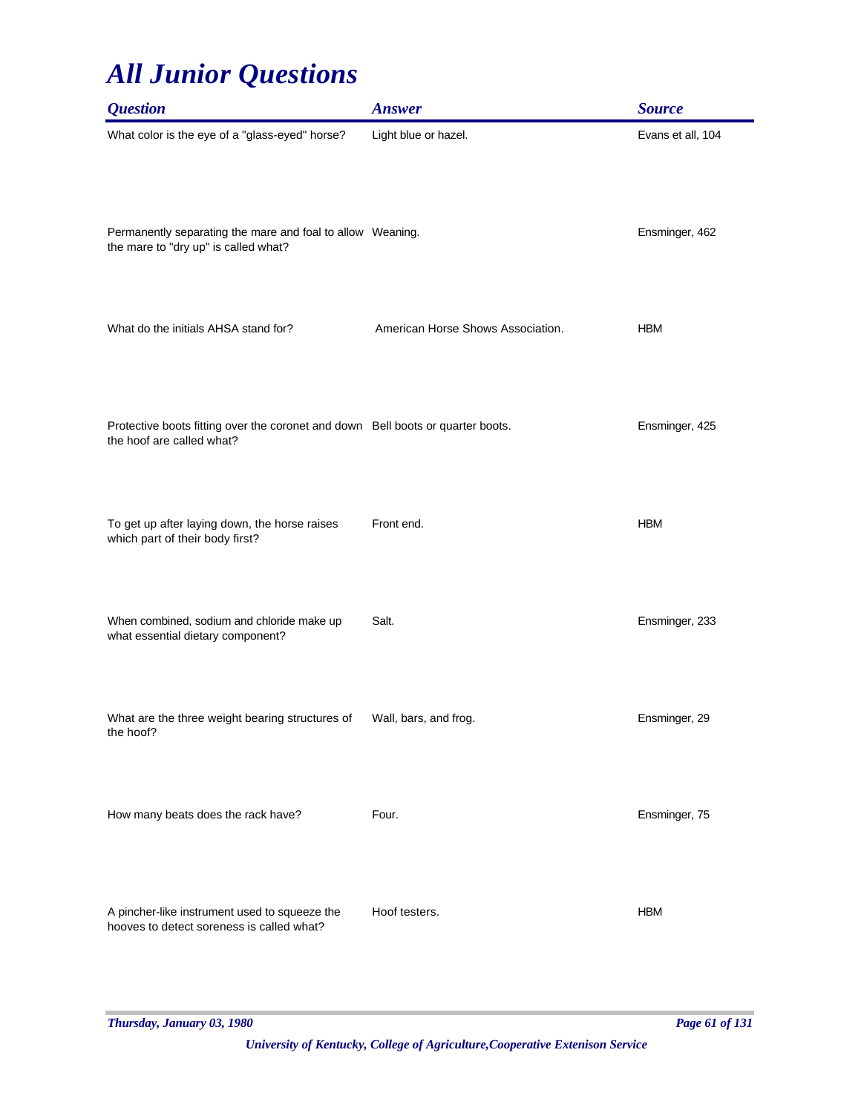| <b>Question</b>                                                                                              | <b>Answer</b>                     | <b>Source</b>     |
|--------------------------------------------------------------------------------------------------------------|-----------------------------------|-------------------|
| What color is the eye of a "glass-eyed" horse?                                                               | Light blue or hazel.              | Evans et all, 104 |
| Permanently separating the mare and foal to allow Weaning.<br>the mare to "dry up" is called what?           |                                   | Ensminger, 462    |
| What do the initials AHSA stand for?                                                                         | American Horse Shows Association. | <b>HBM</b>        |
| Protective boots fitting over the coronet and down Bell boots or quarter boots.<br>the hoof are called what? |                                   | Ensminger, 425    |
| To get up after laying down, the horse raises<br>which part of their body first?                             | Front end.                        | <b>HBM</b>        |
| When combined, sodium and chloride make up<br>what essential dietary component?                              | Salt.                             | Ensminger, 233    |
| What are the three weight bearing structures of<br>the hoof?                                                 | Wall, bars, and frog.             | Ensminger, 29     |
| How many beats does the rack have?                                                                           | Four.                             | Ensminger, 75     |
| A pincher-like instrument used to squeeze the<br>hooves to detect soreness is called what?                   | Hoof testers.                     | <b>HBM</b>        |

*Thursday, January 03, 1980 Page 61 of 131*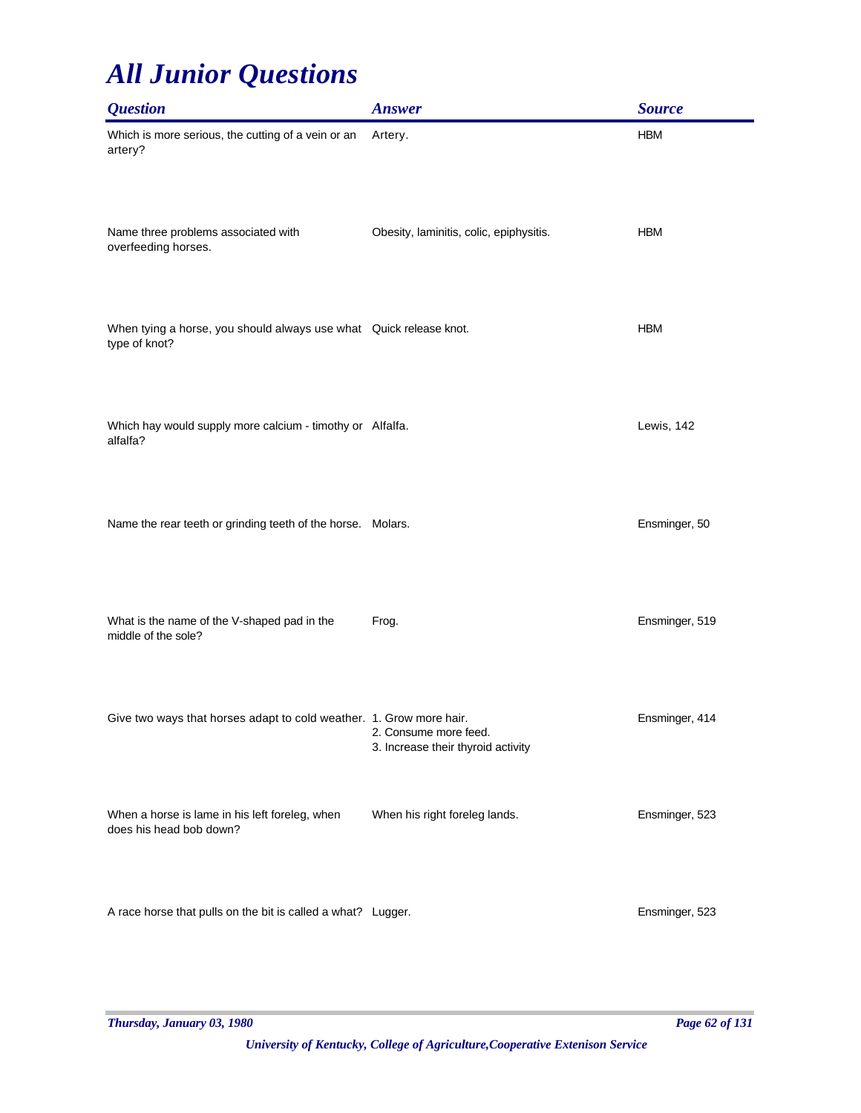| <b>Question</b>                                                                     | <b>Answer</b>                                               | <b>Source</b>  |
|-------------------------------------------------------------------------------------|-------------------------------------------------------------|----------------|
| Which is more serious, the cutting of a vein or an<br>artery?                       | Artery.                                                     | <b>HBM</b>     |
| Name three problems associated with<br>overfeeding horses.                          | Obesity, laminitis, colic, epiphysitis.                     | <b>HBM</b>     |
| When tying a horse, you should always use what Quick release knot.<br>type of knot? |                                                             | <b>HBM</b>     |
| Which hay would supply more calcium - timothy or Alfalfa.<br>alfalfa?               |                                                             | Lewis, 142     |
| Name the rear teeth or grinding teeth of the horse. Molars.                         |                                                             | Ensminger, 50  |
| What is the name of the V-shaped pad in the<br>middle of the sole?                  | Frog.                                                       | Ensminger, 519 |
| Give two ways that horses adapt to cold weather. 1. Grow more hair.                 | 2. Consume more feed.<br>3. Increase their thyroid activity | Ensminger, 414 |
| When a horse is lame in his left foreleg, when<br>does his head bob down?           | When his right foreleg lands.                               | Ensminger, 523 |
| A race horse that pulls on the bit is called a what? Lugger.                        |                                                             | Ensminger, 523 |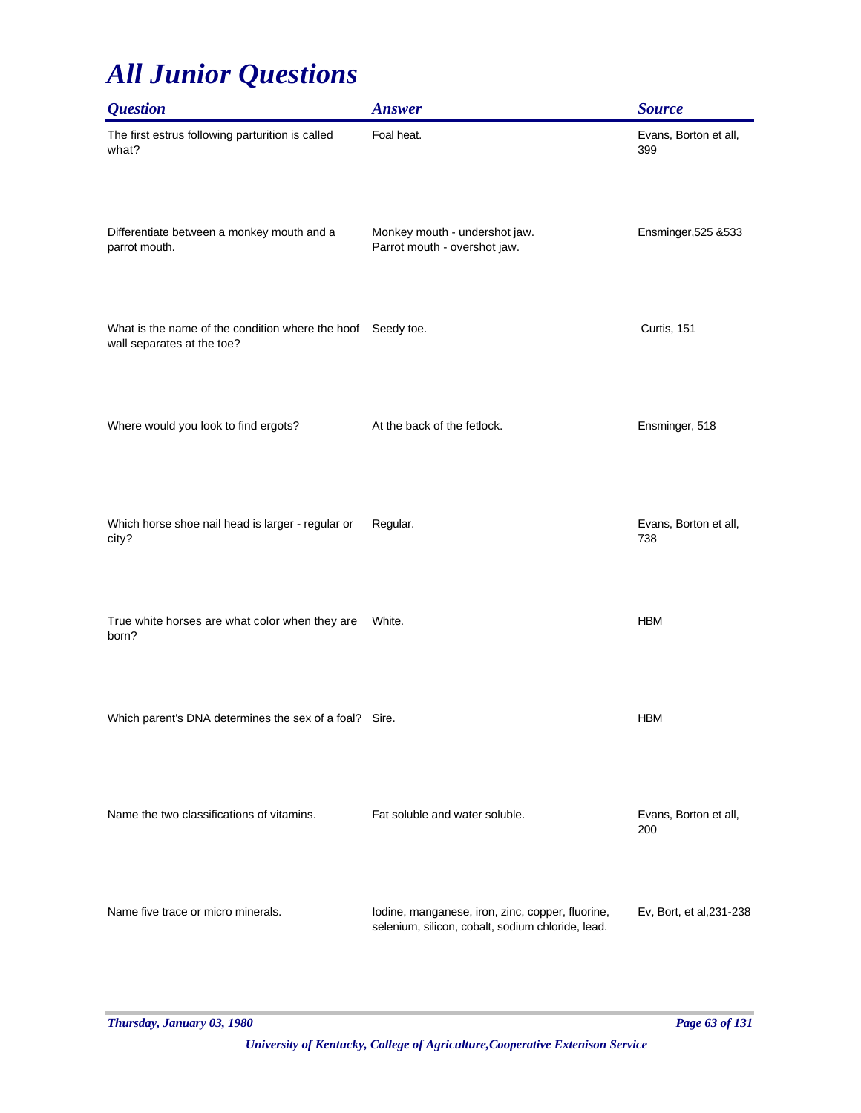| <b>Question</b>                                                                           | <b>Answer</b>                                                                                         | <b>Source</b>                |
|-------------------------------------------------------------------------------------------|-------------------------------------------------------------------------------------------------------|------------------------------|
| The first estrus following parturition is called<br>what?                                 | Foal heat.                                                                                            | Evans, Borton et all,<br>399 |
| Differentiate between a monkey mouth and a<br>parrot mouth.                               | Monkey mouth - undershot jaw.<br>Parrot mouth - overshot jaw.                                         | Ensminger, 525 & 533         |
| What is the name of the condition where the hoof Seedy toe.<br>wall separates at the toe? |                                                                                                       | Curtis, 151                  |
| Where would you look to find ergots?                                                      | At the back of the fetlock.                                                                           | Ensminger, 518               |
| Which horse shoe nail head is larger - regular or<br>city?                                | Regular.                                                                                              | Evans, Borton et all,<br>738 |
| True white horses are what color when they are<br>born?                                   | White.                                                                                                | <b>HBM</b>                   |
| Which parent's DNA determines the sex of a foal?                                          | Sire.                                                                                                 | <b>HBM</b>                   |
| Name the two classifications of vitamins.                                                 | Fat soluble and water soluble.                                                                        | Evans, Borton et all,<br>200 |
| Name five trace or micro minerals.                                                        | lodine, manganese, iron, zinc, copper, fluorine,<br>selenium, silicon, cobalt, sodium chloride, lead. | Ev, Bort, et al, 231-238     |

*Thursday, January 03, 1980 Page 63 of 131*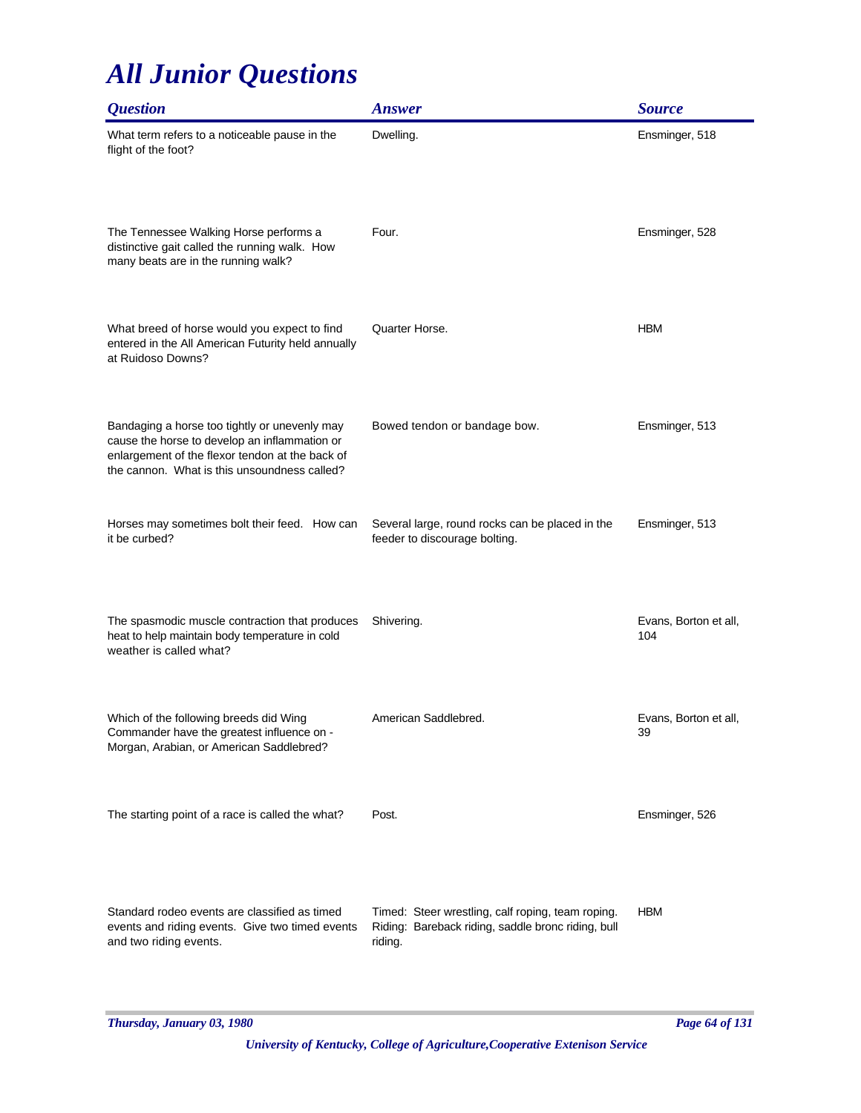| <b>Ouestion</b>                                                                                                                                                                                   | <b>Answer</b>                                                                                                      | <b>Source</b>                |
|---------------------------------------------------------------------------------------------------------------------------------------------------------------------------------------------------|--------------------------------------------------------------------------------------------------------------------|------------------------------|
| What term refers to a noticeable pause in the<br>flight of the foot?                                                                                                                              | Dwelling.                                                                                                          | Ensminger, 518               |
| The Tennessee Walking Horse performs a<br>distinctive gait called the running walk. How<br>many beats are in the running walk?                                                                    | Four.                                                                                                              | Ensminger, 528               |
| What breed of horse would you expect to find<br>entered in the All American Futurity held annually<br>at Ruidoso Downs?                                                                           | Quarter Horse.                                                                                                     | <b>HBM</b>                   |
| Bandaging a horse too tightly or unevenly may<br>cause the horse to develop an inflammation or<br>enlargement of the flexor tendon at the back of<br>the cannon. What is this unsoundness called? | Bowed tendon or bandage bow.                                                                                       | Ensminger, 513               |
| Horses may sometimes bolt their feed. How can<br>it be curbed?                                                                                                                                    | Several large, round rocks can be placed in the<br>feeder to discourage bolting.                                   | Ensminger, 513               |
| The spasmodic muscle contraction that produces<br>heat to help maintain body temperature in cold<br>weather is called what?                                                                       | Shivering.                                                                                                         | Evans, Borton et all,<br>104 |
| Which of the following breeds did Wing<br>Commander have the greatest influence on -<br>Morgan, Arabian, or American Saddlebred?                                                                  | American Saddlebred.                                                                                               | Evans, Borton et all,<br>39  |
| The starting point of a race is called the what?                                                                                                                                                  | Post.                                                                                                              | Ensminger, 526               |
| Standard rodeo events are classified as timed<br>events and riding events. Give two timed events<br>and two riding events.                                                                        | Timed: Steer wrestling, calf roping, team roping.<br>Riding: Bareback riding, saddle bronc riding, bull<br>riding. | <b>HBM</b>                   |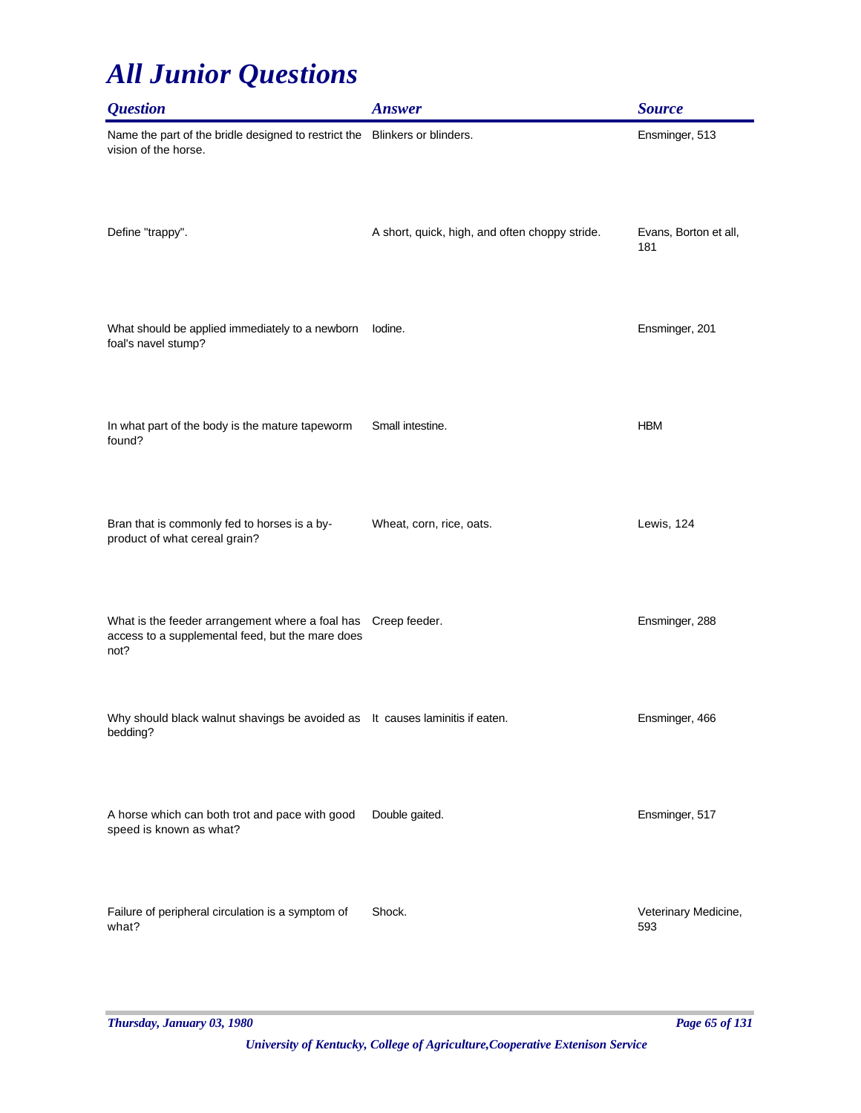| <b>Question</b>                                                                                             | <b>Answer</b>                                  | <b>Source</b>                |
|-------------------------------------------------------------------------------------------------------------|------------------------------------------------|------------------------------|
| Name the part of the bridle designed to restrict the Blinkers or blinders.<br>vision of the horse.          |                                                | Ensminger, 513               |
| Define "trappy".                                                                                            | A short, quick, high, and often choppy stride. | Evans, Borton et all,<br>181 |
| What should be applied immediately to a newborn<br>foal's navel stump?                                      | lodine.                                        | Ensminger, 201               |
| In what part of the body is the mature tapeworm<br>found?                                                   | Small intestine.                               | <b>HBM</b>                   |
| Bran that is commonly fed to horses is a by-<br>product of what cereal grain?                               | Wheat, corn, rice, oats.                       | Lewis, 124                   |
| What is the feeder arrangement where a foal has<br>access to a supplemental feed, but the mare does<br>not? | Creep feeder.                                  | Ensminger, 288               |
| Why should black walnut shavings be avoided as It causes laminitis if eaten.<br>bedding?                    |                                                | Ensminger, 466               |
| A horse which can both trot and pace with good<br>speed is known as what?                                   | Double gaited.                                 | Ensminger, 517               |
| Failure of peripheral circulation is a symptom of<br>what?                                                  | Shock.                                         | Veterinary Medicine,<br>593  |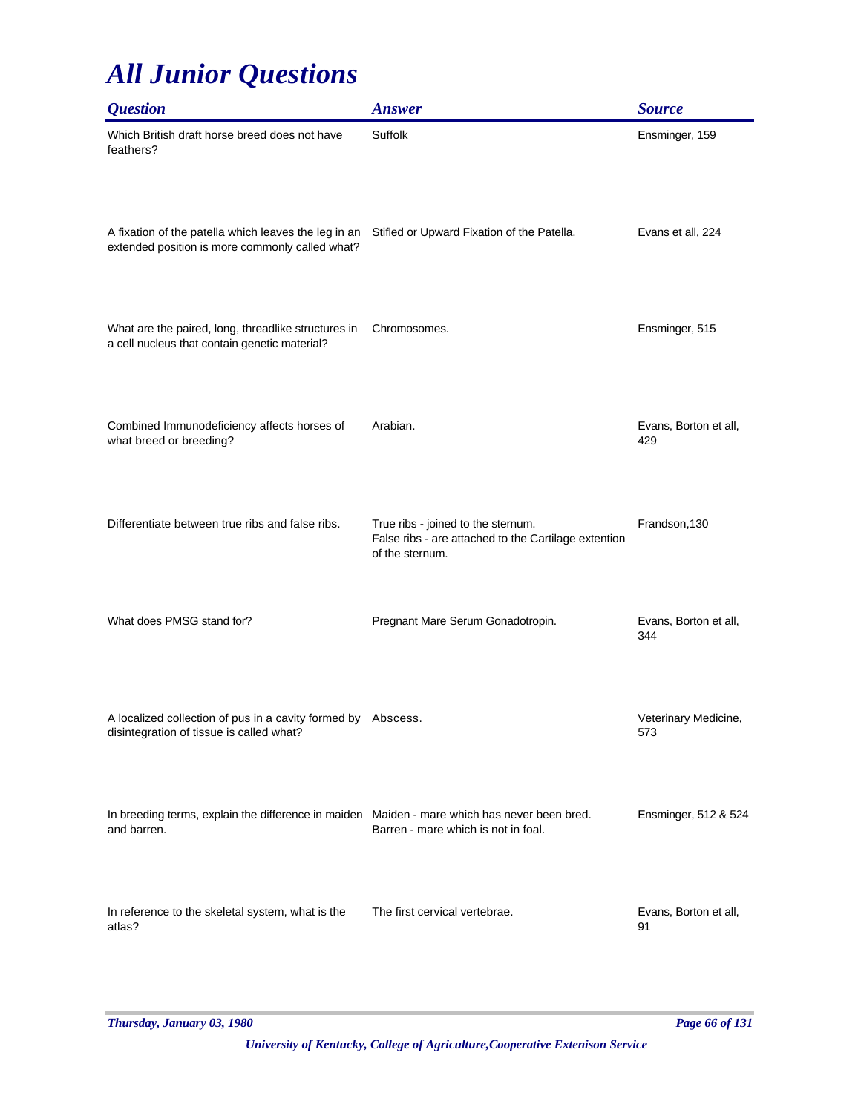| <i><b>Question</b></i>                                                                                      | <b>Answer</b>                                                                                                 | <b>Source</b>                |
|-------------------------------------------------------------------------------------------------------------|---------------------------------------------------------------------------------------------------------------|------------------------------|
| Which British draft horse breed does not have<br>feathers?                                                  | Suffolk                                                                                                       | Ensminger, 159               |
| A fixation of the patella which leaves the leg in an<br>extended position is more commonly called what?     | Stifled or Upward Fixation of the Patella.                                                                    | Evans et all, 224            |
| What are the paired, long, threadlike structures in<br>a cell nucleus that contain genetic material?        | Chromosomes.                                                                                                  | Ensminger, 515               |
| Combined Immunodeficiency affects horses of<br>what breed or breeding?                                      | Arabian.                                                                                                      | Evans, Borton et all,<br>429 |
| Differentiate between true ribs and false ribs.                                                             | True ribs - joined to the sternum.<br>False ribs - are attached to the Cartilage extention<br>of the sternum. | Frandson, 130                |
| What does PMSG stand for?                                                                                   | Pregnant Mare Serum Gonadotropin.                                                                             | Evans, Borton et all,<br>344 |
| A localized collection of pus in a cavity formed by Abscess.<br>disintegration of tissue is called what?    |                                                                                                               | Veterinary Medicine,<br>573  |
| In breeding terms, explain the difference in maiden Maiden - mare which has never been bred.<br>and barren. | Barren - mare which is not in foal.                                                                           | Ensminger, 512 & 524         |
| In reference to the skeletal system, what is the<br>atlas?                                                  | The first cervical vertebrae.                                                                                 | Evans, Borton et all,<br>91  |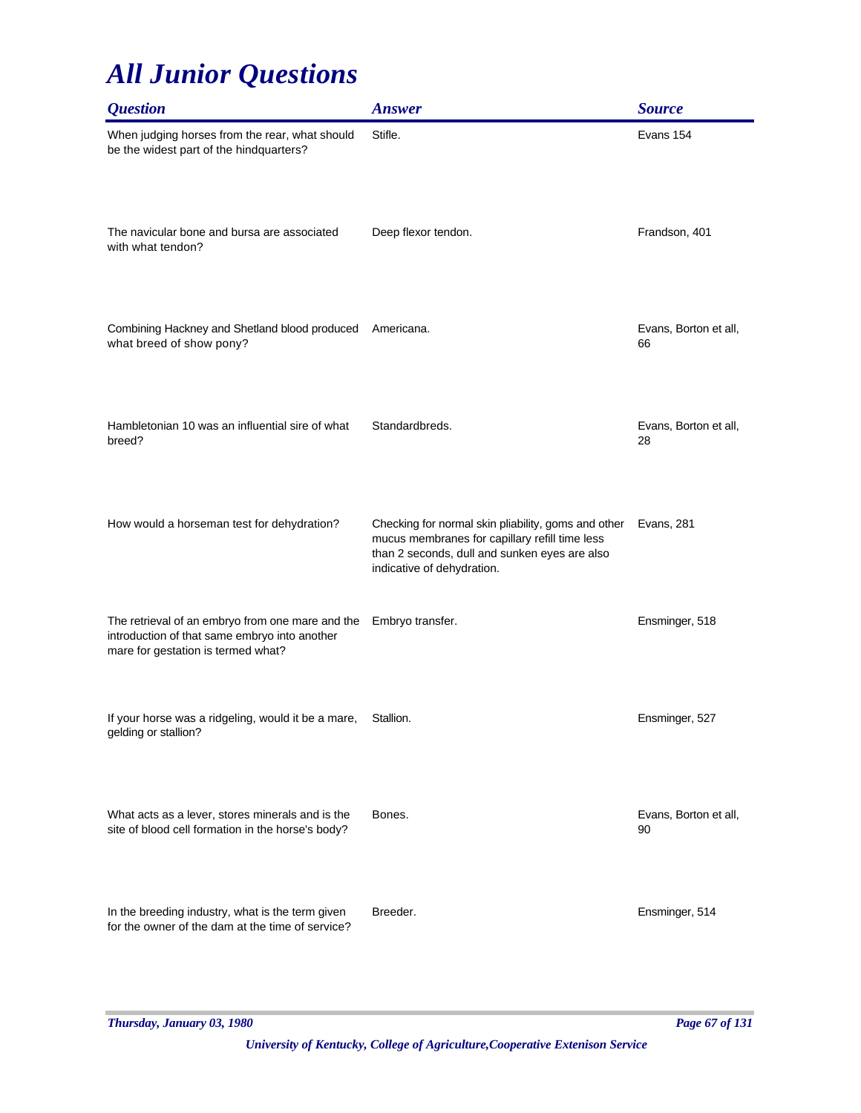| <i><b>Question</b></i>                                                                                                                  | <b>Answer</b>                                                                                                                                                                        | <b>Source</b>               |
|-----------------------------------------------------------------------------------------------------------------------------------------|--------------------------------------------------------------------------------------------------------------------------------------------------------------------------------------|-----------------------------|
| When judging horses from the rear, what should<br>be the widest part of the hindquarters?                                               | Stifle.                                                                                                                                                                              | Evans 154                   |
| The navicular bone and bursa are associated<br>with what tendon?                                                                        | Deep flexor tendon.                                                                                                                                                                  | Frandson, 401               |
| Combining Hackney and Shetland blood produced<br>what breed of show pony?                                                               | Americana.                                                                                                                                                                           | Evans, Borton et all,<br>66 |
| Hambletonian 10 was an influential sire of what<br>breed?                                                                               | Standardbreds.                                                                                                                                                                       | Evans, Borton et all,<br>28 |
| How would a horseman test for dehydration?                                                                                              | Checking for normal skin pliability, goms and other<br>mucus membranes for capillary refill time less<br>than 2 seconds, dull and sunken eyes are also<br>indicative of dehydration. | Evans, 281                  |
| The retrieval of an embryo from one mare and the<br>introduction of that same embryo into another<br>mare for gestation is termed what? | Embryo transfer.                                                                                                                                                                     | Ensminger, 518              |
| If your horse was a ridgeling, would it be a mare,<br>gelding or stallion?                                                              | Stallion.                                                                                                                                                                            | Ensminger, 527              |
| What acts as a lever, stores minerals and is the<br>site of blood cell formation in the horse's body?                                   | Bones.                                                                                                                                                                               | Evans, Borton et all,<br>90 |
| In the breeding industry, what is the term given<br>for the owner of the dam at the time of service?                                    | Breeder.                                                                                                                                                                             | Ensminger, 514              |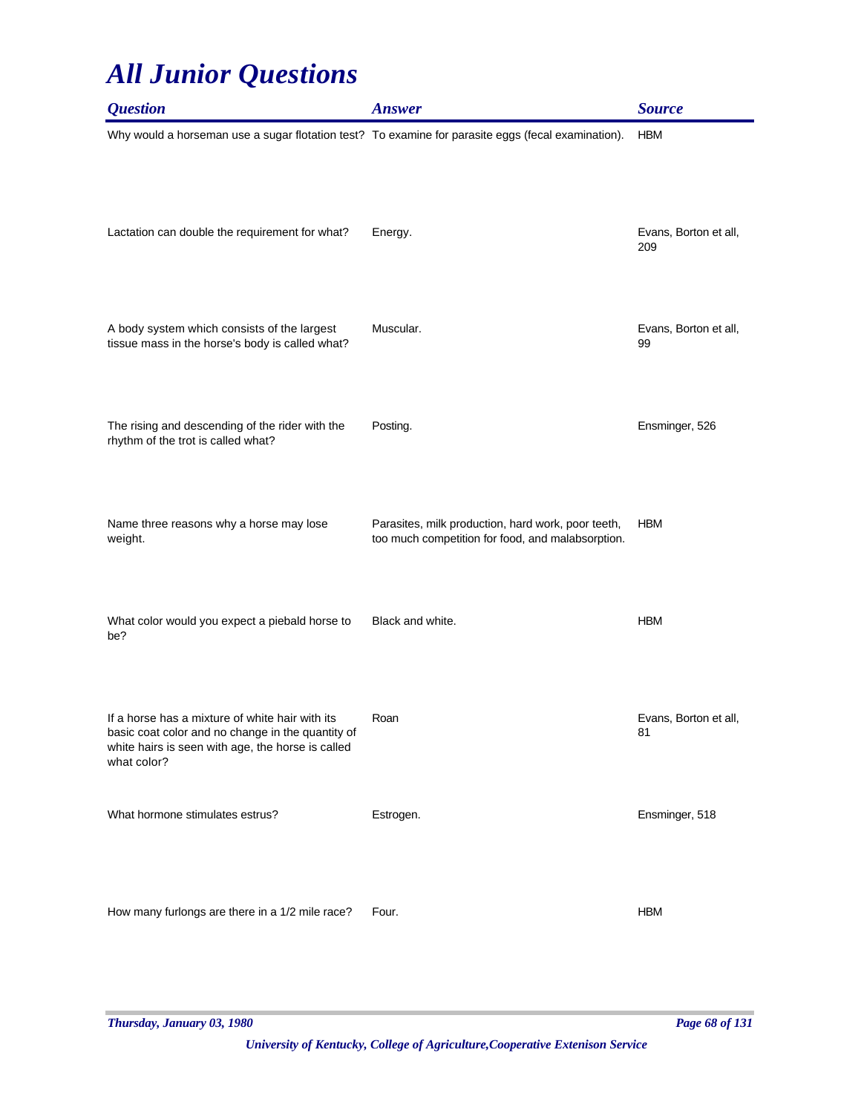| <i><b>Question</b></i>                                                                                                                                                   | <b>Answer</b>                                                                                           | <b>Source</b>                |
|--------------------------------------------------------------------------------------------------------------------------------------------------------------------------|---------------------------------------------------------------------------------------------------------|------------------------------|
| Why would a horseman use a sugar flotation test? To examine for parasite eggs (fecal examination).                                                                       |                                                                                                         | <b>HBM</b>                   |
| Lactation can double the requirement for what?                                                                                                                           | Energy.                                                                                                 | Evans, Borton et all,<br>209 |
| A body system which consists of the largest<br>tissue mass in the horse's body is called what?                                                                           | Muscular.                                                                                               | Evans, Borton et all,<br>99  |
| The rising and descending of the rider with the<br>rhythm of the trot is called what?                                                                                    | Posting.                                                                                                | Ensminger, 526               |
| Name three reasons why a horse may lose<br>weight.                                                                                                                       | Parasites, milk production, hard work, poor teeth,<br>too much competition for food, and malabsorption. | <b>HBM</b>                   |
| What color would you expect a piebald horse to<br>be?                                                                                                                    | Black and white.                                                                                        | <b>HBM</b>                   |
| If a horse has a mixture of white hair with its<br>basic coat color and no change in the quantity of<br>white hairs is seen with age, the horse is called<br>what color? | Roan                                                                                                    | Evans, Borton et all,<br>81  |
| What hormone stimulates estrus?                                                                                                                                          | Estrogen.                                                                                               | Ensminger, 518               |
| How many furlongs are there in a 1/2 mile race?                                                                                                                          | Four.                                                                                                   | <b>HBM</b>                   |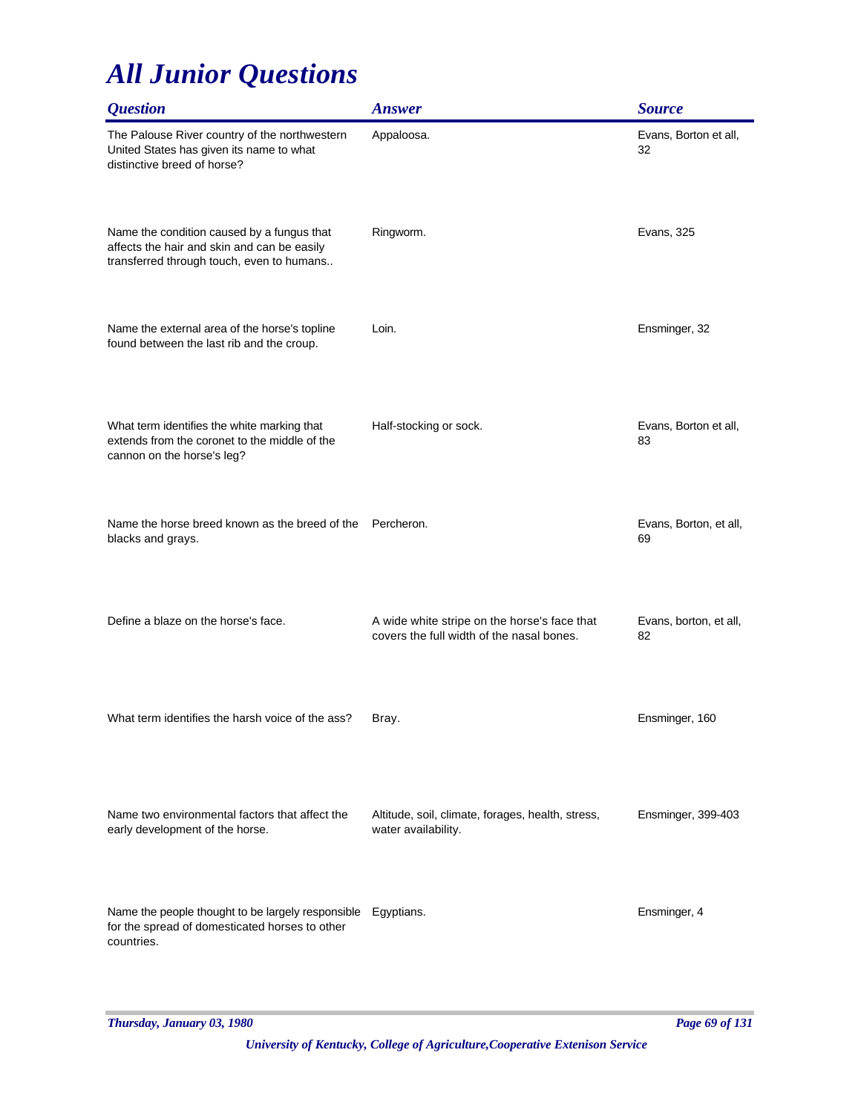| <i><b>Question</b></i>                                                                                                                 | <b>Answer</b>                                                                             | <b>Source</b>                |
|----------------------------------------------------------------------------------------------------------------------------------------|-------------------------------------------------------------------------------------------|------------------------------|
| The Palouse River country of the northwestern<br>United States has given its name to what<br>distinctive breed of horse?               | Appaloosa.                                                                                | Evans, Borton et all,<br>32  |
| Name the condition caused by a fungus that<br>affects the hair and skin and can be easily<br>transferred through touch, even to humans | Ringworm.                                                                                 | Evans, 325                   |
| Name the external area of the horse's topline<br>found between the last rib and the croup.                                             | Loin.                                                                                     | Ensminger, 32                |
| What term identifies the white marking that<br>extends from the coronet to the middle of the<br>cannon on the horse's leg?             | Half-stocking or sock.                                                                    | Evans, Borton et all,<br>83  |
| Name the horse breed known as the breed of the<br>blacks and grays.                                                                    | Percheron.                                                                                | Evans, Borton, et all,<br>69 |
| Define a blaze on the horse's face.                                                                                                    | A wide white stripe on the horse's face that<br>covers the full width of the nasal bones. | Evans, borton, et all,<br>82 |
| What term identifies the harsh voice of the ass?                                                                                       | Bray.                                                                                     | Ensminger, 160               |
| Name two environmental factors that affect the<br>early development of the horse.                                                      | Altitude, soil, climate, forages, health, stress,<br>water availability.                  | Ensminger, 399-403           |
| Name the people thought to be largely responsible<br>for the spread of domesticated horses to other<br>countries.                      | Egyptians.                                                                                | Ensminger, 4                 |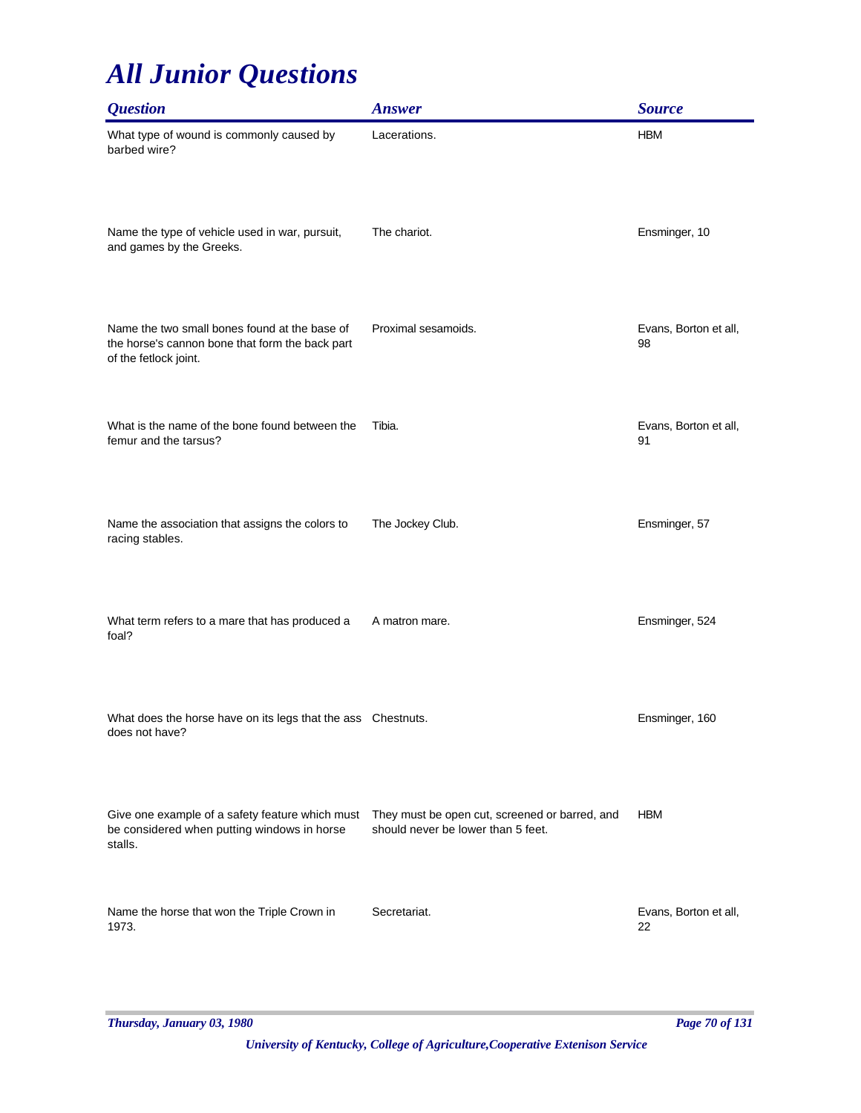| <b>Question</b>                                                                                                           | <b>Answer</b>                                                                        | <b>Source</b>               |
|---------------------------------------------------------------------------------------------------------------------------|--------------------------------------------------------------------------------------|-----------------------------|
| What type of wound is commonly caused by<br>barbed wire?                                                                  | Lacerations.                                                                         | <b>HBM</b>                  |
| Name the type of vehicle used in war, pursuit,<br>and games by the Greeks.                                                | The chariot.                                                                         | Ensminger, 10               |
| Name the two small bones found at the base of<br>the horse's cannon bone that form the back part<br>of the fetlock joint. | Proximal sesamoids.                                                                  | Evans, Borton et all,<br>98 |
| What is the name of the bone found between the<br>femur and the tarsus?                                                   | Tibia.                                                                               | Evans, Borton et all,<br>91 |
| Name the association that assigns the colors to<br>racing stables.                                                        | The Jockey Club.                                                                     | Ensminger, 57               |
| What term refers to a mare that has produced a<br>foal?                                                                   | A matron mare.                                                                       | Ensminger, 524              |
| What does the horse have on its legs that the ass Chestnuts.<br>does not have?                                            |                                                                                      | Ensminger, 160              |
| Give one example of a safety feature which must<br>be considered when putting windows in horse<br>stalls.                 | They must be open cut, screened or barred, and<br>should never be lower than 5 feet. | <b>HBM</b>                  |
| Name the horse that won the Triple Crown in<br>1973.                                                                      | Secretariat.                                                                         | Evans, Borton et all,<br>22 |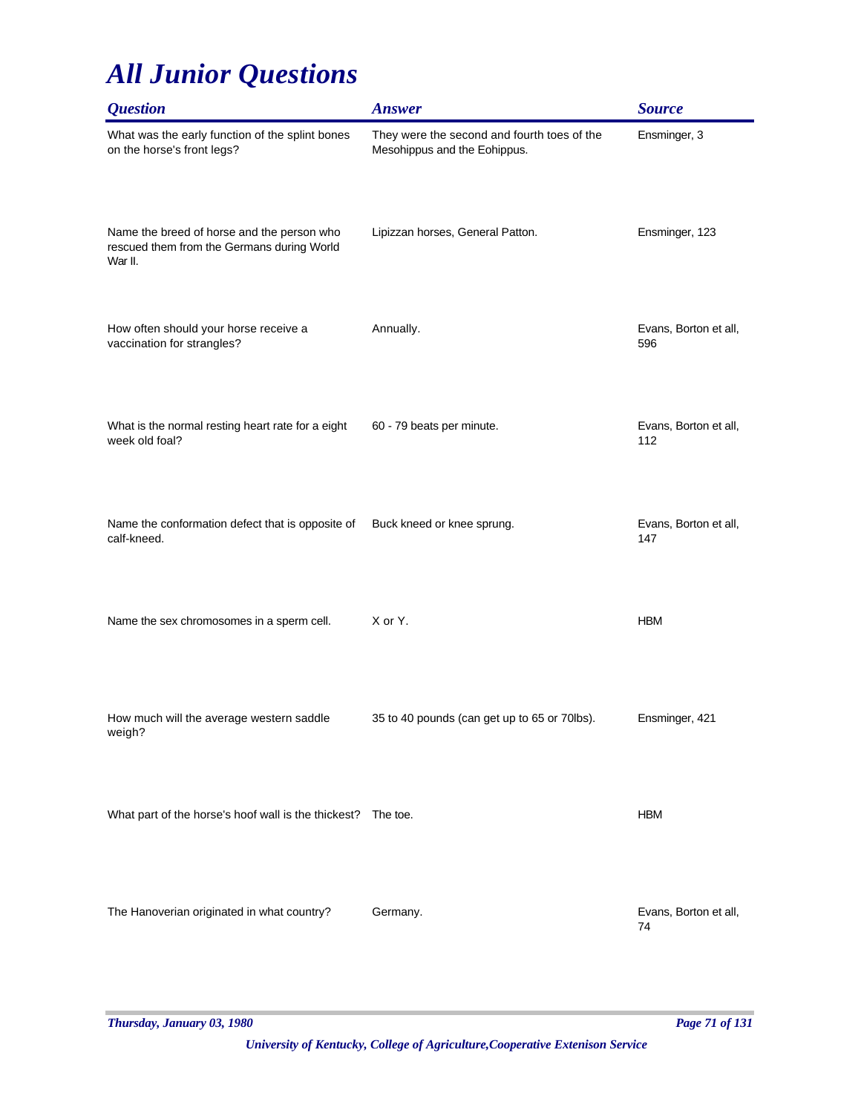| <i><b>Question</b></i>                                                                              | <b>Answer</b>                                                               | <b>Source</b>                |
|-----------------------------------------------------------------------------------------------------|-----------------------------------------------------------------------------|------------------------------|
| What was the early function of the splint bones<br>on the horse's front legs?                       | They were the second and fourth toes of the<br>Mesohippus and the Eohippus. | Ensminger, 3                 |
| Name the breed of horse and the person who<br>rescued them from the Germans during World<br>War II. | Lipizzan horses, General Patton.                                            | Ensminger, 123               |
| How often should your horse receive a<br>vaccination for strangles?                                 | Annually.                                                                   | Evans, Borton et all,<br>596 |
| What is the normal resting heart rate for a eight<br>week old foal?                                 | 60 - 79 beats per minute.                                                   | Evans, Borton et all,<br>112 |
| Name the conformation defect that is opposite of<br>calf-kneed.                                     | Buck kneed or knee sprung.                                                  | Evans, Borton et all,<br>147 |
| Name the sex chromosomes in a sperm cell.                                                           | X or Y.                                                                     | <b>HBM</b>                   |
| How much will the average western saddle<br>weigh?                                                  | 35 to 40 pounds (can get up to 65 or 70lbs).                                | Ensminger, 421               |
| What part of the horse's hoof wall is the thickest? The toe.                                        |                                                                             | <b>HBM</b>                   |
| The Hanoverian originated in what country?                                                          | Germany.                                                                    | Evans, Borton et all,<br>74  |

*Thursday, January 03, 1980 Page 71 of 131*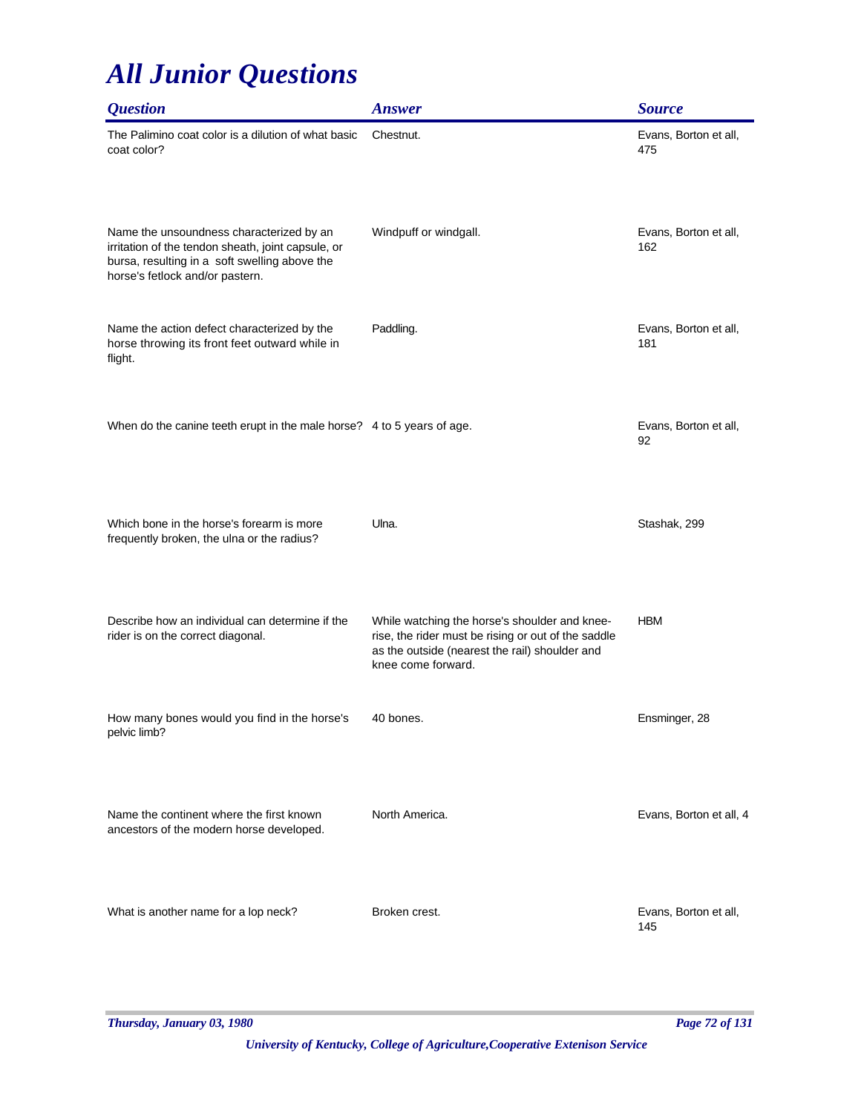| <i><b>Question</b></i>                                                                                                                                                             | <b>Answer</b>                                                                                                                                                                | <b>Source</b>                |
|------------------------------------------------------------------------------------------------------------------------------------------------------------------------------------|------------------------------------------------------------------------------------------------------------------------------------------------------------------------------|------------------------------|
| The Palimino coat color is a dilution of what basic<br>coat color?                                                                                                                 | Chestnut.                                                                                                                                                                    | Evans, Borton et all,<br>475 |
| Name the unsoundness characterized by an<br>irritation of the tendon sheath, joint capsule, or<br>bursa, resulting in a soft swelling above the<br>horse's fetlock and/or pastern. | Windpuff or windgall.                                                                                                                                                        | Evans, Borton et all,<br>162 |
| Name the action defect characterized by the<br>horse throwing its front feet outward while in<br>flight.                                                                           | Paddling.                                                                                                                                                                    | Evans, Borton et all,<br>181 |
| When do the canine teeth erupt in the male horse? 4 to 5 years of age.                                                                                                             |                                                                                                                                                                              | Evans, Borton et all,<br>92  |
| Which bone in the horse's forearm is more<br>frequently broken, the ulna or the radius?                                                                                            | Ulna.                                                                                                                                                                        | Stashak, 299                 |
| Describe how an individual can determine if the<br>rider is on the correct diagonal.                                                                                               | While watching the horse's shoulder and knee-<br>rise, the rider must be rising or out of the saddle<br>as the outside (nearest the rail) shoulder and<br>knee come forward. | <b>HBM</b>                   |
| How many bones would you find in the horse's<br>pelvic limb?                                                                                                                       | 40 bones.                                                                                                                                                                    | Ensminger, 28                |
| Name the continent where the first known<br>ancestors of the modern horse developed.                                                                                               | North America.                                                                                                                                                               | Evans, Borton et all, 4      |
| What is another name for a lop neck?                                                                                                                                               | Broken crest.                                                                                                                                                                | Evans, Borton et all,<br>145 |

*Thursday, January 03, 1980 Page 72 of 131*

*University of Kentucky, College of Agriculture,Cooperative Extenison Service*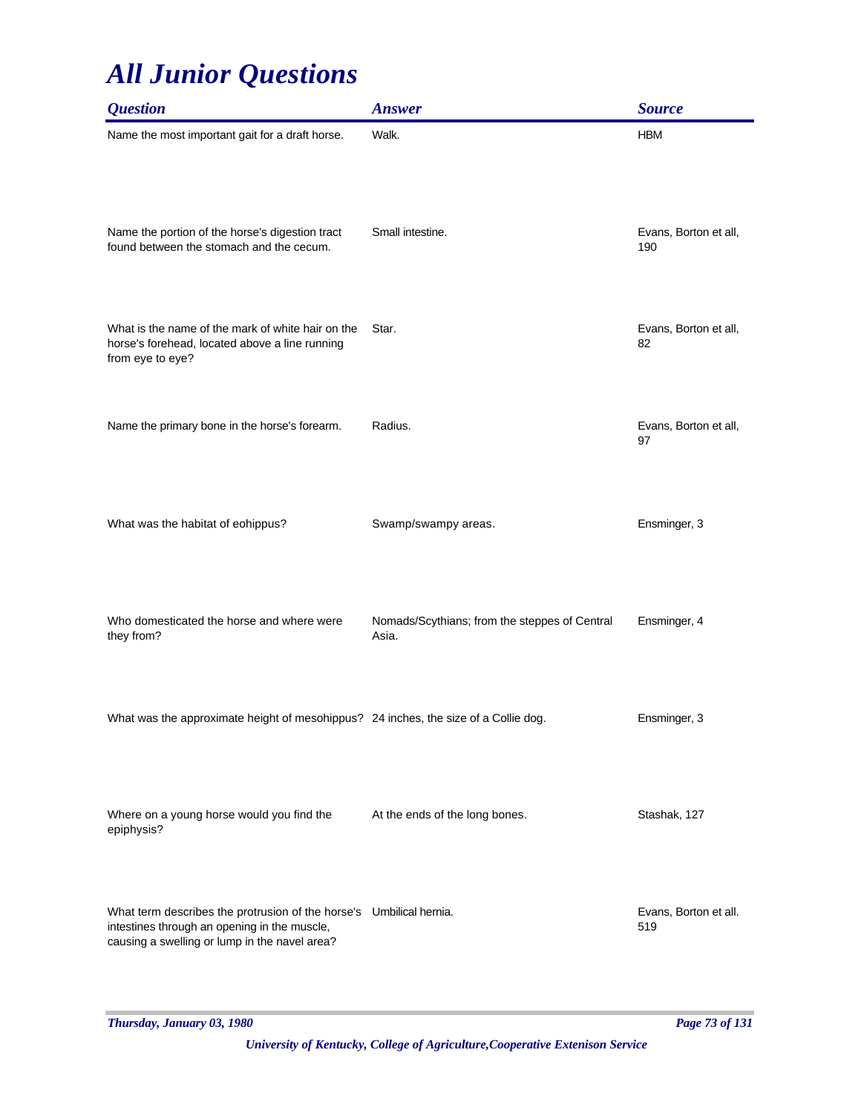| <i><b>Ouestion</b></i>                                                                                                                                               | <b>Answer</b>                                          | <b>Source</b>                |
|----------------------------------------------------------------------------------------------------------------------------------------------------------------------|--------------------------------------------------------|------------------------------|
| Name the most important gait for a draft horse.                                                                                                                      | Walk.                                                  | <b>HBM</b>                   |
| Name the portion of the horse's digestion tract<br>found between the stomach and the cecum.                                                                          | Small intestine.                                       | Evans, Borton et all,<br>190 |
| What is the name of the mark of white hair on the<br>horse's forehead, located above a line running<br>from eye to eye?                                              | Star.                                                  | Evans, Borton et all,<br>82  |
| Name the primary bone in the horse's forearm.                                                                                                                        | Radius.                                                | Evans, Borton et all,<br>97  |
| What was the habitat of eohippus?                                                                                                                                    | Swamp/swampy areas.                                    | Ensminger, 3                 |
| Who domesticated the horse and where were<br>they from?                                                                                                              | Nomads/Scythians; from the steppes of Central<br>Asia. | Ensminger, 4                 |
| What was the approximate height of mesohippus? 24 inches, the size of a Collie dog.                                                                                  |                                                        | Ensminger, 3                 |
| Where on a young horse would you find the<br>epiphysis?                                                                                                              | At the ends of the long bones.                         | Stashak, 127                 |
| What term describes the protrusion of the horse's Umbilical hernia.<br>intestines through an opening in the muscle,<br>causing a swelling or lump in the navel area? |                                                        | Evans, Borton et all.<br>519 |

*Thursday, January 03, 1980 Page 73 of 131*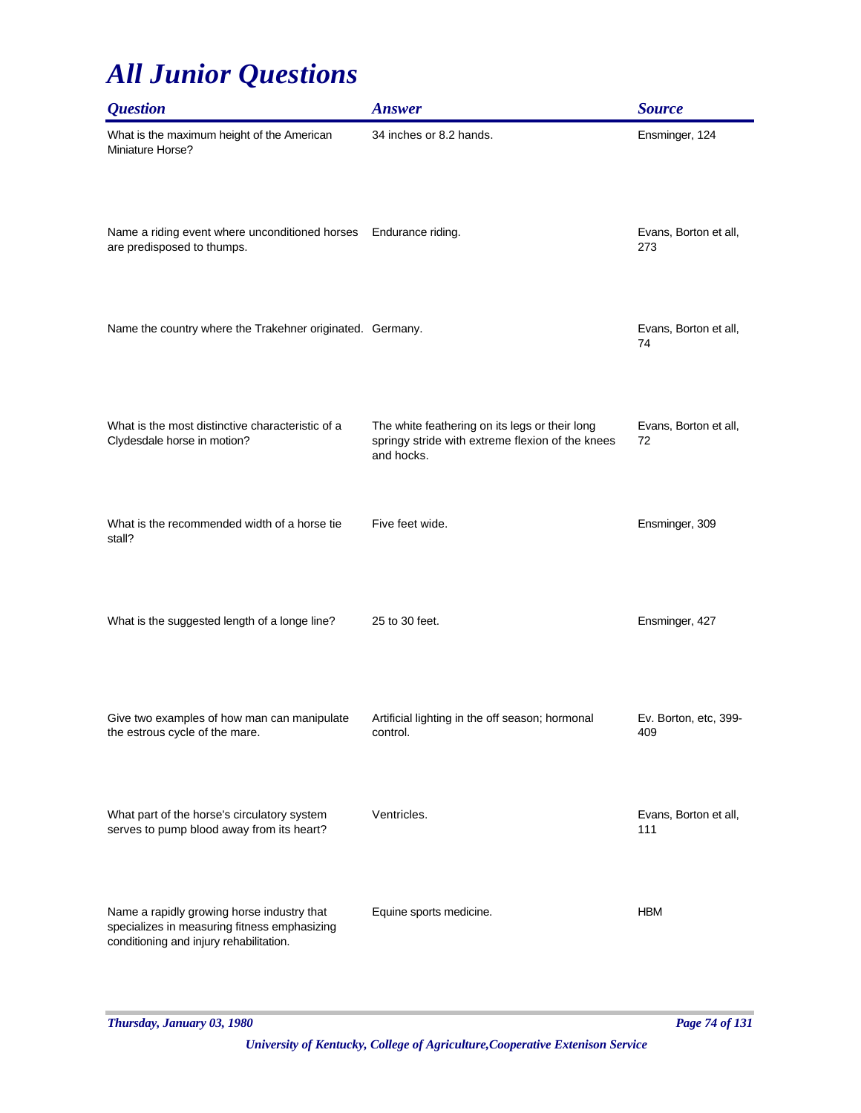| <i><b>Question</b></i>                                                                                                                | <b>Answer</b>                                                                                                    | <b>Source</b>                |
|---------------------------------------------------------------------------------------------------------------------------------------|------------------------------------------------------------------------------------------------------------------|------------------------------|
| What is the maximum height of the American<br>Miniature Horse?                                                                        | 34 inches or 8.2 hands.                                                                                          | Ensminger, 124               |
| Name a riding event where unconditioned horses<br>are predisposed to thumps.                                                          | Endurance riding.                                                                                                | Evans, Borton et all,<br>273 |
| Name the country where the Trakehner originated. Germany.                                                                             |                                                                                                                  | Evans, Borton et all,<br>74  |
| What is the most distinctive characteristic of a<br>Clydesdale horse in motion?                                                       | The white feathering on its legs or their long<br>springy stride with extreme flexion of the knees<br>and hocks. | Evans, Borton et all,<br>72  |
| What is the recommended width of a horse tie<br>stall?                                                                                | Five feet wide.                                                                                                  | Ensminger, 309               |
| What is the suggested length of a longe line?                                                                                         | 25 to 30 feet.                                                                                                   | Ensminger, 427               |
| Give two examples of how man can manipulate<br>the estrous cycle of the mare.                                                         | Artificial lighting in the off season; hormonal<br>control.                                                      | Ev. Borton, etc, 399-<br>409 |
| What part of the horse's circulatory system<br>serves to pump blood away from its heart?                                              | Ventricles.                                                                                                      | Evans, Borton et all,<br>111 |
| Name a rapidly growing horse industry that<br>specializes in measuring fitness emphasizing<br>conditioning and injury rehabilitation. | Equine sports medicine.                                                                                          | <b>HBM</b>                   |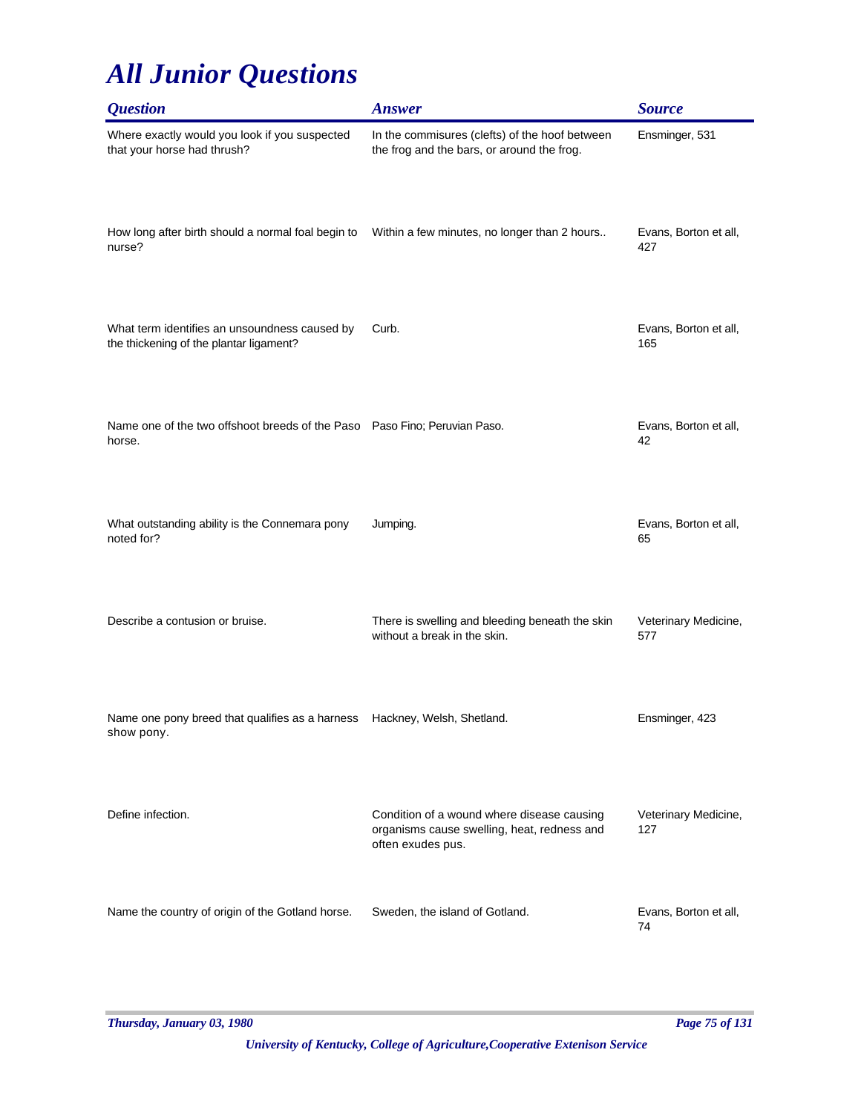| <i><b>Question</b></i>                                                                   | <b>Answer</b>                                                                                                  | <b>Source</b>                |
|------------------------------------------------------------------------------------------|----------------------------------------------------------------------------------------------------------------|------------------------------|
| Where exactly would you look if you suspected<br>that your horse had thrush?             | In the commisures (clefts) of the hoof between<br>the frog and the bars, or around the frog.                   | Ensminger, 531               |
| How long after birth should a normal foal begin to<br>nurse?                             | Within a few minutes, no longer than 2 hours                                                                   | Evans, Borton et all,<br>427 |
| What term identifies an unsoundness caused by<br>the thickening of the plantar ligament? | Curb.                                                                                                          | Evans, Borton et all,<br>165 |
| Name one of the two offshoot breeds of the Paso Paso Fino; Peruvian Paso.<br>horse.      |                                                                                                                | Evans, Borton et all,<br>42  |
| What outstanding ability is the Connemara pony<br>noted for?                             | Jumping.                                                                                                       | Evans, Borton et all,<br>65  |
| Describe a contusion or bruise.                                                          | There is swelling and bleeding beneath the skin<br>without a break in the skin.                                | Veterinary Medicine,<br>577  |
| Name one pony breed that qualifies as a harness<br>show pony.                            | Hackney, Welsh, Shetland.                                                                                      | Ensminger, 423               |
| Define infection.                                                                        | Condition of a wound where disease causing<br>organisms cause swelling, heat, redness and<br>often exudes pus. | Veterinary Medicine,<br>127  |
| Name the country of origin of the Gotland horse.                                         | Sweden, the island of Gotland.                                                                                 | Evans, Borton et all,<br>74  |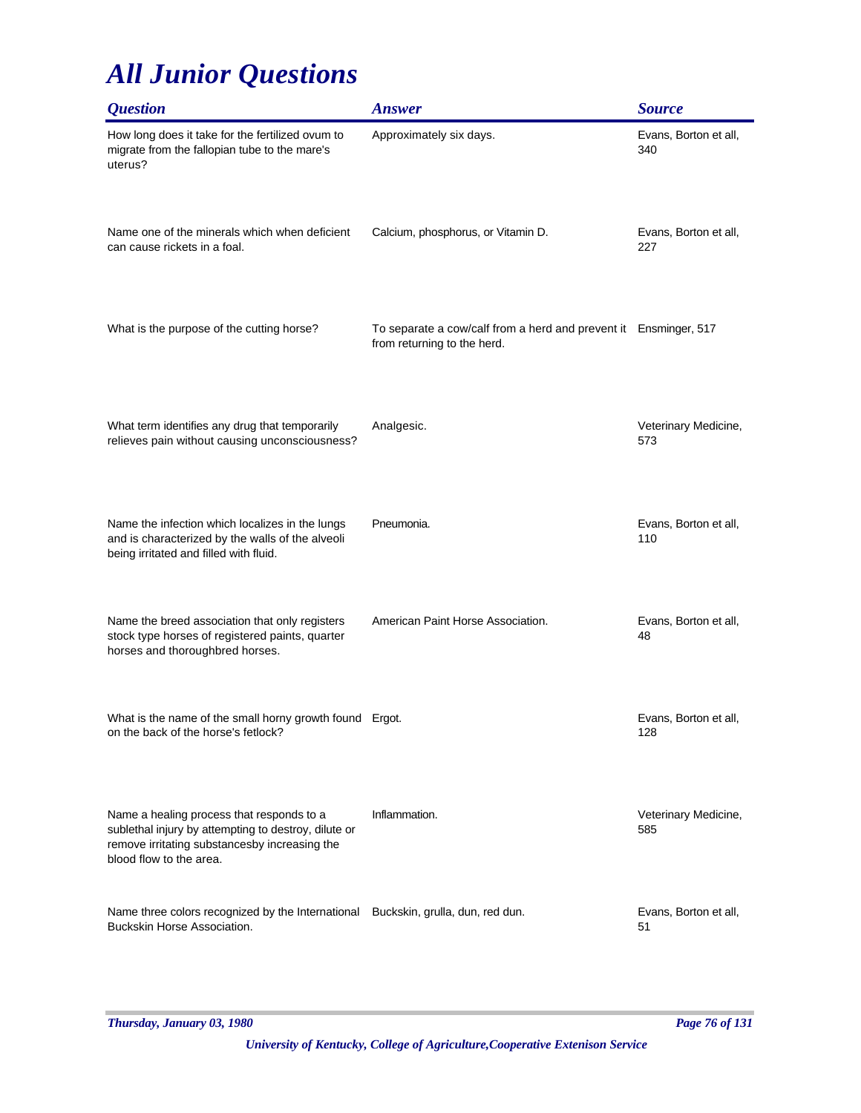| <i><b>Question</b></i>                                                                                                                                                        | <b>Answer</b>                                                                                   | <b>Source</b>                |
|-------------------------------------------------------------------------------------------------------------------------------------------------------------------------------|-------------------------------------------------------------------------------------------------|------------------------------|
| How long does it take for the fertilized ovum to<br>migrate from the fallopian tube to the mare's<br>uterus?                                                                  | Approximately six days.                                                                         | Evans, Borton et all,<br>340 |
| Name one of the minerals which when deficient<br>can cause rickets in a foal.                                                                                                 | Calcium, phosphorus, or Vitamin D.                                                              | Evans, Borton et all,<br>227 |
| What is the purpose of the cutting horse?                                                                                                                                     | To separate a cow/calf from a herd and prevent it Ensminger, 517<br>from returning to the herd. |                              |
| What term identifies any drug that temporarily<br>relieves pain without causing unconsciousness?                                                                              | Analgesic.                                                                                      | Veterinary Medicine,<br>573  |
| Name the infection which localizes in the lungs<br>and is characterized by the walls of the alveoli<br>being irritated and filled with fluid.                                 | Pneumonia.                                                                                      | Evans, Borton et all,<br>110 |
| Name the breed association that only registers<br>stock type horses of registered paints, quarter<br>horses and thoroughbred horses.                                          | American Paint Horse Association.                                                               | Evans, Borton et all,<br>48  |
| What is the name of the small horny growth found Ergot.<br>on the back of the horse's fetlock?                                                                                |                                                                                                 | Evans, Borton et all,<br>128 |
| Name a healing process that responds to a<br>sublethal injury by attempting to destroy, dilute or<br>remove irritating substancesby increasing the<br>blood flow to the area. | Inflammation.                                                                                   | Veterinary Medicine,<br>585  |
| Name three colors recognized by the International Buckskin, grulla, dun, red dun.<br>Buckskin Horse Association.                                                              |                                                                                                 | Evans, Borton et all,<br>51  |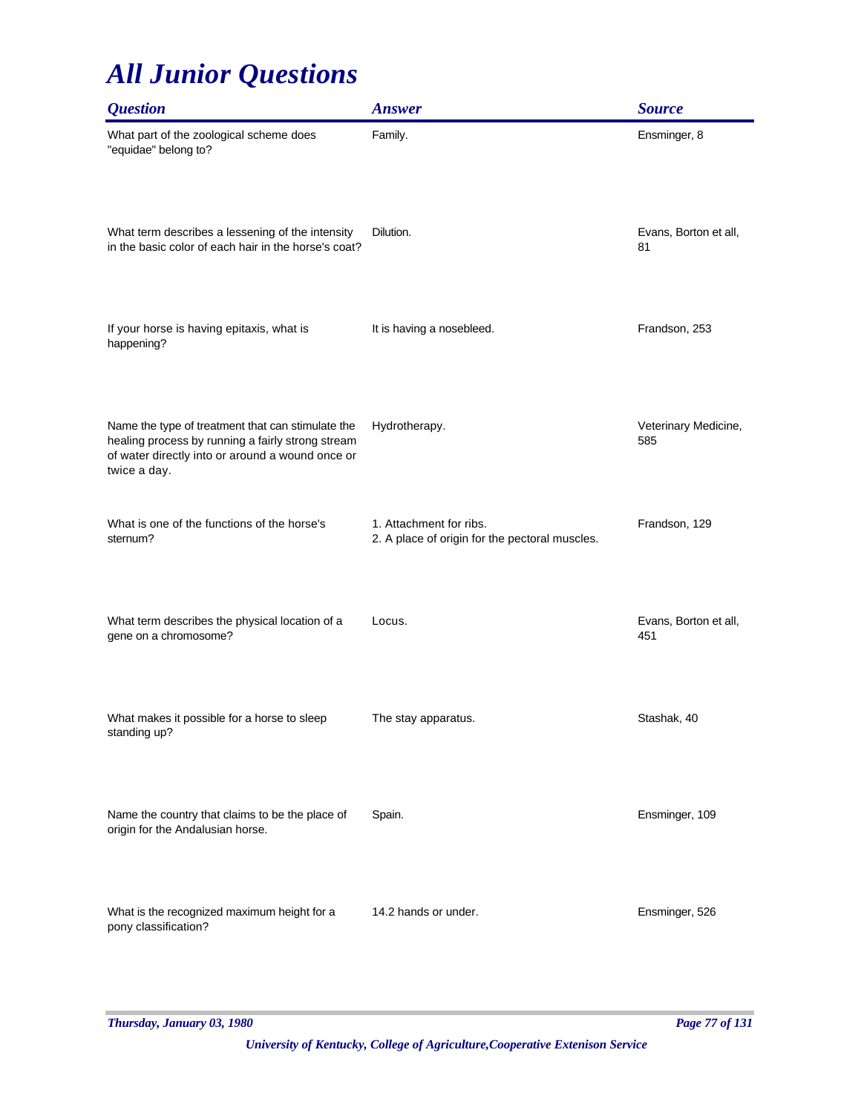| <b>Question</b>                                                                                                                                                            | <b>Answer</b>                                                             | <b>Source</b>                |
|----------------------------------------------------------------------------------------------------------------------------------------------------------------------------|---------------------------------------------------------------------------|------------------------------|
| What part of the zoological scheme does<br>"equidae" belong to?                                                                                                            | Family.                                                                   | Ensminger, 8                 |
| What term describes a lessening of the intensity<br>in the basic color of each hair in the horse's coat?                                                                   | Dilution.                                                                 | Evans, Borton et all,<br>81  |
| If your horse is having epitaxis, what is<br>happening?                                                                                                                    | It is having a nosebleed.                                                 | Frandson, 253                |
| Name the type of treatment that can stimulate the<br>healing process by running a fairly strong stream<br>of water directly into or around a wound once or<br>twice a day. | Hydrotherapy.                                                             | Veterinary Medicine,<br>585  |
| What is one of the functions of the horse's<br>sternum?                                                                                                                    | 1. Attachment for ribs.<br>2. A place of origin for the pectoral muscles. | Frandson, 129                |
| What term describes the physical location of a<br>gene on a chromosome?                                                                                                    | Locus.                                                                    | Evans, Borton et all,<br>451 |
| What makes it possible for a horse to sleep<br>standing up?                                                                                                                | The stay apparatus.                                                       | Stashak, 40                  |
| Name the country that claims to be the place of<br>origin for the Andalusian horse.                                                                                        | Spain.                                                                    | Ensminger, 109               |
| What is the recognized maximum height for a<br>pony classification?                                                                                                        | 14.2 hands or under.                                                      | Ensminger, 526               |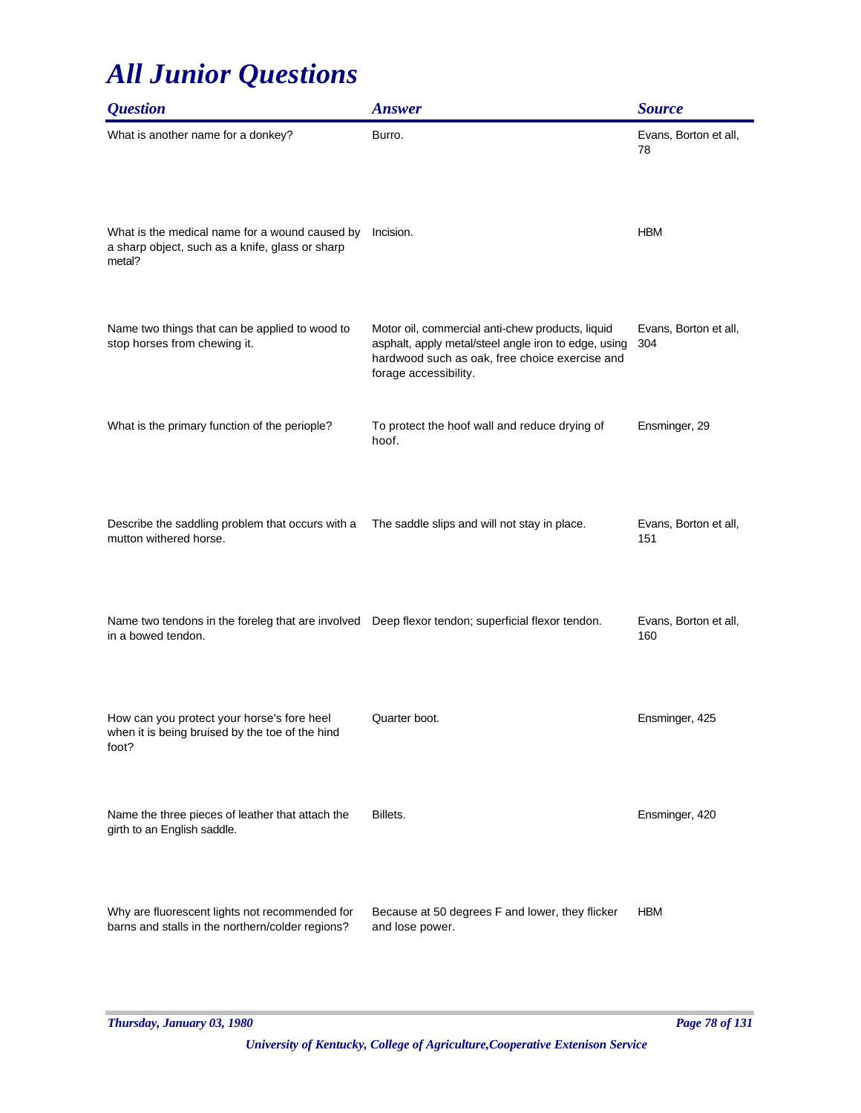| <i><b>Question</b></i>                                                                                                 | <b>Answer</b>                                                                                                                                                                       | <b>Source</b>                |
|------------------------------------------------------------------------------------------------------------------------|-------------------------------------------------------------------------------------------------------------------------------------------------------------------------------------|------------------------------|
| What is another name for a donkey?                                                                                     | Burro.                                                                                                                                                                              | Evans, Borton et all,<br>78  |
| What is the medical name for a wound caused by<br>a sharp object, such as a knife, glass or sharp<br>metal?            | Incision.                                                                                                                                                                           | <b>HBM</b>                   |
| Name two things that can be applied to wood to<br>stop horses from chewing it.                                         | Motor oil, commercial anti-chew products, liquid<br>asphalt, apply metal/steel angle iron to edge, using<br>hardwood such as oak, free choice exercise and<br>forage accessibility. | Evans, Borton et all,<br>304 |
| What is the primary function of the periople?                                                                          | To protect the hoof wall and reduce drying of<br>hoof.                                                                                                                              | Ensminger, 29                |
| Describe the saddling problem that occurs with a<br>mutton withered horse.                                             | The saddle slips and will not stay in place.                                                                                                                                        | Evans, Borton et all,<br>151 |
| Name two tendons in the foreleg that are involved Deep flexor tendon; superficial flexor tendon.<br>in a bowed tendon. |                                                                                                                                                                                     | Evans, Borton et all,<br>160 |
| How can you protect your horse's fore heel<br>when it is being bruised by the toe of the hind<br>foot?                 | Quarter boot.                                                                                                                                                                       | Ensminger, 425               |
| Name the three pieces of leather that attach the<br>girth to an English saddle.                                        | Billets.                                                                                                                                                                            | Ensminger, 420               |
| Why are fluorescent lights not recommended for<br>barns and stalls in the northern/colder regions?                     | Because at 50 degrees F and lower, they flicker<br>and lose power.                                                                                                                  | <b>HBM</b>                   |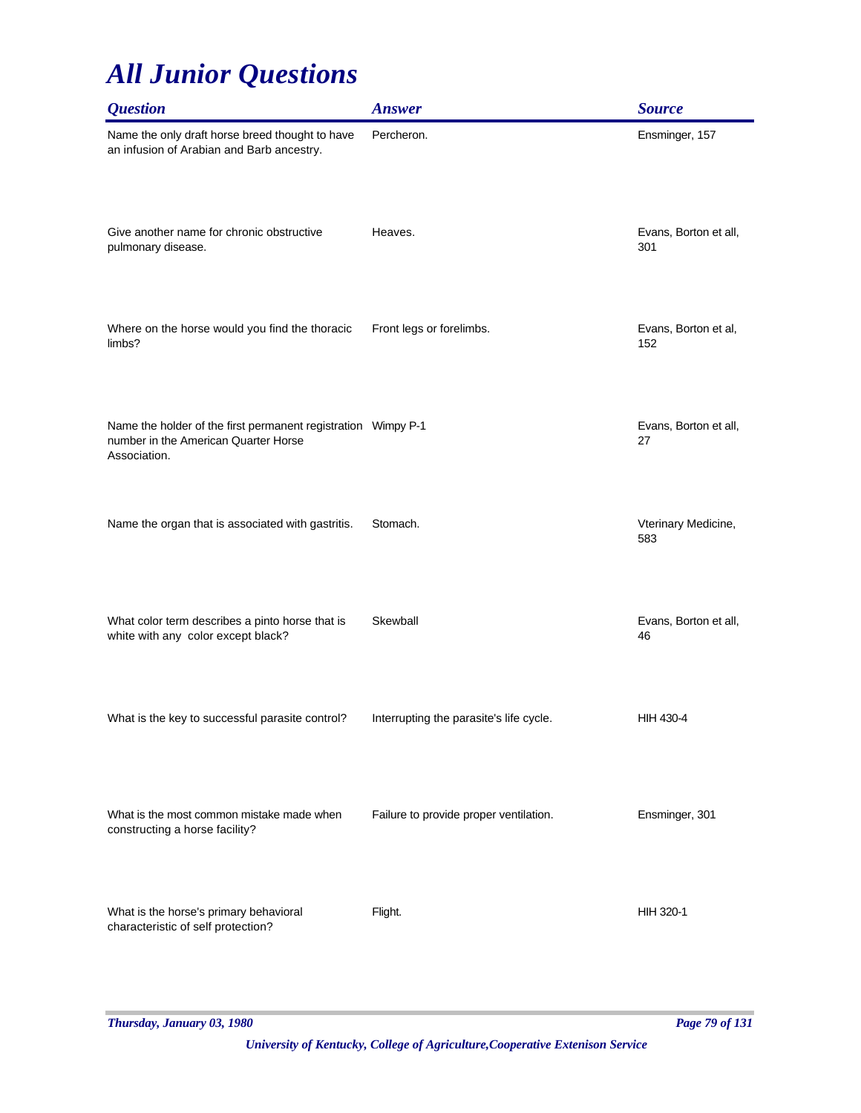| <b>Question</b>                                                                                                       | <b>Answer</b>                           | <b>Source</b>                |
|-----------------------------------------------------------------------------------------------------------------------|-----------------------------------------|------------------------------|
| Name the only draft horse breed thought to have<br>an infusion of Arabian and Barb ancestry.                          | Percheron.                              | Ensminger, 157               |
| Give another name for chronic obstructive<br>pulmonary disease.                                                       | Heaves.                                 | Evans, Borton et all,<br>301 |
| Where on the horse would you find the thoracic<br>limbs?                                                              | Front legs or forelimbs.                | Evans, Borton et al,<br>152  |
| Name the holder of the first permanent registration Wimpy P-1<br>number in the American Quarter Horse<br>Association. |                                         | Evans, Borton et all,<br>27  |
| Name the organ that is associated with gastritis.                                                                     | Stomach.                                | Vterinary Medicine,<br>583   |
| What color term describes a pinto horse that is<br>white with any color except black?                                 | Skewball                                | Evans, Borton et all,<br>46  |
| What is the key to successful parasite control?                                                                       | Interrupting the parasite's life cycle. | <b>HIH 430-4</b>             |
| What is the most common mistake made when<br>constructing a horse facility?                                           | Failure to provide proper ventilation.  | Ensminger, 301               |
| What is the horse's primary behavioral<br>characteristic of self protection?                                          | Flight.                                 | <b>HIH 320-1</b>             |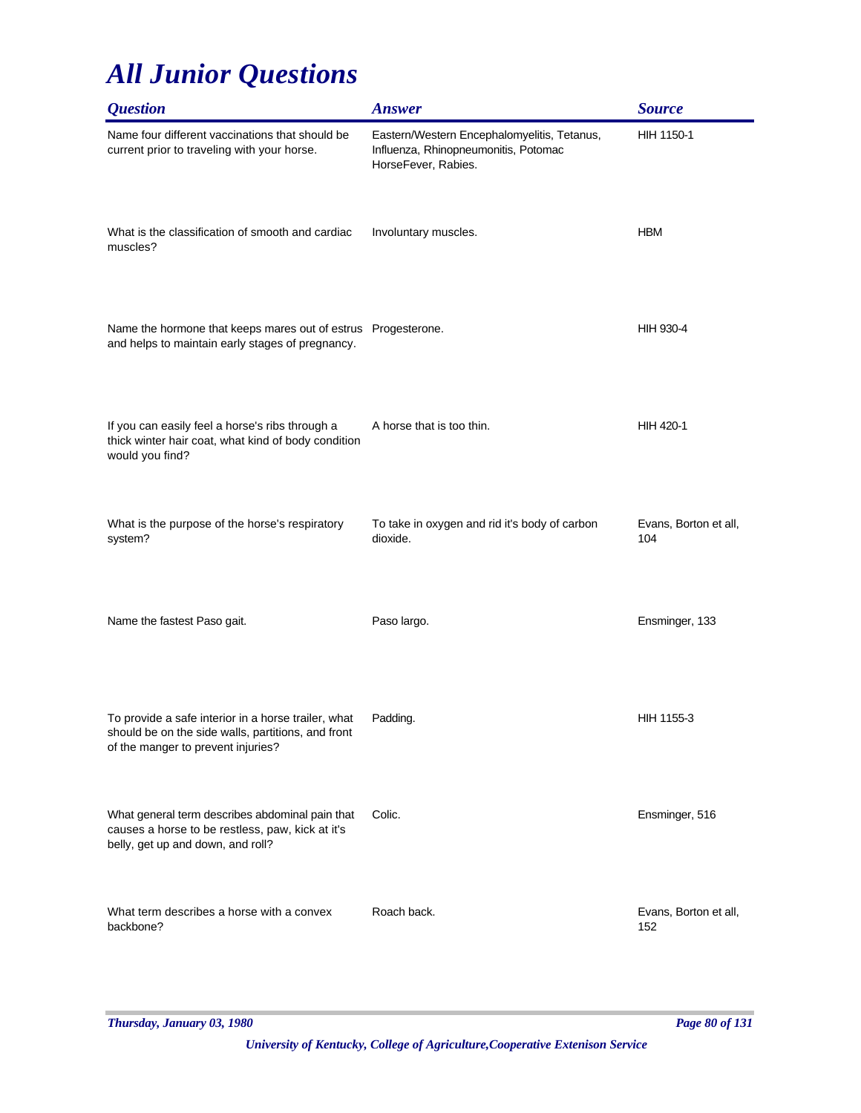| <i><b>Question</b></i>                                                                                                                          | <b>Answer</b>                                                                                              | <b>Source</b>                |
|-------------------------------------------------------------------------------------------------------------------------------------------------|------------------------------------------------------------------------------------------------------------|------------------------------|
| Name four different vaccinations that should be<br>current prior to traveling with your horse.                                                  | Eastern/Western Encephalomyelitis, Tetanus,<br>Influenza, Rhinopneumonitis, Potomac<br>HorseFever, Rabies. | HIH 1150-1                   |
| What is the classification of smooth and cardiac<br>muscles?                                                                                    | Involuntary muscles.                                                                                       | <b>HBM</b>                   |
| Name the hormone that keeps mares out of estrus Progesterone.<br>and helps to maintain early stages of pregnancy.                               |                                                                                                            | HIH 930-4                    |
| If you can easily feel a horse's ribs through a<br>thick winter hair coat, what kind of body condition<br>would you find?                       | A horse that is too thin.                                                                                  | <b>HIH 420-1</b>             |
| What is the purpose of the horse's respiratory<br>system?                                                                                       | To take in oxygen and rid it's body of carbon<br>dioxide.                                                  | Evans, Borton et all,<br>104 |
| Name the fastest Paso gait.                                                                                                                     | Paso largo.                                                                                                | Ensminger, 133               |
| To provide a safe interior in a horse trailer, what<br>should be on the side walls, partitions, and front<br>of the manger to prevent injuries? | Padding.                                                                                                   | HIH 1155-3                   |
| What general term describes abdominal pain that<br>causes a horse to be restless, paw, kick at it's<br>belly, get up and down, and roll?        | Colic.                                                                                                     | Ensminger, 516               |
| What term describes a horse with a convex<br>backbone?                                                                                          | Roach back.                                                                                                | Evans, Borton et all,<br>152 |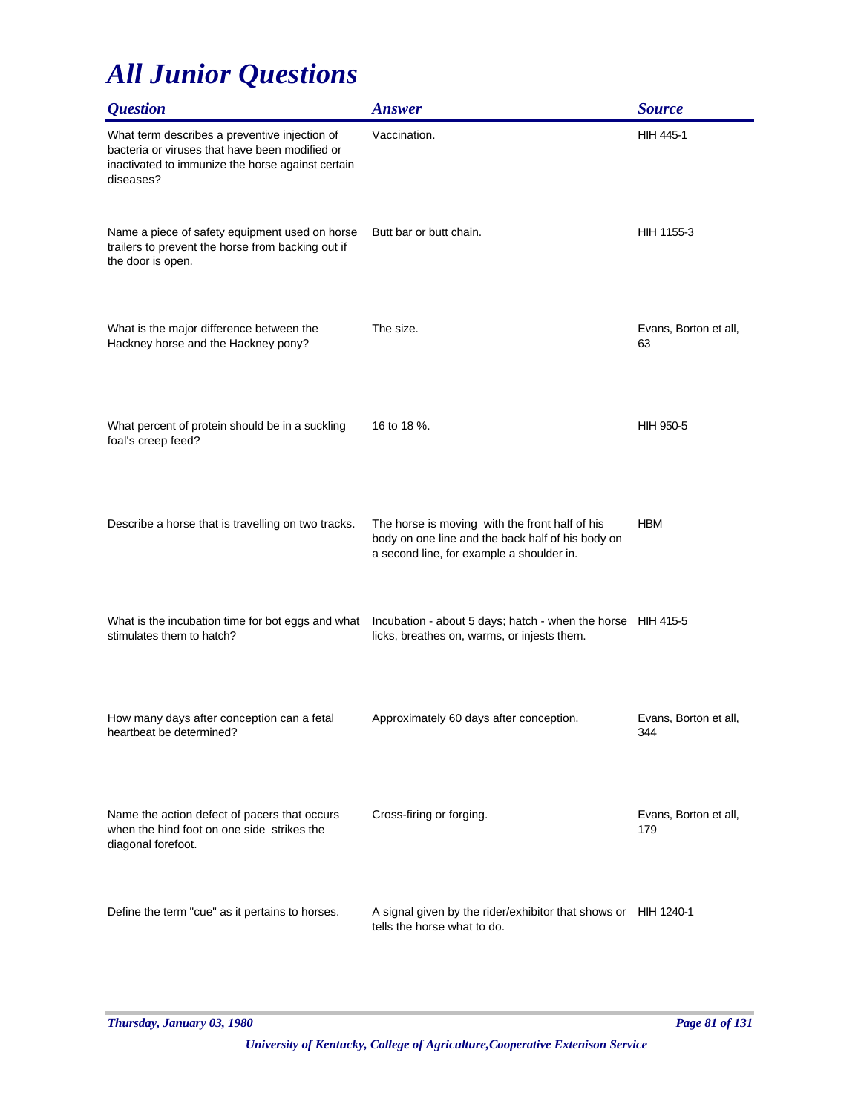| <i><b>Question</b></i>                                                                                                                                            | <b>Answer</b>                                                                                                                                    | <b>Source</b>                |
|-------------------------------------------------------------------------------------------------------------------------------------------------------------------|--------------------------------------------------------------------------------------------------------------------------------------------------|------------------------------|
| What term describes a preventive injection of<br>bacteria or viruses that have been modified or<br>inactivated to immunize the horse against certain<br>diseases? | Vaccination.                                                                                                                                     | <b>HIH 445-1</b>             |
| Name a piece of safety equipment used on horse<br>trailers to prevent the horse from backing out if<br>the door is open.                                          | Butt bar or butt chain.                                                                                                                          | HIH 1155-3                   |
| What is the major difference between the<br>Hackney horse and the Hackney pony?                                                                                   | The size.                                                                                                                                        | Evans, Borton et all,<br>63  |
| What percent of protein should be in a suckling<br>foal's creep feed?                                                                                             | 16 to 18 %.                                                                                                                                      | <b>HIH 950-5</b>             |
| Describe a horse that is travelling on two tracks.                                                                                                                | The horse is moving with the front half of his<br>body on one line and the back half of his body on<br>a second line, for example a shoulder in. | <b>HBM</b>                   |
| What is the incubation time for bot eggs and what<br>stimulates them to hatch?                                                                                    | Incubation - about 5 days; hatch - when the horse HIH 415-5<br>licks, breathes on, warms, or injests them.                                       |                              |
| How many days after conception can a fetal<br>heartbeat be determined?                                                                                            | Approximately 60 days after conception.                                                                                                          | Evans, Borton et all,<br>344 |
| Name the action defect of pacers that occurs<br>when the hind foot on one side strikes the<br>diagonal forefoot.                                                  | Cross-firing or forging.                                                                                                                         | Evans, Borton et all,<br>179 |
| Define the term "cue" as it pertains to horses.                                                                                                                   | A signal given by the rider/exhibitor that shows or HIH 1240-1<br>tells the horse what to do.                                                    |                              |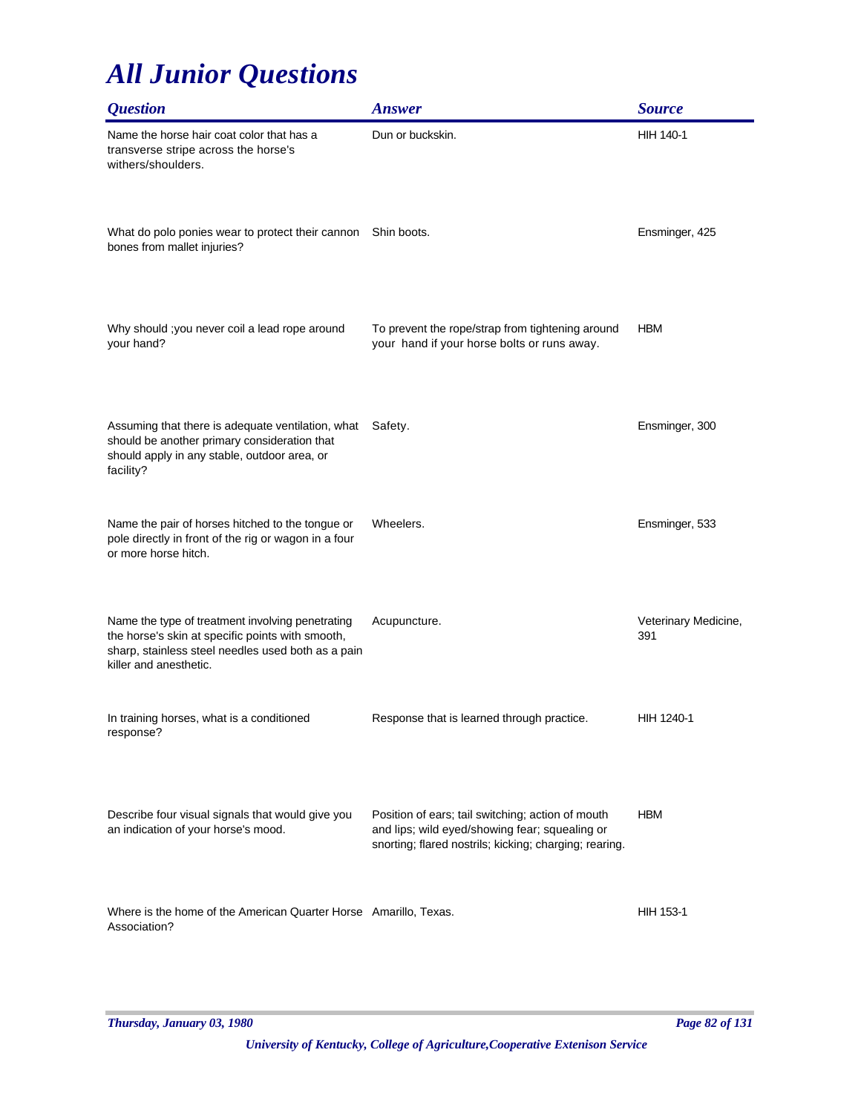| <i><b>Question</b></i>                                                                                                                                                               | <b>Answer</b>                                                                                                                                                 | <b>Source</b>               |
|--------------------------------------------------------------------------------------------------------------------------------------------------------------------------------------|---------------------------------------------------------------------------------------------------------------------------------------------------------------|-----------------------------|
| Name the horse hair coat color that has a<br>transverse stripe across the horse's<br>withers/shoulders.                                                                              | Dun or buckskin.                                                                                                                                              | <b>HIH 140-1</b>            |
| What do polo ponies wear to protect their cannon<br>bones from mallet injuries?                                                                                                      | Shin boots.                                                                                                                                                   | Ensminger, 425              |
| Why should ; you never coil a lead rope around<br>your hand?                                                                                                                         | To prevent the rope/strap from tightening around<br>your hand if your horse bolts or runs away.                                                               | <b>HBM</b>                  |
| Assuming that there is adequate ventilation, what<br>should be another primary consideration that<br>should apply in any stable, outdoor area, or<br>facility?                       | Safety.                                                                                                                                                       | Ensminger, 300              |
| Name the pair of horses hitched to the tongue or<br>pole directly in front of the rig or wagon in a four<br>or more horse hitch.                                                     | Wheelers.                                                                                                                                                     | Ensminger, 533              |
| Name the type of treatment involving penetrating<br>the horse's skin at specific points with smooth,<br>sharp, stainless steel needles used both as a pain<br>killer and anesthetic. | Acupuncture.                                                                                                                                                  | Veterinary Medicine,<br>391 |
| In training horses, what is a conditioned<br>response?                                                                                                                               | Response that is learned through practice.                                                                                                                    | HIH 1240-1                  |
| Describe four visual signals that would give you<br>an indication of your horse's mood.                                                                                              | Position of ears; tail switching; action of mouth<br>and lips; wild eyed/showing fear; squealing or<br>snorting; flared nostrils; kicking; charging; rearing. | <b>HBM</b>                  |
| Where is the home of the American Quarter Horse Amarillo, Texas.<br>Association?                                                                                                     |                                                                                                                                                               | HIH 153-1                   |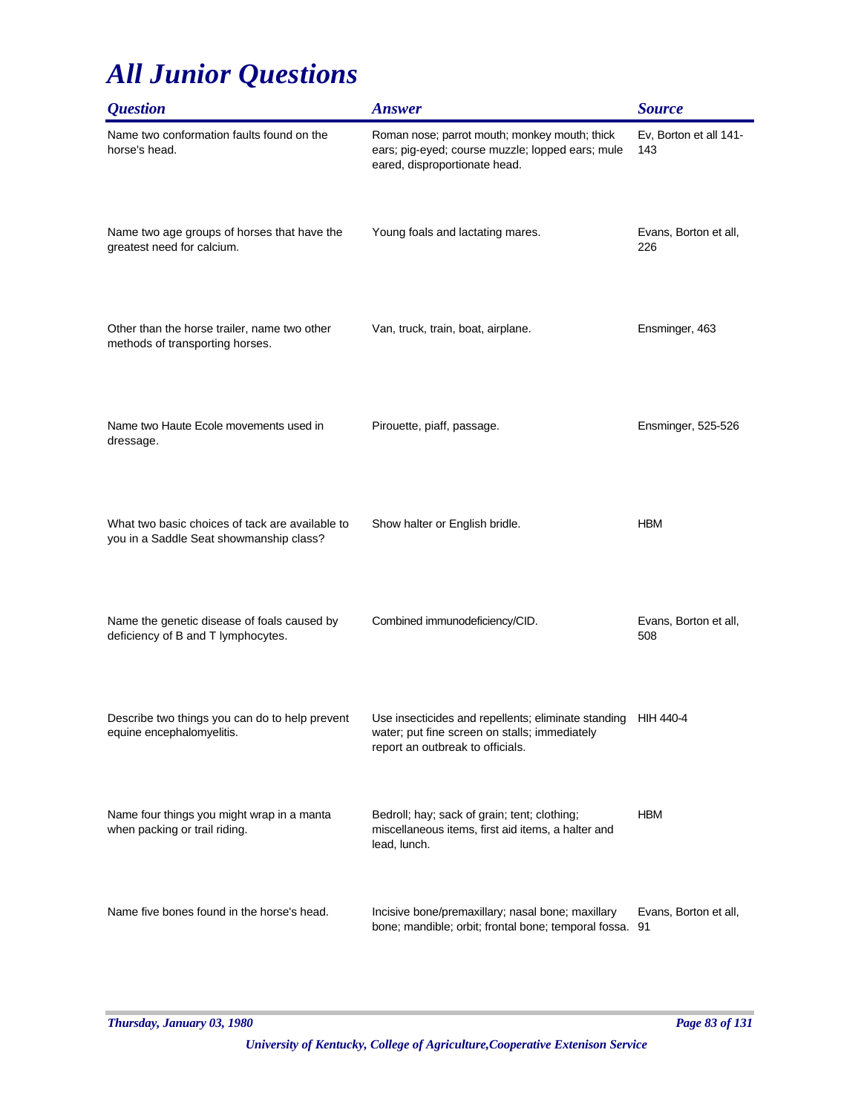| <b>Question</b>                                                                            | <b>Answer</b>                                                                                                                            | <b>Source</b>                 |
|--------------------------------------------------------------------------------------------|------------------------------------------------------------------------------------------------------------------------------------------|-------------------------------|
| Name two conformation faults found on the<br>horse's head.                                 | Roman nose; parrot mouth; monkey mouth; thick<br>ears; pig-eyed; course muzzle; lopped ears; mule<br>eared, disproportionate head.       | Ev, Borton et all 141-<br>143 |
| Name two age groups of horses that have the<br>greatest need for calcium.                  | Young foals and lactating mares.                                                                                                         | Evans, Borton et all,<br>226  |
| Other than the horse trailer, name two other<br>methods of transporting horses.            | Van, truck, train, boat, airplane.                                                                                                       | Ensminger, 463                |
| Name two Haute Ecole movements used in<br>dressage.                                        | Pirouette, piaff, passage.                                                                                                               | Ensminger, 525-526            |
| What two basic choices of tack are available to<br>you in a Saddle Seat showmanship class? | Show halter or English bridle.                                                                                                           | <b>HBM</b>                    |
| Name the genetic disease of foals caused by<br>deficiency of B and T lymphocytes.          | Combined immunodeficiency/CID.                                                                                                           | Evans, Borton et all,<br>508  |
| Describe two things you can do to help prevent<br>equine encephalomyelitis.                | Use insecticides and repellents; eliminate standing<br>water; put fine screen on stalls; immediately<br>report an outbreak to officials. | HIH 440-4                     |
| Name four things you might wrap in a manta<br>when packing or trail riding.                | Bedroll; hay; sack of grain; tent; clothing;<br>miscellaneous items, first aid items, a halter and<br>lead, lunch.                       | <b>HBM</b>                    |
| Name five bones found in the horse's head.                                                 | Incisive bone/premaxillary; nasal bone; maxillary<br>bone; mandible; orbit; frontal bone; temporal fossa. 91                             | Evans, Borton et all,         |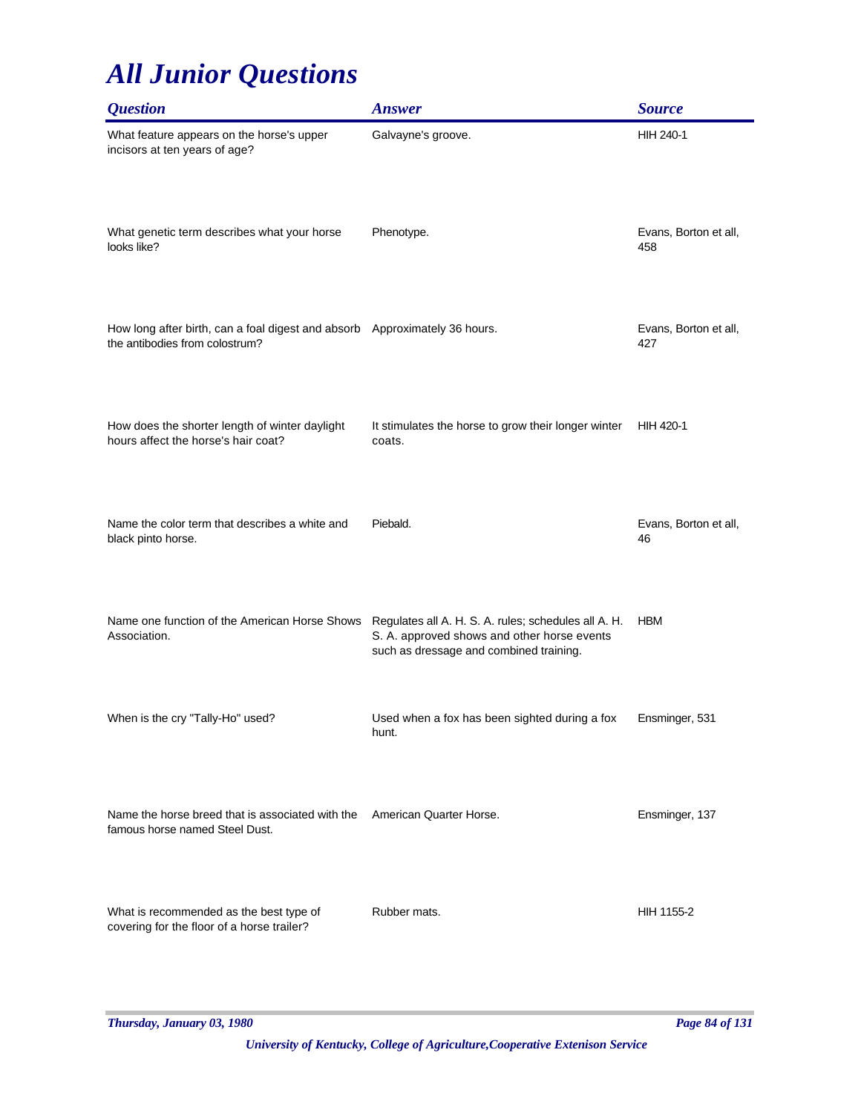| <i><b>Question</b></i>                                                                                       | <b>Answer</b>                                                                                                                                  | <b>Source</b>                |
|--------------------------------------------------------------------------------------------------------------|------------------------------------------------------------------------------------------------------------------------------------------------|------------------------------|
| What feature appears on the horse's upper<br>incisors at ten years of age?                                   | Galvayne's groove.                                                                                                                             | <b>HIH 240-1</b>             |
| What genetic term describes what your horse<br>looks like?                                                   | Phenotype.                                                                                                                                     | Evans, Borton et all,<br>458 |
| How long after birth, can a foal digest and absorb Approximately 36 hours.<br>the antibodies from colostrum? |                                                                                                                                                | Evans, Borton et all,<br>427 |
| How does the shorter length of winter daylight<br>hours affect the horse's hair coat?                        | It stimulates the horse to grow their longer winter<br>coats.                                                                                  | HIH 420-1                    |
| Name the color term that describes a white and<br>black pinto horse.                                         | Piebald.                                                                                                                                       | Evans, Borton et all,<br>46  |
| Name one function of the American Horse Shows<br>Association.                                                | Regulates all A. H. S. A. rules; schedules all A. H.<br>S. A. approved shows and other horse events<br>such as dressage and combined training. | <b>HBM</b>                   |
| When is the cry "Tally-Ho" used?                                                                             | Used when a fox has been sighted during a fox<br>hunt.                                                                                         | Ensminger, 531               |
| Name the horse breed that is associated with the<br>famous horse named Steel Dust.                           | American Quarter Horse.                                                                                                                        | Ensminger, 137               |
| What is recommended as the best type of<br>covering for the floor of a horse trailer?                        | Rubber mats.                                                                                                                                   | HIH 1155-2                   |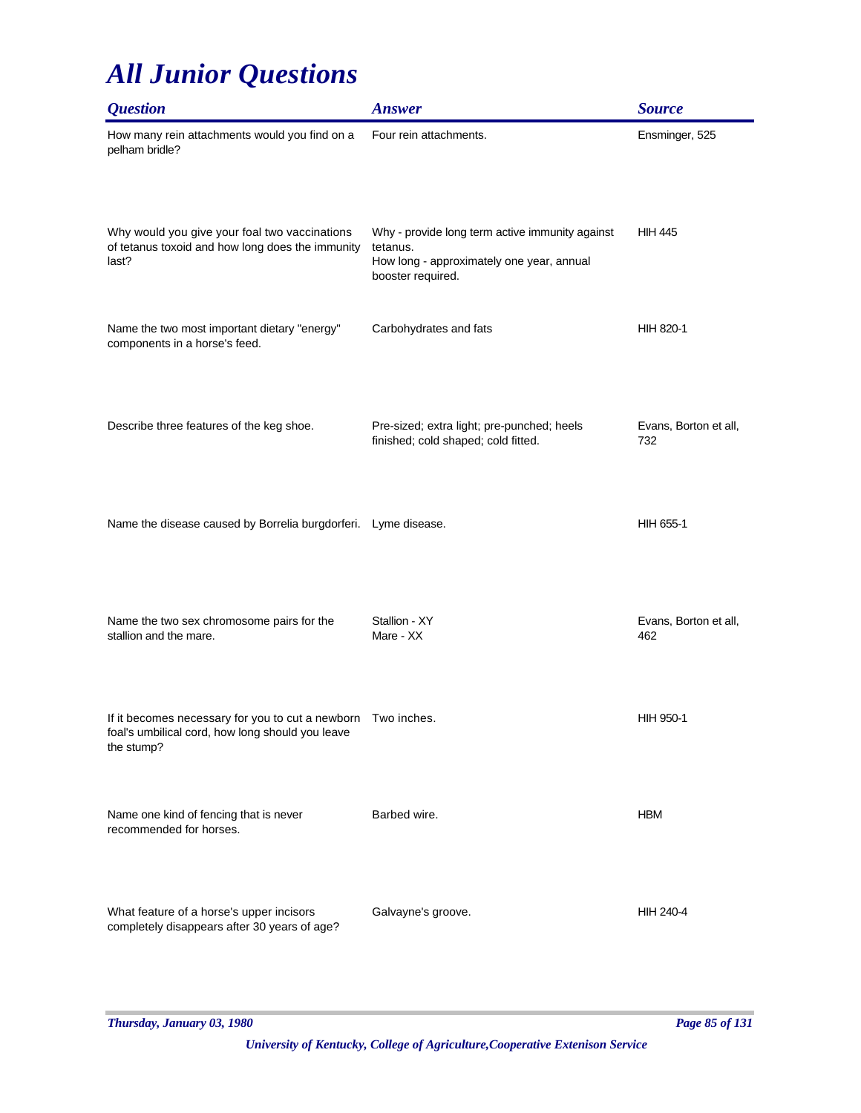| <i><b>Question</b></i>                                                                                                         | <b>Answer</b>                                                                                                                 | <b>Source</b>                |
|--------------------------------------------------------------------------------------------------------------------------------|-------------------------------------------------------------------------------------------------------------------------------|------------------------------|
| How many rein attachments would you find on a<br>pelham bridle?                                                                | Four rein attachments.                                                                                                        | Ensminger, 525               |
| Why would you give your foal two vaccinations<br>of tetanus toxoid and how long does the immunity<br>last?                     | Why - provide long term active immunity against<br>tetanus.<br>How long - approximately one year, annual<br>booster required. | <b>HIH 445</b>               |
| Name the two most important dietary "energy"<br>components in a horse's feed.                                                  | Carbohydrates and fats                                                                                                        | HIH 820-1                    |
| Describe three features of the keg shoe.                                                                                       | Pre-sized; extra light; pre-punched; heels<br>finished; cold shaped; cold fitted.                                             | Evans, Borton et all,<br>732 |
| Name the disease caused by Borrelia burgdorferi. Lyme disease.                                                                 |                                                                                                                               | HIH 655-1                    |
| Name the two sex chromosome pairs for the<br>stallion and the mare.                                                            | Stallion - XY<br>Mare - XX                                                                                                    | Evans, Borton et all,<br>462 |
| If it becomes necessary for you to cut a newborn Two inches.<br>foal's umbilical cord, how long should you leave<br>the stump? |                                                                                                                               | HIH 950-1                    |
| Name one kind of fencing that is never<br>recommended for horses.                                                              | Barbed wire.                                                                                                                  | <b>HBM</b>                   |
| What feature of a horse's upper incisors<br>completely disappears after 30 years of age?                                       | Galvayne's groove.                                                                                                            | HIH 240-4                    |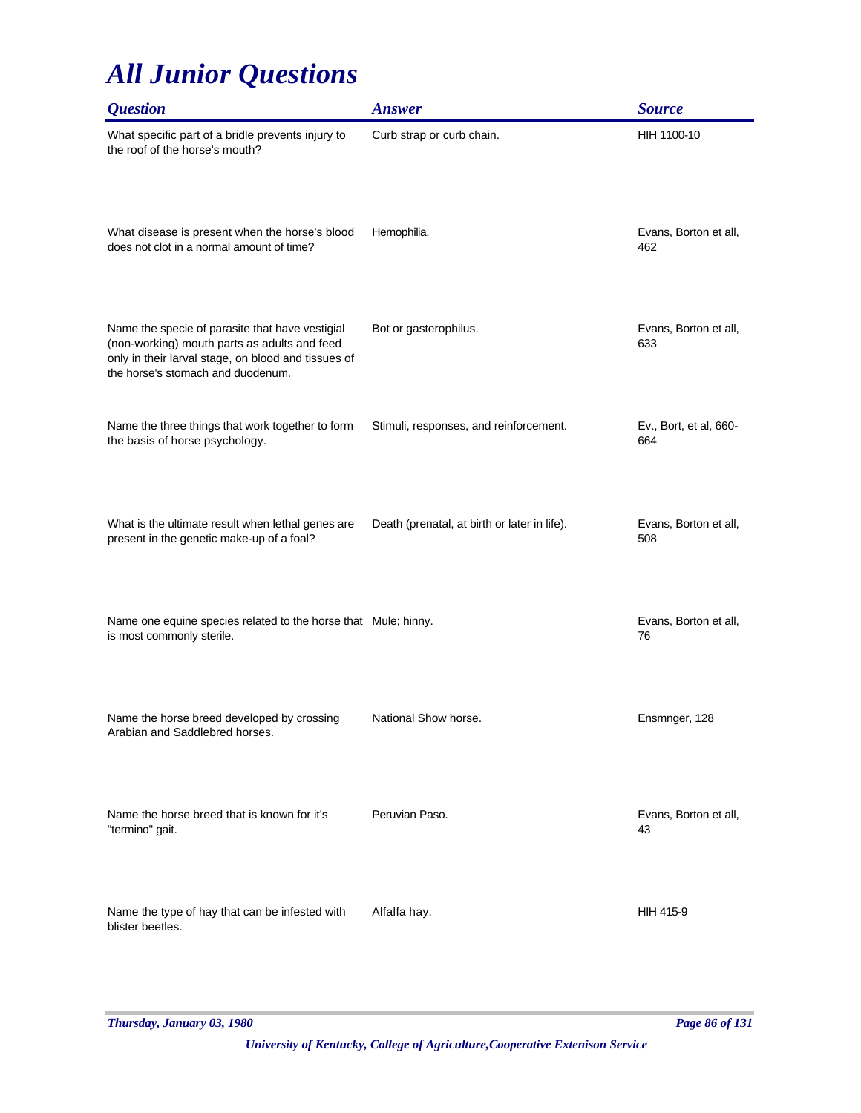| <i><b>Question</b></i>                                                                                                                                                                      | <b>Answer</b>                                | <b>Source</b>                 |
|---------------------------------------------------------------------------------------------------------------------------------------------------------------------------------------------|----------------------------------------------|-------------------------------|
| What specific part of a bridle prevents injury to<br>the roof of the horse's mouth?                                                                                                         | Curb strap or curb chain.                    | HIH 1100-10                   |
| What disease is present when the horse's blood<br>does not clot in a normal amount of time?                                                                                                 | Hemophilia.                                  | Evans, Borton et all,<br>462  |
| Name the specie of parasite that have vestigial<br>(non-working) mouth parts as adults and feed<br>only in their larval stage, on blood and tissues of<br>the horse's stomach and duodenum. | Bot or gasterophilus.                        | Evans, Borton et all,<br>633  |
| Name the three things that work together to form<br>the basis of horse psychology.                                                                                                          | Stimuli, responses, and reinforcement.       | Ev., Bort, et al, 660-<br>664 |
| What is the ultimate result when lethal genes are<br>present in the genetic make-up of a foal?                                                                                              | Death (prenatal, at birth or later in life). | Evans, Borton et all,<br>508  |
| Name one equine species related to the horse that Mule; hinny.<br>is most commonly sterile.                                                                                                 |                                              | Evans, Borton et all,<br>76   |
| Name the horse breed developed by crossing<br>Arabian and Saddlebred horses.                                                                                                                | National Show horse.                         | Ensmnger, 128                 |
| Name the horse breed that is known for it's<br>"termino" gait.                                                                                                                              | Peruvian Paso.                               | Evans, Borton et all,<br>43   |
| Name the type of hay that can be infested with<br>blister beetles.                                                                                                                          | Alfalfa hay.                                 | HIH 415-9                     |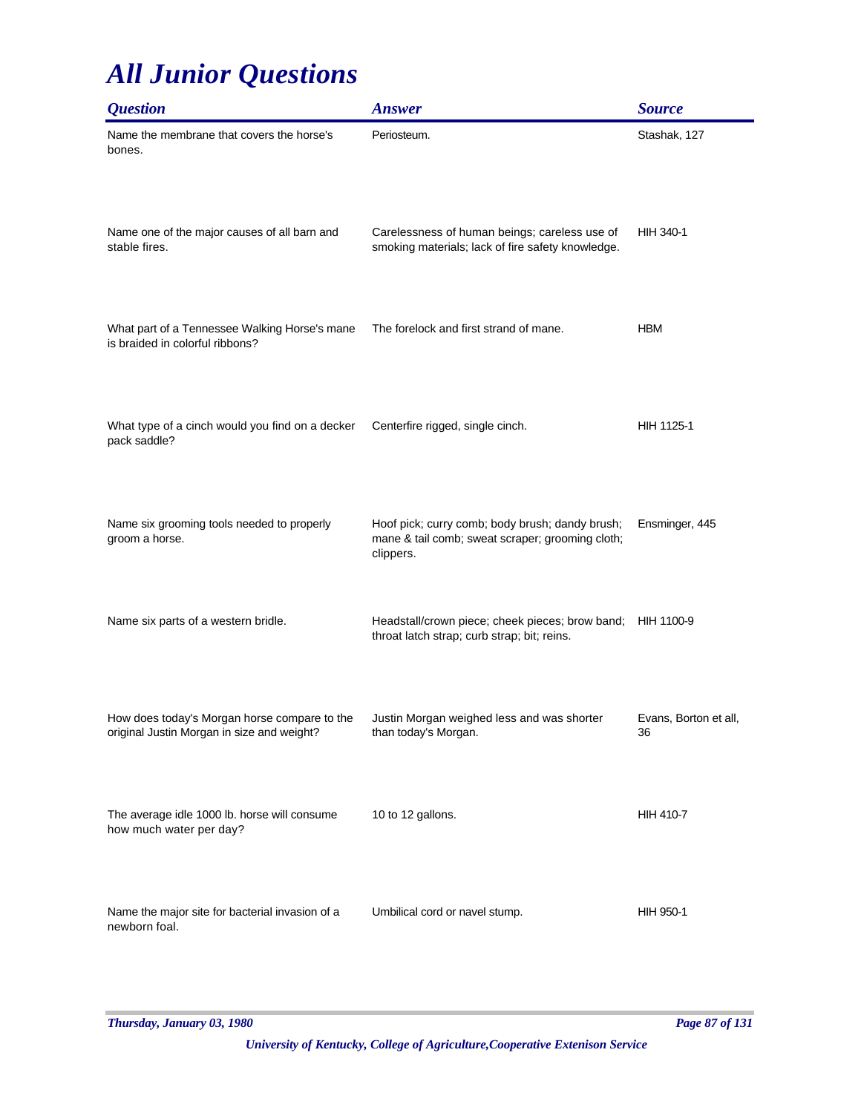| <i><b>Question</b></i>                                                                     | <b>Answer</b>                                                                                                    | <b>Source</b>               |
|--------------------------------------------------------------------------------------------|------------------------------------------------------------------------------------------------------------------|-----------------------------|
| Name the membrane that covers the horse's<br>bones.                                        | Periosteum.                                                                                                      | Stashak, 127                |
| Name one of the major causes of all barn and<br>stable fires.                              | Carelessness of human beings; careless use of<br>smoking materials; lack of fire safety knowledge.               | HIH 340-1                   |
| What part of a Tennessee Walking Horse's mane<br>is braided in colorful ribbons?           | The forelock and first strand of mane.                                                                           | <b>HBM</b>                  |
| What type of a cinch would you find on a decker<br>pack saddle?                            | Centerfire rigged, single cinch.                                                                                 | HIH 1125-1                  |
| Name six grooming tools needed to properly<br>groom a horse.                               | Hoof pick; curry comb; body brush; dandy brush;<br>mane & tail comb; sweat scraper; grooming cloth;<br>clippers. | Ensminger, 445              |
| Name six parts of a western bridle.                                                        | Headstall/crown piece; cheek pieces; brow band;<br>throat latch strap; curb strap; bit; reins.                   | HIH 1100-9                  |
| How does today's Morgan horse compare to the<br>original Justin Morgan in size and weight? | Justin Morgan weighed less and was shorter<br>than today's Morgan.                                               | Evans, Borton et all,<br>36 |
| The average idle 1000 lb. horse will consume<br>how much water per day?                    | 10 to 12 gallons.                                                                                                | <b>HIH 410-7</b>            |
| Name the major site for bacterial invasion of a<br>newborn foal.                           | Umbilical cord or navel stump.                                                                                   | <b>HIH 950-1</b>            |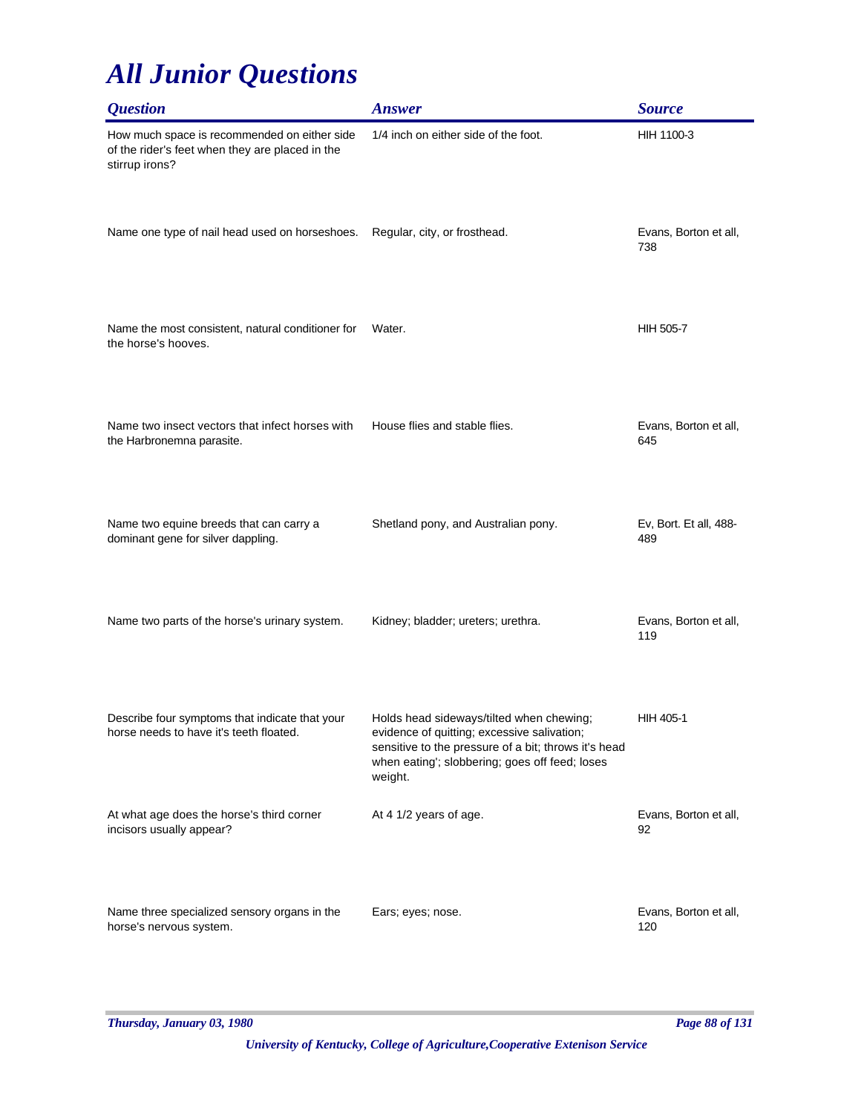| <b>Question</b>                                                                                                   | <b>Answer</b>                                                                                                                                                                                                | <b>Source</b>                 |
|-------------------------------------------------------------------------------------------------------------------|--------------------------------------------------------------------------------------------------------------------------------------------------------------------------------------------------------------|-------------------------------|
| How much space is recommended on either side<br>of the rider's feet when they are placed in the<br>stirrup irons? | 1/4 inch on either side of the foot.                                                                                                                                                                         | HIH 1100-3                    |
| Name one type of nail head used on horseshoes.                                                                    | Regular, city, or frosthead.                                                                                                                                                                                 | Evans, Borton et all,<br>738  |
| Name the most consistent, natural conditioner for<br>the horse's hooves.                                          | Water.                                                                                                                                                                                                       | <b>HIH 505-7</b>              |
| Name two insect vectors that infect horses with<br>the Harbronemna parasite.                                      | House flies and stable flies.                                                                                                                                                                                | Evans, Borton et all,<br>645  |
| Name two equine breeds that can carry a<br>dominant gene for silver dappling.                                     | Shetland pony, and Australian pony.                                                                                                                                                                          | Ev, Bort. Et all, 488-<br>489 |
| Name two parts of the horse's urinary system.                                                                     | Kidney; bladder; ureters; urethra.                                                                                                                                                                           | Evans, Borton et all,<br>119  |
| Describe four symptoms that indicate that your<br>horse needs to have it's teeth floated.                         | Holds head sideways/tilted when chewing;<br>evidence of quitting; excessive salivation;<br>sensitive to the pressure of a bit; throws it's head<br>when eating'; slobbering; goes off feed; loses<br>weight. | HIH 405-1                     |
| At what age does the horse's third corner<br>incisors usually appear?                                             | At 4 1/2 years of age.                                                                                                                                                                                       | Evans, Borton et all,<br>92   |
| Name three specialized sensory organs in the<br>horse's nervous system.                                           | Ears; eyes; nose.                                                                                                                                                                                            | Evans, Borton et all,<br>120  |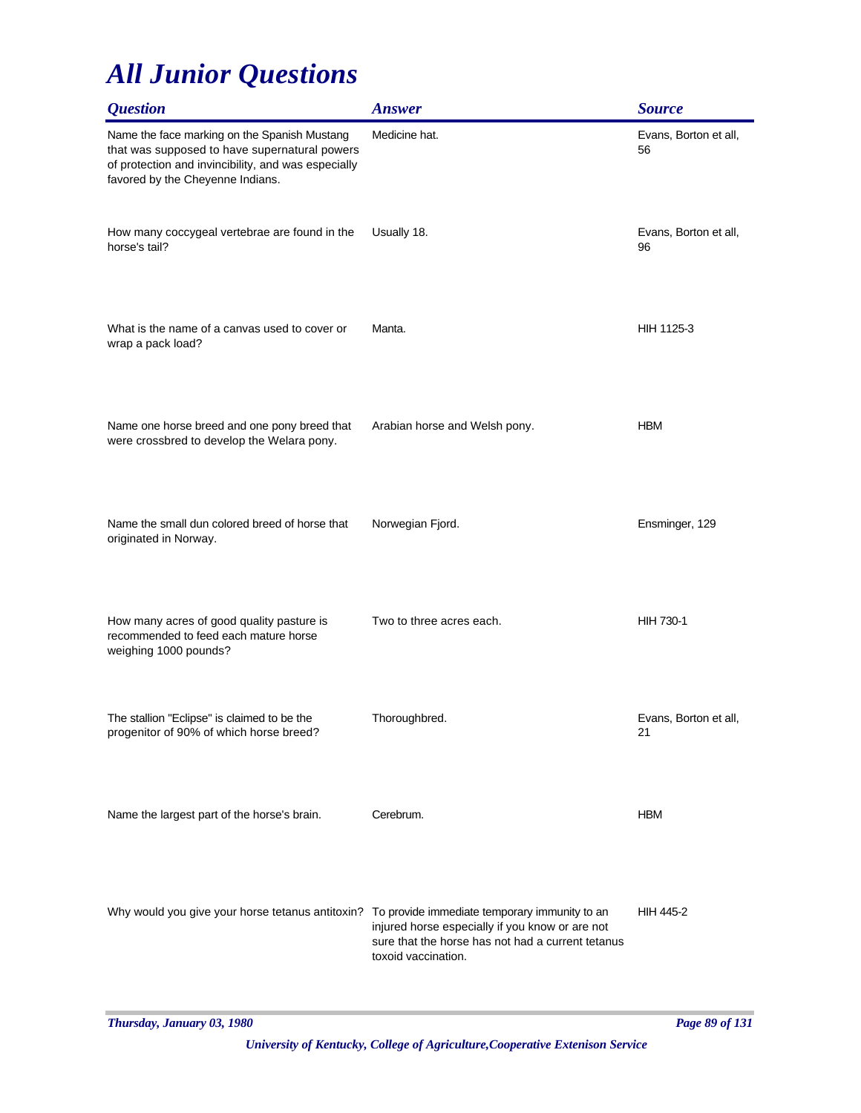| <i><b>Question</b></i>                                                                                                                                                                   | <b>Answer</b>                                                                                                               | <b>Source</b>               |
|------------------------------------------------------------------------------------------------------------------------------------------------------------------------------------------|-----------------------------------------------------------------------------------------------------------------------------|-----------------------------|
| Name the face marking on the Spanish Mustang<br>that was supposed to have supernatural powers<br>of protection and invincibility, and was especially<br>favored by the Cheyenne Indians. | Medicine hat.                                                                                                               | Evans, Borton et all,<br>56 |
| How many coccygeal vertebrae are found in the<br>horse's tail?                                                                                                                           | Usually 18.                                                                                                                 | Evans, Borton et all,<br>96 |
| What is the name of a canvas used to cover or<br>wrap a pack load?                                                                                                                       | Manta.                                                                                                                      | HIH 1125-3                  |
| Name one horse breed and one pony breed that<br>were crossbred to develop the Welara pony.                                                                                               | Arabian horse and Welsh pony.                                                                                               | <b>HBM</b>                  |
| Name the small dun colored breed of horse that<br>originated in Norway.                                                                                                                  | Norwegian Fjord.                                                                                                            | Ensminger, 129              |
| How many acres of good quality pasture is<br>recommended to feed each mature horse<br>weighing 1000 pounds?                                                                              | Two to three acres each.                                                                                                    | <b>HIH 730-1</b>            |
| The stallion "Eclipse" is claimed to be the<br>progenitor of 90% of which horse breed?                                                                                                   | Thoroughbred.                                                                                                               | Evans, Borton et all,<br>21 |
| Name the largest part of the horse's brain.                                                                                                                                              | Cerebrum.                                                                                                                   | <b>HBM</b>                  |
| Why would you give your horse tetanus antitoxin? To provide immediate temporary immunity to an                                                                                           | injured horse especially if you know or are not<br>sure that the horse has not had a current tetanus<br>toxoid vaccination. | <b>HIH 445-2</b>            |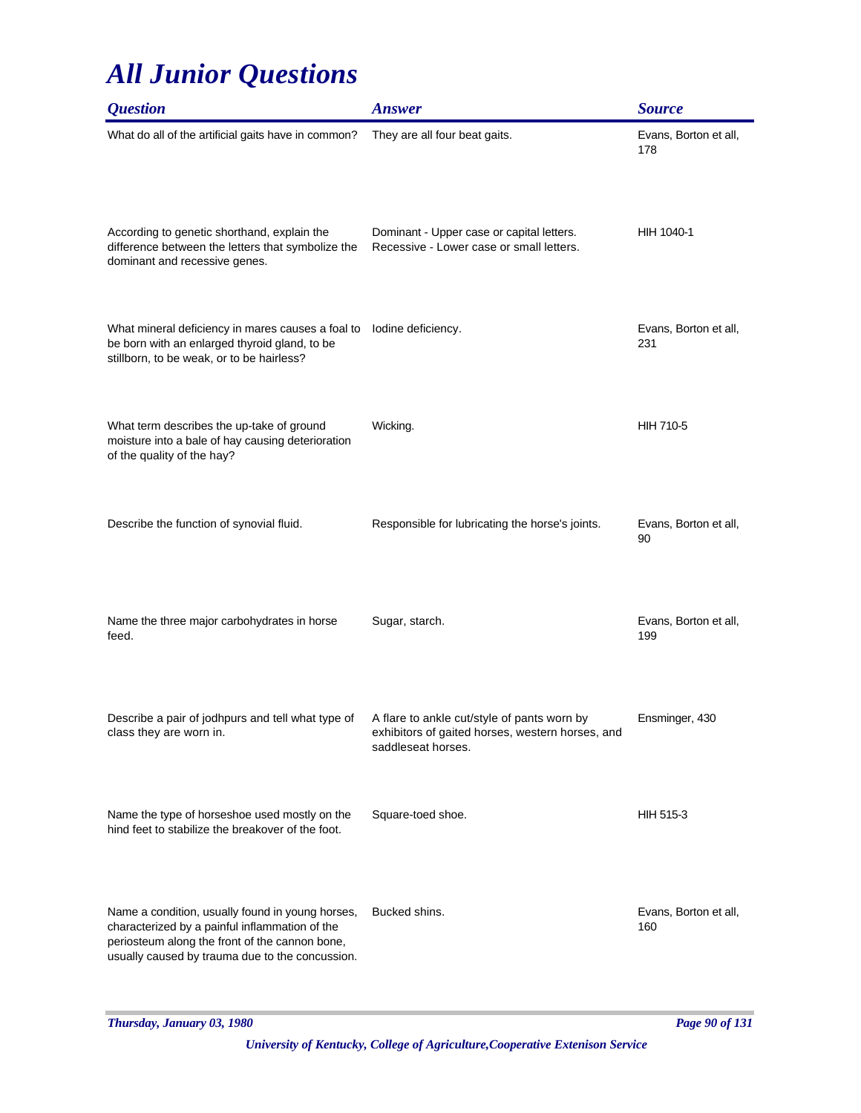| <i><b>Question</b></i>                                                                                                                                                                                  | <b>Answer</b>                                                                                                         | <b>Source</b>                |
|---------------------------------------------------------------------------------------------------------------------------------------------------------------------------------------------------------|-----------------------------------------------------------------------------------------------------------------------|------------------------------|
| What do all of the artificial gaits have in common?                                                                                                                                                     | They are all four beat gaits.                                                                                         | Evans, Borton et all,<br>178 |
| According to genetic shorthand, explain the<br>difference between the letters that symbolize the<br>dominant and recessive genes.                                                                       | Dominant - Upper case or capital letters.<br>Recessive - Lower case or small letters.                                 | HIH 1040-1                   |
| What mineral deficiency in mares causes a foal to<br>be born with an enlarged thyroid gland, to be<br>stillborn, to be weak, or to be hairless?                                                         | lodine deficiency.                                                                                                    | Evans, Borton et all,<br>231 |
| What term describes the up-take of ground<br>moisture into a bale of hay causing deterioration<br>of the quality of the hay?                                                                            | Wicking.                                                                                                              | <b>HIH 710-5</b>             |
| Describe the function of synovial fluid.                                                                                                                                                                | Responsible for lubricating the horse's joints.                                                                       | Evans, Borton et all,<br>90  |
| Name the three major carbohydrates in horse<br>feed.                                                                                                                                                    | Sugar, starch.                                                                                                        | Evans, Borton et all,<br>199 |
| Describe a pair of jodhpurs and tell what type of<br>class they are worn in.                                                                                                                            | A flare to ankle cut/style of pants worn by<br>exhibitors of gaited horses, western horses, and<br>saddleseat horses. | Ensminger, 430               |
| Name the type of horseshoe used mostly on the<br>hind feet to stabilize the breakover of the foot.                                                                                                      | Square-toed shoe.                                                                                                     | HIH 515-3                    |
| Name a condition, usually found in young horses,<br>characterized by a painful inflammation of the<br>periosteum along the front of the cannon bone,<br>usually caused by trauma due to the concussion. | Bucked shins.                                                                                                         | Evans, Borton et all,<br>160 |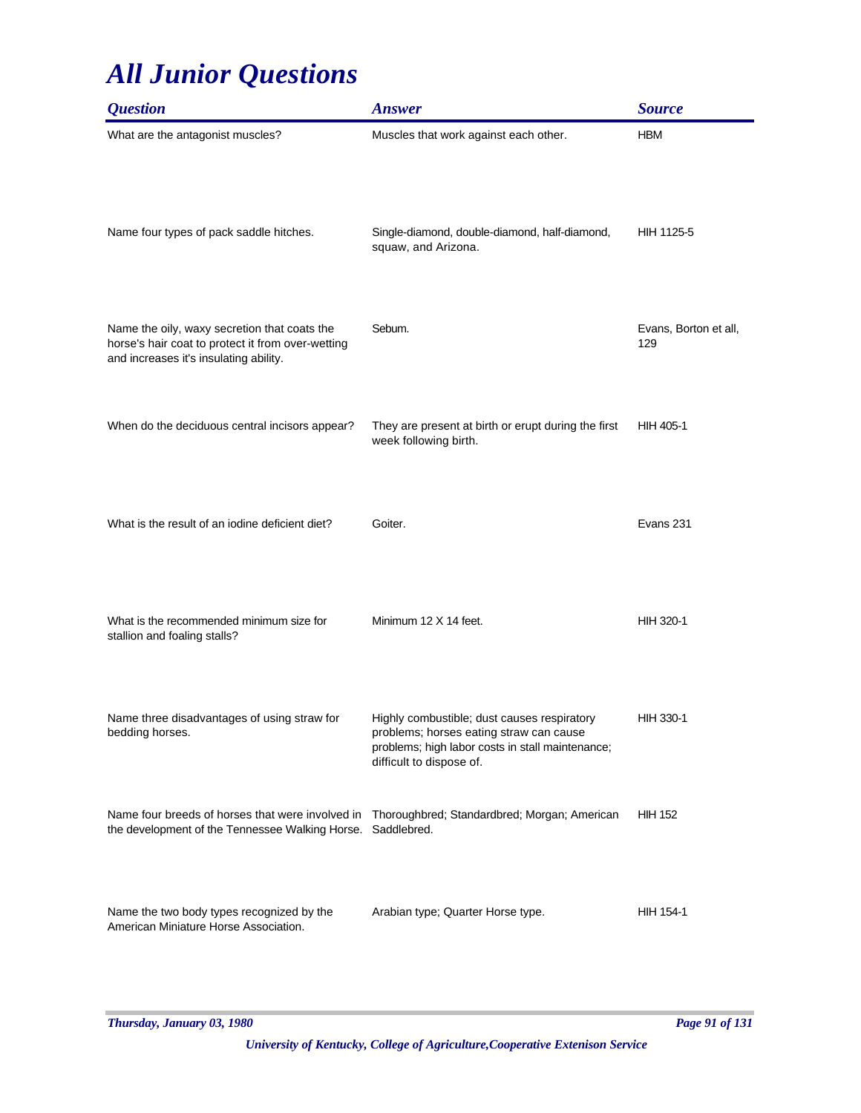| <i><b>Question</b></i>                                                                                                                                       | <b>Answer</b>                                                                                                                                                          | <b>Source</b>                |
|--------------------------------------------------------------------------------------------------------------------------------------------------------------|------------------------------------------------------------------------------------------------------------------------------------------------------------------------|------------------------------|
| What are the antagonist muscles?                                                                                                                             | Muscles that work against each other.                                                                                                                                  | <b>HBM</b>                   |
| Name four types of pack saddle hitches.                                                                                                                      | Single-diamond, double-diamond, half-diamond,<br>squaw, and Arizona.                                                                                                   | HIH 1125-5                   |
| Name the oily, waxy secretion that coats the<br>horse's hair coat to protect it from over-wetting<br>and increases it's insulating ability.                  | Sebum.                                                                                                                                                                 | Evans, Borton et all,<br>129 |
| When do the deciduous central incisors appear?                                                                                                               | They are present at birth or erupt during the first<br>week following birth.                                                                                           | HIH 405-1                    |
| What is the result of an iodine deficient diet?                                                                                                              | Goiter.                                                                                                                                                                | Evans 231                    |
| What is the recommended minimum size for<br>stallion and foaling stalls?                                                                                     | Minimum 12 X 14 feet.                                                                                                                                                  | HIH 320-1                    |
| Name three disadvantages of using straw for<br>bedding horses.                                                                                               | Highly combustible; dust causes respiratory<br>problems; horses eating straw can cause<br>problems; high labor costs in stall maintenance;<br>difficult to dispose of. | HIH 330-1                    |
| Name four breeds of horses that were involved in Thoroughbred; Standardbred; Morgan; American<br>the development of the Tennessee Walking Horse. Saddlebred. |                                                                                                                                                                        | <b>HIH 152</b>               |
| Name the two body types recognized by the<br>American Miniature Horse Association.                                                                           | Arabian type; Quarter Horse type.                                                                                                                                      | HIH 154-1                    |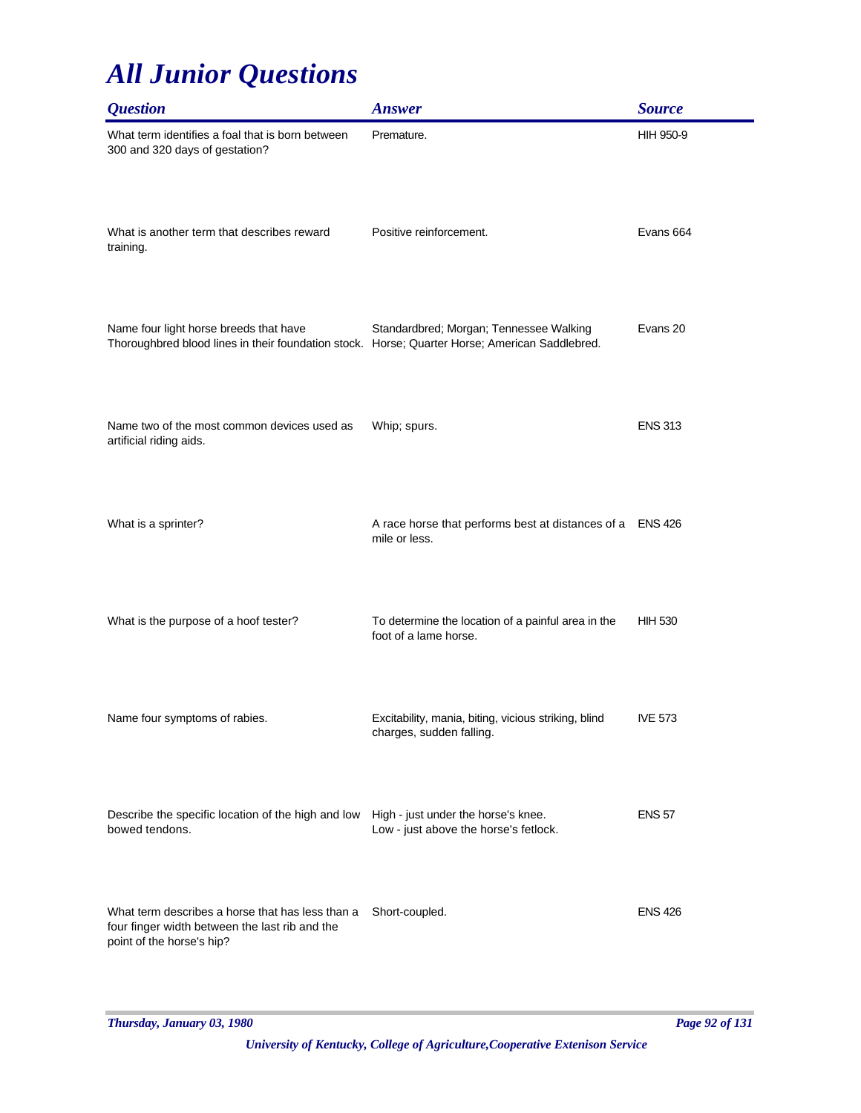| <i><b>Question</b></i>                                                                                                                   | <b>Answer</b>                                                                    | <b>Source</b>    |
|------------------------------------------------------------------------------------------------------------------------------------------|----------------------------------------------------------------------------------|------------------|
| What term identifies a foal that is born between<br>300 and 320 days of gestation?                                                       | Premature.                                                                       | <b>HIH 950-9</b> |
| What is another term that describes reward<br>training.                                                                                  | Positive reinforcement.                                                          | Evans 664        |
| Name four light horse breeds that have<br>Thoroughbred blood lines in their foundation stock. Horse; Quarter Horse; American Saddlebred. | Standardbred; Morgan; Tennessee Walking                                          | Evans 20         |
| Name two of the most common devices used as<br>artificial riding aids.                                                                   | Whip; spurs.                                                                     | <b>ENS 313</b>   |
| What is a sprinter?                                                                                                                      | A race horse that performs best at distances of a ENS 426<br>mile or less.       |                  |
| What is the purpose of a hoof tester?                                                                                                    | To determine the location of a painful area in the<br>foot of a lame horse.      | <b>HIH 530</b>   |
| Name four symptoms of rabies.                                                                                                            | Excitability, mania, biting, vicious striking, blind<br>charges, sudden falling. | <b>IVE 573</b>   |
| Describe the specific location of the high and low<br>bowed tendons.                                                                     | High - just under the horse's knee.<br>Low - just above the horse's fetlock.     | <b>ENS 57</b>    |
| What term describes a horse that has less than a<br>four finger width between the last rib and the<br>point of the horse's hip?          | Short-coupled.                                                                   | <b>ENS 426</b>   |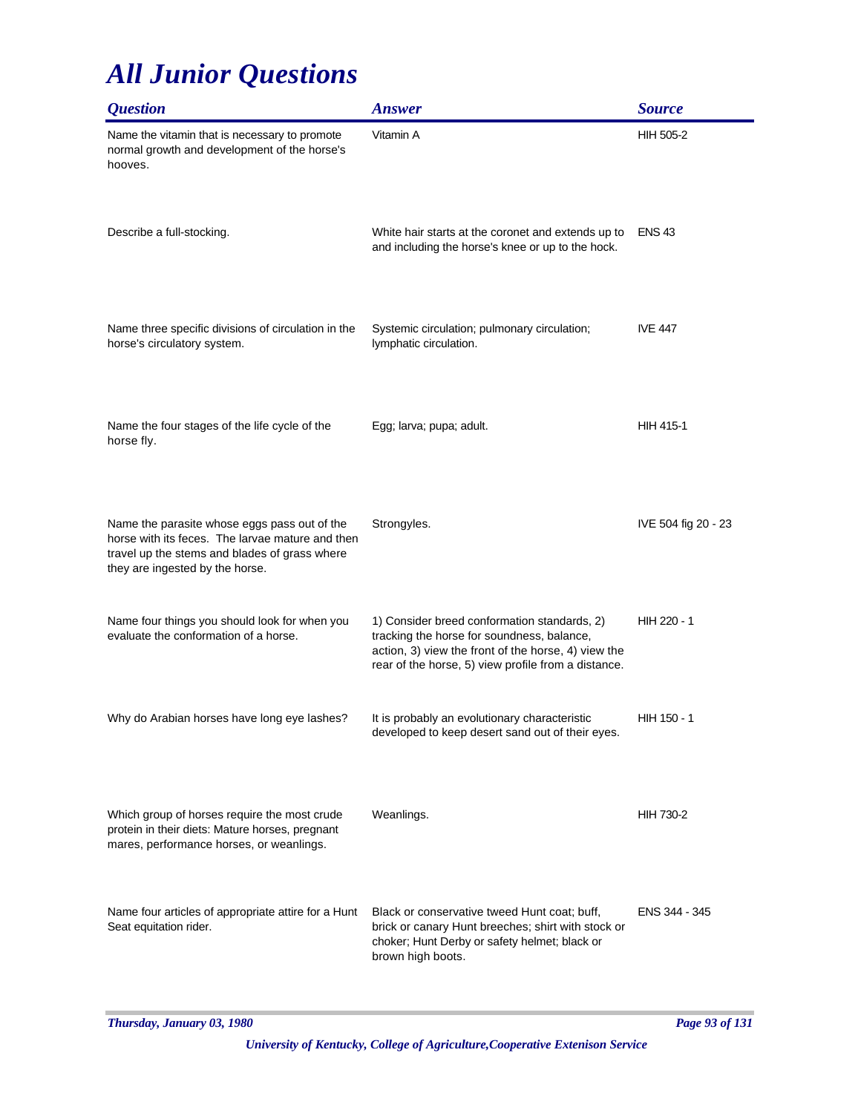| <i><b>Question</b></i>                                                                                                                                                               | <b>Answer</b>                                                                                                                                                                                            | <b>Source</b>       |
|--------------------------------------------------------------------------------------------------------------------------------------------------------------------------------------|----------------------------------------------------------------------------------------------------------------------------------------------------------------------------------------------------------|---------------------|
| Name the vitamin that is necessary to promote<br>normal growth and development of the horse's<br>hooves.                                                                             | Vitamin A                                                                                                                                                                                                | <b>HIH 505-2</b>    |
| Describe a full-stocking.                                                                                                                                                            | White hair starts at the coronet and extends up to<br>and including the horse's knee or up to the hock.                                                                                                  | <b>ENS 43</b>       |
| Name three specific divisions of circulation in the<br>horse's circulatory system.                                                                                                   | Systemic circulation; pulmonary circulation;<br>lymphatic circulation.                                                                                                                                   | <b>IVE 447</b>      |
| Name the four stages of the life cycle of the<br>horse fly.                                                                                                                          | Egg; larva; pupa; adult.                                                                                                                                                                                 | <b>HIH 415-1</b>    |
| Name the parasite whose eggs pass out of the<br>horse with its feces. The larvae mature and then<br>travel up the stems and blades of grass where<br>they are ingested by the horse. | Strongyles.                                                                                                                                                                                              | IVE 504 fig 20 - 23 |
| Name four things you should look for when you<br>evaluate the conformation of a horse.                                                                                               | 1) Consider breed conformation standards, 2)<br>tracking the horse for soundness, balance,<br>action, 3) view the front of the horse, 4) view the<br>rear of the horse, 5) view profile from a distance. | HIH 220 - 1         |
| Why do Arabian horses have long eye lashes?                                                                                                                                          | It is probably an evolutionary characteristic<br>developed to keep desert sand out of their eyes.                                                                                                        | HIH 150 - 1         |
| Which group of horses require the most crude<br>protein in their diets: Mature horses, pregnant<br>mares, performance horses, or weanlings.                                          | Weanlings.                                                                                                                                                                                               | HIH 730-2           |
| Name four articles of appropriate attire for a Hunt<br>Seat equitation rider.                                                                                                        | Black or conservative tweed Hunt coat; buff,<br>brick or canary Hunt breeches; shirt with stock or<br>choker; Hunt Derby or safety helmet; black or<br>brown high boots.                                 | ENS 344 - 345       |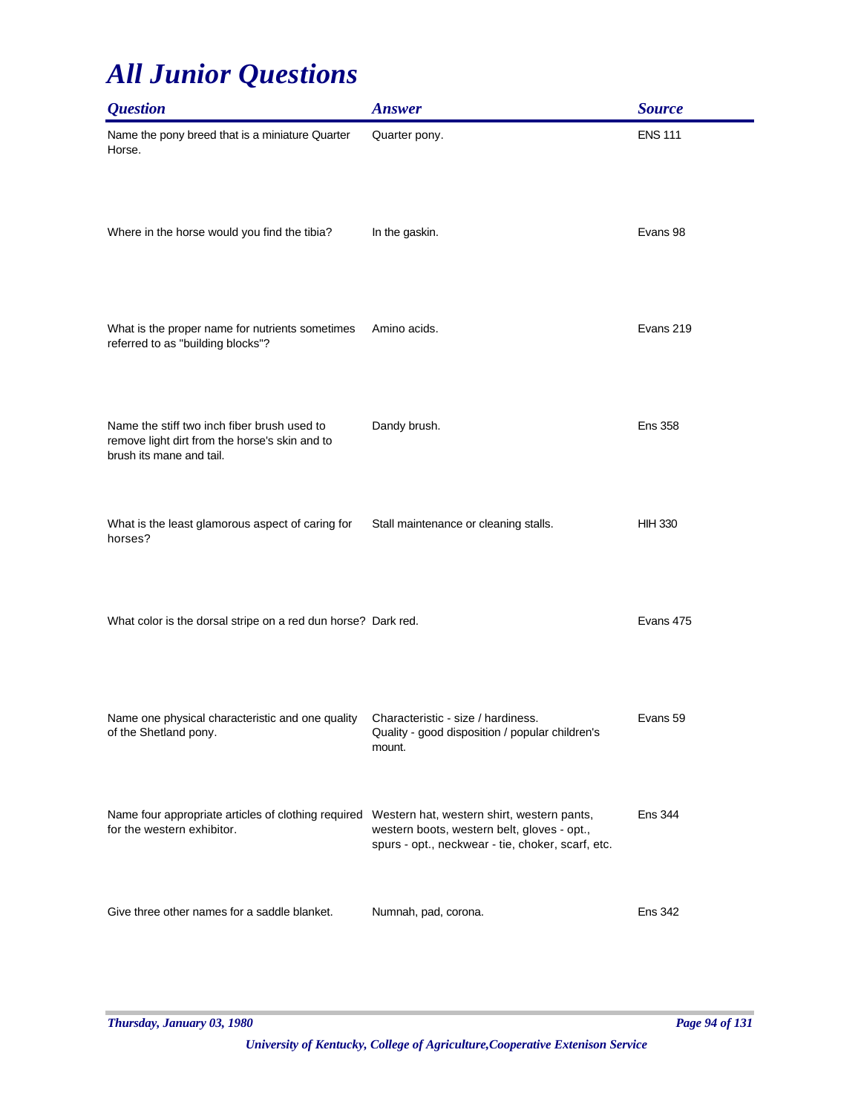| <b>Question</b>                                                                                                              | <b>Answer</b>                                                                                    | <b>Source</b>  |
|------------------------------------------------------------------------------------------------------------------------------|--------------------------------------------------------------------------------------------------|----------------|
| Name the pony breed that is a miniature Quarter<br>Horse.                                                                    | Quarter pony.                                                                                    | <b>ENS 111</b> |
| Where in the horse would you find the tibia?                                                                                 | In the gaskin.                                                                                   | Evans 98       |
| What is the proper name for nutrients sometimes<br>referred to as "building blocks"?                                         | Amino acids.                                                                                     | Evans 219      |
| Name the stiff two inch fiber brush used to<br>remove light dirt from the horse's skin and to<br>brush its mane and tail.    | Dandy brush.                                                                                     | <b>Ens 358</b> |
| What is the least glamorous aspect of caring for<br>horses?                                                                  | Stall maintenance or cleaning stalls.                                                            | <b>HIH 330</b> |
| What color is the dorsal stripe on a red dun horse? Dark red.                                                                |                                                                                                  | Evans 475      |
| Name one physical characteristic and one quality<br>of the Shetland pony.                                                    | Characteristic - size / hardiness.<br>Quality - good disposition / popular children's<br>mount.  | Evans 59       |
| Name four appropriate articles of clothing required Western hat, western shirt, western pants,<br>for the western exhibitor. | western boots, western belt, gloves - opt.,<br>spurs - opt., neckwear - tie, choker, scarf, etc. | <b>Ens 344</b> |
| Give three other names for a saddle blanket.                                                                                 | Numnah, pad, corona.                                                                             | <b>Ens 342</b> |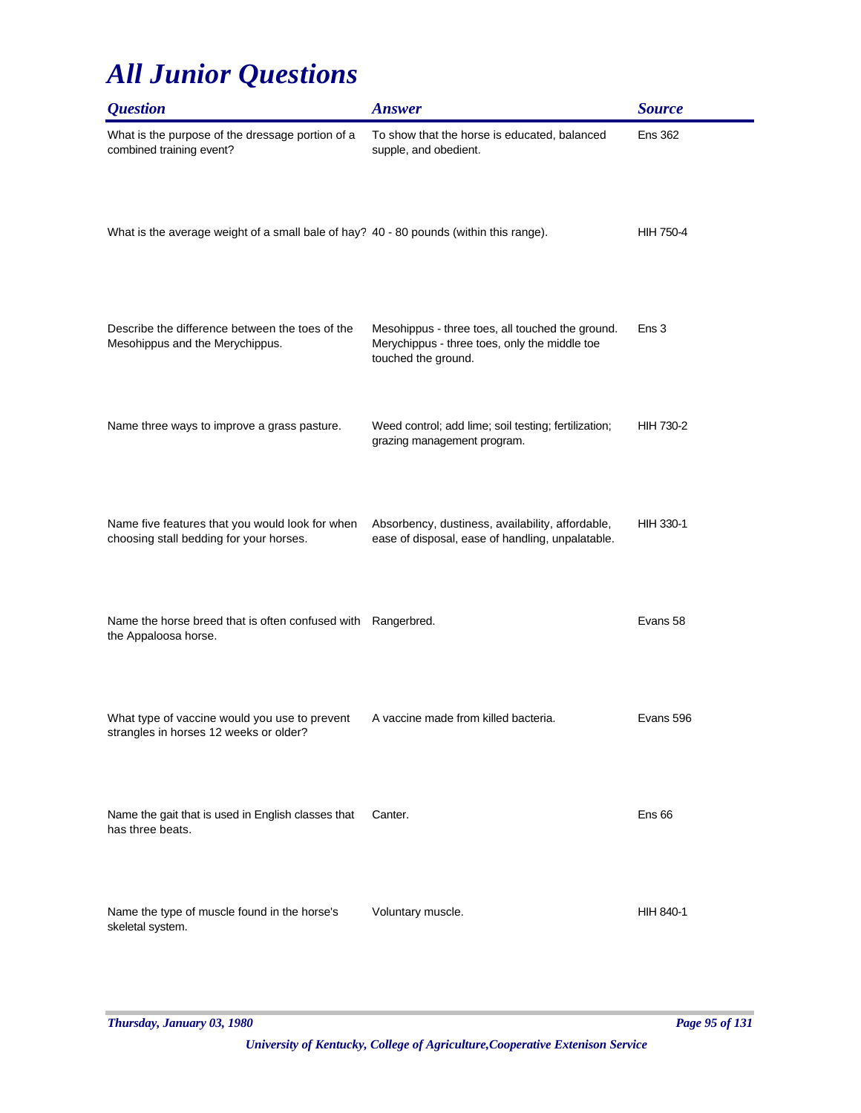| <i><b>Question</b></i>                                                                     | <b>Answer</b>                                                                                                            | <b>Source</b>     |
|--------------------------------------------------------------------------------------------|--------------------------------------------------------------------------------------------------------------------------|-------------------|
| What is the purpose of the dressage portion of a<br>combined training event?               | To show that the horse is educated, balanced<br>supple, and obedient.                                                    | <b>Ens 362</b>    |
| What is the average weight of a small bale of hay? 40 - 80 pounds (within this range).     |                                                                                                                          | <b>HIH 750-4</b>  |
| Describe the difference between the toes of the<br>Mesohippus and the Merychippus.         | Mesohippus - three toes, all touched the ground.<br>Merychippus - three toes, only the middle toe<br>touched the ground. | Ens <sub>3</sub>  |
| Name three ways to improve a grass pasture.                                                | Weed control; add lime; soil testing; fertilization;<br>grazing management program.                                      | HIH 730-2         |
| Name five features that you would look for when<br>choosing stall bedding for your horses. | Absorbency, dustiness, availability, affordable,<br>ease of disposal, ease of handling, unpalatable.                     | <b>HIH 330-1</b>  |
| Name the horse breed that is often confused with<br>the Appaloosa horse.                   | Rangerbred.                                                                                                              | Evans 58          |
| What type of vaccine would you use to prevent<br>strangles in horses 12 weeks or older?    | A vaccine made from killed bacteria.                                                                                     | Evans 596         |
| Name the gait that is used in English classes that<br>has three beats.                     | Canter.                                                                                                                  | Ens <sub>66</sub> |
| Name the type of muscle found in the horse's<br>skeletal system.                           | Voluntary muscle.                                                                                                        | HIH 840-1         |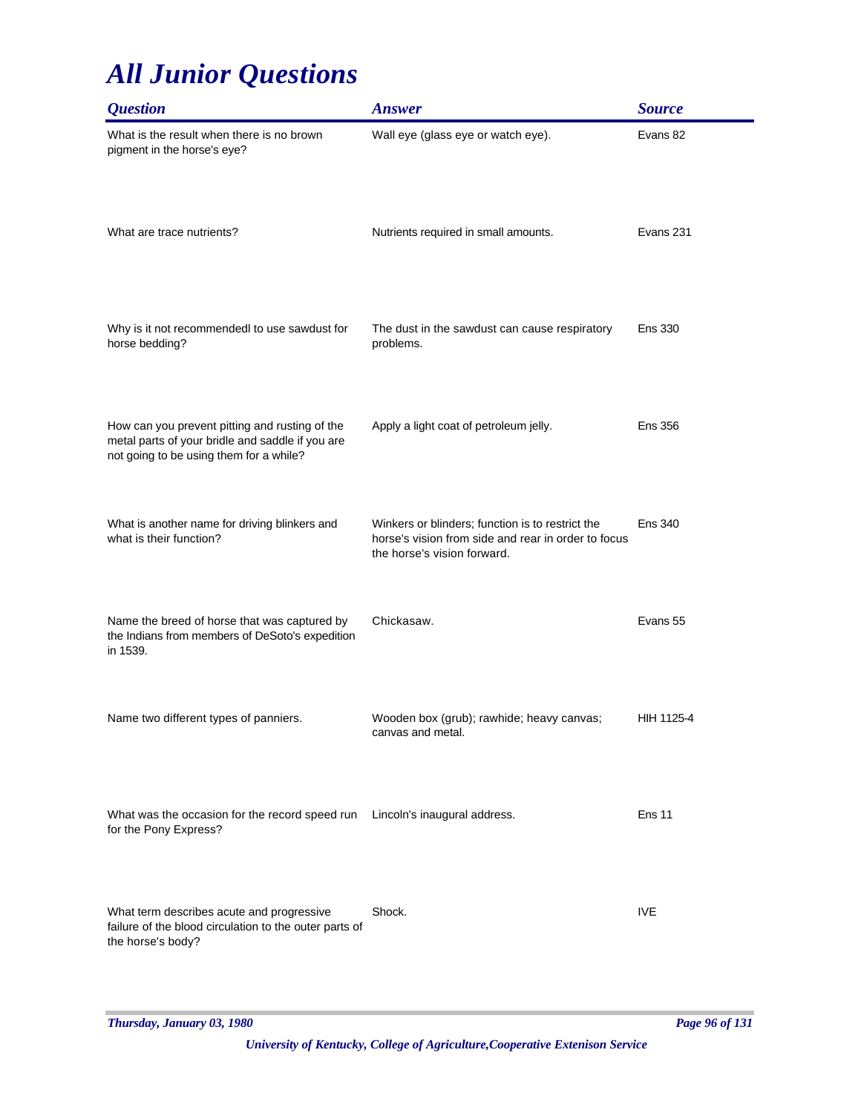| <i><b>Question</b></i>                                                                                                                        | <b>Answer</b>                                                                                                                          | <b>Source</b>  |
|-----------------------------------------------------------------------------------------------------------------------------------------------|----------------------------------------------------------------------------------------------------------------------------------------|----------------|
| What is the result when there is no brown<br>pigment in the horse's eye?                                                                      | Wall eye (glass eye or watch eye).                                                                                                     | Evans 82       |
| What are trace nutrients?                                                                                                                     | Nutrients required in small amounts.                                                                                                   | Evans 231      |
| Why is it not recommendedl to use sawdust for<br>horse bedding?                                                                               | The dust in the sawdust can cause respiratory<br>problems.                                                                             | <b>Ens 330</b> |
| How can you prevent pitting and rusting of the<br>metal parts of your bridle and saddle if you are<br>not going to be using them for a while? | Apply a light coat of petroleum jelly.                                                                                                 | <b>Ens 356</b> |
| What is another name for driving blinkers and<br>what is their function?                                                                      | Winkers or blinders; function is to restrict the<br>horse's vision from side and rear in order to focus<br>the horse's vision forward. | <b>Ens 340</b> |
| Name the breed of horse that was captured by<br>the Indians from members of DeSoto's expedition<br>in 1539.                                   | Chickasaw.                                                                                                                             | Evans 55       |
| Name two different types of panniers.                                                                                                         | Wooden box (grub); rawhide; heavy canvas;<br>canvas and metal.                                                                         | HIH 1125-4     |
| What was the occasion for the record speed run<br>for the Pony Express?                                                                       | Lincoln's inaugural address.                                                                                                           | Ens 11         |
| What term describes acute and progressive<br>failure of the blood circulation to the outer parts of<br>the horse's body?                      | Shock.                                                                                                                                 | <b>IVE</b>     |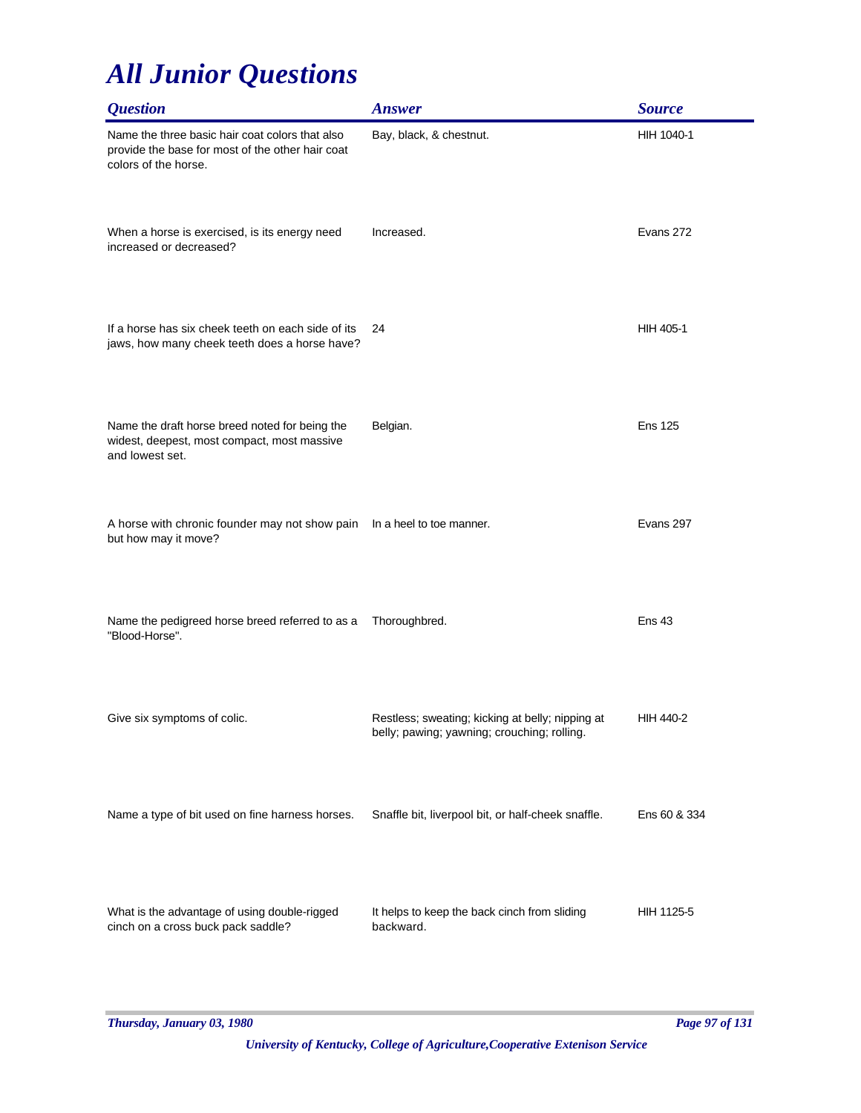| <b>Question</b>                                                                                                             | <b>Answer</b>                                                                                   | <b>Source</b>    |
|-----------------------------------------------------------------------------------------------------------------------------|-------------------------------------------------------------------------------------------------|------------------|
| Name the three basic hair coat colors that also<br>provide the base for most of the other hair coat<br>colors of the horse. | Bay, black, & chestnut.                                                                         | HIH 1040-1       |
| When a horse is exercised, is its energy need<br>increased or decreased?                                                    | Increased.                                                                                      | Evans 272        |
| If a horse has six cheek teeth on each side of its<br>jaws, how many cheek teeth does a horse have?                         | 24                                                                                              | HIH 405-1        |
| Name the draft horse breed noted for being the<br>widest, deepest, most compact, most massive<br>and lowest set.            | Belgian.                                                                                        | <b>Ens 125</b>   |
| A horse with chronic founder may not show pain<br>but how may it move?                                                      | In a heel to toe manner.                                                                        | Evans 297        |
| Name the pedigreed horse breed referred to as a<br>"Blood-Horse".                                                           | Thoroughbred.                                                                                   | <b>Ens 43</b>    |
| Give six symptoms of colic.                                                                                                 | Restless; sweating; kicking at belly; nipping at<br>belly; pawing; yawning; crouching; rolling. | <b>HIH 440-2</b> |
| Name a type of bit used on fine harness horses.                                                                             | Snaffle bit, liverpool bit, or half-cheek snaffle.                                              | Ens 60 & 334     |
| What is the advantage of using double-rigged<br>cinch on a cross buck pack saddle?                                          | It helps to keep the back cinch from sliding<br>backward.                                       | HIH 1125-5       |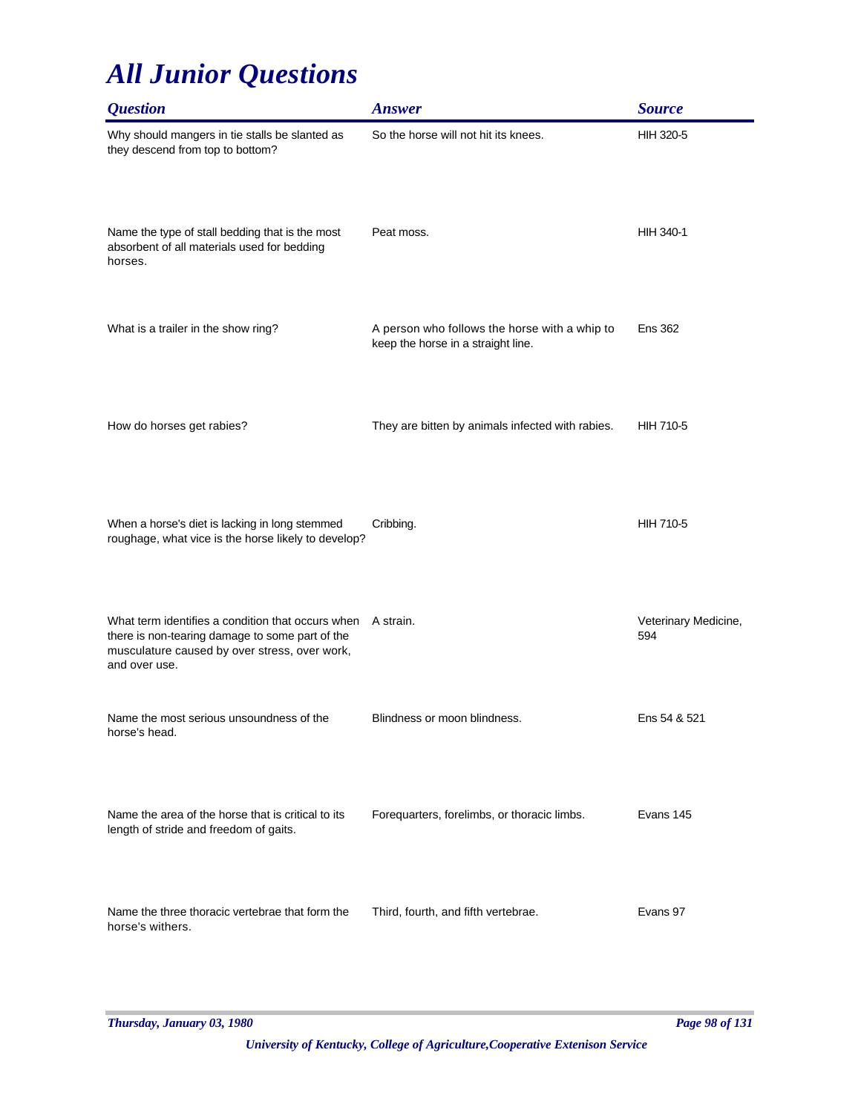| <i><b>Question</b></i>                                                                                                                                                 | <b>Answer</b>                                                                       | <b>Source</b>               |
|------------------------------------------------------------------------------------------------------------------------------------------------------------------------|-------------------------------------------------------------------------------------|-----------------------------|
| Why should mangers in tie stalls be slanted as<br>they descend from top to bottom?                                                                                     | So the horse will not hit its knees.                                                | HIH 320-5                   |
| Name the type of stall bedding that is the most<br>absorbent of all materials used for bedding<br>horses.                                                              | Peat moss.                                                                          | HIH 340-1                   |
| What is a trailer in the show ring?                                                                                                                                    | A person who follows the horse with a whip to<br>keep the horse in a straight line. | <b>Ens 362</b>              |
| How do horses get rabies?                                                                                                                                              | They are bitten by animals infected with rabies.                                    | <b>HIH 710-5</b>            |
| When a horse's diet is lacking in long stemmed<br>roughage, what vice is the horse likely to develop?                                                                  | Cribbing.                                                                           | <b>HIH 710-5</b>            |
| What term identifies a condition that occurs when<br>there is non-tearing damage to some part of the<br>musculature caused by over stress, over work,<br>and over use. | A strain.                                                                           | Veterinary Medicine,<br>594 |
| Name the most serious unsoundness of the<br>horse's head.                                                                                                              | Blindness or moon blindness.                                                        | Ens 54 & 521                |
| Name the area of the horse that is critical to its<br>length of stride and freedom of gaits.                                                                           | Forequarters, forelimbs, or thoracic limbs.                                         | Evans 145                   |
| Name the three thoracic vertebrae that form the<br>horse's withers.                                                                                                    | Third, fourth, and fifth vertebrae.                                                 | Evans 97                    |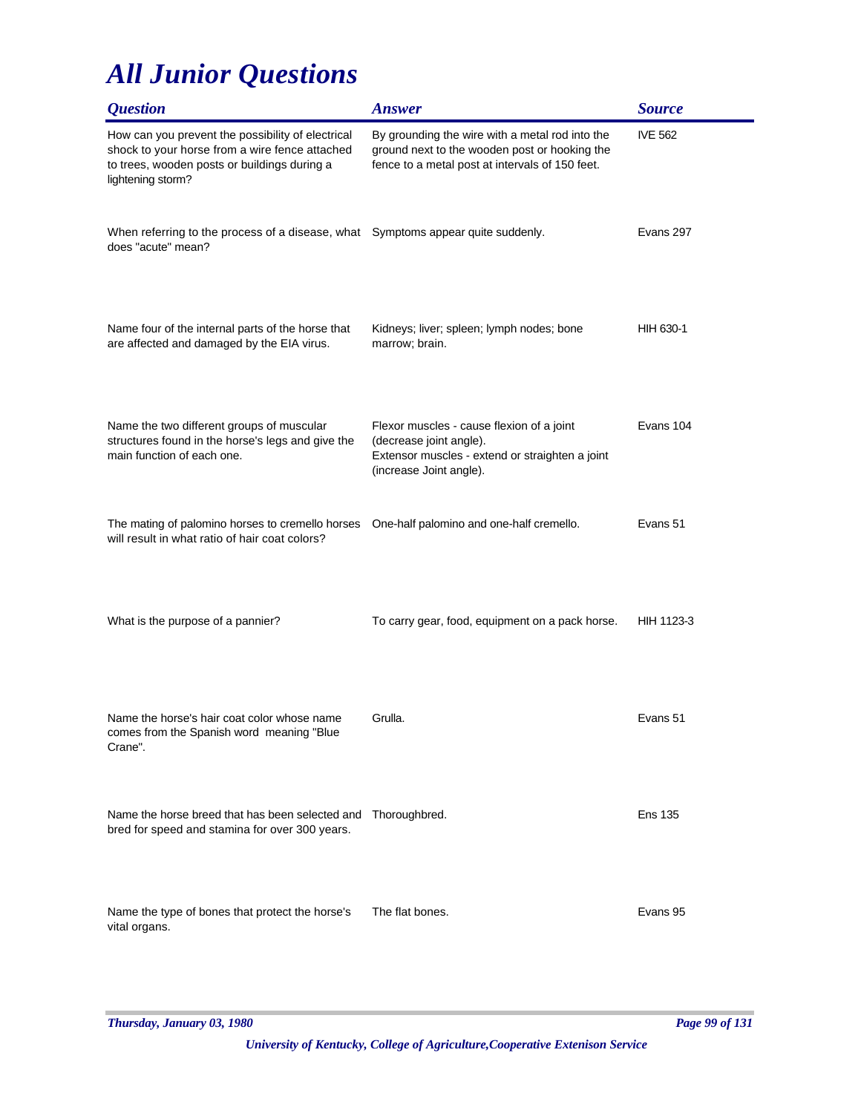| <i><b>Question</b></i>                                                                                                                                                   | <b>Answer</b>                                                                                                                                       | <b>Source</b>  |
|--------------------------------------------------------------------------------------------------------------------------------------------------------------------------|-----------------------------------------------------------------------------------------------------------------------------------------------------|----------------|
| How can you prevent the possibility of electrical<br>shock to your horse from a wire fence attached<br>to trees, wooden posts or buildings during a<br>lightening storm? | By grounding the wire with a metal rod into the<br>ground next to the wooden post or hooking the<br>fence to a metal post at intervals of 150 feet. | <b>IVE 562</b> |
| When referring to the process of a disease, what Symptoms appear quite suddenly.<br>does "acute" mean?                                                                   |                                                                                                                                                     | Evans 297      |
| Name four of the internal parts of the horse that<br>are affected and damaged by the EIA virus.                                                                          | Kidneys; liver; spleen; lymph nodes; bone<br>marrow; brain.                                                                                         | HIH 630-1      |
| Name the two different groups of muscular<br>structures found in the horse's legs and give the<br>main function of each one.                                             | Flexor muscles - cause flexion of a joint<br>(decrease joint angle).<br>Extensor muscles - extend or straighten a joint<br>(increase Joint angle).  | Evans 104      |
| The mating of palomino horses to cremello horses One-half palomino and one-half cremello.<br>will result in what ratio of hair coat colors?                              |                                                                                                                                                     | Evans 51       |
| What is the purpose of a pannier?                                                                                                                                        | To carry gear, food, equipment on a pack horse.                                                                                                     | HIH 1123-3     |
| Name the horse's hair coat color whose name<br>comes from the Spanish word meaning "Blue<br>Crane".                                                                      | Grulla.                                                                                                                                             | Evans 51       |
| Name the horse breed that has been selected and Thoroughbred.<br>bred for speed and stamina for over 300 years.                                                          |                                                                                                                                                     | <b>Ens 135</b> |
| Name the type of bones that protect the horse's<br>vital organs.                                                                                                         | The flat bones.                                                                                                                                     | Evans 95       |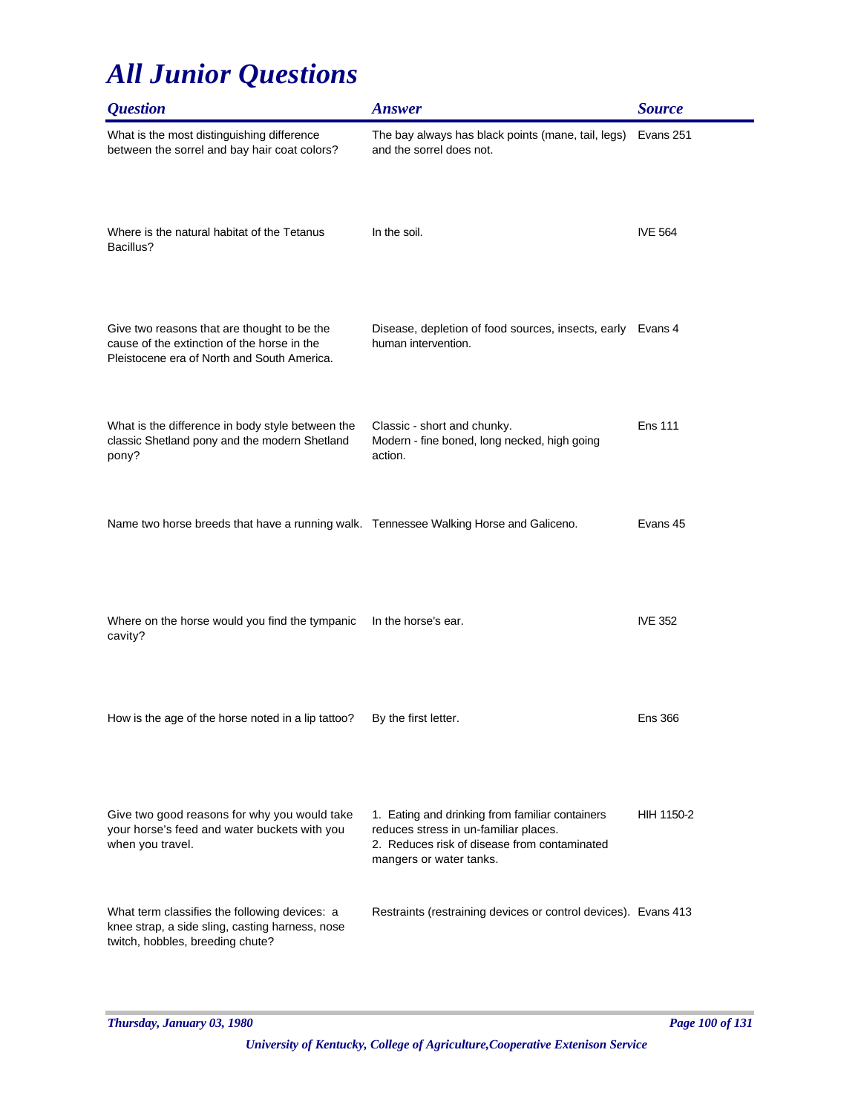| <i><b>Question</b></i>                                                                                                                    | <b>Answer</b>                                                                                                                                                       | <b>Source</b>  |
|-------------------------------------------------------------------------------------------------------------------------------------------|---------------------------------------------------------------------------------------------------------------------------------------------------------------------|----------------|
| What is the most distinguishing difference<br>between the sorrel and bay hair coat colors?                                                | The bay always has black points (mane, tail, legs)<br>and the sorrel does not.                                                                                      | Evans 251      |
| Where is the natural habitat of the Tetanus<br>Bacillus?                                                                                  | In the soil.                                                                                                                                                        | <b>IVE 564</b> |
| Give two reasons that are thought to be the<br>cause of the extinction of the horse in the<br>Pleistocene era of North and South America. | Disease, depletion of food sources, insects, early Evans 4<br>human intervention.                                                                                   |                |
| What is the difference in body style between the<br>classic Shetland pony and the modern Shetland<br>pony?                                | Classic - short and chunky.<br>Modern - fine boned, long necked, high going<br>action.                                                                              | <b>Ens 111</b> |
| Name two horse breeds that have a running walk. Tennessee Walking Horse and Galiceno.                                                     |                                                                                                                                                                     | Evans 45       |
| Where on the horse would you find the tympanic<br>cavity?                                                                                 | In the horse's ear.                                                                                                                                                 | <b>IVE 352</b> |
| How is the age of the horse noted in a lip tattoo?                                                                                        | By the first letter.                                                                                                                                                | <b>Ens 366</b> |
| Give two good reasons for why you would take<br>your horse's feed and water buckets with you<br>when you travel.                          | 1. Eating and drinking from familiar containers<br>reduces stress in un-familiar places.<br>2. Reduces risk of disease from contaminated<br>mangers or water tanks. | HIH 1150-2     |
| What term classifies the following devices: a<br>knee strap, a side sling, casting harness, nose<br>twitch, hobbles, breeding chute?      | Restraints (restraining devices or control devices). Evans 413                                                                                                      |                |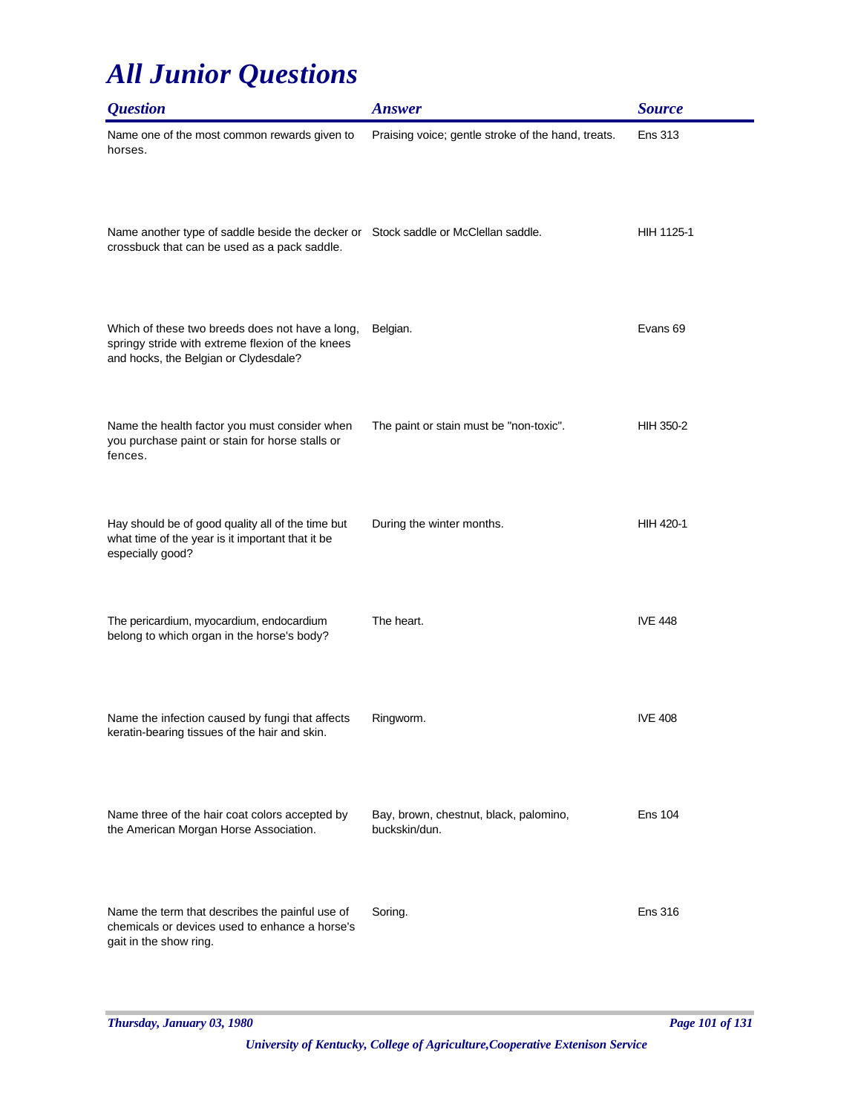| <i><b>Question</b></i>                                                                                                                       | <b>Answer</b>                                           | <b>Source</b>    |
|----------------------------------------------------------------------------------------------------------------------------------------------|---------------------------------------------------------|------------------|
| Name one of the most common rewards given to<br>horses.                                                                                      | Praising voice; gentle stroke of the hand, treats.      | <b>Ens 313</b>   |
| Name another type of saddle beside the decker or Stock saddle or McClellan saddle.<br>crossbuck that can be used as a pack saddle.           |                                                         | HIH 1125-1       |
| Which of these two breeds does not have a long,<br>springy stride with extreme flexion of the knees<br>and hocks, the Belgian or Clydesdale? | Belgian.                                                | Evans 69         |
| Name the health factor you must consider when<br>you purchase paint or stain for horse stalls or<br>fences.                                  | The paint or stain must be "non-toxic".                 | <b>HIH 350-2</b> |
| Hay should be of good quality all of the time but<br>what time of the year is it important that it be<br>especially good?                    | During the winter months.                               | HIH 420-1        |
| The pericardium, myocardium, endocardium<br>belong to which organ in the horse's body?                                                       | The heart.                                              | <b>IVE 448</b>   |
| Name the infection caused by fungi that affects<br>keratin-bearing tissues of the hair and skin.                                             | Ringworm.                                               | <b>IVE 408</b>   |
| Name three of the hair coat colors accepted by<br>the American Morgan Horse Association.                                                     | Bay, brown, chestnut, black, palomino,<br>buckskin/dun. | <b>Ens 104</b>   |
| Name the term that describes the painful use of<br>chemicals or devices used to enhance a horse's<br>gait in the show ring.                  | Soring.                                                 | <b>Ens 316</b>   |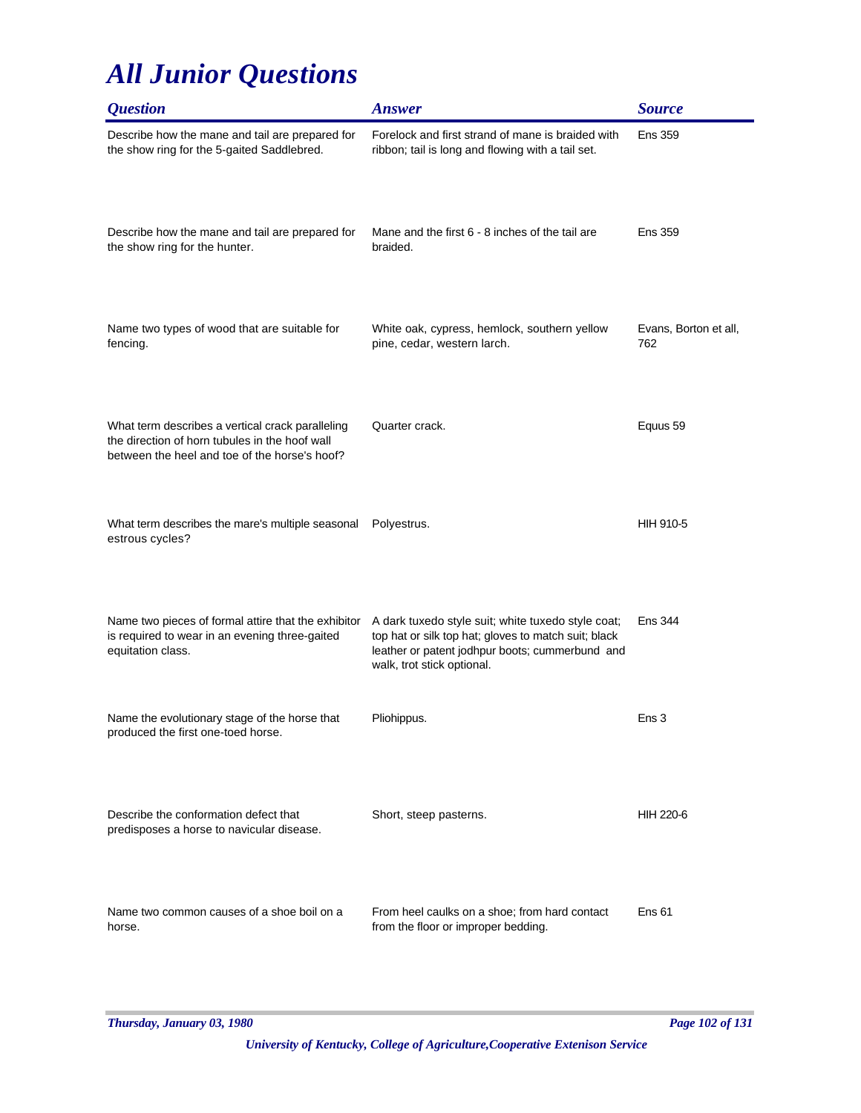| <i><b>Question</b></i>                                                                                                                              | <b>Answer</b>                                                                                                                                                                               | <b>Source</b>                |
|-----------------------------------------------------------------------------------------------------------------------------------------------------|---------------------------------------------------------------------------------------------------------------------------------------------------------------------------------------------|------------------------------|
| Describe how the mane and tail are prepared for<br>the show ring for the 5-gaited Saddlebred.                                                       | Forelock and first strand of mane is braided with<br>ribbon; tail is long and flowing with a tail set.                                                                                      | <b>Ens 359</b>               |
| Describe how the mane and tail are prepared for<br>the show ring for the hunter.                                                                    | Mane and the first 6 - 8 inches of the tail are<br>braided.                                                                                                                                 | <b>Ens 359</b>               |
| Name two types of wood that are suitable for<br>fencing.                                                                                            | White oak, cypress, hemlock, southern yellow<br>pine, cedar, western larch.                                                                                                                 | Evans, Borton et all,<br>762 |
| What term describes a vertical crack paralleling<br>the direction of horn tubules in the hoof wall<br>between the heel and toe of the horse's hoof? | Quarter crack.                                                                                                                                                                              | Equus 59                     |
| What term describes the mare's multiple seasonal<br>estrous cycles?                                                                                 | Polyestrus.                                                                                                                                                                                 | <b>HIH 910-5</b>             |
| Name two pieces of formal attire that the exhibitor<br>is required to wear in an evening three-gaited<br>equitation class.                          | A dark tuxedo style suit; white tuxedo style coat;<br>top hat or silk top hat; gloves to match suit; black<br>leather or patent jodhpur boots; cummerbund and<br>walk, trot stick optional. | Ens 344                      |
| Name the evolutionary stage of the horse that<br>produced the first one-toed horse.                                                                 | Pliohippus.                                                                                                                                                                                 | Ens 3                        |
| Describe the conformation defect that<br>predisposes a horse to navicular disease.                                                                  | Short, steep pasterns.                                                                                                                                                                      | <b>HIH 220-6</b>             |
| Name two common causes of a shoe boil on a<br>horse.                                                                                                | From heel caulks on a shoe; from hard contact<br>from the floor or improper bedding.                                                                                                        | Ens <sub>61</sub>            |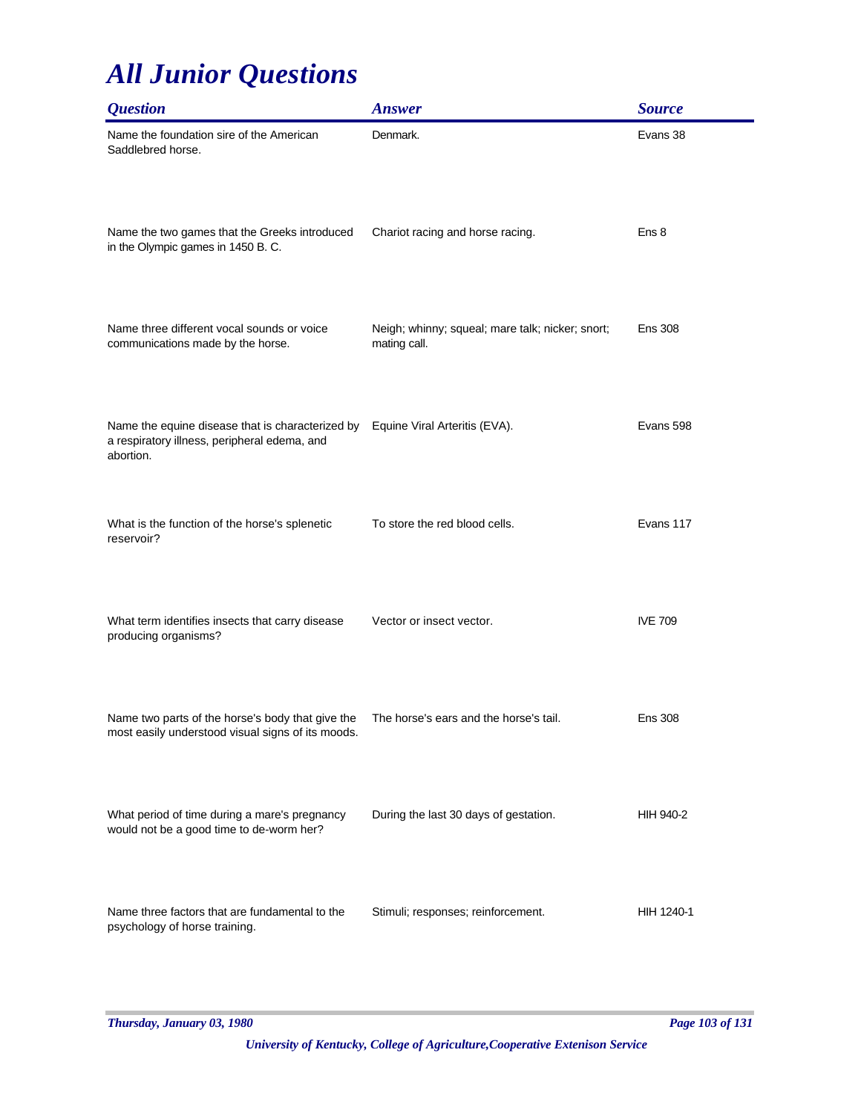| <i><b>Question</b></i>                                                                                        | <b>Answer</b>                                                    | <b>Source</b>    |
|---------------------------------------------------------------------------------------------------------------|------------------------------------------------------------------|------------------|
| Name the foundation sire of the American<br>Saddlebred horse.                                                 | Denmark.                                                         | Evans 38         |
| Name the two games that the Greeks introduced<br>in the Olympic games in 1450 B.C.                            | Chariot racing and horse racing.                                 | Ens 8            |
| Name three different vocal sounds or voice<br>communications made by the horse.                               | Neigh; whinny; squeal; mare talk; nicker; snort;<br>mating call. | <b>Ens 308</b>   |
| Name the equine disease that is characterized by<br>a respiratory illness, peripheral edema, and<br>abortion. | Equine Viral Arteritis (EVA).                                    | Evans 598        |
| What is the function of the horse's splenetic<br>reservoir?                                                   | To store the red blood cells.                                    | Evans 117        |
| What term identifies insects that carry disease<br>producing organisms?                                       | Vector or insect vector.                                         | <b>IVE 709</b>   |
| Name two parts of the horse's body that give the<br>most easily understood visual signs of its moods.         | The horse's ears and the horse's tail.                           | <b>Ens 308</b>   |
| What period of time during a mare's pregnancy<br>would not be a good time to de-worm her?                     | During the last 30 days of gestation.                            | <b>HIH 940-2</b> |
| Name three factors that are fundamental to the<br>psychology of horse training.                               | Stimuli; responses; reinforcement.                               | HIH 1240-1       |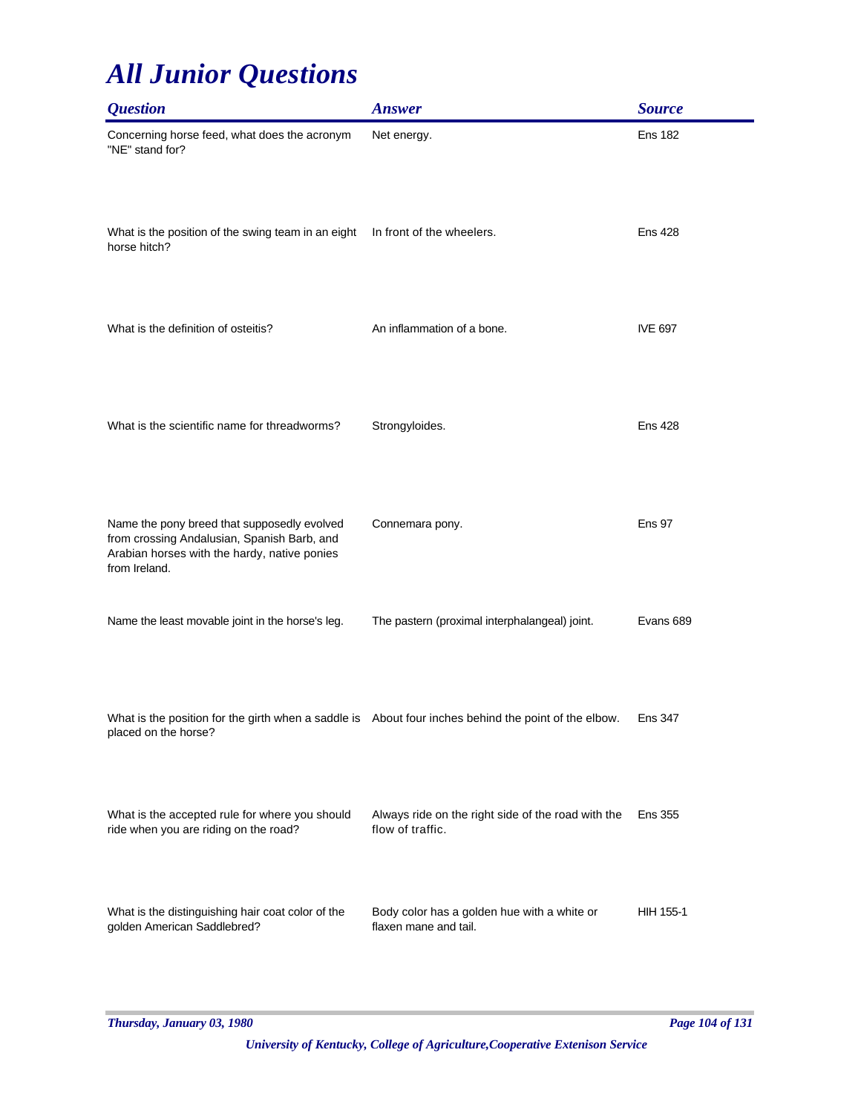| <b>Question</b>                                                                                                                                             | <b>Answer</b>                                                          | <b>Source</b>  |
|-------------------------------------------------------------------------------------------------------------------------------------------------------------|------------------------------------------------------------------------|----------------|
| Concerning horse feed, what does the acronym<br>"NE" stand for?                                                                                             | Net energy.                                                            | <b>Ens 182</b> |
| What is the position of the swing team in an eight<br>horse hitch?                                                                                          | In front of the wheelers.                                              | <b>Ens 428</b> |
| What is the definition of osteitis?                                                                                                                         | An inflammation of a bone.                                             | <b>IVE 697</b> |
| What is the scientific name for threadworms?                                                                                                                | Strongyloides.                                                         | <b>Ens 428</b> |
| Name the pony breed that supposedly evolved<br>from crossing Andalusian, Spanish Barb, and<br>Arabian horses with the hardy, native ponies<br>from Ireland. | Connemara pony.                                                        | <b>Ens 97</b>  |
| Name the least movable joint in the horse's leg.                                                                                                            | The pastern (proximal interphalangeal) joint.                          | Evans 689      |
| What is the position for the girth when a saddle is About four inches behind the point of the elbow.<br>placed on the horse?                                |                                                                        | <b>Ens 347</b> |
| What is the accepted rule for where you should<br>ride when you are riding on the road?                                                                     | Always ride on the right side of the road with the<br>flow of traffic. | <b>Ens 355</b> |
| What is the distinguishing hair coat color of the<br>golden American Saddlebred?                                                                            | Body color has a golden hue with a white or<br>flaxen mane and tail.   | HIH 155-1      |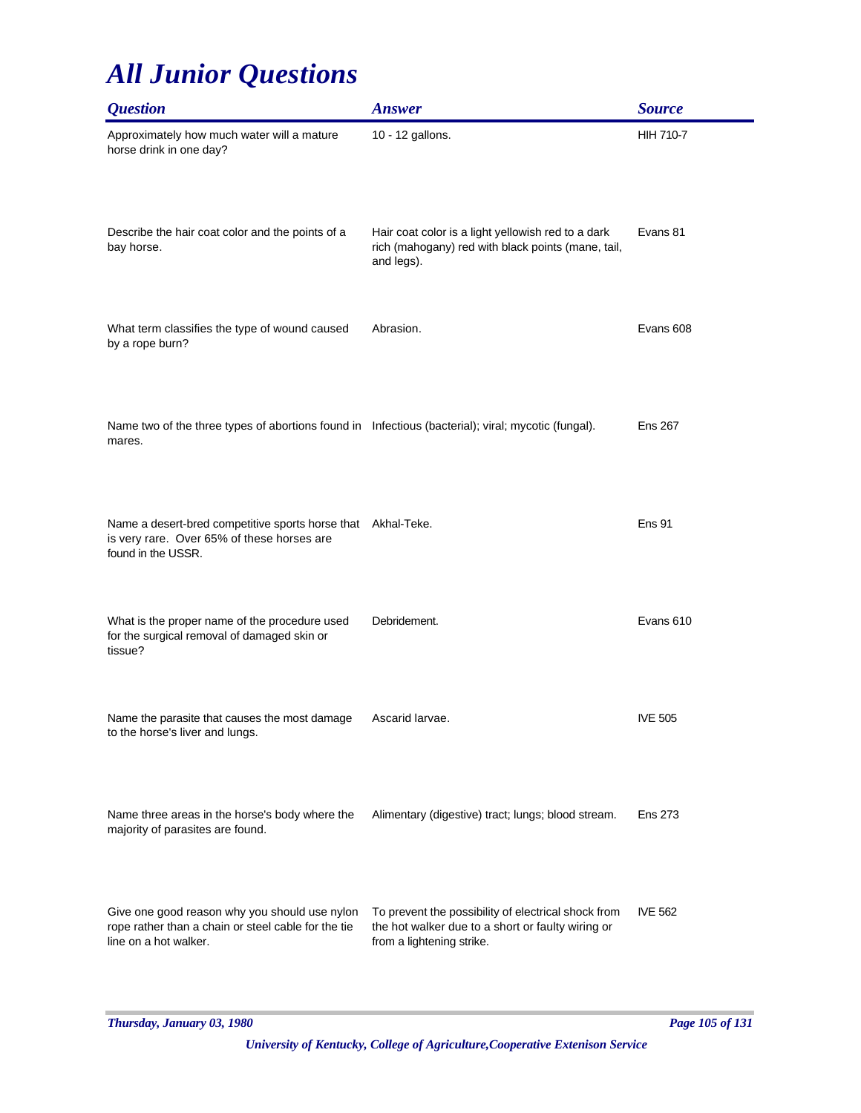| <i><b>Question</b></i>                                                                                                           | <b>Answer</b>                                                                                                                         | <b>Source</b>    |
|----------------------------------------------------------------------------------------------------------------------------------|---------------------------------------------------------------------------------------------------------------------------------------|------------------|
| Approximately how much water will a mature<br>horse drink in one day?                                                            | 10 - 12 gallons.                                                                                                                      | <b>HIH 710-7</b> |
| Describe the hair coat color and the points of a<br>bay horse.                                                                   | Hair coat color is a light yellowish red to a dark<br>rich (mahogany) red with black points (mane, tail,<br>and legs).                | Evans 81         |
| What term classifies the type of wound caused<br>by a rope burn?                                                                 | Abrasion.                                                                                                                             | Evans 608        |
| Name two of the three types of abortions found in Infectious (bacterial); viral; mycotic (fungal).<br>mares.                     |                                                                                                                                       | <b>Ens 267</b>   |
| Name a desert-bred competitive sports horse that Akhal-Teke.<br>is very rare. Over 65% of these horses are<br>found in the USSR. |                                                                                                                                       | Ens 91           |
| What is the proper name of the procedure used<br>for the surgical removal of damaged skin or<br>tissue?                          | Debridement.                                                                                                                          | Evans 610        |
| Name the parasite that causes the most damage<br>to the horse's liver and lungs.                                                 | Ascarid larvae.                                                                                                                       | <b>IVE 505</b>   |
| Name three areas in the horse's body where the<br>majority of parasites are found.                                               | Alimentary (digestive) tract; lungs; blood stream.                                                                                    | <b>Ens 273</b>   |
| Give one good reason why you should use nylon<br>rope rather than a chain or steel cable for the tie<br>line on a hot walker.    | To prevent the possibility of electrical shock from<br>the hot walker due to a short or faulty wiring or<br>from a lightening strike. | <b>IVE 562</b>   |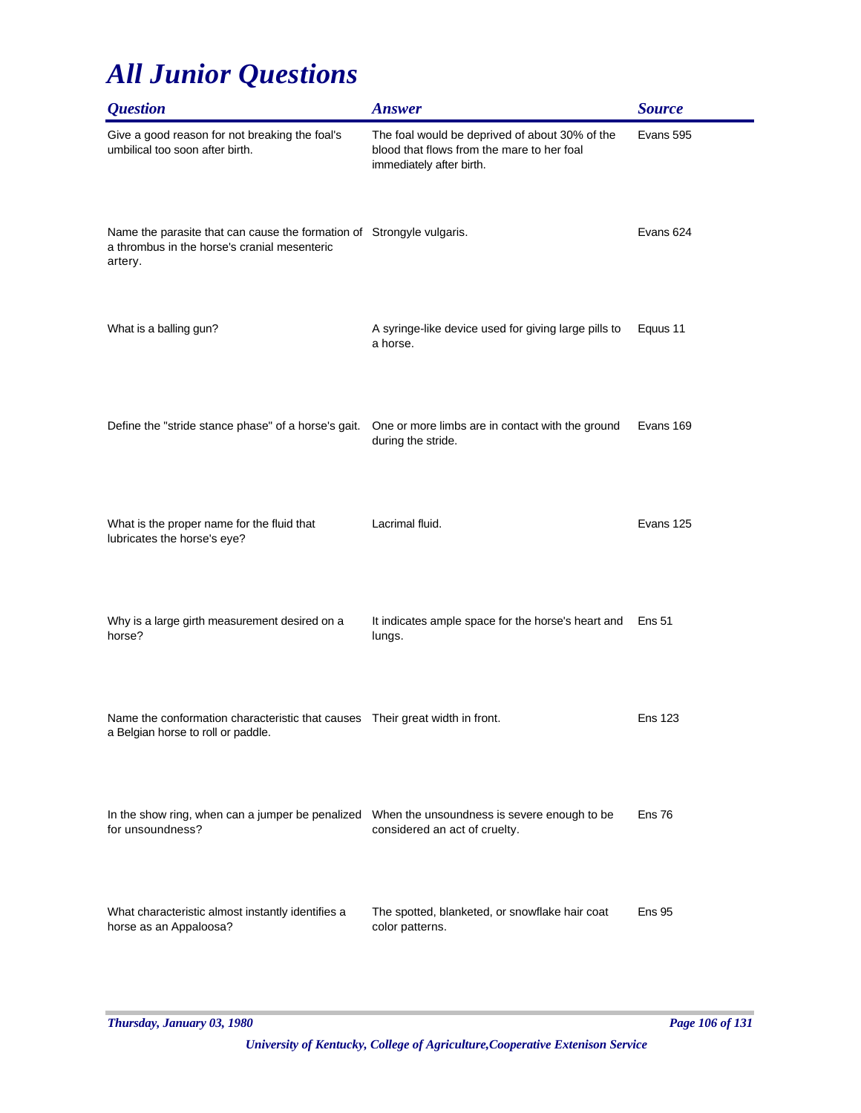| <i><b>Question</b></i>                                                                                                           | <b>Answer</b>                                                                                                            | <b>Source</b>  |
|----------------------------------------------------------------------------------------------------------------------------------|--------------------------------------------------------------------------------------------------------------------------|----------------|
| Give a good reason for not breaking the foal's<br>umbilical too soon after birth.                                                | The foal would be deprived of about 30% of the<br>blood that flows from the mare to her foal<br>immediately after birth. | Evans 595      |
| Name the parasite that can cause the formation of Strongyle vulgaris.<br>a thrombus in the horse's cranial mesenteric<br>artery. |                                                                                                                          | Evans 624      |
| What is a balling gun?                                                                                                           | A syringe-like device used for giving large pills to<br>a horse.                                                         | Equus 11       |
| Define the "stride stance phase" of a horse's gait.                                                                              | One or more limbs are in contact with the ground<br>during the stride.                                                   | Evans 169      |
| What is the proper name for the fluid that<br>lubricates the horse's eye?                                                        | Lacrimal fluid.                                                                                                          | Evans 125      |
| Why is a large girth measurement desired on a<br>horse?                                                                          | It indicates ample space for the horse's heart and<br>lungs.                                                             | <b>Ens 51</b>  |
| Name the conformation characteristic that causes  Their great width in front.<br>a Belgian horse to roll or paddle.              |                                                                                                                          | <b>Ens 123</b> |
| In the show ring, when can a jumper be penalized When the unsoundness is severe enough to be<br>for unsoundness?                 | considered an act of cruelty.                                                                                            | <b>Ens 76</b>  |
| What characteristic almost instantly identifies a<br>horse as an Appaloosa?                                                      | The spotted, blanketed, or snowflake hair coat<br>color patterns.                                                        | <b>Ens 95</b>  |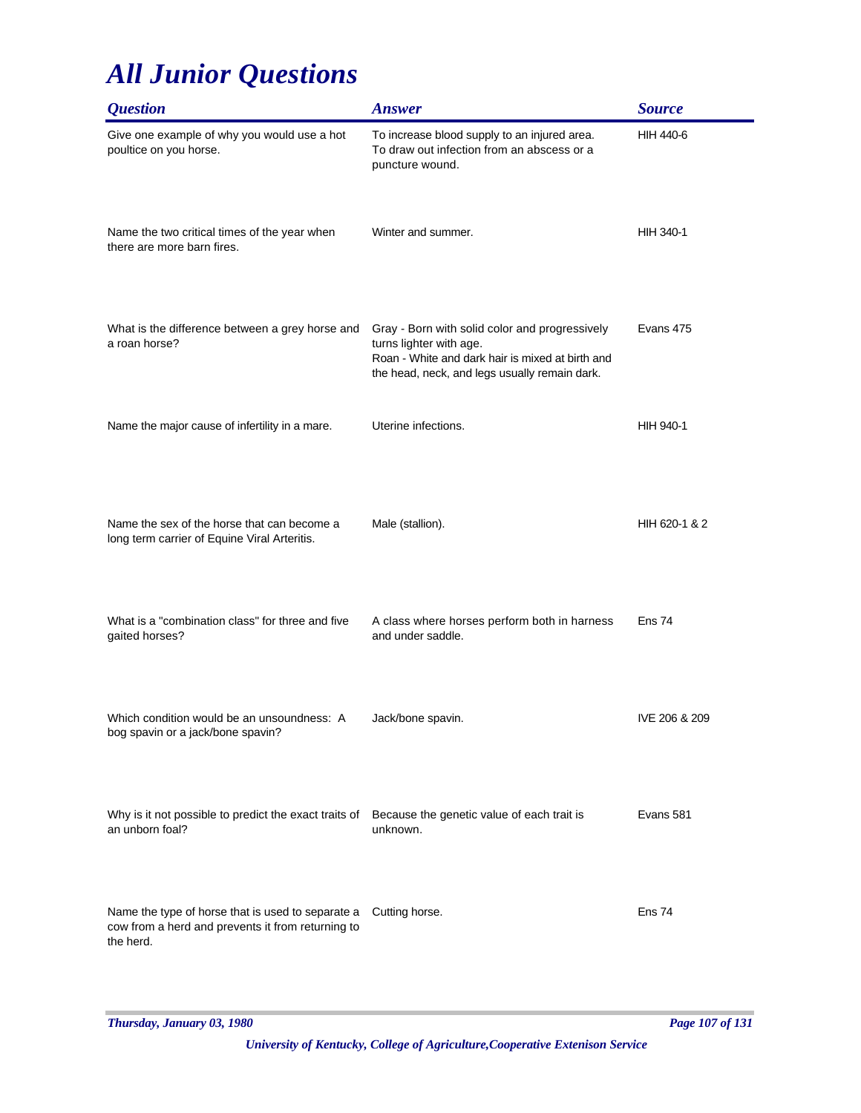| <b>Question</b>                                                                                                     | <b>Answer</b>                                                                                                                                                                  | <b>Source</b>     |
|---------------------------------------------------------------------------------------------------------------------|--------------------------------------------------------------------------------------------------------------------------------------------------------------------------------|-------------------|
| Give one example of why you would use a hot<br>poultice on you horse.                                               | To increase blood supply to an injured area.<br>To draw out infection from an abscess or a<br>puncture wound.                                                                  | HIH 440-6         |
| Name the two critical times of the year when<br>there are more barn fires.                                          | Winter and summer.                                                                                                                                                             | HIH 340-1         |
| What is the difference between a grey horse and<br>a roan horse?                                                    | Gray - Born with solid color and progressively<br>turns lighter with age.<br>Roan - White and dark hair is mixed at birth and<br>the head, neck, and legs usually remain dark. | Evans 475         |
| Name the major cause of infertility in a mare.                                                                      | Uterine infections.                                                                                                                                                            | <b>HIH 940-1</b>  |
| Name the sex of the horse that can become a<br>long term carrier of Equine Viral Arteritis.                         | Male (stallion).                                                                                                                                                               | HIH 620-1 & 2     |
| What is a "combination class" for three and five<br>gaited horses?                                                  | A class where horses perform both in harness<br>and under saddle.                                                                                                              | Ens 74            |
| Which condition would be an unsoundness: A<br>bog spavin or a jack/bone spavin?                                     | Jack/bone spavin.                                                                                                                                                              | IVE 206 & 209     |
| Why is it not possible to predict the exact traits of<br>an unborn foal?                                            | Because the genetic value of each trait is<br>unknown.                                                                                                                         | Evans 581         |
| Name the type of horse that is used to separate a<br>cow from a herd and prevents it from returning to<br>the herd. | Cutting horse.                                                                                                                                                                 | Ens <sub>74</sub> |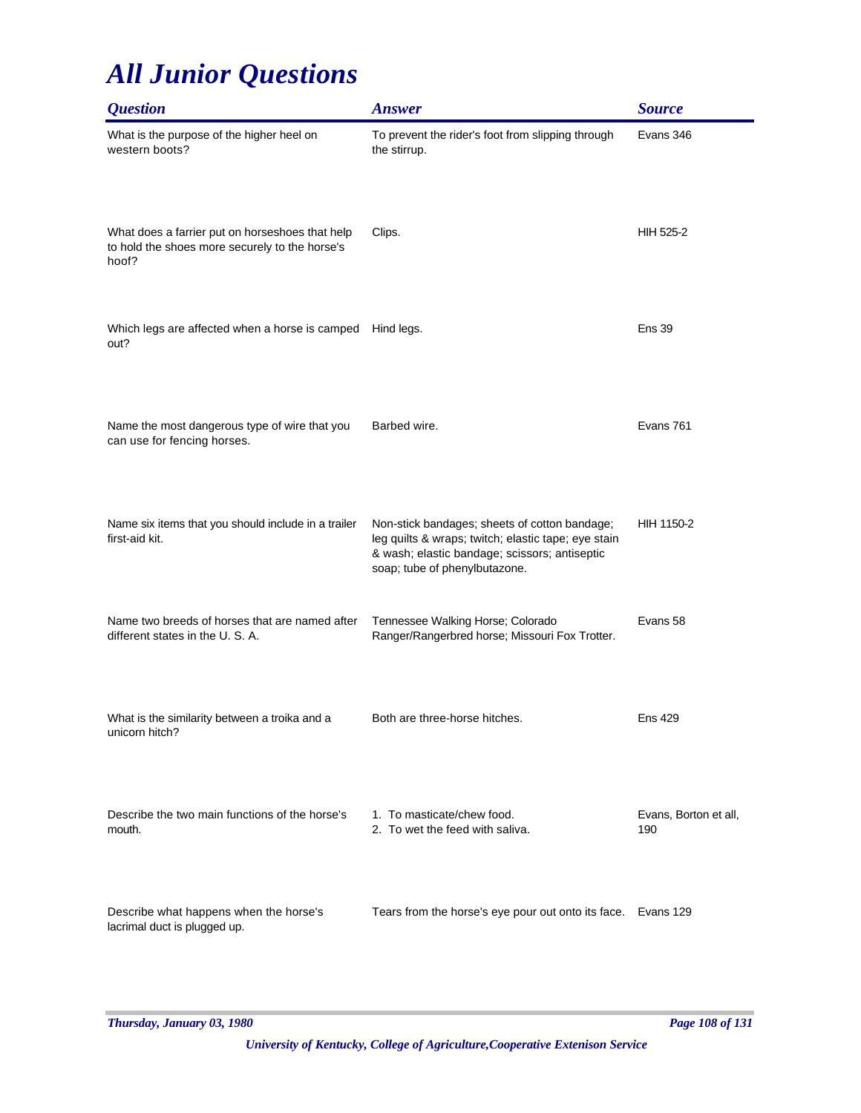| <i><b>Question</b></i>                                                                                     | <b>Answer</b>                                                                                                                                                                          | <b>Source</b>                |
|------------------------------------------------------------------------------------------------------------|----------------------------------------------------------------------------------------------------------------------------------------------------------------------------------------|------------------------------|
| What is the purpose of the higher heel on<br>western boots?                                                | To prevent the rider's foot from slipping through<br>the stirrup.                                                                                                                      | Evans 346                    |
| What does a farrier put on horseshoes that help<br>to hold the shoes more securely to the horse's<br>hoof? | Clips.                                                                                                                                                                                 | HIH 525-2                    |
| Which legs are affected when a horse is camped<br>out?                                                     | Hind legs.                                                                                                                                                                             | <b>Ens 39</b>                |
| Name the most dangerous type of wire that you<br>can use for fencing horses.                               | Barbed wire.                                                                                                                                                                           | Evans 761                    |
| Name six items that you should include in a trailer<br>first-aid kit.                                      | Non-stick bandages; sheets of cotton bandage;<br>leg quilts & wraps; twitch; elastic tape; eye stain<br>& wash; elastic bandage; scissors; antiseptic<br>soap; tube of phenylbutazone. | HIH 1150-2                   |
| Name two breeds of horses that are named after<br>different states in the U.S.A.                           | Tennessee Walking Horse; Colorado<br>Ranger/Rangerbred horse; Missouri Fox Trotter.                                                                                                    | Evans 58                     |
| What is the similarity between a troika and a<br>unicorn hitch?                                            | Both are three-horse hitches.                                                                                                                                                          | <b>Ens 429</b>               |
| Describe the two main functions of the horse's<br>mouth.                                                   | 1. To masticate/chew food.<br>2. To wet the feed with saliva.                                                                                                                          | Evans, Borton et all,<br>190 |
| Describe what happens when the horse's<br>lacrimal duct is plugged up.                                     | Tears from the horse's eye pour out onto its face.                                                                                                                                     | Evans 129                    |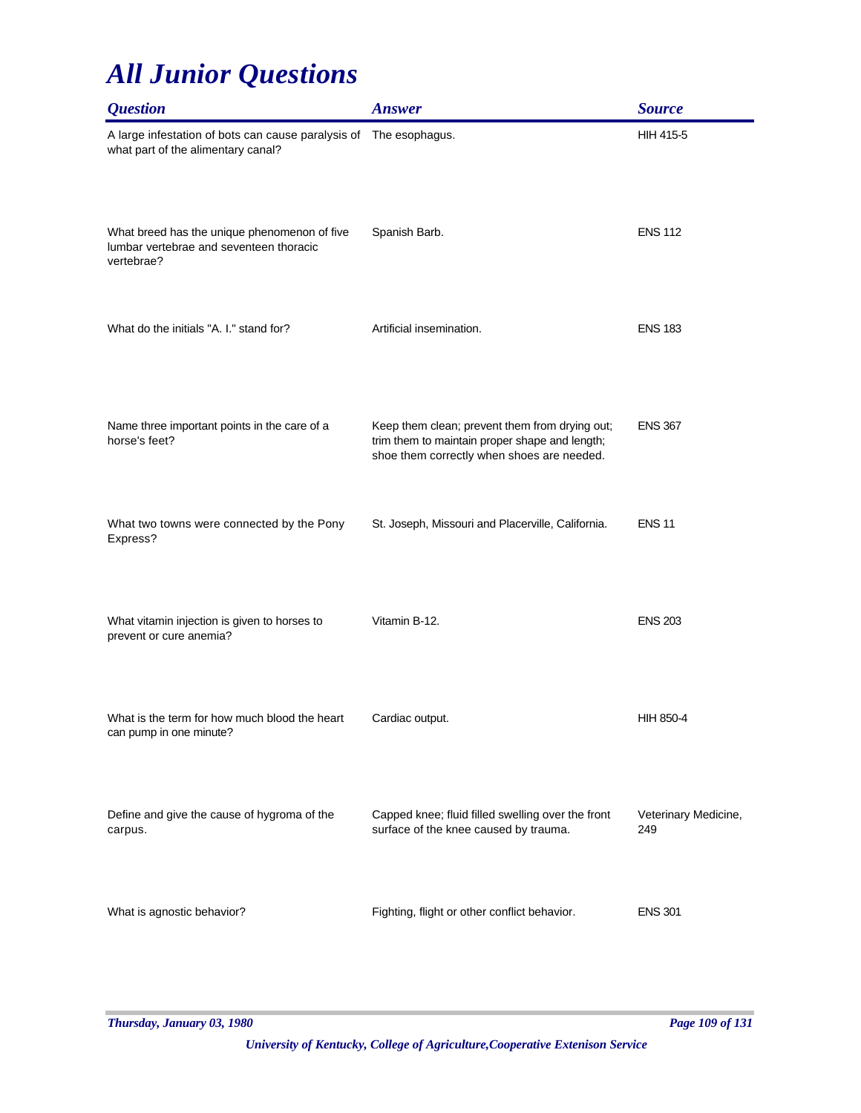| <i><b>Question</b></i>                                                                                  | <b>Answer</b>                                                                                                                                  | <b>Source</b>               |
|---------------------------------------------------------------------------------------------------------|------------------------------------------------------------------------------------------------------------------------------------------------|-----------------------------|
| A large infestation of bots can cause paralysis of The esophagus.<br>what part of the alimentary canal? |                                                                                                                                                | <b>HIH 415-5</b>            |
| What breed has the unique phenomenon of five<br>lumbar vertebrae and seventeen thoracic<br>vertebrae?   | Spanish Barb.                                                                                                                                  | <b>ENS 112</b>              |
| What do the initials "A. I." stand for?                                                                 | Artificial insemination.                                                                                                                       | <b>ENS 183</b>              |
| Name three important points in the care of a<br>horse's feet?                                           | Keep them clean; prevent them from drying out;<br>trim them to maintain proper shape and length;<br>shoe them correctly when shoes are needed. | <b>ENS 367</b>              |
| What two towns were connected by the Pony<br>Express?                                                   | St. Joseph, Missouri and Placerville, California.                                                                                              | <b>ENS 11</b>               |
| What vitamin injection is given to horses to<br>prevent or cure anemia?                                 | Vitamin B-12.                                                                                                                                  | <b>ENS 203</b>              |
| What is the term for how much blood the heart<br>can pump in one minute?                                | Cardiac output.                                                                                                                                | HIH 850-4                   |
| Define and give the cause of hygroma of the<br>carpus.                                                  | Capped knee; fluid filled swelling over the front<br>surface of the knee caused by trauma.                                                     | Veterinary Medicine,<br>249 |
| What is agnostic behavior?                                                                              | Fighting, flight or other conflict behavior.                                                                                                   | <b>ENS 301</b>              |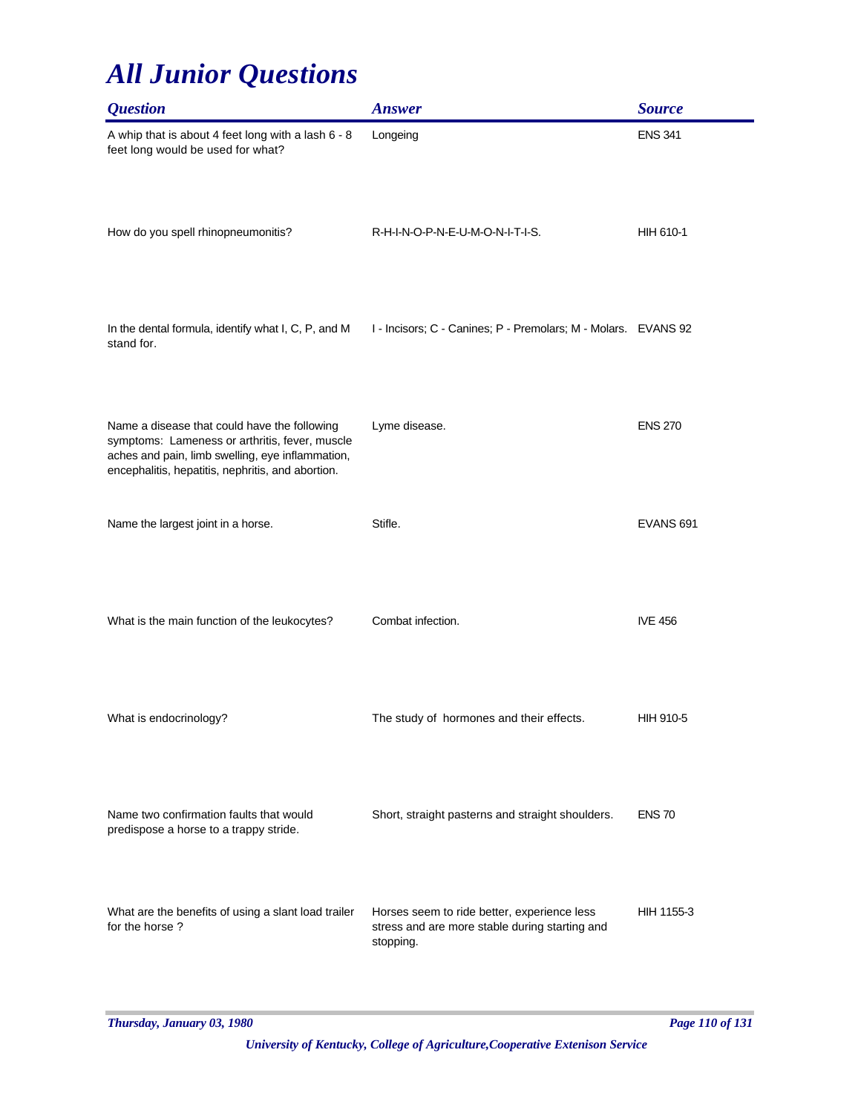| <b>Question</b>                                                                                                                                                                                         | <b>Answer</b>                                                                                              | <b>Source</b>    |
|---------------------------------------------------------------------------------------------------------------------------------------------------------------------------------------------------------|------------------------------------------------------------------------------------------------------------|------------------|
| A whip that is about 4 feet long with a lash 6 - 8<br>feet long would be used for what?                                                                                                                 | Longeing                                                                                                   | <b>ENS 341</b>   |
| How do you spell rhinopneumonitis?                                                                                                                                                                      | R-H-I-N-O-P-N-E-U-M-O-N-I-T-I-S.                                                                           | HIH 610-1        |
| In the dental formula, identify what I, C, P, and M<br>stand for.                                                                                                                                       | I - Incisors; C - Canines; P - Premolars; M - Molars. EVANS 92                                             |                  |
| Name a disease that could have the following<br>symptoms: Lameness or arthritis, fever, muscle<br>aches and pain, limb swelling, eye inflammation,<br>encephalitis, hepatitis, nephritis, and abortion. | Lyme disease.                                                                                              | <b>ENS 270</b>   |
| Name the largest joint in a horse.                                                                                                                                                                      | Stifle.                                                                                                    | <b>EVANS 691</b> |
| What is the main function of the leukocytes?                                                                                                                                                            | Combat infection.                                                                                          | <b>IVE 456</b>   |
| What is endocrinology?                                                                                                                                                                                  | The study of hormones and their effects.                                                                   | HIH 910-5        |
| Name two confirmation faults that would<br>predispose a horse to a trappy stride.                                                                                                                       | Short, straight pasterns and straight shoulders.                                                           | <b>ENS 70</b>    |
| What are the benefits of using a slant load trailer<br>for the horse?                                                                                                                                   | Horses seem to ride better, experience less<br>stress and are more stable during starting and<br>stopping. | HIH 1155-3       |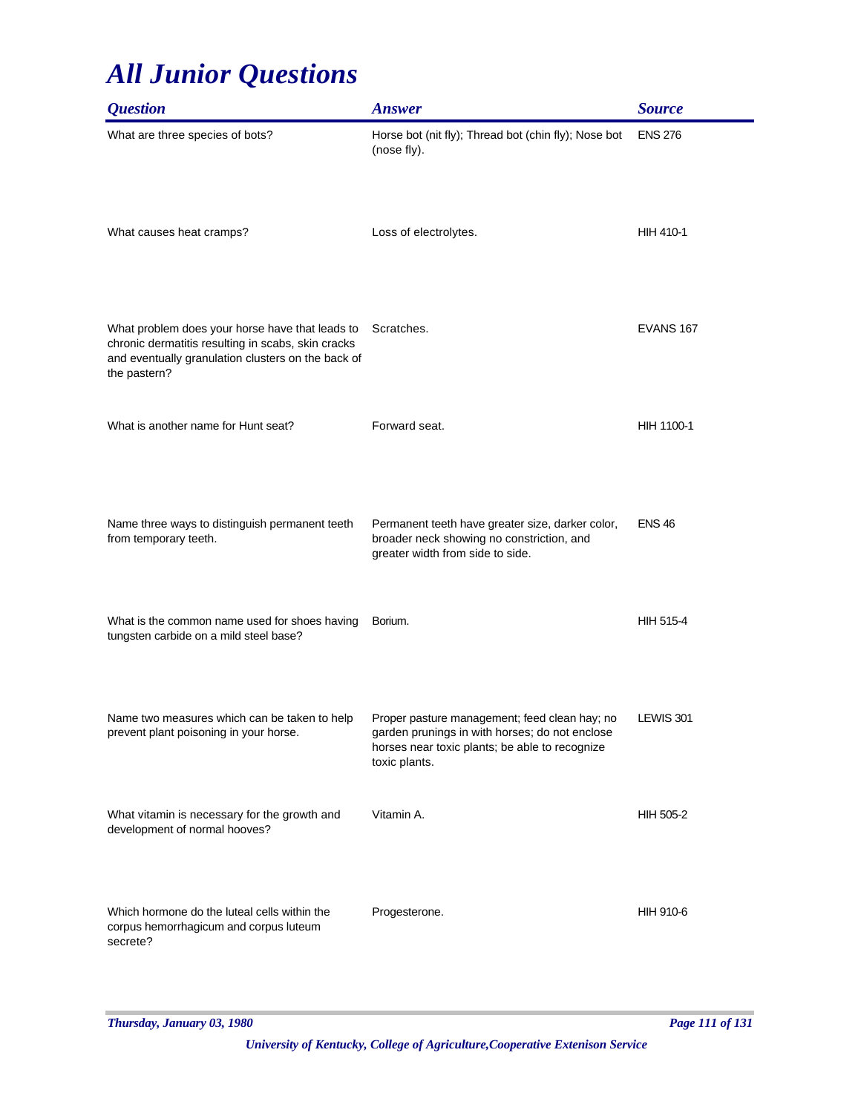| <i><b>Question</b></i>                                                                                                                                                      | <b>Answer</b>                                                                                                                                                      | <b>Source</b>    |
|-----------------------------------------------------------------------------------------------------------------------------------------------------------------------------|--------------------------------------------------------------------------------------------------------------------------------------------------------------------|------------------|
| What are three species of bots?                                                                                                                                             | Horse bot (nit fly); Thread bot (chin fly); Nose bot<br>(nose fly).                                                                                                | <b>ENS 276</b>   |
| What causes heat cramps?                                                                                                                                                    | Loss of electrolytes.                                                                                                                                              | HIH 410-1        |
| What problem does your horse have that leads to<br>chronic dermatitis resulting in scabs, skin cracks<br>and eventually granulation clusters on the back of<br>the pastern? | Scratches.                                                                                                                                                         | EVANS 167        |
| What is another name for Hunt seat?                                                                                                                                         | Forward seat.                                                                                                                                                      | HIH 1100-1       |
| Name three ways to distinguish permanent teeth<br>from temporary teeth.                                                                                                     | Permanent teeth have greater size, darker color,<br>broader neck showing no constriction, and<br>greater width from side to side.                                  | <b>ENS 46</b>    |
| What is the common name used for shoes having<br>tungsten carbide on a mild steel base?                                                                                     | Borium.                                                                                                                                                            | <b>HIH 515-4</b> |
| Name two measures which can be taken to help<br>prevent plant poisoning in your horse.                                                                                      | Proper pasture management; feed clean hay; no<br>garden prunings in with horses; do not enclose<br>horses near toxic plants; be able to recognize<br>toxic plants. | LEWIS 301        |
| What vitamin is necessary for the growth and<br>development of normal hooves?                                                                                               | Vitamin A.                                                                                                                                                         | HIH 505-2        |
| Which hormone do the luteal cells within the<br>corpus hemorrhagicum and corpus luteum<br>secrete?                                                                          | Progesterone.                                                                                                                                                      | HIH 910-6        |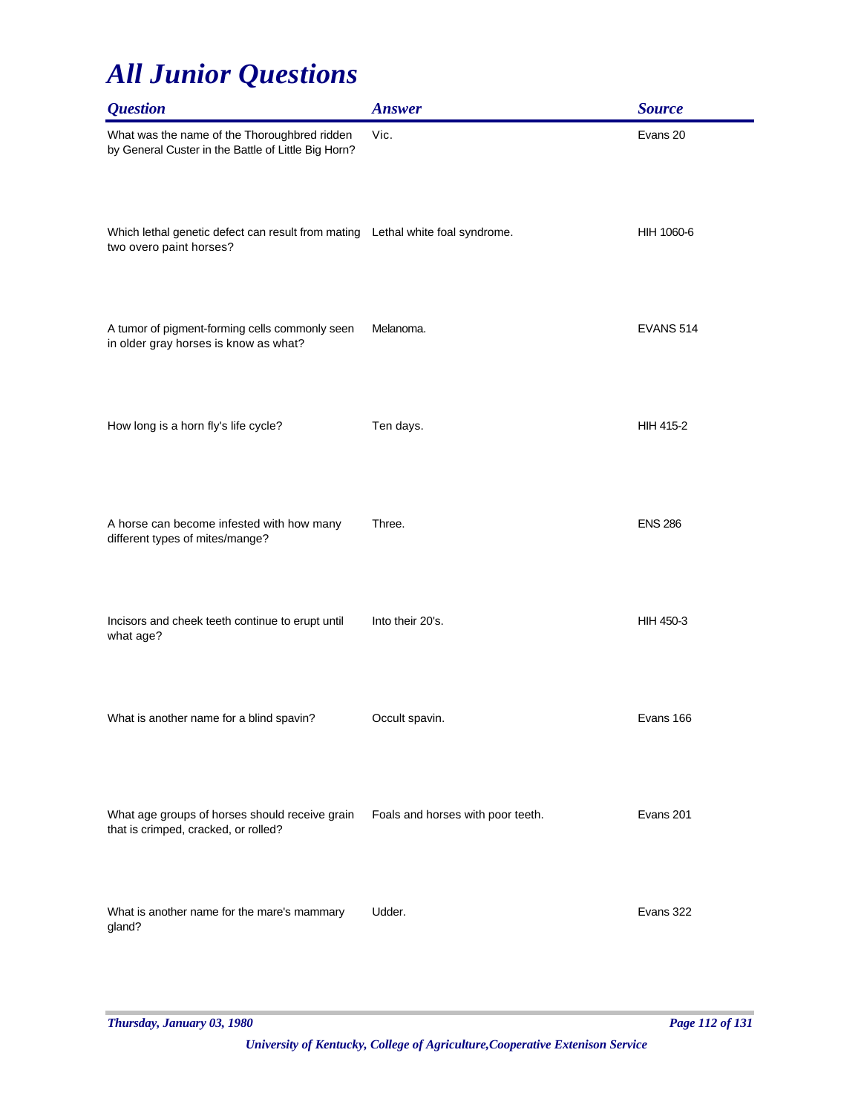| <b>Question</b>                                                                                           | <b>Answer</b>                     | <b>Source</b>    |
|-----------------------------------------------------------------------------------------------------------|-----------------------------------|------------------|
| What was the name of the Thoroughbred ridden<br>by General Custer in the Battle of Little Big Horn?       | Vic.                              | Evans 20         |
| Which lethal genetic defect can result from mating Lethal white foal syndrome.<br>two overo paint horses? |                                   | HIH 1060-6       |
| A tumor of pigment-forming cells commonly seen<br>in older gray horses is know as what?                   | Melanoma.                         | EVANS 514        |
| How long is a horn fly's life cycle?                                                                      | Ten days.                         | <b>HIH 415-2</b> |
| A horse can become infested with how many<br>different types of mites/mange?                              | Three.                            | <b>ENS 286</b>   |
| Incisors and cheek teeth continue to erupt until<br>what age?                                             | Into their 20's.                  | HIH 450-3        |
| What is another name for a blind spavin?                                                                  | Occult spavin.                    | Evans 166        |
| What age groups of horses should receive grain<br>that is crimped, cracked, or rolled?                    | Foals and horses with poor teeth. | Evans 201        |
| What is another name for the mare's mammary<br>gland?                                                     | Udder.                            | Evans 322        |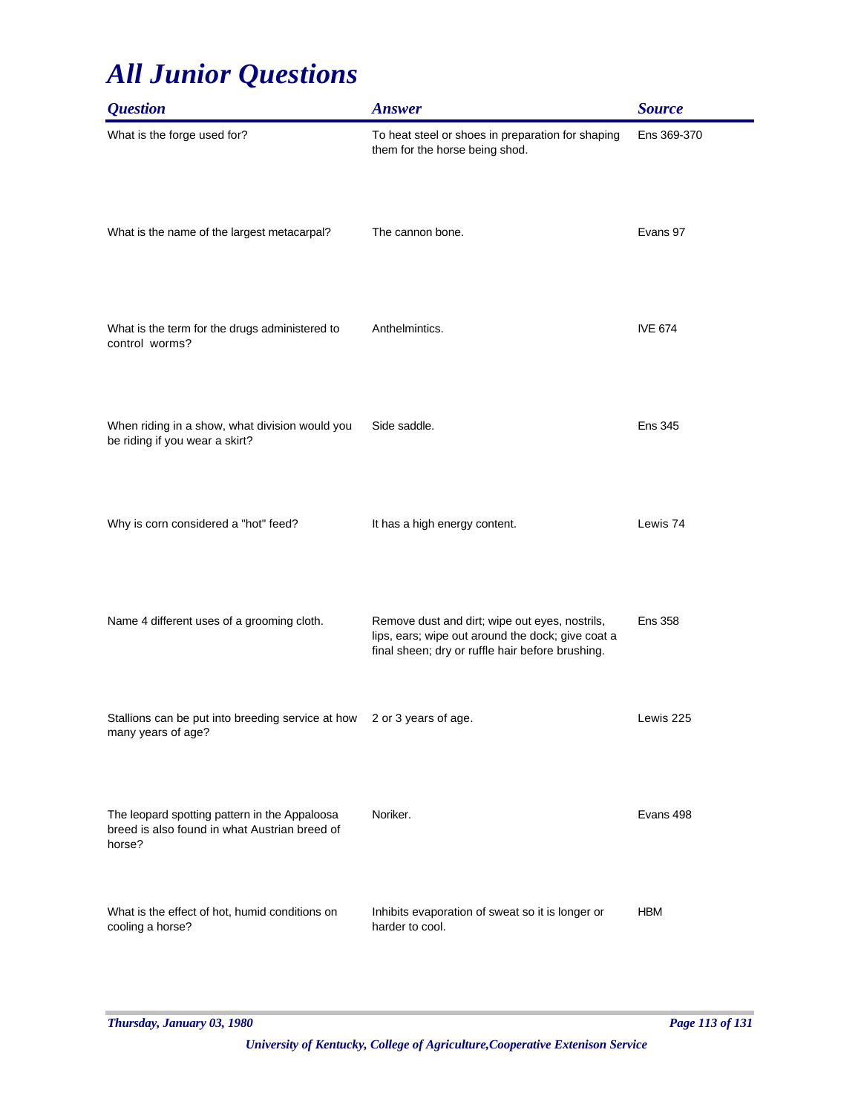| <i><b>Question</b></i>                                                                                   | <b>Answer</b>                                                                                                                                           | <b>Source</b>  |
|----------------------------------------------------------------------------------------------------------|---------------------------------------------------------------------------------------------------------------------------------------------------------|----------------|
| What is the forge used for?                                                                              | To heat steel or shoes in preparation for shaping<br>them for the horse being shod.                                                                     | Ens 369-370    |
| What is the name of the largest metacarpal?                                                              | The cannon bone.                                                                                                                                        | Evans 97       |
| What is the term for the drugs administered to<br>control worms?                                         | Anthelmintics.                                                                                                                                          | <b>IVE 674</b> |
| When riding in a show, what division would you<br>be riding if you wear a skirt?                         | Side saddle.                                                                                                                                            | <b>Ens 345</b> |
| Why is corn considered a "hot" feed?                                                                     | It has a high energy content.                                                                                                                           | Lewis 74       |
| Name 4 different uses of a grooming cloth.                                                               | Remove dust and dirt; wipe out eyes, nostrils,<br>lips, ears; wipe out around the dock; give coat a<br>final sheen; dry or ruffle hair before brushing. | <b>Ens 358</b> |
| Stallions can be put into breeding service at how<br>many years of age?                                  | 2 or 3 years of age.                                                                                                                                    | Lewis 225      |
| The leopard spotting pattern in the Appaloosa<br>breed is also found in what Austrian breed of<br>horse? | Noriker.                                                                                                                                                | Evans 498      |
| What is the effect of hot, humid conditions on<br>cooling a horse?                                       | Inhibits evaporation of sweat so it is longer or<br>harder to cool.                                                                                     | <b>HBM</b>     |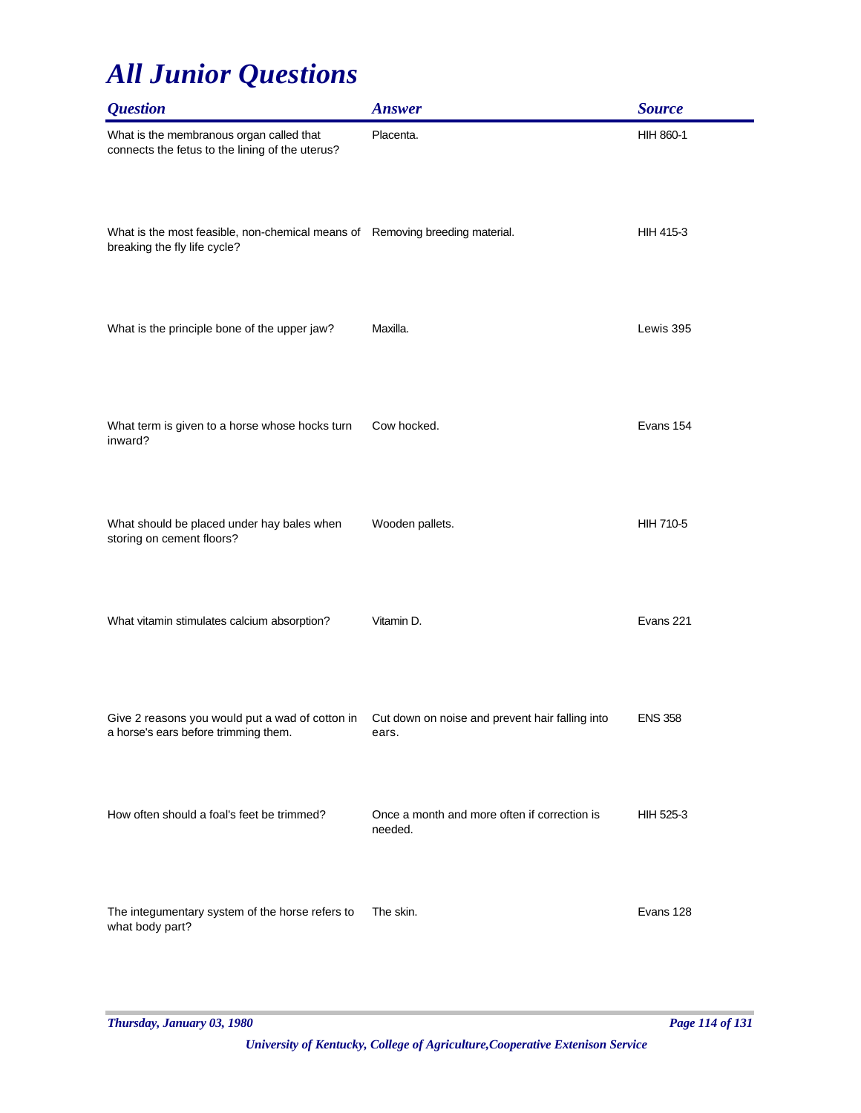| <b>Question</b>                                                                                              | <b>Answer</b>                                            | <b>Source</b>  |
|--------------------------------------------------------------------------------------------------------------|----------------------------------------------------------|----------------|
| What is the membranous organ called that<br>connects the fetus to the lining of the uterus?                  | Placenta.                                                | HIH 860-1      |
| What is the most feasible, non-chemical means of Removing breeding material.<br>breaking the fly life cycle? |                                                          | HIH 415-3      |
| What is the principle bone of the upper jaw?                                                                 | Maxilla.                                                 | Lewis 395      |
| What term is given to a horse whose hocks turn<br>inward?                                                    | Cow hocked.                                              | Evans 154      |
| What should be placed under hay bales when<br>storing on cement floors?                                      | Wooden pallets.                                          | HIH 710-5      |
| What vitamin stimulates calcium absorption?                                                                  | Vitamin D.                                               | Evans 221      |
| Give 2 reasons you would put a wad of cotton in<br>a horse's ears before trimming them.                      | Cut down on noise and prevent hair falling into<br>ears. | <b>ENS 358</b> |
| How often should a foal's feet be trimmed?                                                                   | Once a month and more often if correction is<br>needed.  | HIH 525-3      |
| The integumentary system of the horse refers to<br>what body part?                                           | The skin.                                                | Evans 128      |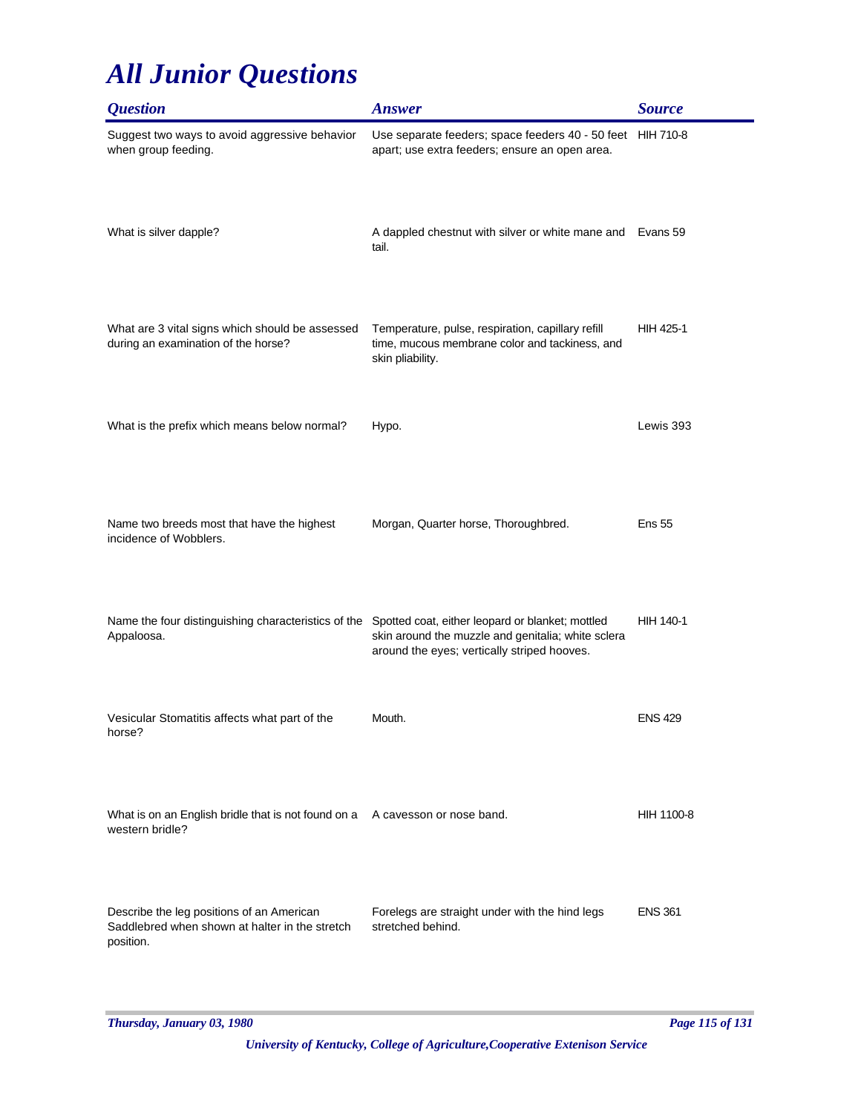| <i><b>Question</b></i>                                                                                   | <b>Answer</b>                                                                                                                                         | <b>Source</b>    |
|----------------------------------------------------------------------------------------------------------|-------------------------------------------------------------------------------------------------------------------------------------------------------|------------------|
| Suggest two ways to avoid aggressive behavior<br>when group feeding.                                     | Use separate feeders; space feeders 40 - 50 feet HIH 710-8<br>apart; use extra feeders; ensure an open area.                                          |                  |
| What is silver dapple?                                                                                   | A dappled chestnut with silver or white mane and Evans 59<br>tail.                                                                                    |                  |
| What are 3 vital signs which should be assessed<br>during an examination of the horse?                   | Temperature, pulse, respiration, capillary refill<br>time, mucous membrane color and tackiness, and<br>skin pliability.                               | <b>HIH 425-1</b> |
| What is the prefix which means below normal?                                                             | Hypo.                                                                                                                                                 | Lewis 393        |
| Name two breeds most that have the highest<br>incidence of Wobblers.                                     | Morgan, Quarter horse, Thoroughbred.                                                                                                                  | <b>Ens 55</b>    |
| Name the four distinguishing characteristics of the<br>Appaloosa.                                        | Spotted coat, either leopard or blanket; mottled<br>skin around the muzzle and genitalia; white sclera<br>around the eyes; vertically striped hooves. | HIH 140-1        |
| Vesicular Stomatitis affects what part of the<br>horse?                                                  | Mouth.                                                                                                                                                | <b>ENS 429</b>   |
| What is on an English bridle that is not found on a A cavesson or nose band.<br>western bridle?          |                                                                                                                                                       | HIH 1100-8       |
| Describe the leg positions of an American<br>Saddlebred when shown at halter in the stretch<br>position. | Forelegs are straight under with the hind legs<br>stretched behind.                                                                                   | <b>ENS 361</b>   |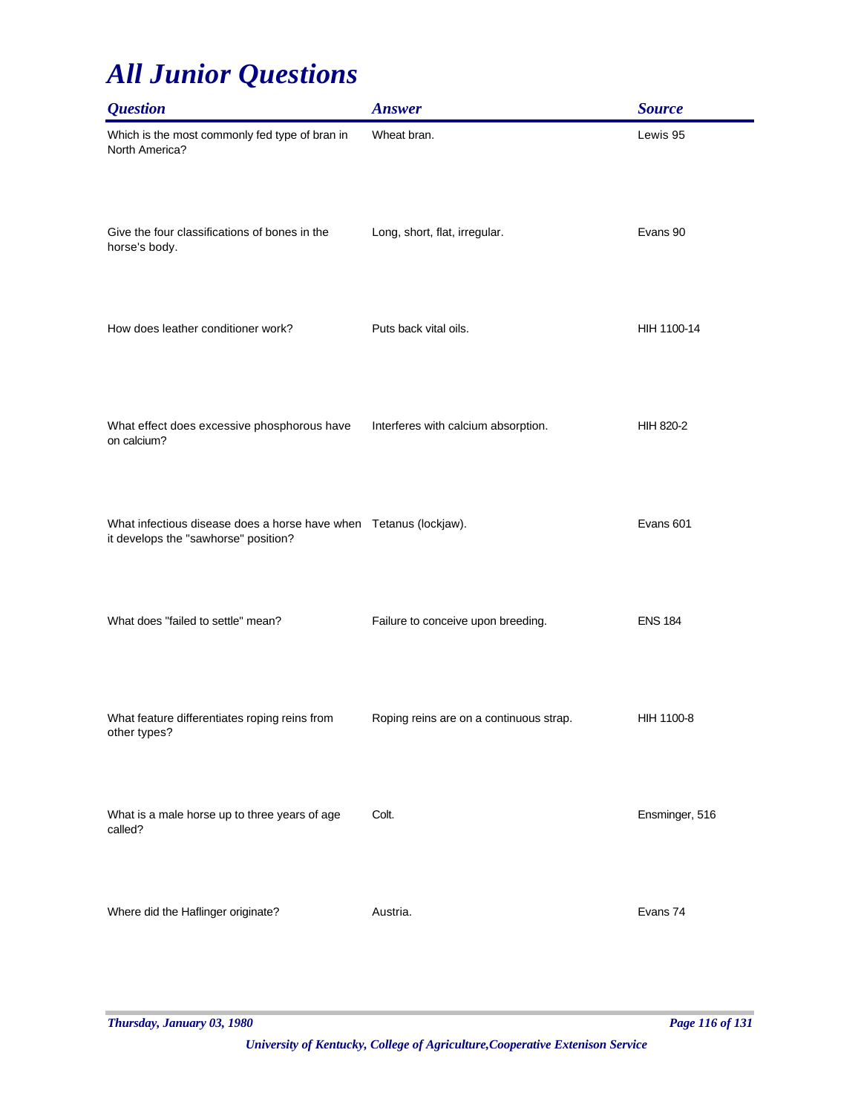| <b>Question</b>                                                                                            | <b>Answer</b>                           | <b>Source</b>  |
|------------------------------------------------------------------------------------------------------------|-----------------------------------------|----------------|
| Which is the most commonly fed type of bran in<br>North America?                                           | Wheat bran.                             | Lewis 95       |
| Give the four classifications of bones in the<br>horse's body.                                             | Long, short, flat, irregular.           | Evans 90       |
| How does leather conditioner work?                                                                         | Puts back vital oils.                   | HIH 1100-14    |
| What effect does excessive phosphorous have<br>on calcium?                                                 | Interferes with calcium absorption.     | HIH 820-2      |
| What infectious disease does a horse have when  Tetanus (lockjaw).<br>it develops the "sawhorse" position? |                                         | Evans 601      |
| What does "failed to settle" mean?                                                                         | Failure to conceive upon breeding.      | <b>ENS 184</b> |
| What feature differentiates roping reins from<br>other types?                                              | Roping reins are on a continuous strap. | HIH 1100-8     |
| What is a male horse up to three years of age<br>called?                                                   | Colt.                                   | Ensminger, 516 |
| Where did the Haflinger originate?                                                                         | Austria.                                | Evans 74       |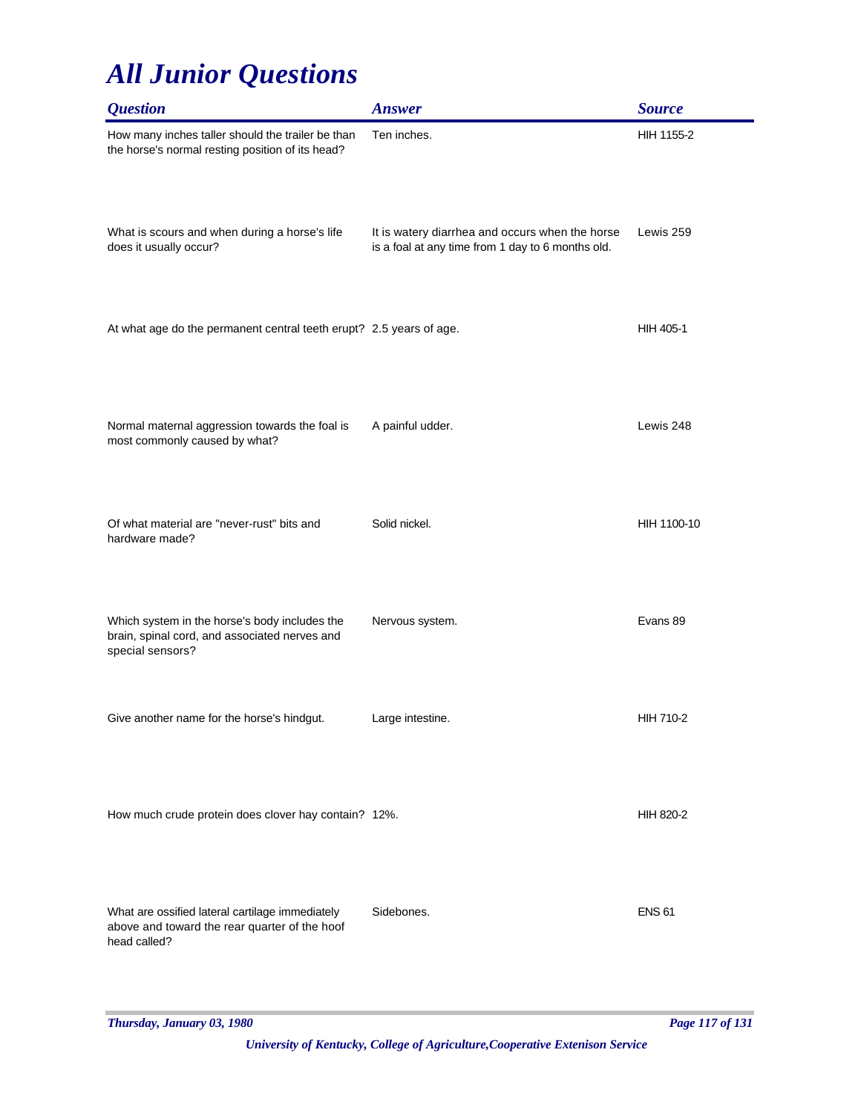| <b>Question</b>                                                                                                    | <b>Answer</b>                                                                                        | <b>Source</b>    |
|--------------------------------------------------------------------------------------------------------------------|------------------------------------------------------------------------------------------------------|------------------|
| How many inches taller should the trailer be than<br>the horse's normal resting position of its head?              | Ten inches.                                                                                          | HIH 1155-2       |
| What is scours and when during a horse's life<br>does it usually occur?                                            | It is watery diarrhea and occurs when the horse<br>is a foal at any time from 1 day to 6 months old. | Lewis 259        |
| At what age do the permanent central teeth erupt? 2.5 years of age.                                                |                                                                                                      | HIH 405-1        |
| Normal maternal aggression towards the foal is<br>most commonly caused by what?                                    | A painful udder.                                                                                     | Lewis 248        |
| Of what material are "never-rust" bits and<br>hardware made?                                                       | Solid nickel.                                                                                        | HIH 1100-10      |
| Which system in the horse's body includes the<br>brain, spinal cord, and associated nerves and<br>special sensors? | Nervous system.                                                                                      | Evans 89         |
| Give another name for the horse's hindgut.                                                                         | Large intestine.                                                                                     | <b>HIH 710-2</b> |
| How much crude protein does clover hay contain? 12%.                                                               |                                                                                                      | HIH 820-2        |
| What are ossified lateral cartilage immediately<br>above and toward the rear quarter of the hoof<br>head called?   | Sidebones.                                                                                           | <b>ENS 61</b>    |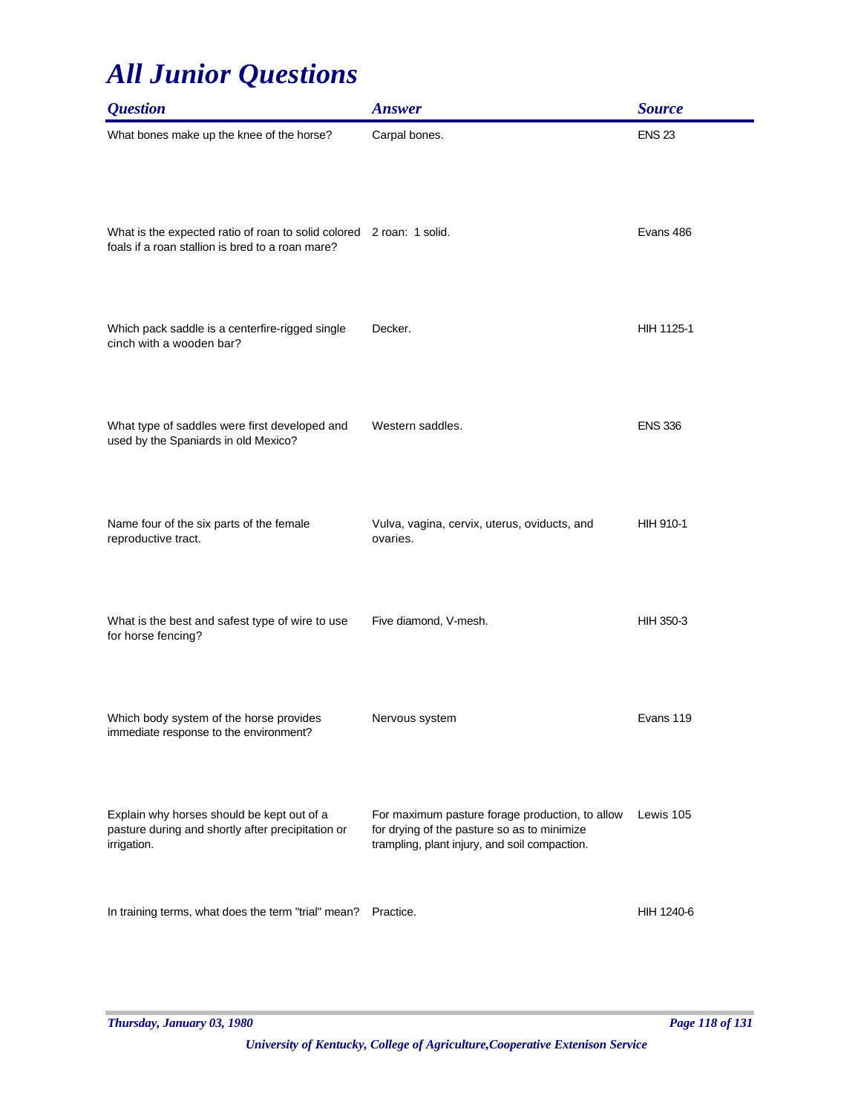| <i><b>Question</b></i>                                                                                                   | <b>Answer</b>                                                                                                                                   | <b>Source</b>    |
|--------------------------------------------------------------------------------------------------------------------------|-------------------------------------------------------------------------------------------------------------------------------------------------|------------------|
| What bones make up the knee of the horse?                                                                                | Carpal bones.                                                                                                                                   | <b>ENS 23</b>    |
| What is the expected ratio of roan to solid colored 2 roan: 1 solid.<br>foals if a roan stallion is bred to a roan mare? |                                                                                                                                                 | Evans 486        |
| Which pack saddle is a centerfire-rigged single<br>cinch with a wooden bar?                                              | Decker.                                                                                                                                         | HIH 1125-1       |
| What type of saddles were first developed and<br>used by the Spaniards in old Mexico?                                    | Western saddles.                                                                                                                                | <b>ENS 336</b>   |
| Name four of the six parts of the female<br>reproductive tract.                                                          | Vulva, vagina, cervix, uterus, oviducts, and<br>ovaries.                                                                                        | <b>HIH 910-1</b> |
| What is the best and safest type of wire to use<br>for horse fencing?                                                    | Five diamond, V-mesh.                                                                                                                           | HIH 350-3        |
| Which body system of the horse provides<br>immediate response to the environment?                                        | Nervous system                                                                                                                                  | Evans 119        |
| Explain why horses should be kept out of a<br>pasture during and shortly after precipitation or<br>irrigation.           | For maximum pasture forage production, to allow<br>for drying of the pasture so as to minimize<br>trampling, plant injury, and soil compaction. | Lewis 105        |
| In training terms, what does the term "trial" mean?                                                                      | Practice.                                                                                                                                       | HIH 1240-6       |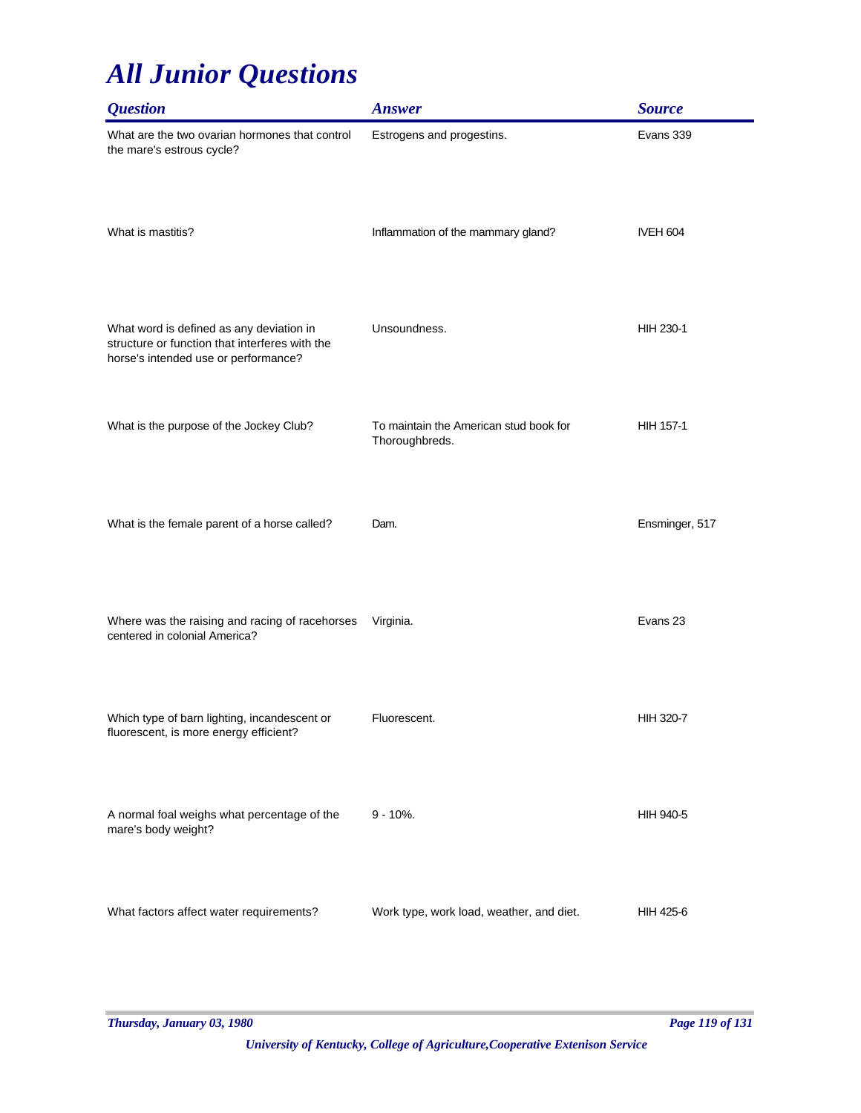| <i><b>Question</b></i>                                                                                                             | <b>Answer</b>                                            | <b>Source</b>    |
|------------------------------------------------------------------------------------------------------------------------------------|----------------------------------------------------------|------------------|
| What are the two ovarian hormones that control<br>the mare's estrous cycle?                                                        | Estrogens and progestins.                                | Evans 339        |
| What is mastitis?                                                                                                                  | Inflammation of the mammary gland?                       | <b>IVEH 604</b>  |
| What word is defined as any deviation in<br>structure or function that interferes with the<br>horse's intended use or performance? | Unsoundness.                                             | HIH 230-1        |
| What is the purpose of the Jockey Club?                                                                                            | To maintain the American stud book for<br>Thoroughbreds. | HIH 157-1        |
| What is the female parent of a horse called?                                                                                       | Dam.                                                     | Ensminger, 517   |
| Where was the raising and racing of racehorses<br>centered in colonial America?                                                    | Virginia.                                                | Evans 23         |
| Which type of barn lighting, incandescent or<br>fluorescent, is more energy efficient?                                             | Fluorescent.                                             | <b>HIH 320-7</b> |
| A normal foal weighs what percentage of the<br>mare's body weight?                                                                 | $9 - 10%$ .                                              | HIH 940-5        |
| What factors affect water requirements?                                                                                            | Work type, work load, weather, and diet.                 | <b>HIH 425-6</b> |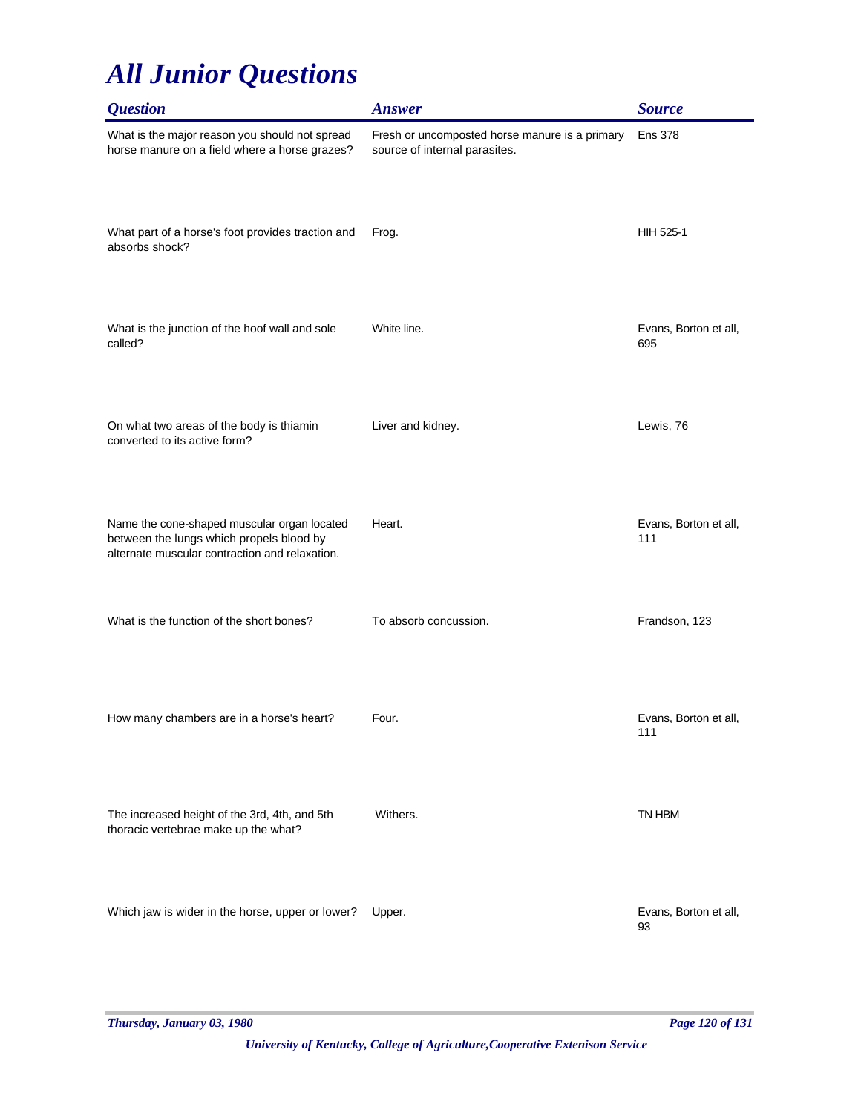| <b>Question</b>                                                                                                                           | <b>Answer</b>                                                                   | <b>Source</b>                |
|-------------------------------------------------------------------------------------------------------------------------------------------|---------------------------------------------------------------------------------|------------------------------|
| What is the major reason you should not spread<br>horse manure on a field where a horse grazes?                                           | Fresh or uncomposted horse manure is a primary<br>source of internal parasites. | <b>Ens 378</b>               |
| What part of a horse's foot provides traction and<br>absorbs shock?                                                                       | Frog.                                                                           | HIH 525-1                    |
| What is the junction of the hoof wall and sole<br>called?                                                                                 | White line.                                                                     | Evans, Borton et all,<br>695 |
| On what two areas of the body is thiamin<br>converted to its active form?                                                                 | Liver and kidney.                                                               | Lewis, 76                    |
| Name the cone-shaped muscular organ located<br>between the lungs which propels blood by<br>alternate muscular contraction and relaxation. | Heart.                                                                          | Evans, Borton et all,<br>111 |
| What is the function of the short bones?                                                                                                  | To absorb concussion.                                                           | Frandson, 123                |
| How many chambers are in a horse's heart?                                                                                                 | Four.                                                                           | Evans, Borton et all,<br>111 |
| The increased height of the 3rd, 4th, and 5th<br>thoracic vertebrae make up the what?                                                     | Withers.                                                                        | TN HBM                       |
| Which jaw is wider in the horse, upper or lower?                                                                                          | Upper.                                                                          | Evans, Borton et all,<br>93  |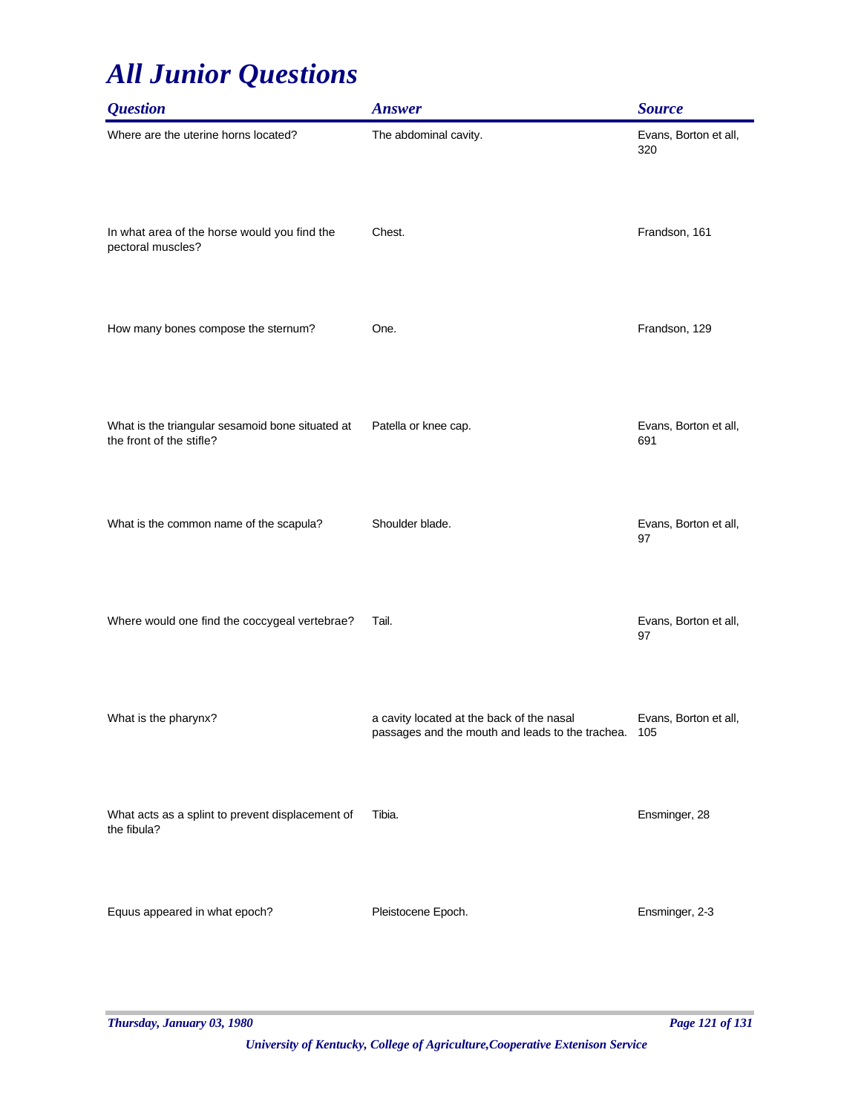| <b>Question</b>                                                              | <b>Answer</b>                                                                                     | <b>Source</b>                |
|------------------------------------------------------------------------------|---------------------------------------------------------------------------------------------------|------------------------------|
| Where are the uterine horns located?                                         | The abdominal cavity.                                                                             | Evans, Borton et all,<br>320 |
| In what area of the horse would you find the<br>pectoral muscles?            | Chest.                                                                                            | Frandson, 161                |
| How many bones compose the sternum?                                          | One.                                                                                              | Frandson, 129                |
| What is the triangular sesamoid bone situated at<br>the front of the stifle? | Patella or knee cap.                                                                              | Evans, Borton et all,<br>691 |
| What is the common name of the scapula?                                      | Shoulder blade.                                                                                   | Evans, Borton et all,<br>97  |
| Where would one find the coccygeal vertebrae?                                | Tail.                                                                                             | Evans, Borton et all,<br>97  |
| What is the pharynx?                                                         | a cavity located at the back of the nasal<br>passages and the mouth and leads to the trachea. 105 | Evans, Borton et all,        |
| What acts as a splint to prevent displacement of<br>the fibula?              | Tibia.                                                                                            | Ensminger, 28                |
| Equus appeared in what epoch?                                                | Pleistocene Epoch.                                                                                | Ensminger, 2-3               |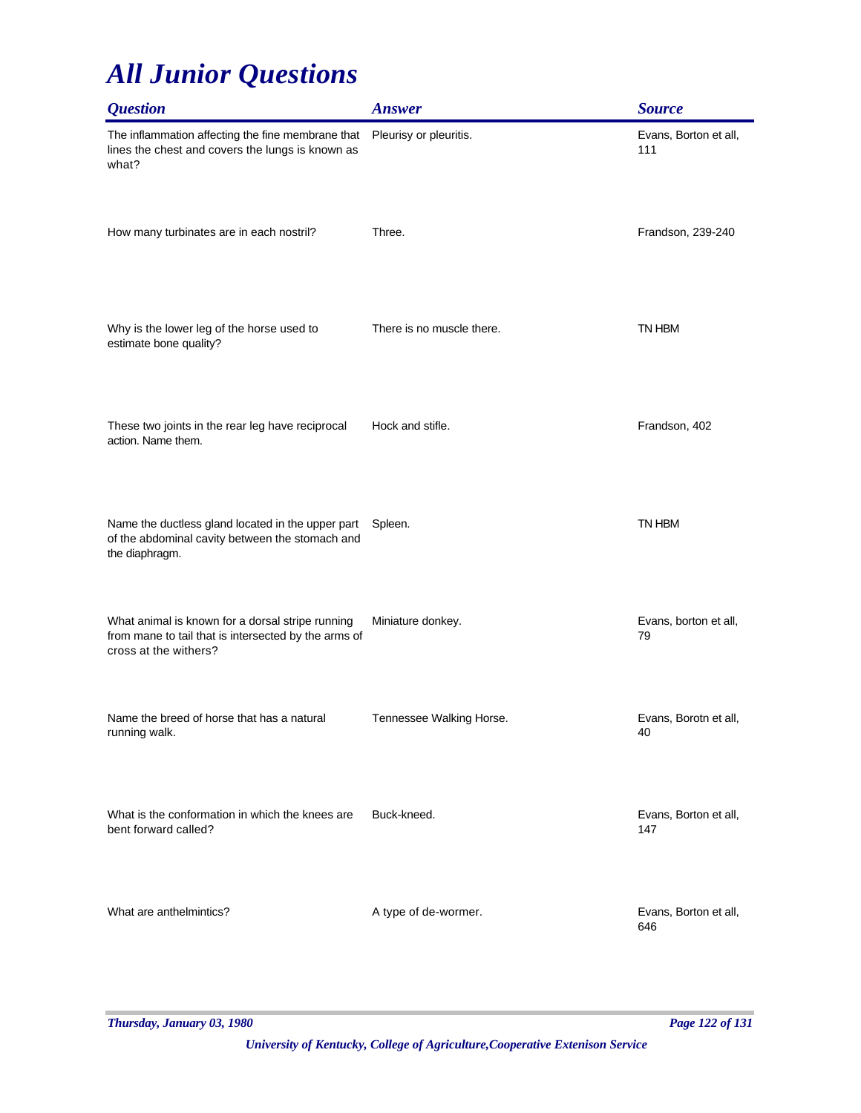| <i><b>Question</b></i>                                                                                                            | <b>Answer</b>             | <b>Source</b>                |
|-----------------------------------------------------------------------------------------------------------------------------------|---------------------------|------------------------------|
| The inflammation affecting the fine membrane that<br>lines the chest and covers the lungs is known as<br>what?                    | Pleurisy or pleuritis.    | Evans, Borton et all,<br>111 |
| How many turbinates are in each nostril?                                                                                          | Three.                    | Frandson, 239-240            |
| Why is the lower leg of the horse used to<br>estimate bone quality?                                                               | There is no muscle there. | TN HBM                       |
| These two joints in the rear leg have reciprocal<br>action. Name them.                                                            | Hock and stifle.          | Frandson, 402                |
| Name the ductless gland located in the upper part<br>of the abdominal cavity between the stomach and<br>the diaphragm.            | Spleen.                   | TN HBM                       |
| What animal is known for a dorsal stripe running<br>from mane to tail that is intersected by the arms of<br>cross at the withers? | Miniature donkey.         | Evans, borton et all,<br>79  |
| Name the breed of horse that has a natural<br>running walk.                                                                       | Tennessee Walking Horse.  | Evans, Borotn et all,<br>40  |
| What is the conformation in which the knees are<br>bent forward called?                                                           | Buck-kneed.               | Evans, Borton et all,<br>147 |
| What are anthelmintics?                                                                                                           | A type of de-wormer.      | Evans, Borton et all,<br>646 |

*Thursday, January 03, 1980 Page 122 of 131*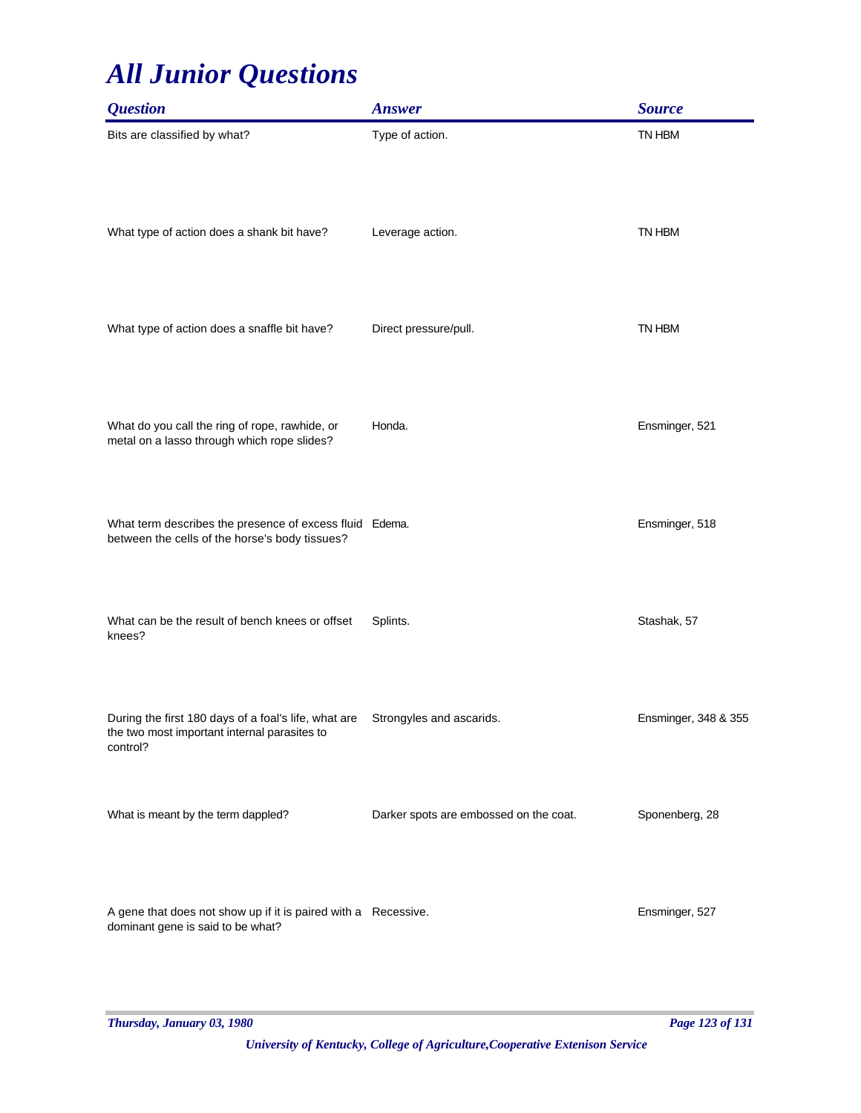| <b>Ouestion</b>                                                                                                  | <b>Answer</b>                          | <b>Source</b>        |
|------------------------------------------------------------------------------------------------------------------|----------------------------------------|----------------------|
| Bits are classified by what?                                                                                     | Type of action.                        | TN HBM               |
| What type of action does a shank bit have?                                                                       | Leverage action.                       | TN HBM               |
| What type of action does a snaffle bit have?                                                                     | Direct pressure/pull.                  | TN HBM               |
| What do you call the ring of rope, rawhide, or<br>metal on a lasso through which rope slides?                    | Honda.                                 | Ensminger, 521       |
| What term describes the presence of excess fluid Edema.<br>between the cells of the horse's body tissues?        |                                        | Ensminger, 518       |
| What can be the result of bench knees or offset<br>knees?                                                        | Splints.                               | Stashak, 57          |
| During the first 180 days of a foal's life, what are<br>the two most important internal parasites to<br>control? | Strongyles and ascarids.               | Ensminger, 348 & 355 |
| What is meant by the term dappled?                                                                               | Darker spots are embossed on the coat. | Sponenberg, 28       |
| A gene that does not show up if it is paired with a Recessive.<br>dominant gene is said to be what?              |                                        | Ensminger, 527       |

*Thursday, January 03, 1980 Page 123 of 131*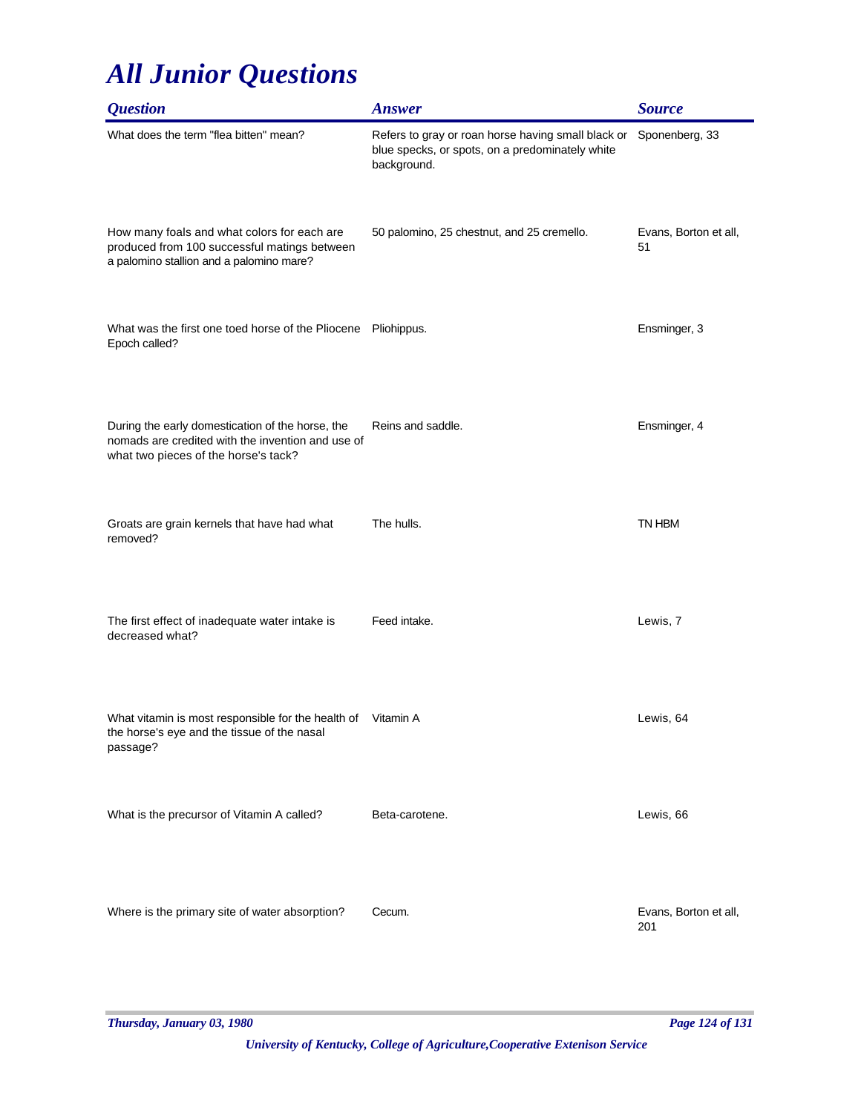| <i><b>Question</b></i>                                                                                                                        | <b>Answer</b>                                                                                                                       | <b>Source</b>                |
|-----------------------------------------------------------------------------------------------------------------------------------------------|-------------------------------------------------------------------------------------------------------------------------------------|------------------------------|
| What does the term "flea bitten" mean?                                                                                                        | Refers to gray or roan horse having small black or Sponenberg, 33<br>blue specks, or spots, on a predominately white<br>background. |                              |
| How many foals and what colors for each are<br>produced from 100 successful matings between<br>a palomino stallion and a palomino mare?       | 50 palomino, 25 chestnut, and 25 cremello.                                                                                          | Evans, Borton et all,<br>51  |
| What was the first one toed horse of the Pliocene<br>Epoch called?                                                                            | Pliohippus.                                                                                                                         | Ensminger, 3                 |
| During the early domestication of the horse, the<br>nomads are credited with the invention and use of<br>what two pieces of the horse's tack? | Reins and saddle.                                                                                                                   | Ensminger, 4                 |
| Groats are grain kernels that have had what<br>removed?                                                                                       | The hulls.                                                                                                                          | TN HBM                       |
| The first effect of inadequate water intake is<br>decreased what?                                                                             | Feed intake.                                                                                                                        | Lewis, 7                     |
| What vitamin is most responsible for the health of<br>the horse's eye and the tissue of the nasal<br>passage?                                 | Vitamin A                                                                                                                           | Lewis, 64                    |
| What is the precursor of Vitamin A called?                                                                                                    | Beta-carotene.                                                                                                                      | Lewis, 66                    |
| Where is the primary site of water absorption?                                                                                                | Cecum.                                                                                                                              | Evans, Borton et all,<br>201 |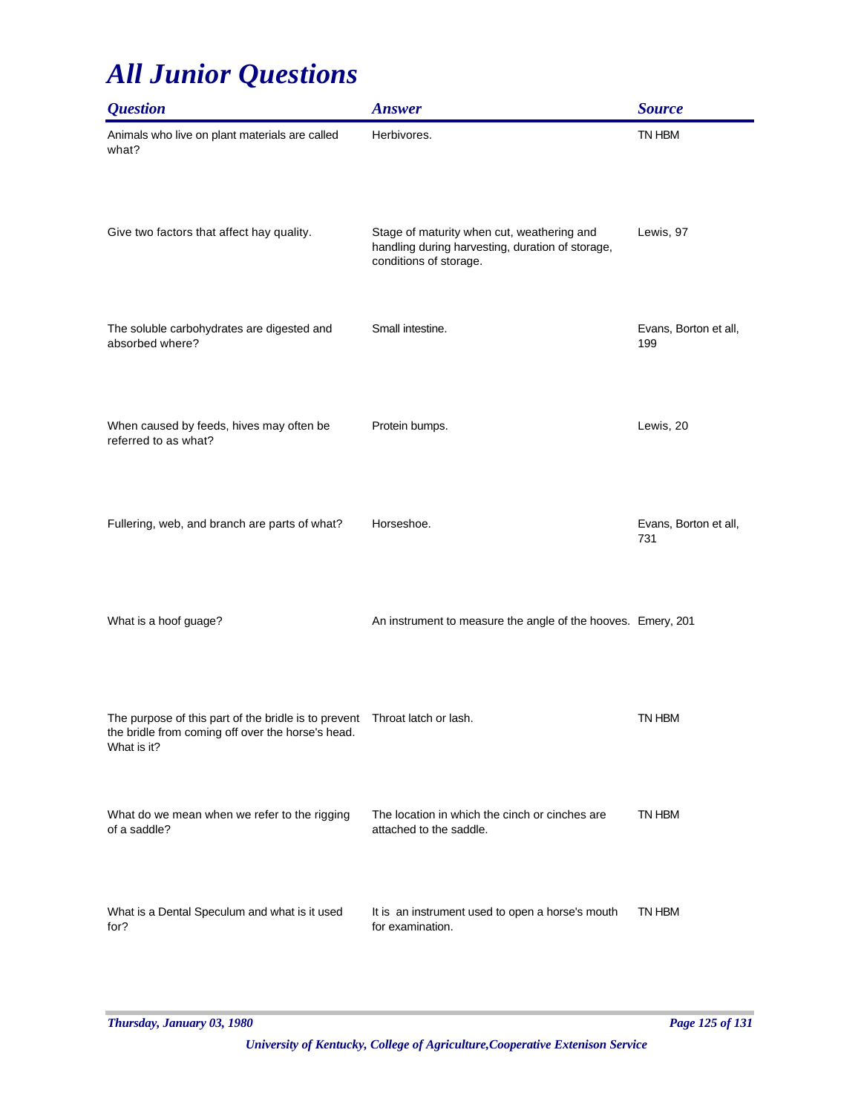| <i><b>Question</b></i>                                                                                                                          | <b>Answer</b>                                                                                                            | <b>Source</b>                |
|-------------------------------------------------------------------------------------------------------------------------------------------------|--------------------------------------------------------------------------------------------------------------------------|------------------------------|
| Animals who live on plant materials are called<br>what?                                                                                         | Herbivores.                                                                                                              | TN HBM                       |
| Give two factors that affect hay quality.                                                                                                       | Stage of maturity when cut, weathering and<br>handling during harvesting, duration of storage,<br>conditions of storage. | Lewis, 97                    |
| The soluble carbohydrates are digested and<br>absorbed where?                                                                                   | Small intestine.                                                                                                         | Evans, Borton et all,<br>199 |
| When caused by feeds, hives may often be<br>referred to as what?                                                                                | Protein bumps.                                                                                                           | Lewis, 20                    |
| Fullering, web, and branch are parts of what?                                                                                                   | Horseshoe.                                                                                                               | Evans, Borton et all,<br>731 |
| What is a hoof guage?                                                                                                                           | An instrument to measure the angle of the hooves. Emery, 201                                                             |                              |
| The purpose of this part of the bridle is to prevent  Throat latch or lash.<br>the bridle from coming off over the horse's head.<br>What is it? |                                                                                                                          | TN HBM                       |
| What do we mean when we refer to the rigging<br>of a saddle?                                                                                    | The location in which the cinch or cinches are<br>attached to the saddle.                                                | TN HBM                       |
| What is a Dental Speculum and what is it used<br>for?                                                                                           | It is an instrument used to open a horse's mouth<br>for examination.                                                     | TN HBM                       |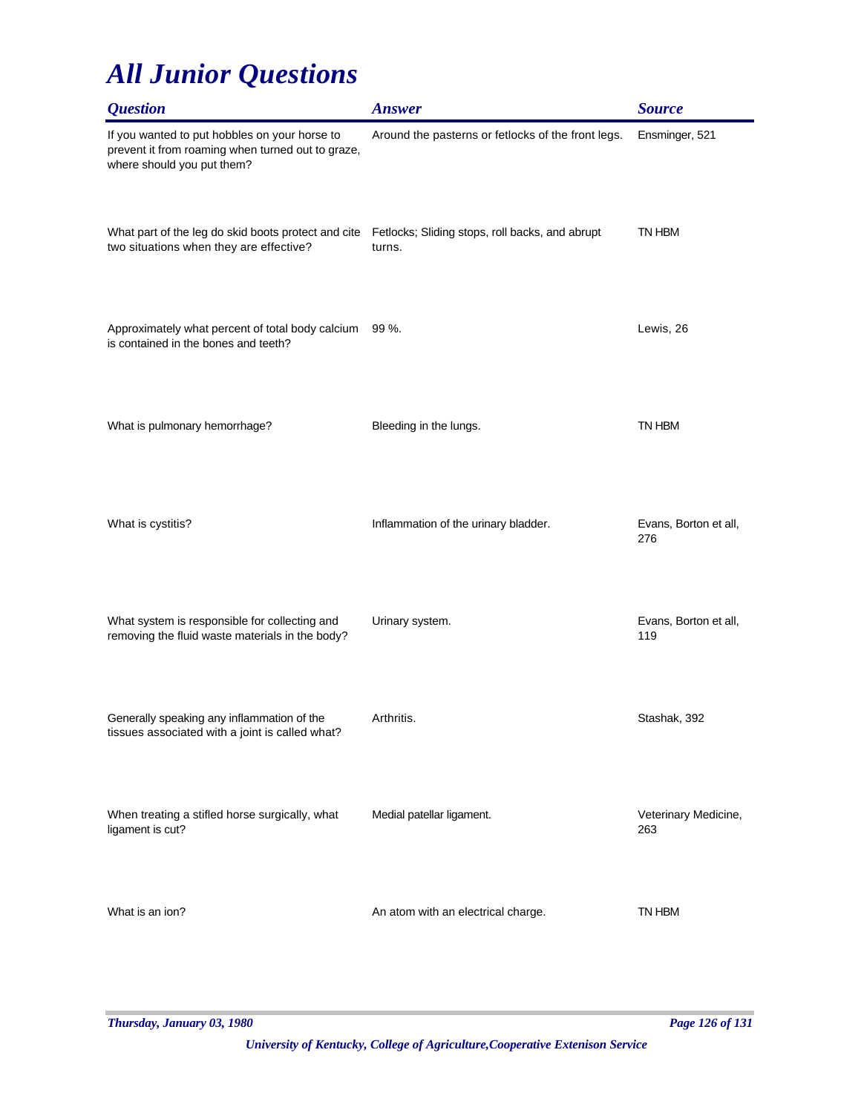| <i><b>Question</b></i>                                                                                                           | <b>Answer</b>                                             | <b>Source</b>                |
|----------------------------------------------------------------------------------------------------------------------------------|-----------------------------------------------------------|------------------------------|
| If you wanted to put hobbles on your horse to<br>prevent it from roaming when turned out to graze,<br>where should you put them? | Around the pasterns or fetlocks of the front legs.        | Ensminger, 521               |
| What part of the leg do skid boots protect and cite<br>two situations when they are effective?                                   | Fetlocks; Sliding stops, roll backs, and abrupt<br>turns. | TN HBM                       |
| Approximately what percent of total body calcium<br>is contained in the bones and teeth?                                         | $99 \%$ .                                                 | Lewis, 26                    |
| What is pulmonary hemorrhage?                                                                                                    | Bleeding in the lungs.                                    | TN HBM                       |
| What is cystitis?                                                                                                                | Inflammation of the urinary bladder.                      | Evans, Borton et all,<br>276 |
| What system is responsible for collecting and<br>removing the fluid waste materials in the body?                                 | Urinary system.                                           | Evans, Borton et all,<br>119 |
| Generally speaking any inflammation of the<br>tissues associated with a joint is called what?                                    | Arthritis.                                                | Stashak, 392                 |
| When treating a stifled horse surgically, what<br>ligament is cut?                                                               | Medial patellar ligament.                                 | Veterinary Medicine,<br>263  |
| What is an ion?                                                                                                                  | An atom with an electrical charge.                        | TN HBM                       |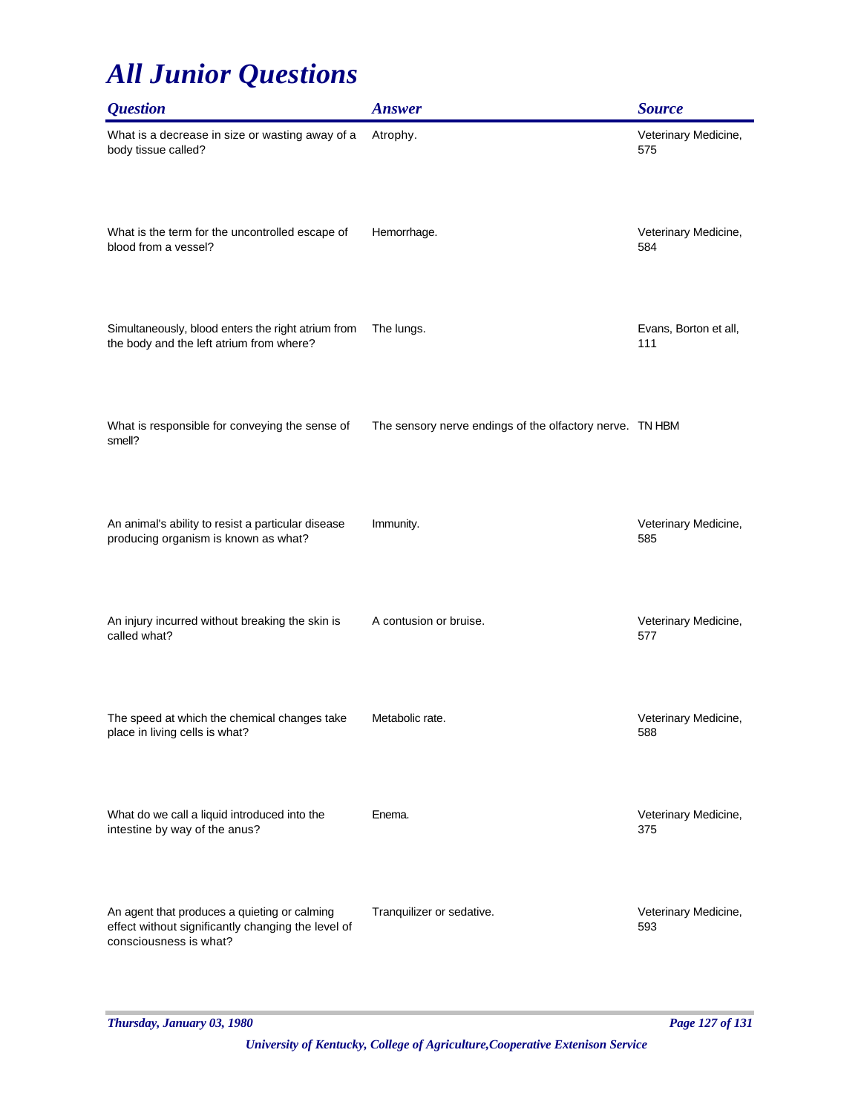| <b>Question</b>                                                                                                              | <b>Answer</b>                                            | <b>Source</b>                |
|------------------------------------------------------------------------------------------------------------------------------|----------------------------------------------------------|------------------------------|
| What is a decrease in size or wasting away of a<br>body tissue called?                                                       | Atrophy.                                                 | Veterinary Medicine,<br>575  |
| What is the term for the uncontrolled escape of<br>blood from a vessel?                                                      | Hemorrhage.                                              | Veterinary Medicine,<br>584  |
| Simultaneously, blood enters the right atrium from<br>the body and the left atrium from where?                               | The lungs.                                               | Evans, Borton et all,<br>111 |
| What is responsible for conveying the sense of<br>smell?                                                                     | The sensory nerve endings of the olfactory nerve. TN HBM |                              |
| An animal's ability to resist a particular disease<br>producing organism is known as what?                                   | Immunity.                                                | Veterinary Medicine,<br>585  |
| An injury incurred without breaking the skin is<br>called what?                                                              | A contusion or bruise.                                   | Veterinary Medicine,<br>577  |
| The speed at which the chemical changes take<br>place in living cells is what?                                               | Metabolic rate.                                          | Veterinary Medicine,<br>588  |
| What do we call a liquid introduced into the<br>intestine by way of the anus?                                                | Enema.                                                   | Veterinary Medicine,<br>375  |
| An agent that produces a quieting or calming<br>effect without significantly changing the level of<br>consciousness is what? | Tranquilizer or sedative.                                | Veterinary Medicine,<br>593  |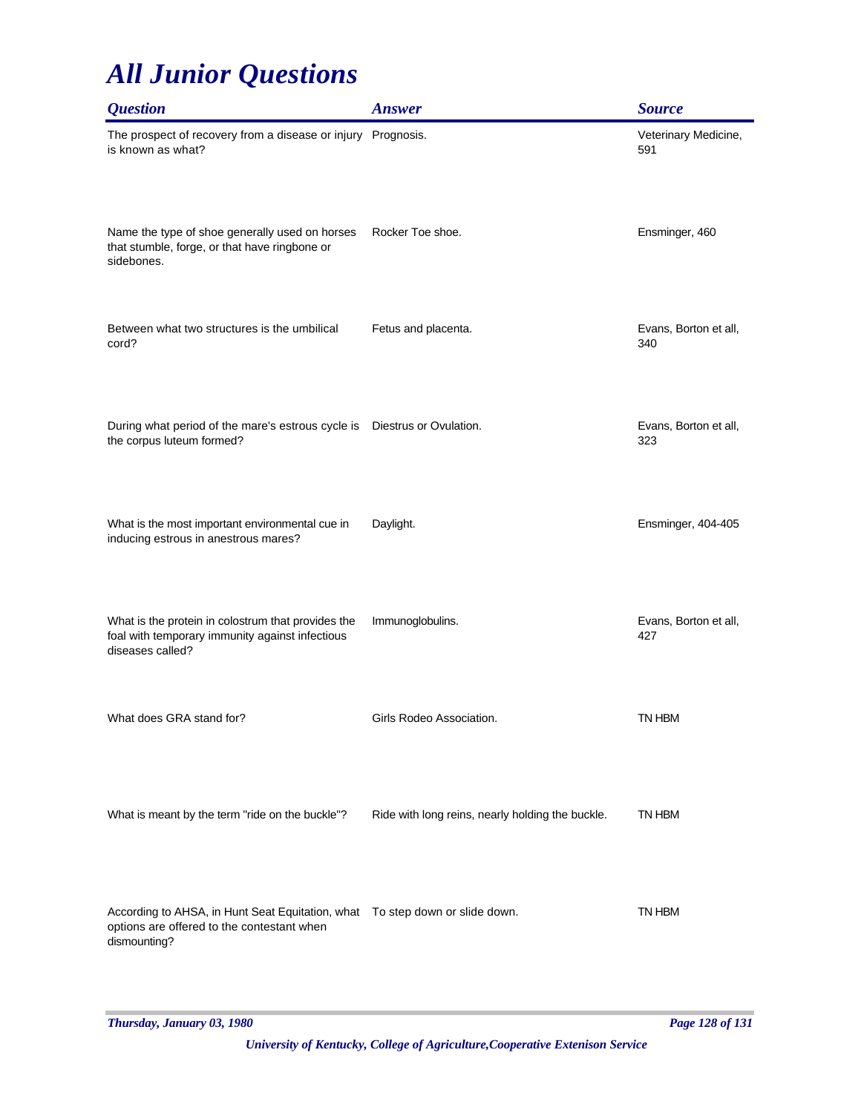| <i><b>Question</b></i>                                                                                                                      | <b>Answer</b>                                    | <b>Source</b>                |
|---------------------------------------------------------------------------------------------------------------------------------------------|--------------------------------------------------|------------------------------|
| The prospect of recovery from a disease or injury Prognosis.<br>is known as what?                                                           |                                                  | Veterinary Medicine,<br>591  |
| Name the type of shoe generally used on horses<br>that stumble, forge, or that have ringbone or<br>sidebones.                               | Rocker Toe shoe.                                 | Ensminger, 460               |
| Between what two structures is the umbilical<br>cord?                                                                                       | Fetus and placenta.                              | Evans, Borton et all,<br>340 |
| During what period of the mare's estrous cycle is  Diestrus or Ovulation.<br>the corpus luteum formed?                                      |                                                  | Evans, Borton et all,<br>323 |
| What is the most important environmental cue in<br>inducing estrous in anestrous mares?                                                     | Daylight.                                        | Ensminger, 404-405           |
| What is the protein in colostrum that provides the<br>foal with temporary immunity against infectious<br>diseases called?                   | Immunoglobulins.                                 | Evans, Borton et all,<br>427 |
| What does GRA stand for?                                                                                                                    | Girls Rodeo Association.                         | TN HBM                       |
| What is meant by the term "ride on the buckle"?                                                                                             | Ride with long reins, nearly holding the buckle. | TN HBM                       |
| According to AHSA, in Hunt Seat Equitation, what  To step down or slide down.<br>options are offered to the contestant when<br>dismounting? |                                                  | TN HBM                       |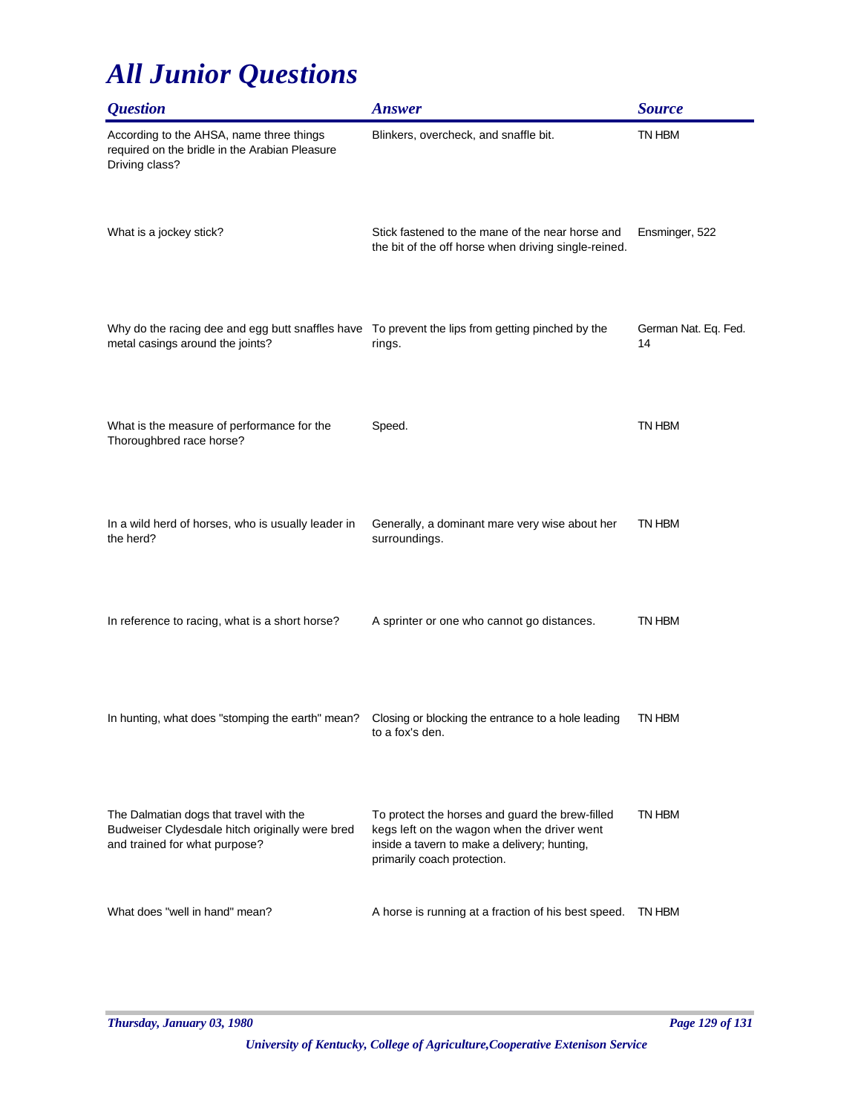| <i><b>Question</b></i>                                                                                                                | <b>Answer</b>                                                                                                                                                                 | <b>Source</b>              |
|---------------------------------------------------------------------------------------------------------------------------------------|-------------------------------------------------------------------------------------------------------------------------------------------------------------------------------|----------------------------|
| According to the AHSA, name three things<br>required on the bridle in the Arabian Pleasure<br>Driving class?                          | Blinkers, overcheck, and snaffle bit.                                                                                                                                         | TN HBM                     |
| What is a jockey stick?                                                                                                               | Stick fastened to the mane of the near horse and<br>the bit of the off horse when driving single-reined.                                                                      | Ensminger, 522             |
| Why do the racing dee and egg butt snaffles have  To prevent the lips from getting pinched by the<br>metal casings around the joints? | rings.                                                                                                                                                                        | German Nat. Eq. Fed.<br>14 |
| What is the measure of performance for the<br>Thoroughbred race horse?                                                                | Speed.                                                                                                                                                                        | TN HBM                     |
| In a wild herd of horses, who is usually leader in<br>the herd?                                                                       | Generally, a dominant mare very wise about her<br>surroundings.                                                                                                               | TN HBM                     |
| In reference to racing, what is a short horse?                                                                                        | A sprinter or one who cannot go distances.                                                                                                                                    | TN HBM                     |
| In hunting, what does "stomping the earth" mean?                                                                                      | Closing or blocking the entrance to a hole leading<br>to a fox's den.                                                                                                         | TN HBM                     |
| The Dalmatian dogs that travel with the<br>Budweiser Clydesdale hitch originally were bred<br>and trained for what purpose?           | To protect the horses and guard the brew-filled<br>kegs left on the wagon when the driver went<br>inside a tavern to make a delivery; hunting,<br>primarily coach protection. | TN HBM                     |
| What does "well in hand" mean?                                                                                                        | A horse is running at a fraction of his best speed.                                                                                                                           | TN HBM                     |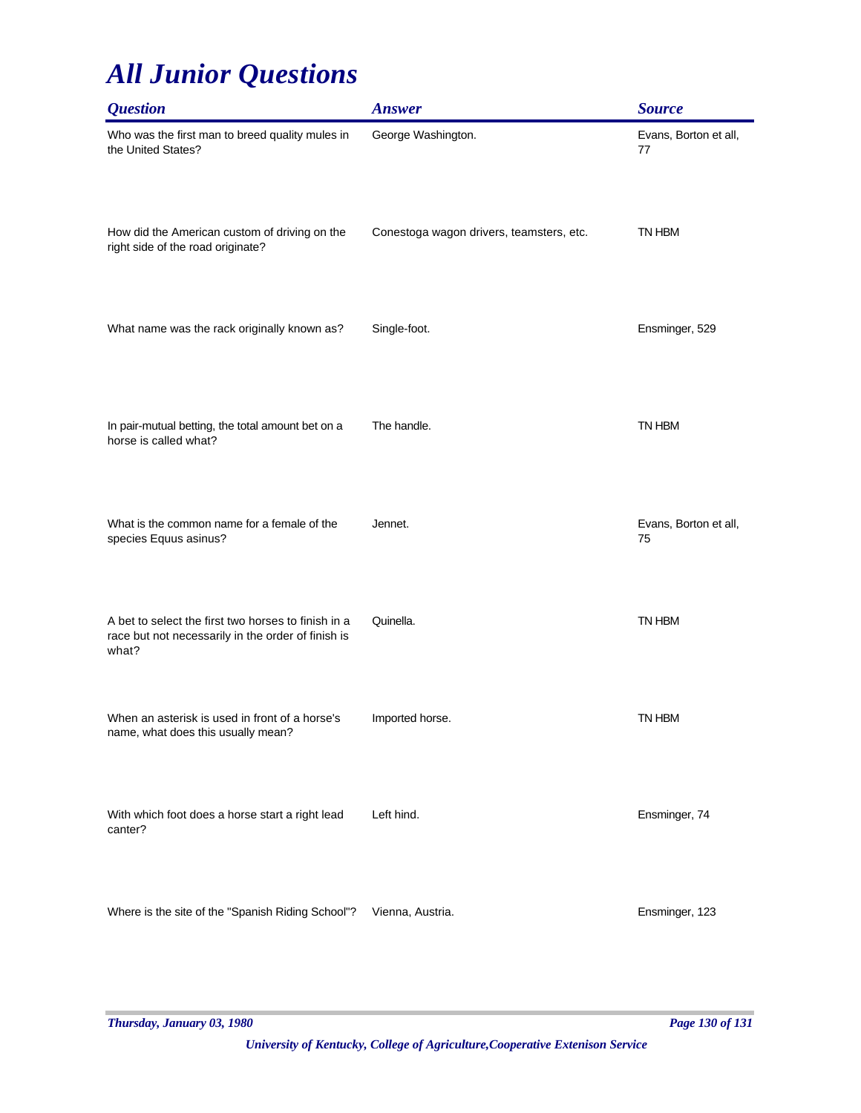| <i><b>Question</b></i>                                                                                             | <b>Answer</b>                            | <b>Source</b>               |
|--------------------------------------------------------------------------------------------------------------------|------------------------------------------|-----------------------------|
| Who was the first man to breed quality mules in<br>the United States?                                              | George Washington.                       | Evans, Borton et all,<br>77 |
| How did the American custom of driving on the<br>right side of the road originate?                                 | Conestoga wagon drivers, teamsters, etc. | TN HBM                      |
| What name was the rack originally known as?                                                                        | Single-foot.                             | Ensminger, 529              |
| In pair-mutual betting, the total amount bet on a<br>horse is called what?                                         | The handle.                              | TN HBM                      |
| What is the common name for a female of the<br>species Equus asinus?                                               | Jennet.                                  | Evans, Borton et all,<br>75 |
| A bet to select the first two horses to finish in a<br>race but not necessarily in the order of finish is<br>what? | Quinella.                                | TN HBM                      |
| When an asterisk is used in front of a horse's<br>name, what does this usually mean?                               | Imported horse.                          | TN HBM                      |
| With which foot does a horse start a right lead<br>canter?                                                         | Left hind.                               | Ensminger, 74               |
| Where is the site of the "Spanish Riding School"?                                                                  | Vienna, Austria.                         | Ensminger, 123              |